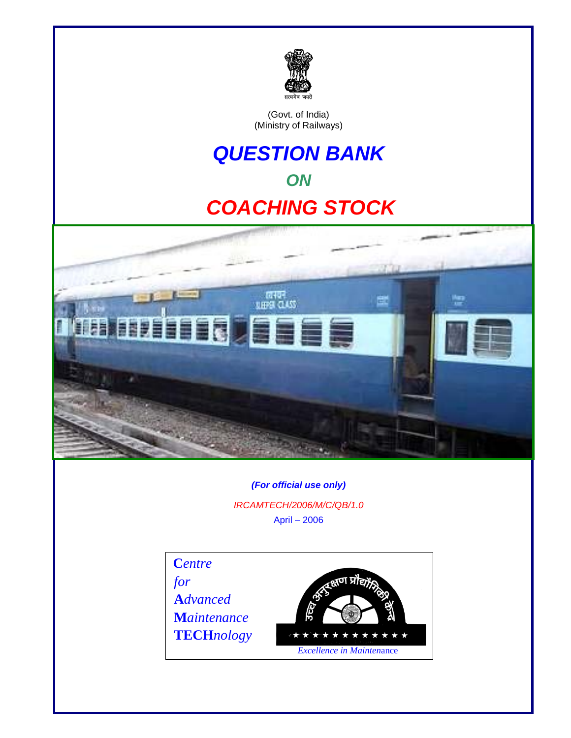

(Govt. of India) (Ministry of Railways)

# *QUESTION BANK ON [COACHING STOCK](#page-3-0)*



*(For official use only) IRCAMTECH/2006/M/C/QB/1.0* April – 2006

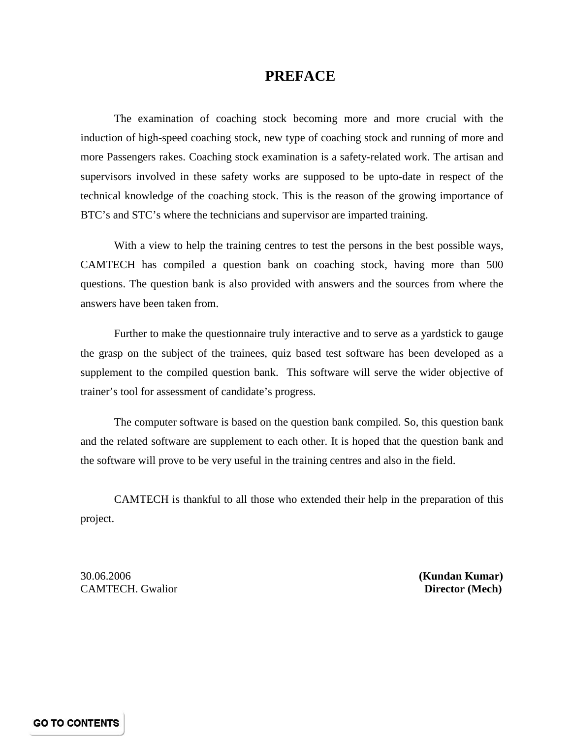### **PREFACE**

<span id="page-1-0"></span>The examination of coaching stock becoming more and more crucial with the induction of high-speed coaching stock, new type of coaching stock and running of more and more Passengers rakes. Coaching stock examination is a safety-related work. The artisan and supervisors involved in these safety works are supposed to be upto-date in respect of the technical knowledge of the coaching stock. This is the reason of the growing importance of BTC's and STC's where the technicians and supervisor are imparted training.

With a view to help the training centres to test the persons in the best possible ways, CAMTECH has compiled a question bank on coaching stock, having more than 500 questions. The question bank is also provided with answers and the sources from where the answers have been taken from.

Further to make the questionnaire truly interactive and to serve as a yardstick to gauge the grasp on the subject of the trainees, quiz based test software has been developed as a supplement to the compiled question bank. This software will serve the wider objective of trainer's tool for assessment of candidate's progress.

The computer software is based on the question bank compiled. So, this question bank and the related software are supplement to each other. It is hoped that the question bank and the software will prove to be very useful in the training centres and also in the field.

CAMTECH is thankful to all those who extended their help in the preparation of this project.

30.06.2006 **(Kundan Kumar) CAMTECH.** Gwalior **Director (Mech)**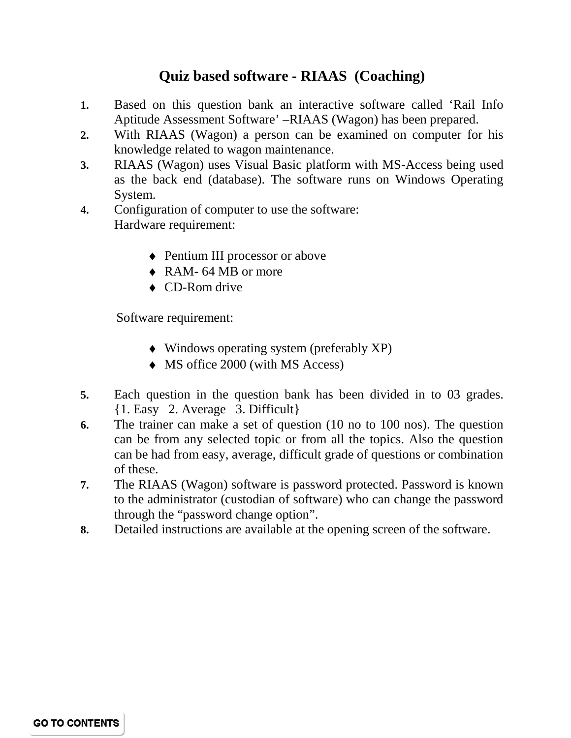## **Quiz based software - RIAAS (Coaching)**

- **1.** Based on this question bank an interactive software called 'Rail Info Aptitude Assessment Software' –RIAAS (Wagon) has been prepared.
- **2.** With RIAAS (Wagon) a person can be examined on computer for his knowledge related to wagon maintenance.
- **3.** RIAAS (Wagon) uses Visual Basic platform with MS-Access being used as the back end (database). The software runs on Windows Operating System.
- **4.** Configuration of computer to use the software: Hardware requirement:
	- ♦ Pentium III processor or above
	- ♦ RAM- 64 MB or more
	- ◆ CD-Rom drive

Software requirement:

- ♦ Windows operating system (preferably XP)
- ♦ MS office 2000 (with MS Access)
- **5.** Each question in the question bank has been divided in to 03 grades. {1. Easy 2. Average 3. Difficult}
- **6.** The trainer can make a set of question (10 no to 100 nos). The question can be from any selected topic or from all the topics. Also the question can be had from easy, average, difficult grade of questions or combination of these.
- **7.** The RIAAS (Wagon) software is password protected. Password is known to the administrator (custodian of software) who can change the password through the "password change option".
- **8.** Detailed instructions are available at the opening screen of the software.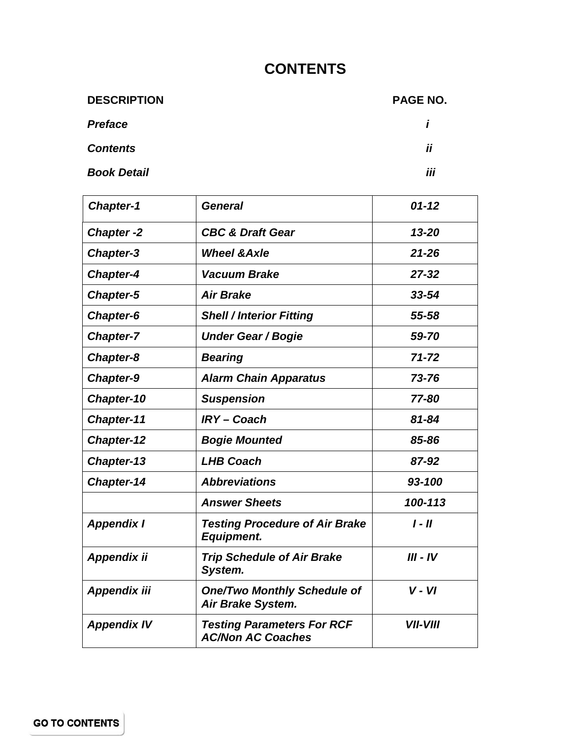## **CONTENTS**

<span id="page-3-0"></span>

| <b>DESCRIPTION</b> | PAGE NO.     |
|--------------------|--------------|
| <b>Preface</b>     | $\mathbf{r}$ |
| <b>Contents</b>    | ii           |
| <b>Book Detail</b> | iii          |

| <b>Chapter-1</b>    | <b>General</b>                                                | $01 - 12$              |
|---------------------|---------------------------------------------------------------|------------------------|
| <b>Chapter-2</b>    | <b>CBC &amp; Draft Gear</b>                                   | $13 - 20$              |
| <b>Chapter-3</b>    | <b>Wheel &amp; Axle</b>                                       | $21 - 26$              |
| <b>Chapter-4</b>    | <b>Vacuum Brake</b>                                           | $27 - 32$              |
| <b>Chapter-5</b>    | <b>Air Brake</b>                                              | $33 - 54$              |
| Chapter-6           | <b>Shell / Interior Fitting</b>                               | 55-58                  |
| <b>Chapter-7</b>    | <b>Under Gear / Bogie</b>                                     | 59-70                  |
| Chapter-8           | <b>Bearing</b>                                                | $71 - 72$              |
| <b>Chapter-9</b>    | <b>Alarm Chain Apparatus</b>                                  | 73-76                  |
| Chapter-10          | <b>Suspension</b>                                             | 77-80                  |
| Chapter-11          | <b>IRY-Coach</b>                                              | 81-84                  |
| <b>Chapter-12</b>   | <b>Bogie Mounted</b>                                          | 85-86                  |
| Chapter-13          | <b>LHB Coach</b>                                              | 87-92                  |
| <b>Chapter-14</b>   | <b>Abbreviations</b>                                          | 93-100                 |
|                     | <b>Answer Sheets</b>                                          | 100-113                |
| <b>Appendix I</b>   | <b>Testing Procedure of Air Brake</b><br><b>Equipment.</b>    | $I - II$               |
| Appendix ii         | <b>Trip Schedule of Air Brake</b><br>System.                  | III - IV               |
| <b>Appendix iii</b> | <b>One/Two Monthly Schedule of</b><br>Air Brake System.       | $V - VI$               |
| <b>Appendix IV</b>  | <b>Testing Parameters For RCF</b><br><b>AC/Non AC Coaches</b> | <i><b>VII-VIII</b></i> |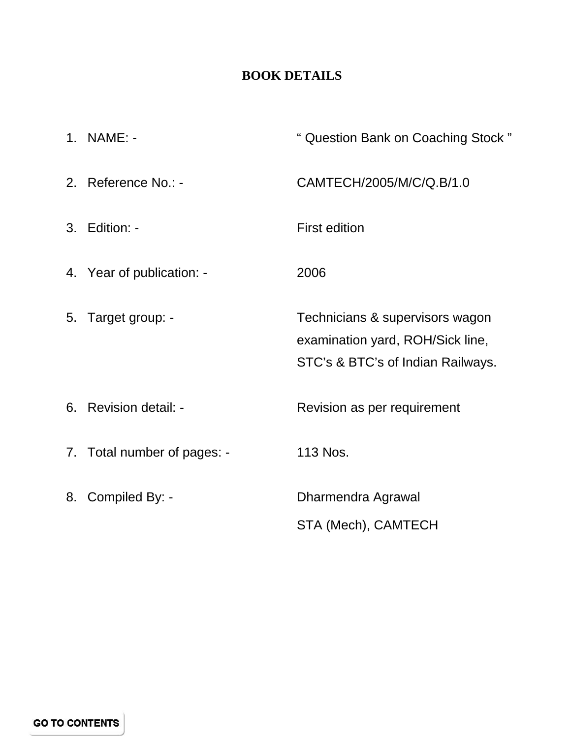## **BOOK DETAILS**

<span id="page-4-0"></span>

| 1. NAME: -                  | " Question Bank on Coaching Stock"                                                                       |
|-----------------------------|----------------------------------------------------------------------------------------------------------|
| 2. Reference No.: -         | CAMTECH/2005/M/C/Q.B/1.0                                                                                 |
| 3. Edition: -               | <b>First edition</b>                                                                                     |
| 4. Year of publication: -   | 2006                                                                                                     |
| 5. Target group: -          | Technicians & supervisors wagon<br>examination yard, ROH/Sick line,<br>STC's & BTC's of Indian Railways. |
| 6. Revision detail: -       | Revision as per requirement                                                                              |
| 7. Total number of pages: - | 113 Nos.                                                                                                 |
| 8. Compiled By: -           | Dharmendra Agrawal<br>STA (Mech), CAMTECH                                                                |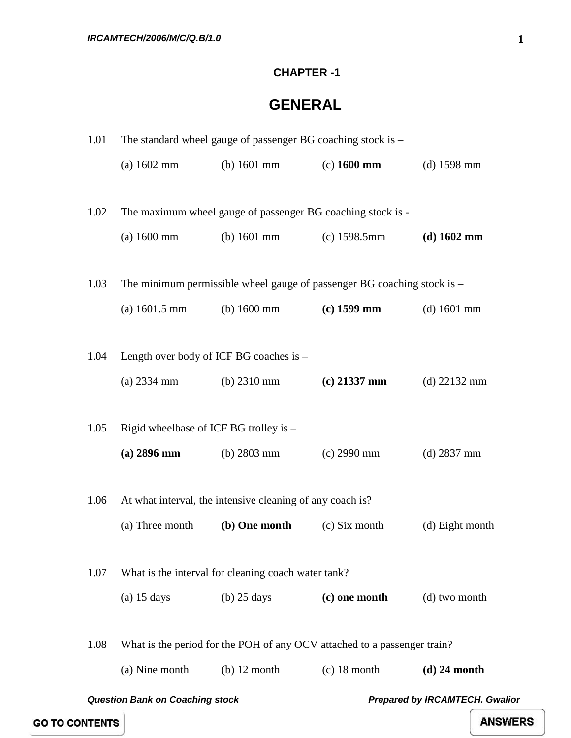#### **CHAPTER -1**

## **GENERAL**

<span id="page-5-0"></span>

| 1.01                                   | The standard wheel gauge of passenger BG coaching stock is $-$ |                                                             |                                                                           |                                       |
|----------------------------------------|----------------------------------------------------------------|-------------------------------------------------------------|---------------------------------------------------------------------------|---------------------------------------|
|                                        | $(a) 1602$ mm                                                  | (b) $1601$ mm                                               | $(c)$ 1600 mm                                                             | $(d)$ 1598 mm                         |
|                                        |                                                                |                                                             |                                                                           |                                       |
| 1.02                                   |                                                                | The maximum wheel gauge of passenger BG coaching stock is - |                                                                           |                                       |
|                                        | $(a) 1600$ mm                                                  | (b) $1601$ mm                                               | $(c)$ 1598.5mm                                                            | $(d)$ 1602 mm                         |
|                                        |                                                                |                                                             |                                                                           |                                       |
| 1.03                                   |                                                                |                                                             | The minimum permissible wheel gauge of passenger BG coaching stock is $-$ |                                       |
|                                        | $(a) 1601.5 \text{ mm}$                                        | (b) $1600 \text{ mm}$                                       | $(c)$ 1599 mm                                                             | $(d)$ 1601 mm                         |
|                                        |                                                                |                                                             |                                                                           |                                       |
| 1.04                                   | Length over body of ICF BG coaches is -                        |                                                             |                                                                           |                                       |
|                                        | $(a)$ 2334 mm                                                  | (b) $2310 \text{ mm}$                                       | $(c)$ 21337 mm                                                            | $(d)$ 22132 mm                        |
|                                        |                                                                |                                                             |                                                                           |                                       |
| 1.05                                   | Rigid wheelbase of ICF BG trolley is -                         |                                                             |                                                                           |                                       |
|                                        | $(a)$ 2896 mm                                                  | (b) $2803 \text{ mm}$                                       | $(c)$ 2990 mm                                                             | $(d)$ 2837 mm                         |
|                                        |                                                                |                                                             |                                                                           |                                       |
| 1.06                                   |                                                                | At what interval, the intensive cleaning of any coach is?   |                                                                           |                                       |
|                                        | (a) Three month                                                | (b) One month                                               | (c) Six month                                                             | (d) Eight month                       |
|                                        |                                                                |                                                             |                                                                           |                                       |
| 1.07                                   |                                                                | What is the interval for cleaning coach water tank?         |                                                                           |                                       |
|                                        | $(a)$ 15 days                                                  | $(b)$ 25 days                                               | (c) one month                                                             | (d) two month                         |
|                                        |                                                                |                                                             |                                                                           |                                       |
| 1.08                                   |                                                                |                                                             | What is the period for the POH of any OCV attached to a passenger train?  |                                       |
|                                        | (a) Nine month                                                 | $(b)$ 12 month                                              | $(c)$ 18 month                                                            | $(d)$ 24 month                        |
| <b>Question Bank on Coaching stock</b> |                                                                |                                                             |                                                                           | <b>Prepared by IRCAMTECH. Gwalior</b> |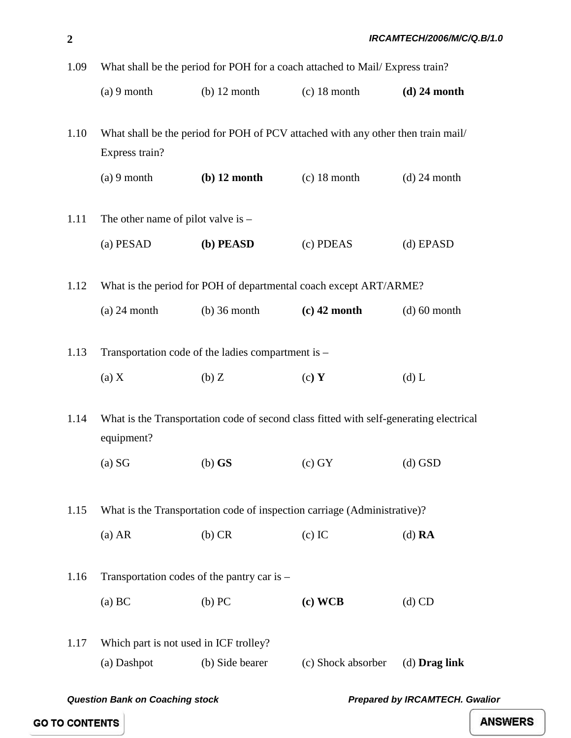| 1.09 | What shall be the period for POH for a coach attached to Mail/Express train? |                                                                                        |                    |                 |
|------|------------------------------------------------------------------------------|----------------------------------------------------------------------------------------|--------------------|-----------------|
|      | $(a) 9$ month                                                                | $(b)$ 12 month                                                                         | $(c)$ 18 month     | $(d)$ 24 month  |
| 1.10 | Express train?                                                               | What shall be the period for POH of PCV attached with any other then train mail/       |                    |                 |
|      | $(a) 9$ month                                                                | $(b)$ 12 month                                                                         | $(c)$ 18 month     | $(d)$ 24 month  |
| 1.11 | The other name of pilot valve is $-$                                         |                                                                                        |                    |                 |
|      | (a) PESAD                                                                    | (b) PEASD                                                                              | (c) PDEAS          | (d) EPASD       |
| 1.12 |                                                                              | What is the period for POH of departmental coach except ART/ARME?                      |                    |                 |
|      | $(a)$ 24 month                                                               | $(b)$ 36 month                                                                         | $(c)$ 42 month     | $(d)$ 60 month  |
| 1.13 |                                                                              | Transportation code of the ladies compartment is -                                     |                    |                 |
|      | (a) X                                                                        | (b)Z                                                                                   | (c) Y              | $(d)$ L         |
| 1.14 | equipment?                                                                   | What is the Transportation code of second class fitted with self-generating electrical |                    |                 |
|      | (a) SG                                                                       | $(b)$ GS                                                                               | $(c)$ GY           | $(d)$ GSD       |
| 1.15 |                                                                              | What is the Transportation code of inspection carriage (Administrative)?               |                    |                 |
|      | $(a)$ AR                                                                     | $(b)$ CR                                                                               | $(c)$ IC           | $(d)$ RA        |
| 1.16 |                                                                              | Transportation codes of the pantry car is $-$                                          |                    |                 |
|      | (a) BC                                                                       | (b) PC                                                                                 | (c) WCB            | $(d)$ CD        |
| 1.17 | Which part is not used in ICF trolley?<br>(a) Dashpot                        | (b) Side bearer                                                                        | (c) Shock absorber | $(d)$ Drag link |

*Question Bank on Coaching stock Prepared by IRCAMTECH. Gwalior* 

**GO TO CONTENTS**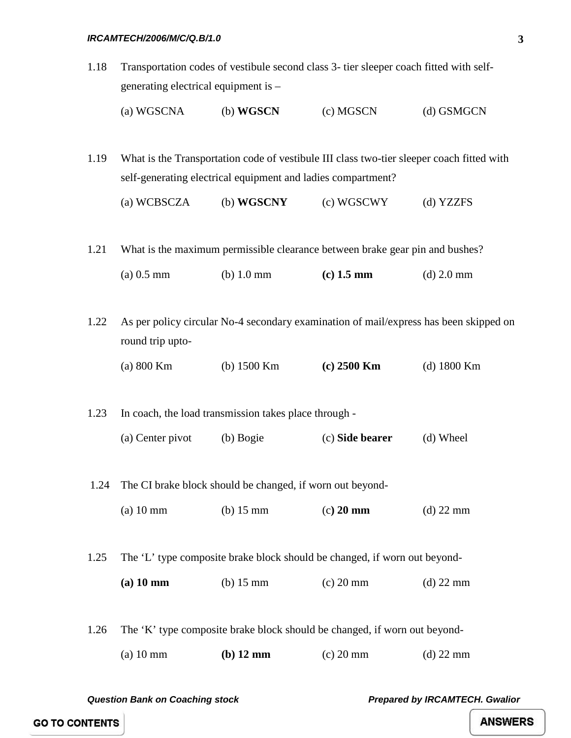- 1.18 Transportation codes of vestibule second class 3- tier sleeper coach fitted with selfgenerating electrical equipment is –
	- (a) WGSCNA (b) **WGSCN** (c) MGSCN (d) GSMGCN

1.19 What is the Transportation code of vestibule III class two-tier sleeper coach fitted with self-generating electrical equipment and ladies compartment?

(a) WCBSCZA (b) **WGSCNY** (c) WGSCWY (d) YZZFS

1.21 What is the maximum permissible clearance between brake gear pin and bushes?

| $(a)$ 0.5 mm | $(b)$ 1.0 mm | $(c)$ 1.5 mm | (d) $2.0 \text{ mm}$ |
|--------------|--------------|--------------|----------------------|
|--------------|--------------|--------------|----------------------|

1.22 As per policy circular No-4 secondary examination of mail/express has been skipped on round trip upto-

(a) 800 Km (b) 1500 Km **(c) 2500 Km** (d) 1800 Km

1.23 In coach, the load transmission takes place through -

- (a) Center pivot (b) Bogie (c) **Side bearer** (d) Wheel
- 1.24 The CI brake block should be changed, if worn out beyond-
	- (a) 10 mm (b) 15 mm (c**) 20 mm** (d) 22 mm

1.25 The 'L' type composite brake block should be changed, if worn out beyond-

**(a) 10 mm** (b) 15 mm (c) 20 mm (d) 22 mm

1.26 The 'K' type composite brake block should be changed, if worn out beyond-

(a) 10 mm **(b) 12 mm** (c) 20 mm (d) 22 mm

*Question Bank on Coaching stock Prepared by IRCAMTECH. Gwalior* 

**GO TO CONTENTS**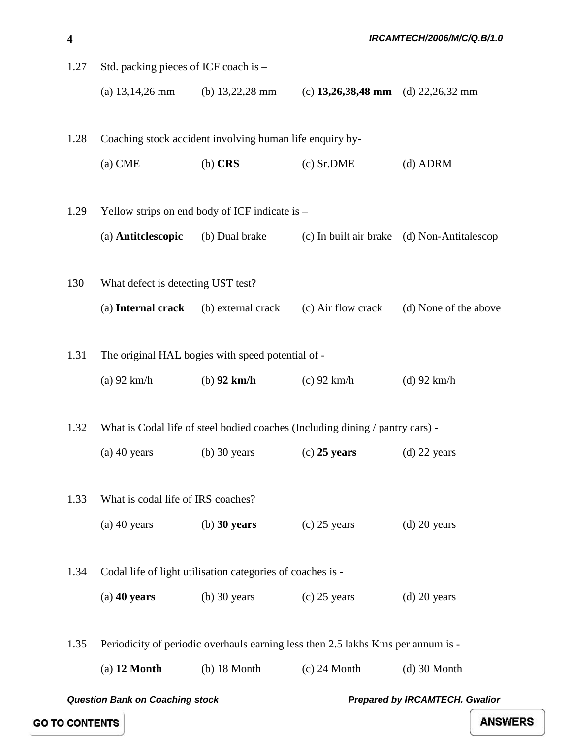| 1.27 | Std. packing pieces of ICF coach is - |                                                            |                                                                                  |                                             |
|------|---------------------------------------|------------------------------------------------------------|----------------------------------------------------------------------------------|---------------------------------------------|
|      | (a) $13,14,26$ mm                     | (b) $13,22,28 \text{ mm}$                                  | (c) 13,26,38,48 mm (d) 22,26,32 mm                                               |                                             |
| 1.28 |                                       | Coaching stock accident involving human life enquiry by-   |                                                                                  |                                             |
|      | $(a)$ CME                             | $(b)$ CRS                                                  | $(c)$ Sr.DME                                                                     | $(d)$ ADRM                                  |
| 1.29 |                                       | Yellow strips on end body of ICF indicate is $-$           |                                                                                  |                                             |
|      | (a) Antitclescopic                    | (b) Dual brake                                             |                                                                                  | (c) In built air brake (d) Non-Antitalescop |
| 130  | What defect is detecting UST test?    |                                                            |                                                                                  |                                             |
|      | (a) Internal crack                    | (b) external crack                                         | (c) Air flow crack                                                               | (d) None of the above                       |
| 1.31 |                                       | The original HAL bogies with speed potential of -          |                                                                                  |                                             |
|      | $(a)$ 92 km/h                         | $(b)$ 92 km/h                                              | $(c)$ 92 km/h                                                                    | $(d)$ 92 km/h                               |
| 1.32 |                                       |                                                            | What is Codal life of steel bodied coaches (Including dining / pantry cars) -    |                                             |
|      | $(a)$ 40 years                        | $(b)$ 30 years                                             | $(c)$ 25 years                                                                   | $(d)$ 22 years                              |
| 1.33 | What is codal life of IRS coaches?    |                                                            |                                                                                  |                                             |
|      | $(a)$ 40 years                        | $(b)$ 30 years                                             | $(c)$ 25 years                                                                   | $(d)$ 20 years                              |
| 1.34 |                                       | Codal life of light utilisation categories of coaches is - |                                                                                  |                                             |
|      | $(a)$ 40 years                        | $(b)$ 30 years                                             | $(c)$ 25 years                                                                   | $(d)$ 20 years                              |
| 1.35 |                                       |                                                            | Periodicity of periodic overhauls earning less then 2.5 lakhs Kms per annum is - |                                             |
|      | $(a)$ 12 Month                        | $(b)$ 18 Month                                             | $(c)$ 24 Month                                                                   | $(d)$ 30 Month                              |
|      |                                       |                                                            |                                                                                  |                                             |

**4**

*Question Bank on Coaching stock Prepared by IRCAMTECH. Gwalior* 

 *IRCAMTECH/2006/M/C/Q.B/1.0*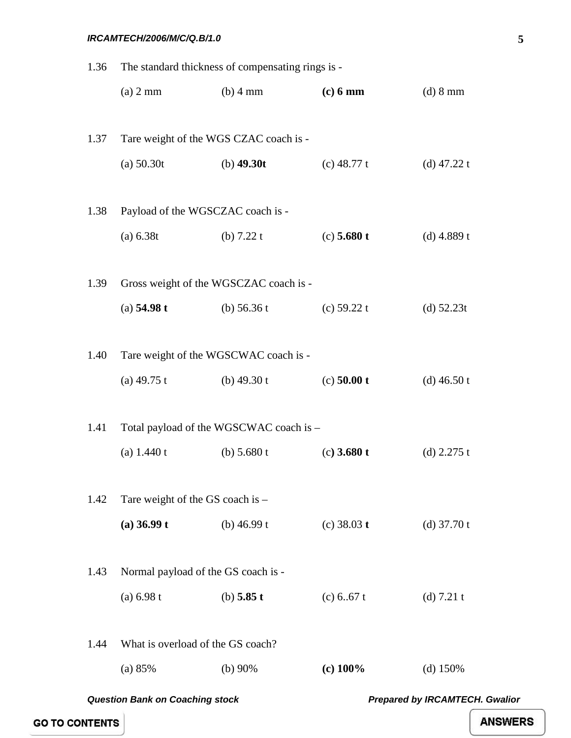| 1.36                                                                            | The standard thickness of compensating rings is - |                                         |               |               |
|---------------------------------------------------------------------------------|---------------------------------------------------|-----------------------------------------|---------------|---------------|
|                                                                                 | (a) 2 mm                                          | $(b)$ 4 mm                              | $(c)$ 6 mm    | (d) 8 mm      |
|                                                                                 |                                                   |                                         |               |               |
| 1.37                                                                            | Tare weight of the WGS CZAC coach is -            |                                         |               |               |
|                                                                                 | (a) 50.30t                                        | (b) $49.30t$                            | (c) $48.77 t$ | (d) $47.22 t$ |
|                                                                                 |                                                   |                                         |               |               |
| 1.38                                                                            | Payload of the WGSCZAC coach is -                 |                                         |               |               |
|                                                                                 | (a) 6.38t                                         | (b) $7.22 t$                            | $(c)$ 5.680 t | (d) $4.889 t$ |
| 1.39                                                                            |                                                   | Gross weight of the WGSCZAC coach is -  |               |               |
|                                                                                 | (a) $54.98 t$                                     | (b) $56.36 t$                           | (c) $59.22 t$ |               |
|                                                                                 |                                                   |                                         |               | (d) $52.23t$  |
| 1.40                                                                            | Tare weight of the WGSCWAC coach is -             |                                         |               |               |
|                                                                                 | (a) $49.75$ t                                     | (b) $49.30 t$                           | $(c)$ 50.00 t | (d) $46.50 t$ |
|                                                                                 |                                                   |                                         |               |               |
| 1.41                                                                            |                                                   | Total payload of the WGSCWAC coach is - |               |               |
|                                                                                 | (a) $1.440 t$                                     | (b) $5.680 t$                           | $(c)$ 3.680 t | (d) $2.275$ t |
|                                                                                 |                                                   |                                         |               |               |
| 1.42                                                                            | Tare weight of the GS coach is $-$                |                                         |               |               |
|                                                                                 | $(a)$ 36.99 t                                     | (b) $46.99 t$                           | (c) $38.03 t$ | (d) $37.70 t$ |
| 1.43                                                                            | Normal payload of the GS coach is -               |                                         |               |               |
|                                                                                 | (a) 6.98 t                                        | (b) $5.85 t$                            | (c) $6.67 t$  |               |
|                                                                                 |                                                   |                                         |               | (d) $7.21 t$  |
| 1.44                                                                            | What is overload of the GS coach?                 |                                         |               |               |
|                                                                                 | (a) 85%                                           | (b) $90\%$                              | $(c)$ 100%    | (d) $150%$    |
| <b>Prepared by IRCAMTECH. Gwalior</b><br><b>Question Bank on Coaching stock</b> |                                                   |                                         |               |               |

**GO TO CONTENTS**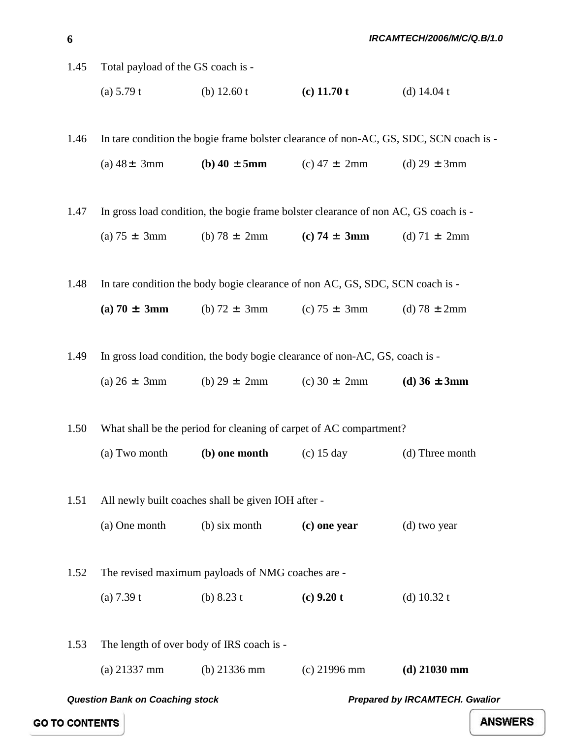1.45 Total payload of the GS coach is -

(a) 5.79 t (b) 12.60 t **(c) 11.70 t** (d) 14.04 t

1.46 In tare condition the bogie frame bolster clearance of non-AC, GS, SDC, SCN coach is - (a)  $48 \pm 3$ mm **(b)**  $40 \pm 5$ **mm** (c)  $47 \pm 2$ mm (d)  $29 \pm 3$ mm

1.47 In gross load condition, the bogie frame bolster clearance of non AC, GS coach is -

(a)  $75 \pm 3 \text{mm}$  (b)  $78 \pm 2 \text{mm}$  (c)  $74 \pm 3 \text{mm}$  (d)  $71 \pm 2 \text{mm}$ 

1.48 In tare condition the body bogie clearance of non AC, GS, SDC, SCN coach is -

**(a) 70**  $\pm$  **3mm** (b) 72  $\pm$  3mm (c) 75  $\pm$  3mm (d) 78  $\pm$  2mm

1.49 In gross load condition, the body bogie clearance of non-AC, GS, coach is -

(a)  $26 \pm 3$ mm (b)  $29 \pm 2$ mm (c)  $30 \pm 2$ mm **(d)**  $36 \pm 3$ **mm** 

1.50 What shall be the period for cleaning of carpet of AC compartment? (a) Two month **(b) one month** (c) 15 day (d) Three month

1.51 All newly built coaches shall be given IOH after - (a) One month (b) six month **(c) one year** (d) two year

1.52 The revised maximum payloads of NMG coaches are -

(a)  $7.39 \text{ t}$  (b)  $8.23 \text{ t}$  **(c)**  $9.20 \text{ t}$  (d)  $10.32 \text{ t}$ 

1.53 The length of over body of IRS coach is - (a) 21337 mm (b) 21336 mm (c) 21996 mm **(d) 21030 mm**

*Question Bank on Coaching stock Prepared by IRCAMTECH. Gwalior* 

**GO TO CONTENTS**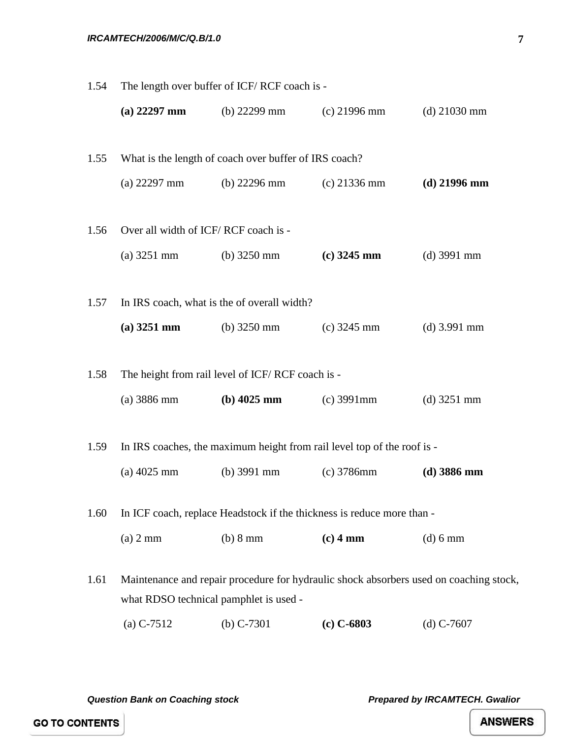| 1.54 | The length over buffer of ICF/RCF coach is - |                                                       |                                                                         |                                                                                        |
|------|----------------------------------------------|-------------------------------------------------------|-------------------------------------------------------------------------|----------------------------------------------------------------------------------------|
|      | $(a)$ 22297 mm                               | (b) $22299$ mm                                        | $(c)$ 21996 mm                                                          | $(d)$ 21030 mm                                                                         |
| 1.55 |                                              | What is the length of coach over buffer of IRS coach? |                                                                         |                                                                                        |
|      | $(a)$ 22297 mm                               | (b) $22296 \text{ mm}$                                | $(c)$ 21336 mm                                                          | $(d)$ 21996 mm                                                                         |
| 1.56 | Over all width of ICF/RCF coach is -         |                                                       |                                                                         |                                                                                        |
|      | $(a)$ 3251 mm                                | (b) $3250 \text{ mm}$                                 | $(c)$ 3245 mm                                                           | $(d)$ 3991 mm                                                                          |
| 1.57 | In IRS coach, what is the of overall width?  |                                                       |                                                                         |                                                                                        |
|      | $(a)$ 3251 mm                                | (b) $3250 \text{ mm}$                                 | $(c)$ 3245 mm                                                           | $(d)$ 3.991 mm                                                                         |
| 1.58 |                                              | The height from rail level of ICF/RCF coach is -      |                                                                         |                                                                                        |
|      | $(a)$ 3886 mm                                | $(b)$ 4025 mm                                         | $(c)$ 3991 $mm$                                                         | $(d)$ 3251 mm                                                                          |
| 1.59 |                                              |                                                       | In IRS coaches, the maximum height from rail level top of the roof is - |                                                                                        |
|      | $(a)$ 4025 mm                                | $(b)$ 3991 mm                                         | $(c)$ 3786mm                                                            | $(d)$ 3886 mm                                                                          |
| 1.60 |                                              |                                                       | In ICF coach, replace Headstock if the thickness is reduce more than -  |                                                                                        |
|      | $(a)$ 2 mm                                   | (b) 8 mm                                              | $(c)$ 4 mm                                                              | $(d)$ 6 mm                                                                             |
| 1.61 | what RDSO technical pamphlet is used -       |                                                       |                                                                         | Maintenance and repair procedure for hydraulic shock absorbers used on coaching stock, |
|      | $(a) C-7512$                                 | (b) $C-7301$                                          | $(c) C - 6803$                                                          | $(d)$ C-7607                                                                           |

*Question Bank on Coaching stock Prepared by IRCAMTECH. Gwalior* 

**GO TO CONTENTS**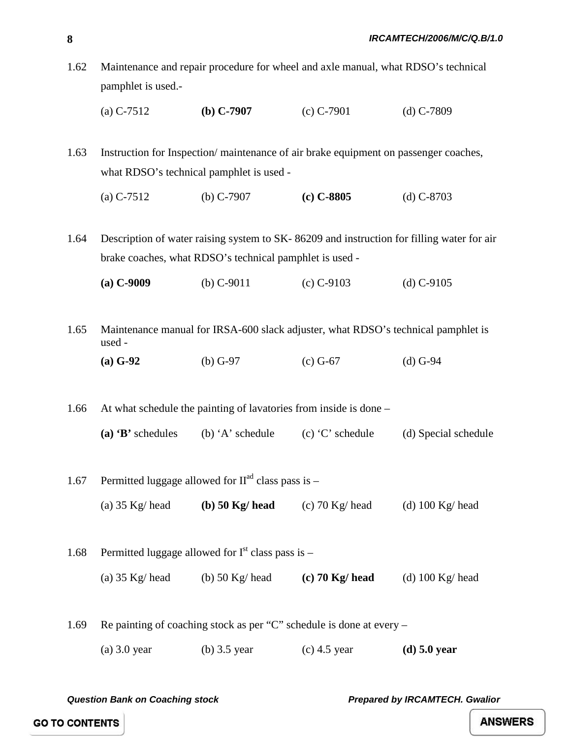- 1.62 Maintenance and repair procedure for wheel and axle manual, what RDSO's technical pamphlet is used.-
	- (a) C-7512 **(b) C-7907** (c) C-7901 (d) C-7809

1.63 Instruction for Inspection/ maintenance of air brake equipment on passenger coaches, what RDSO's technical pamphlet is used -

(a) C-7512 (b) C-7907 **(c) C-8805** (d) C-8703

1.64 Description of water raising system to SK- 86209 and instruction for filling water for air brake coaches, what RDSO's technical pamphlet is used -

**(a) C-9009** (b) C-9011 (c) C-9103 (d) C-9105

1.65 Maintenance manual for IRSA-600 slack adjuster, what RDSO's technical pamphlet is used -

**(a) G-92** (b) G-97 (c) G-67 (d) G-94

1.66 At what schedule the painting of lavatories from inside is done – **(a) 'B'** schedules (b) 'A' schedule (c) 'C' schedule (d) Special schedule

- 1.67 Permitted luggage allowed for  $II<sup>ad</sup>$  class pass is
	- (a) 35 Kg/ head **(b) 50 Kg/ head** (c) 70 Kg/ head (d) 100 Kg/ head
- 1.68 Permitted luggage allowed for  $I<sup>st</sup>$  class pass is (a) 35 Kg/ head (b) 50 Kg/ head **(c) 70 Kg/ head** (d) 100 Kg/ head

1.69 Re painting of coaching stock as per "C" schedule is done at every –

(a) 3.0 year (b) 3.5 year (c) 4.5 year **(d) 5.0 year** 

*Question Bank on Coaching stock Prepared by IRCAMTECH. Gwalior* 

**GO TO CONTENTS**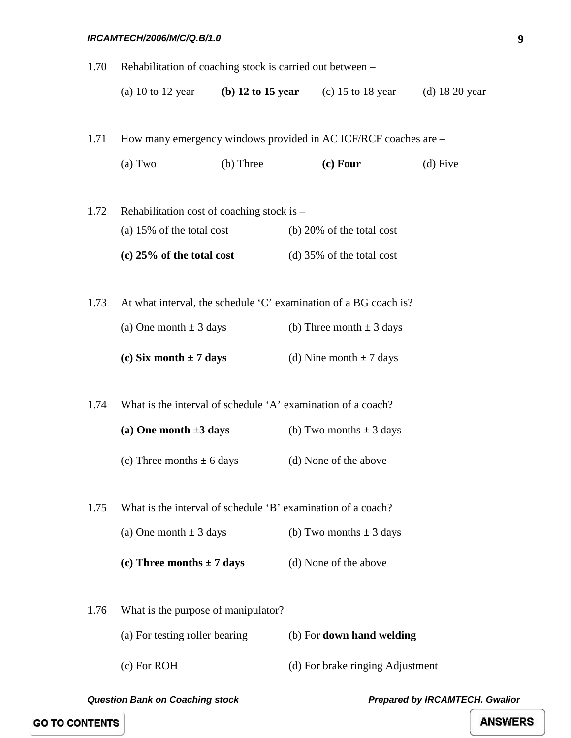| 1.70 | Rehabilitation of coaching stock is carried out between - |           |                                                                  |                  |
|------|-----------------------------------------------------------|-----------|------------------------------------------------------------------|------------------|
|      |                                                           |           | (a) 10 to 12 year (b) 12 to 15 year (c) 15 to 18 year            | $(d)$ 18 20 year |
|      |                                                           |           |                                                                  |                  |
| 1.71 |                                                           |           | How many emergency windows provided in AC ICF/RCF coaches are -  |                  |
|      | (a) Two                                                   | (b) Three | (c) Four                                                         | $(d)$ Five       |
| 1.72 | Rehabilitation cost of coaching stock is -                |           |                                                                  |                  |
|      | (a) $15\%$ of the total cost                              |           | (b) 20% of the total cost                                        |                  |
|      | $(c)$ 25% of the total cost                               |           | (d) 35% of the total cost                                        |                  |
| 1.73 |                                                           |           | At what interval, the schedule 'C' examination of a BG coach is? |                  |
|      |                                                           |           |                                                                  |                  |
|      | (a) One month $\pm$ 3 days                                |           | (b) Three month $\pm$ 3 days                                     |                  |
|      | (c) Six month $\pm$ 7 days                                |           | (d) Nine month $\pm$ 7 days                                      |                  |
| 1.74 |                                                           |           | What is the interval of schedule 'A' examination of a coach?     |                  |
|      |                                                           |           |                                                                  |                  |
|      | (a) One month $\pm 3$ days                                |           | (b) Two months $\pm$ 3 days                                      |                  |
|      | (c) Three months $\pm$ 6 days                             |           | (d) None of the above                                            |                  |
| 1.75 |                                                           |           | What is the interval of schedule 'B' examination of a coach?     |                  |
|      | (a) One month $\pm$ 3 days                                |           | (b) Two months $\pm$ 3 days                                      |                  |
|      | (c) Three months $\pm$ 7 days                             |           | (d) None of the above                                            |                  |
| 1.76 | What is the purpose of manipulator?                       |           |                                                                  |                  |
|      |                                                           |           |                                                                  |                  |
|      | (a) For testing roller bearing                            |           | (b) For down hand welding                                        |                  |
|      | $(c)$ For ROH                                             |           | (d) For brake ringing Adjustment                                 |                  |

*Question Bank on Coaching stock Prepared by IRCAMTECH. Gwalior* 

**9**

**GO TO CONTENTS**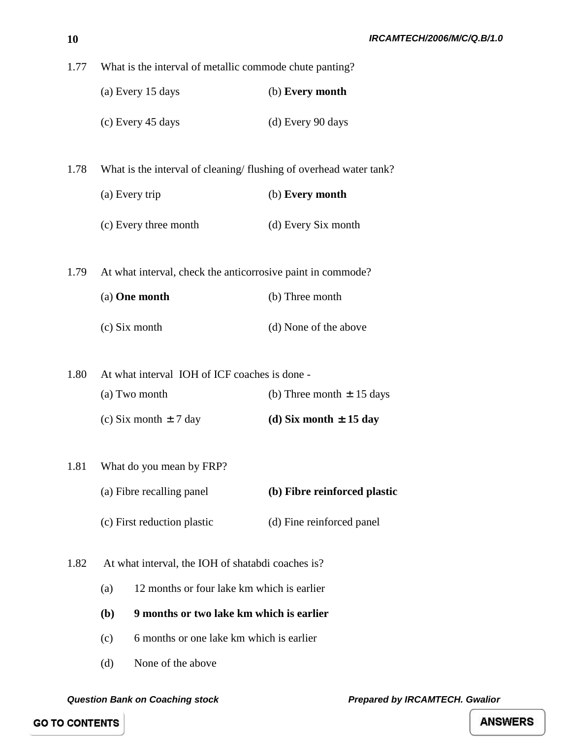| (a) Every 15 days | (b) Every month |
|-------------------|-----------------|
|                   |                 |

- (c) Every 45 days (d) Every 90 days
- 1.78 What is the interval of cleaning/ flushing of overhead water tank?
	- (a) Every trip (b) **Every month**
	- (c) Every three month (d) Every Six month
- 1.79 At what interval, check the anticorrosive paint in commode?

| (a) <b>One month</b> | (b) Three month       |  |
|----------------------|-----------------------|--|
| $(c)$ Six month      | (d) None of the above |  |

- 1.80 At what interval IOH of ICF coaches is done (a) Two month (b) Three month  $\pm 15$  days (c) Six month  $\pm 7$  day **(d) Six month**  $\pm 15$  **day**
- 1.81 What do you mean by FRP? (a) Fibre recalling panel **(b) Fibre reinforced plastic** (c) First reduction plastic (d) Fine reinforced panel
- 1.82 At what interval, the IOH of shatabdi coaches is?
	- (a) 12 months or four lake km which is earlier
	- **(b) 9 months or two lake km which is earlier**
	- (c) 6 months or one lake km which is earlier
	- (d) None of the above

*Question Bank on Coaching stock Prepared by IRCAMTECH. Gwalior* 

**GO TO CONTENTS**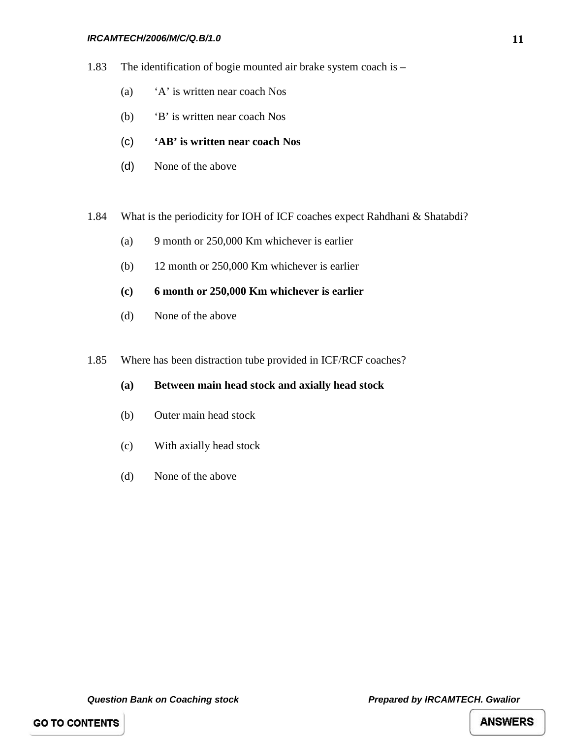- 1.83 The identification of bogie mounted air brake system coach is
	- (a) 'A' is written near coach Nos
	- (b) 'B' is written near coach Nos
	- (c) **'AB' is written near coach Nos**
	- (d) None of the above
- 1.84 What is the periodicity for IOH of ICF coaches expect Rahdhani & Shatabdi?
	- (a) 9 month or 250,000 Km whichever is earlier
	- (b) 12 month or 250,000 Km whichever is earlier
	- **(c) 6 month or 250,000 Km whichever is earlier**
	- (d) None of the above
- 1.85 Where has been distraction tube provided in ICF/RCF coaches?
	- **(a) Between main head stock and axially head stock**
	- (b) Outer main head stock
	- (c) With axially head stock
	- (d) None of the above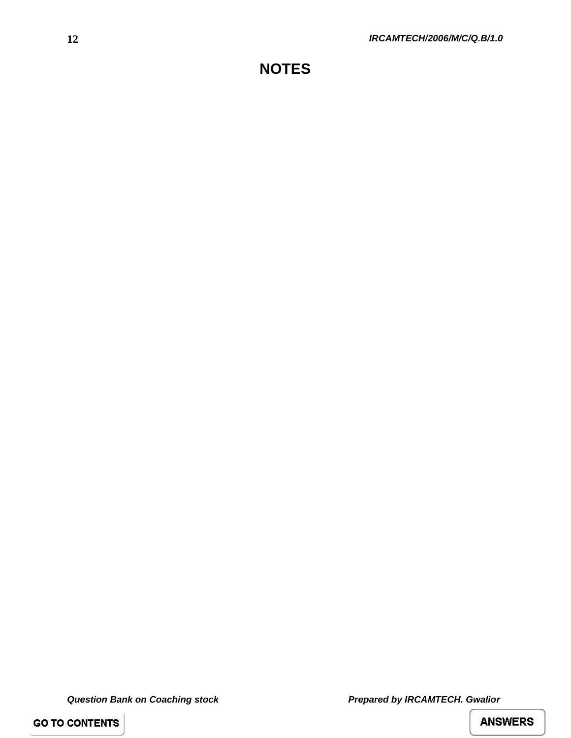*Question Bank on Coaching stock Prepared by IRCAMTECH. Gwalior* 

**GO TO CONTENTS**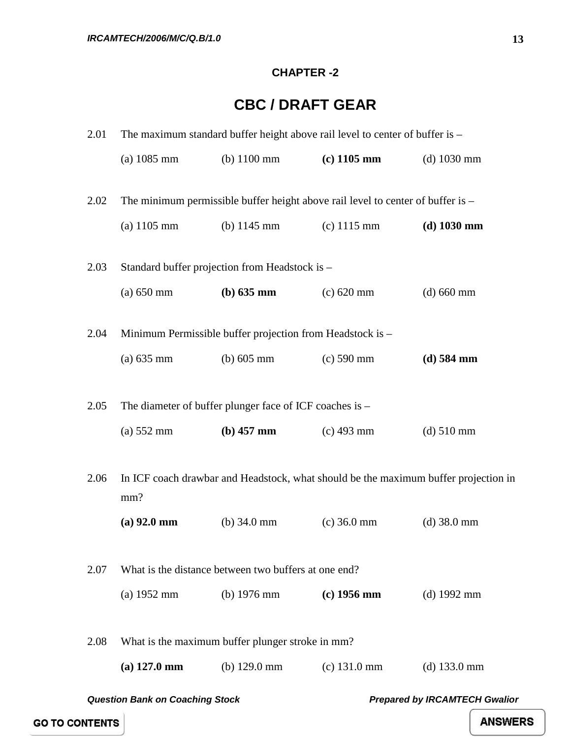#### **CHAPTER -2**

## **CBC / DRAFT GEAR**

<span id="page-17-0"></span>

| 2.01                                                                           | The maximum standard buffer height above rail level to center of buffer is -               |                                                           |                                                                                 |                |  |
|--------------------------------------------------------------------------------|--------------------------------------------------------------------------------------------|-----------------------------------------------------------|---------------------------------------------------------------------------------|----------------|--|
|                                                                                | $(a)$ 1085 mm                                                                              | (b) $1100 \text{ mm}$                                     | $(c)$ 1105 mm                                                                   | $(d)$ 1030 mm  |  |
| 2.02                                                                           |                                                                                            |                                                           | The minimum permissible buffer height above rail level to center of buffer is - |                |  |
|                                                                                | $(a) 1105$ mm                                                                              | (b) $1145 \text{ mm}$                                     | $(c)$ 1115 mm                                                                   | $(d)$ 1030 mm  |  |
| 2.03                                                                           |                                                                                            | Standard buffer projection from Headstock is -            |                                                                                 |                |  |
|                                                                                | $(a)$ 650 mm                                                                               | (b) 635 mm                                                | $(c) 620$ mm                                                                    | $(d) 660$ mm   |  |
| 2.04                                                                           |                                                                                            | Minimum Permissible buffer projection from Headstock is - |                                                                                 |                |  |
|                                                                                | $(a) 635$ mm                                                                               | (b) $605 \text{ mm}$                                      | $(c) 590$ mm                                                                    | $(d)$ 584 mm   |  |
| 2.05                                                                           |                                                                                            | The diameter of buffer plunger face of ICF coaches is -   |                                                                                 |                |  |
|                                                                                | $(a)$ 552 mm                                                                               | $(b)$ 457 mm                                              | $(c)$ 493 mm                                                                    | $(d) 510$ mm   |  |
| 2.06                                                                           | In ICF coach drawbar and Headstock, what should be the maximum buffer projection in<br>mm? |                                                           |                                                                                 |                |  |
|                                                                                | $(a)$ 92.0 mm                                                                              | (b) $34.0$ mm                                             | $(c)$ 36.0 mm                                                                   | $(d)$ 38.0 mm  |  |
| 2.07                                                                           |                                                                                            | What is the distance between two buffers at one end?      |                                                                                 |                |  |
|                                                                                | (a) $1952 \text{ mm}$                                                                      | (b) $1976 \text{ mm}$                                     | $(c)$ 1956 mm                                                                   | $(d)$ 1992 mm  |  |
| 2.08                                                                           | What is the maximum buffer plunger stroke in mm?                                           |                                                           |                                                                                 |                |  |
|                                                                                | $(a)$ 127.0 mm                                                                             | (b) $129.0 \text{ mm}$                                    | $(c)$ 131.0 mm                                                                  | $(d)$ 133.0 mm |  |
| <b>Prepared by IRCAMTECH Gwalior</b><br><b>Question Bank on Coaching Stock</b> |                                                                                            |                                                           |                                                                                 |                |  |

**GO TO CONTENTS**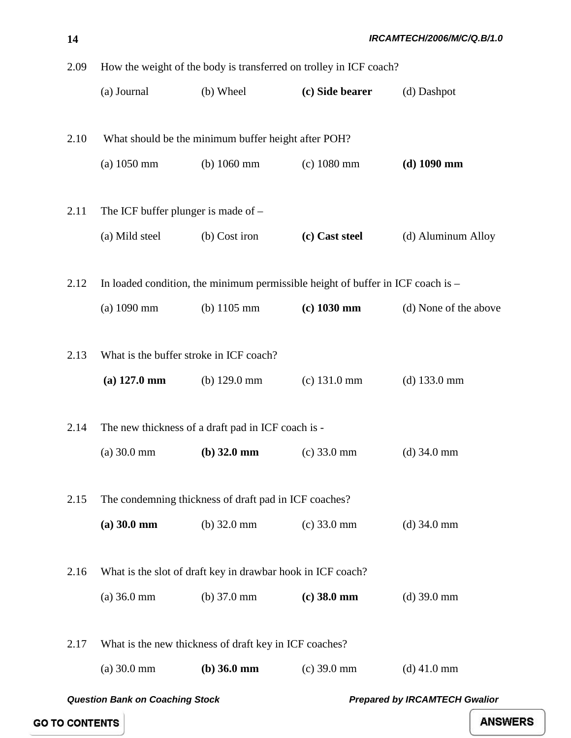2.09 How the weight of the body is transferred on trolley in ICF coach? (a) Journal (b) Wheel **(c) Side bearer** (d) Dashpot 2.10 What should be the minimum buffer height after POH? (a) 1050 mm (b) 1060 mm (c) 1080 mm **(d) 1090 mm** 2.11 The ICF buffer plunger is made of – (a) Mild steel (b) Cost iron **(c) Cast steel** (d) Aluminum Alloy 2.12 In loaded condition, the minimum permissible height of buffer in ICF coach is – (a) 1090 mm (b) 1105 mm **(c) 1030 mm** (d) None of the above 2.13 What is the buffer stroke in ICF coach? **(a) 127.0 mm** (b) 129.0 mm (c) 131.0 mm (d) 133.0 mm 2.14 The new thickness of a draft pad in ICF coach is - (a) 30.0 mm **(b) 32.0 mm** (c) 33.0 mm (d) 34.0 mm 2.15 The condemning thickness of draft pad in ICF coaches? **(a) 30.0 mm** (b) 32.0 mm (c) 33.0 mm (d) 34.0 mm 2.16 What is the slot of draft key in drawbar hook in ICF coach? (a) 36.0 mm (b) 37.0 mm **(c) 38.0 mm** (d) 39.0 mm

2.17 What is the new thickness of draft key in ICF coaches? (a) 30.0 mm **(b) 36.0 mm** (c) 39.0 mm (d) 41.0 mm

*Question Bank on Coaching Stock Prepared by IRCAMTECH Gwalior* 

**GO TO CONTENTS**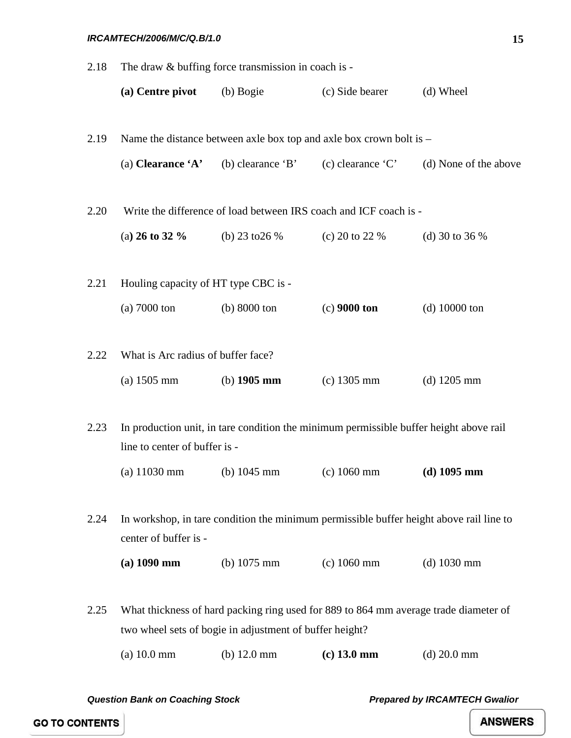| 2.18 | The draw & buffing force transmission in coach is - |                                                                                         |                       |                       |  |
|------|-----------------------------------------------------|-----------------------------------------------------------------------------------------|-----------------------|-----------------------|--|
|      | (a) Centre pivot                                    | (b) Bogie                                                                               | (c) Side bearer       | (d) Wheel             |  |
|      |                                                     |                                                                                         |                       |                       |  |
| 2.19 |                                                     | Name the distance between axle box top and axle box crown bolt is –                     |                       |                       |  |
|      | (a) Clearance $A$ '                                 | (b) clearance $B'$                                                                      | $(c)$ clearance $(C)$ | (d) None of the above |  |
|      |                                                     |                                                                                         |                       |                       |  |
| 2.20 |                                                     | Write the difference of load between IRS coach and ICF coach is -                       |                       |                       |  |
|      | (a) 26 to 32 $\%$                                   | (b) 23 to 26 $%$                                                                        | (c) 20 to 22 $%$      | (d) 30 to 36 $%$      |  |
|      |                                                     |                                                                                         |                       |                       |  |
| 2.21 | Houling capacity of HT type CBC is -                |                                                                                         |                       |                       |  |
|      | $(a)$ 7000 ton                                      | $(b)$ 8000 ton                                                                          | $(c)$ 9000 ton        | $(d)$ 10000 ton       |  |
|      |                                                     |                                                                                         |                       |                       |  |
| 2.22 | What is Arc radius of buffer face?                  |                                                                                         |                       |                       |  |
|      | (a) $1505 \text{ mm}$                               | (b) $1905 \text{ mm}$                                                                   | $(c)$ 1305 mm         | (d) $1205 \text{ mm}$ |  |
|      |                                                     |                                                                                         |                       |                       |  |
| 2.23 | line to center of buffer is -                       | In production unit, in tare condition the minimum permissible buffer height above rail  |                       |                       |  |
|      | (a) $11030 \text{ mm}$                              | (b) $1045 \text{ mm}$                                                                   | $(c)$ 1060 mm         | $(d)$ 1095 mm         |  |
|      |                                                     |                                                                                         |                       |                       |  |
| 2.24 |                                                     | In workshop, in tare condition the minimum permissible buffer height above rail line to |                       |                       |  |
|      | center of buffer is -                               |                                                                                         |                       |                       |  |
|      | $(a) 1090$ mm                                       | (b) $1075$ mm                                                                           | $(c) 1060$ mm         | $(d)$ 1030 mm         |  |
|      |                                                     |                                                                                         |                       |                       |  |
| 2.25 |                                                     | What thickness of hard packing ring used for 889 to 864 mm average trade diameter of    |                       |                       |  |
|      |                                                     | two wheel sets of bogie in adjustment of buffer height?                                 |                       |                       |  |
|      | (a) 10.0 mm                                         | (b) $12.0 \text{ mm}$                                                                   | $(c)$ 13.0 mm         | $(d) 20.0$ mm         |  |

*Question Bank on Coaching Stock Prepared by IRCAMTECH Gwalior*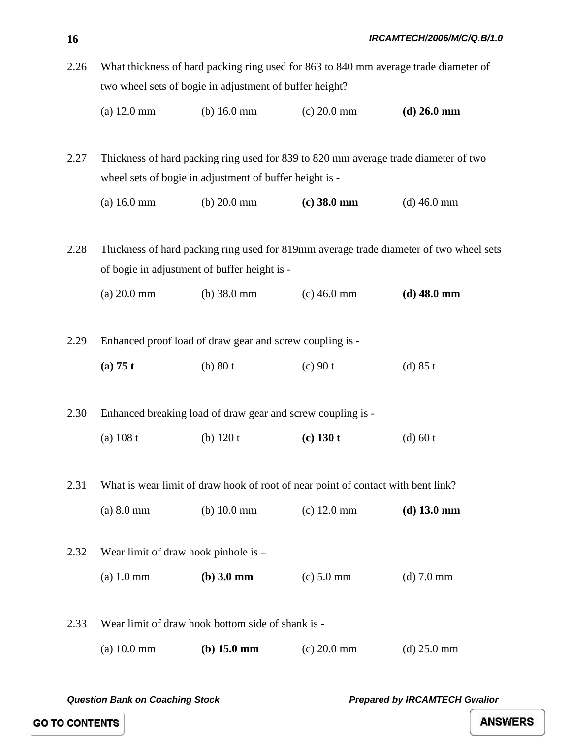2.26 What thickness of hard packing ring used for 863 to 840 mm average trade diameter of two wheel sets of bogie in adjustment of buffer height?

| $(a) 12.0$ mm | (b) $16.0 \text{ mm}$ | $(c) 20.0$ mm | (d) $26.0 \text{ mm}$ |
|---------------|-----------------------|---------------|-----------------------|
|---------------|-----------------------|---------------|-----------------------|

2.27 Thickness of hard packing ring used for 839 to 820 mm average trade diameter of two wheel sets of bogie in adjustment of buffer height is -

(a) 16.0 mm (b) 20.0 mm **(c) 38.0 mm** (d) 46.0 mm

2.28 Thickness of hard packing ring used for 819mm average trade diameter of two wheel sets of bogie in adjustment of buffer height is -

(a) 20.0 mm (b) 38.0 mm (c) 46.0 mm **(d) 48.0 mm**

2.29 Enhanced proof load of draw gear and screw coupling is -

**(a) 75 t** (b) 80 t (c) 90 t (d) 85 t

2.30 Enhanced breaking load of draw gear and screw coupling is -

(a) 108 t (b) 120 t **(c) 130 t** (d) 60 t

2.31 What is wear limit of draw hook of root of near point of contact with bent link?

| $(a) 8.0$ mm | (b) $10.0 \text{ mm}$ | $(c)$ 12.0 mm | (d) $13.0 \text{ mm}$ |
|--------------|-----------------------|---------------|-----------------------|
|--------------|-----------------------|---------------|-----------------------|

2.32 Wear limit of draw hook pinhole is – (a) 1.0 mm **(b) 3.0 mm** (c) 5.0 mm (d) 7.0 mm

2.33 Wear limit of draw hook bottom side of shank is - (a) 10.0 mm **(b) 15.0 mm** (c) 20.0 mm (d) 25.0 mm

*Question Bank on Coaching Stock Prepared by IRCAMTECH Gwalior*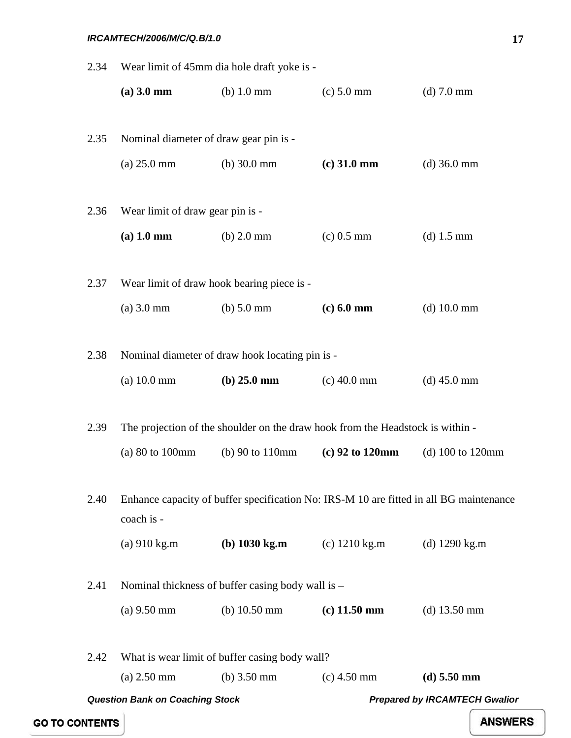|      | <b>Question Bank on Coaching Stock</b>            |                                                                                        |                                                                   | <b>Prepared by IRCAMTECH Gwalior</b> |  |
|------|---------------------------------------------------|----------------------------------------------------------------------------------------|-------------------------------------------------------------------|--------------------------------------|--|
|      | $(a) 2.50$ mm                                     | (b) $3.50 \text{ mm}$                                                                  | $(c)$ 4.50 mm                                                     | $(d)$ 5.50 mm                        |  |
| 2.42 |                                                   | What is wear limit of buffer casing body wall?                                         |                                                                   |                                      |  |
|      | $(a)$ 9.50 mm                                     | (b) $10.50 \text{ mm}$                                                                 | $(c)$ 11.50 mm                                                    | (d) $13.50 \text{ mm}$               |  |
| 2.41 | Nominal thickness of buffer casing body wall is – |                                                                                        |                                                                   |                                      |  |
|      | $(a)$ 910 kg.m                                    |                                                                                        | ( <b>b</b> ) $1030 \text{ kg.m}$ ( <b>c</b> ) $1210 \text{ kg.m}$ | (d) $1290 \text{ kg} \cdot \text{m}$ |  |
| 2.40 | coach is -                                        | Enhance capacity of buffer specification No: IRS-M 10 are fitted in all BG maintenance |                                                                   |                                      |  |
|      | (a) $80$ to $100$ mm                              | $(b)$ 90 to 110mm                                                                      | $(c)$ 92 to 120mm                                                 | (d) $100$ to $120$ mm                |  |
| 2.39 |                                                   | The projection of the shoulder on the draw hook from the Headstock is within -         |                                                                   |                                      |  |
|      | (a) 10.0 mm                                       | (b) $25.0 \text{ mm}$                                                                  | $(c)$ 40.0 mm                                                     | $(d)$ 45.0 mm                        |  |
| 2.38 |                                                   | Nominal diameter of draw hook locating pin is -                                        |                                                                   |                                      |  |
|      | $(a)$ 3.0 mm                                      | $(b)$ 5.0 mm                                                                           | $(c) 6.0$ mm                                                      | $(d)$ 10.0 mm                        |  |
| 2.37 | Wear limit of draw hook bearing piece is -        |                                                                                        |                                                                   |                                      |  |
|      | $(a)$ 1.0 mm                                      | $(b)$ 2.0 mm                                                                           | $(c)$ 0.5 mm                                                      | (d) $1.5 \text{ mm}$                 |  |
| 2.36 | Wear limit of draw gear pin is -                  |                                                                                        |                                                                   |                                      |  |
|      | $(a) 25.0$ mm                                     | (b) $30.0 \text{ mm}$                                                                  | $(c)$ 31.0 mm                                                     | $(d)$ 36.0 mm                        |  |
| 2.35 | Nominal diameter of draw gear pin is -            |                                                                                        |                                                                   |                                      |  |
|      | $(a) 3.0$ mm                                      | $(b)$ 1.0 mm                                                                           | $(c) 5.0$ mm                                                      | $(d)$ 7.0 mm                         |  |
| 2.34 | Wear limit of 45mm dia hole draft yoke is -       |                                                                                        |                                                                   |                                      |  |

**GO TO CONTENTS**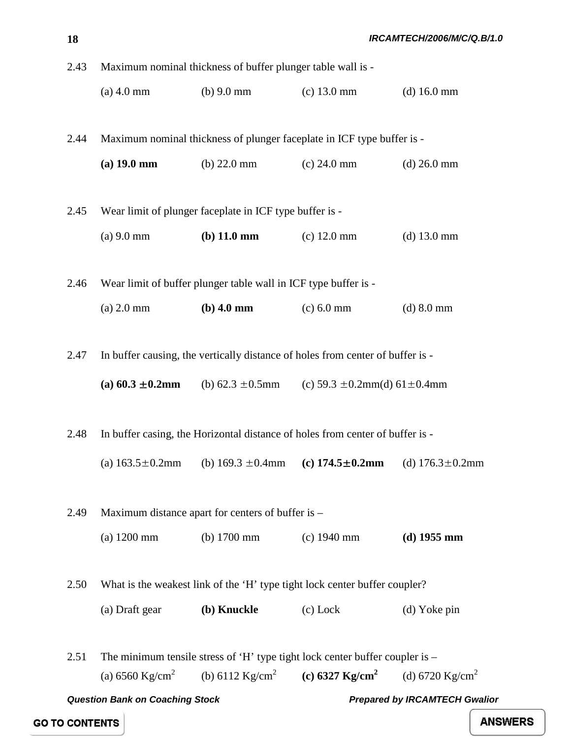2.43 Maximum nominal thickness of buffer plunger table wall is - (a) 4.0 mm (b) 9.0 mm (c) 13.0 mm (d) 16.0 mm 2.44 Maximum nominal thickness of plunger faceplate in ICF type buffer is - **(a) 19.0 mm** (b) 22.0 mm (c) 24.0 mm (d) 26.0 mm 2.45 Wear limit of plunger faceplate in ICF type buffer is - (a) 9.0 mm **(b) 11.0 mm** (c) 12.0 mm (d) 13.0 mm 2.46 Wear limit of buffer plunger table wall in ICF type buffer is - (a) 2.0 mm **(b) 4.0 mm** (c) 6.0 mm (d) 8.0 mm 2.47 In buffer causing, the vertically distance of holes from center of buffer is - **(a) 60.3**  $\pm$ **0.2mm (b) 62.3**  $\pm$ **0.5mm (c) 59.3**  $\pm$ **0.2mm(d) 61** $\pm$ **0.4mm** 2.48 In buffer casing, the Horizontal distance of holes from center of buffer is - (a) 163.5±0.2mm (b) 169.3 ±0.4mm **(c) 174.5**±**0.2mm** (d) 176.3±0.2mm 2.49 Maximum distance apart for centers of buffer is – (a) 1200 mm (b) 1700 mm (c) 1940 mm **(d) 1955 mm** 2.50 What is the weakest link of the 'H' type tight lock center buffer coupler? (a) Draft gear **(b) Knuckle** (c) Lock (d) Yoke pin 2.51 The minimum tensile stress of 'H' type tight lock center buffer coupler is – (a)  $6560 \text{ Kg/cm}^2$  (b)  $6112 \text{ Kg/cm}^2$  (c)  $6327 \text{ Kg/cm}^2$  (d)  $6720 \text{ Kg/cm}^2$ 

*Question Bank on Coaching Stock Prepared by IRCAMTECH Gwalior* 

**18**

**GO TO CONTENTS**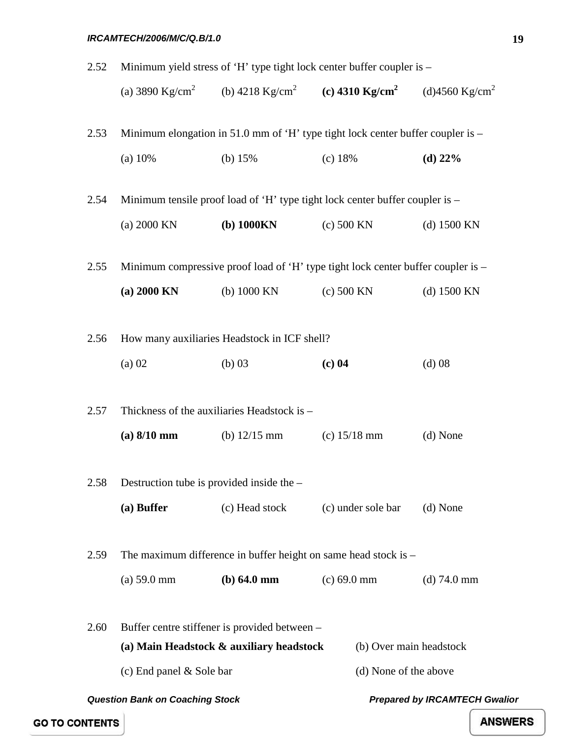| 2.52 | Minimum yield stress of 'H' type tight lock center buffer coupler is –       |                                                                                     |                         |                                      |  |  |
|------|------------------------------------------------------------------------------|-------------------------------------------------------------------------------------|-------------------------|--------------------------------------|--|--|
|      |                                                                              | (a) 3890 Kg/cm <sup>2</sup> (b) 4218 Kg/cm <sup>2</sup> (c) 4310 Kg/cm <sup>2</sup> |                         | (d)4560 Kg/cm <sup>2</sup>           |  |  |
| 2.53 |                                                                              | Minimum elongation in 51.0 mm of 'H' type tight lock center buffer coupler is $-$   |                         |                                      |  |  |
|      | (a) 10%                                                                      | (b) $15%$                                                                           | (c) 18%                 | $(d)$ 22%                            |  |  |
| 2.54 | Minimum tensile proof load of 'H' type tight lock center buffer coupler is – |                                                                                     |                         |                                      |  |  |
|      | (a) 2000 KN                                                                  | $(b)$ 1000 $KN$                                                                     | (c) 500 KN              | (d) $1500$ KN                        |  |  |
| 2.55 |                                                                              | Minimum compressive proof load of 'H' type tight lock center buffer coupler is –    |                         |                                      |  |  |
|      | $(a) 2000$ KN                                                                | (b) $1000$ KN                                                                       | $(c)$ 500 KN            | $(d)$ 1500 KN                        |  |  |
| 2.56 |                                                                              | How many auxiliaries Headstock in ICF shell?                                        |                         |                                      |  |  |
|      | $(a)$ 02                                                                     | $(b)$ 03                                                                            | $(c)$ 04                | $(d)$ 08                             |  |  |
| 2.57 |                                                                              | Thickness of the auxiliaries Headstock is -                                         |                         |                                      |  |  |
|      | $(a) 8/10$ mm                                                                | (b) $12/15$ mm                                                                      | (c) $15/18$ mm          | (d) None                             |  |  |
| 2.58 | Destruction tube is provided inside the -                                    |                                                                                     |                         |                                      |  |  |
|      | (a) Buffer                                                                   | (c) Head stock                                                                      | (c) under sole bar      | (d) None                             |  |  |
| 2.59 |                                                                              | The maximum difference in buffer height on same head stock is $-$                   |                         |                                      |  |  |
|      | (a) 59.0 mm                                                                  | (b) 64.0 mm                                                                         | $(c) 69.0$ mm           | $(d)$ 74.0 mm                        |  |  |
| 2.60 |                                                                              | Buffer centre stiffener is provided between –                                       |                         |                                      |  |  |
|      |                                                                              | (a) Main Headstock & auxiliary headstock                                            | (b) Over main headstock |                                      |  |  |
|      | (c) End panel & Sole bar                                                     |                                                                                     | (d) None of the above   |                                      |  |  |
|      | <b>Question Bank on Coaching Stock</b>                                       |                                                                                     |                         | <b>Prepared by IRCAMTECH Gwalior</b> |  |  |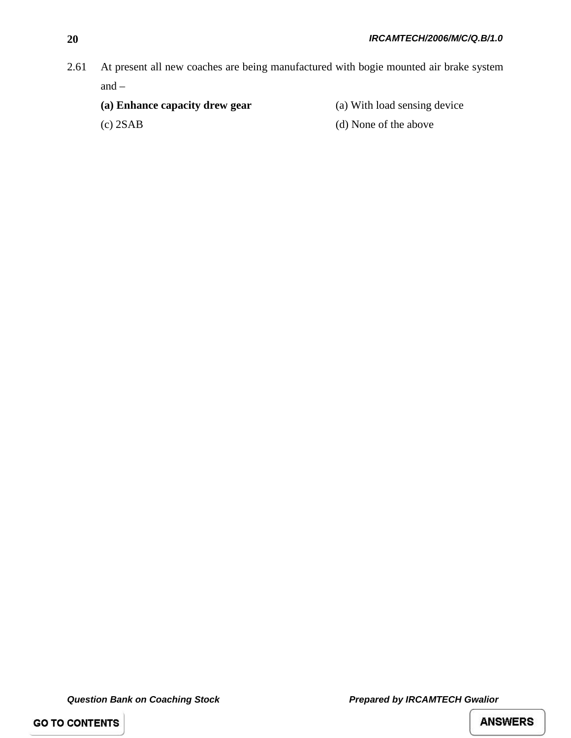2.61 At present all new coaches are being manufactured with bogie mounted air brake system and –

- 
- (c) 2SAB (d) None of the above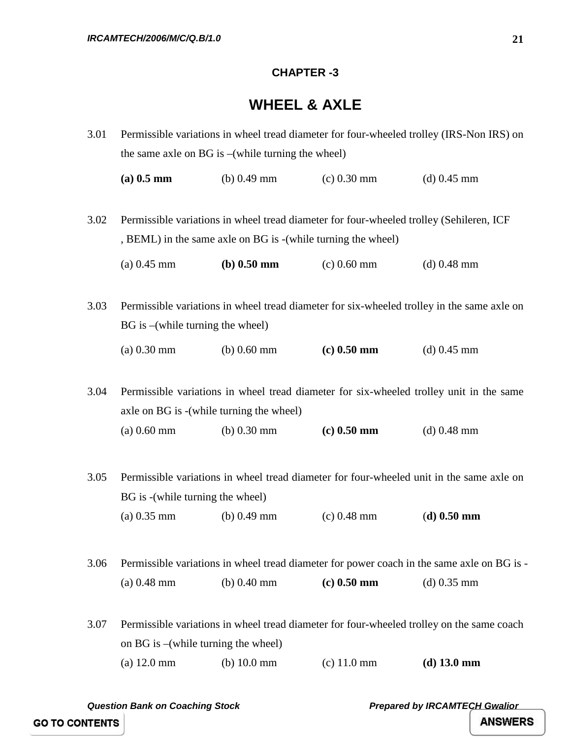#### **CHAPTER -3**

## **WHEEL & AXLE**

<span id="page-25-0"></span>3.01 Permissible variations in wheel tread diameter for four-wheeled trolley (IRS-Non IRS) on the same axle on BG is –(while turning the wheel)

**(a) 0.5 mm** (b) 0.49 mm (c) 0.30 mm (d) 0.45 mm

3.02 Permissible variations in wheel tread diameter for four-wheeled trolley (Sehileren, ICF , BEML) in the same axle on BG is -(while turning the wheel)

(a) 0.45 mm **(b) 0.50 mm** (c) 0.60 mm (d) 0.48 mm

3.03 Permissible variations in wheel tread diameter for six-wheeled trolley in the same axle on BG is –(while turning the wheel) (a) 0.30 mm (b) 0.60 mm **(c) 0.50 mm** (d) 0.45 mm

3.04 Permissible variations in wheel tread diameter for six-wheeled trolley unit in the same axle on BG is -(while turning the wheel) (a) 0.60 mm (b) 0.30 mm **(c) 0.50 mm** (d) 0.48 mm

3.05 Permissible variations in wheel tread diameter for four-wheeled unit in the same axle on BG is -(while turning the wheel)

(a) 0.35 mm (b) 0.49 mm (c) 0.48 mm (**d) 0.50 mm**

3.06 Permissible variations in wheel tread diameter for power coach in the same axle on BG is - (a) 0.48 mm (b) 0.40 mm **(c) 0.50 mm** (d) 0.35 mm

3.07 Permissible variations in wheel tread diameter for four-wheeled trolley on the same coach on BG is –(while turning the wheel) (a) 12.0 mm (b) 10.0 mm (c) 11.0 mm **(d) 13.0 mm**

**GO TO CONTENTS** 

*Question Bank on Coaching Stock Prepared by IRCAMTECH Gwalior*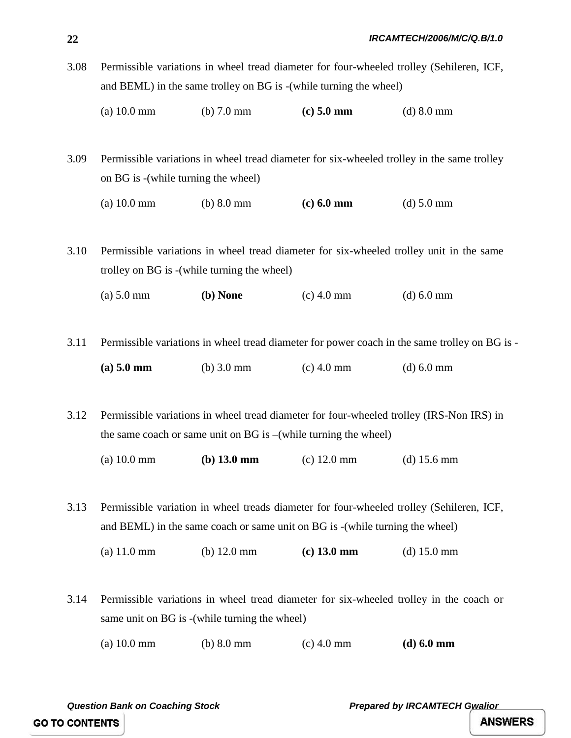- 3.08 Permissible variations in wheel tread diameter for four-wheeled trolley (Sehileren, ICF, and BEML) in the same trolley on BG is -(while turning the wheel)
	- (a) 10.0 mm (b) 7.0 mm **(c) 5.0 mm** (d) 8.0 mm

3.09 Permissible variations in wheel tread diameter for six-wheeled trolley in the same trolley on BG is -(while turning the wheel)

```
(a) 10.0 mm (b) 8.0 mm (c) 6.0 mm (d) 5.0 mm
```
3.10 Permissible variations in wheel tread diameter for six-wheeled trolley unit in the same trolley on BG is -(while turning the wheel)

- (a) 5.0 mm **(b) None** (c) 4.0 mm (d) 6.0 mm
- 3.11 Permissible variations in wheel tread diameter for power coach in the same trolley on BG is **(a) 5.0 mm** (b) 3.0 mm (c) 4.0 mm (d) 6.0 mm
- 3.12 Permissible variations in wheel tread diameter for four-wheeled trolley (IRS-Non IRS) in the same coach or same unit on BG is –(while turning the wheel)
	- (a) 10.0 mm **(b) 13.0 mm** (c) 12.0 mm (d) 15.6 mm

3.13 Permissible variation in wheel treads diameter for four-wheeled trolley (Sehileren, ICF, and BEML) in the same coach or same unit on BG is -(while turning the wheel)

(a) 11.0 mm (b) 12.0 mm **(c) 13.0 mm** (d) 15.0 mm

- 3.14 Permissible variations in wheel tread diameter for six-wheeled trolley in the coach or same unit on BG is -(while turning the wheel)
	- (a) 10.0 mm (b) 8.0 mm (c) 4.0 mm **(d) 6.0 mm**

**GO TO CONTENTS** 

*Question Bank on Coaching Stock Prepared by IRCAMTECH Gwalior* 

**ANSWERS**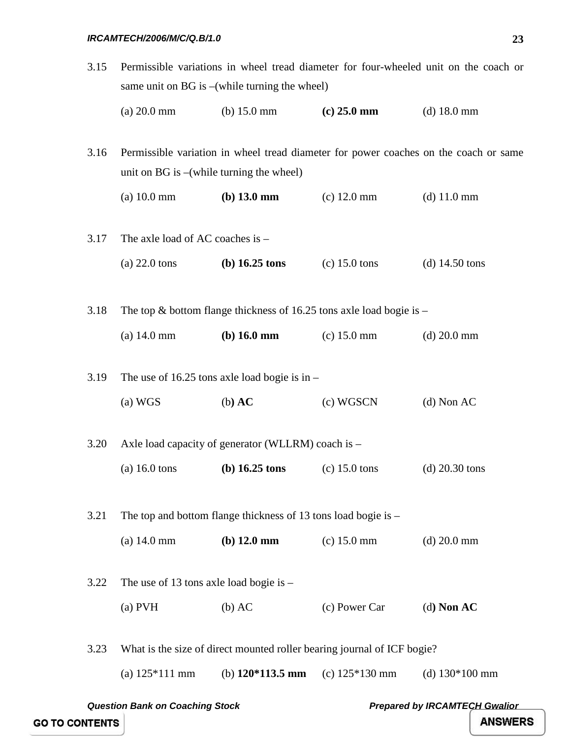- 3.15 Permissible variations in wheel tread diameter for four-wheeled unit on the coach or same unit on BG is –(while turning the wheel)
	- (a) 20.0 mm (b) 15.0 mm **(c) 25.0 mm** (d) 18.0 mm

3.16 Permissible variation in wheel tread diameter for power coaches on the coach or same unit on BG is –(while turning the wheel)

- (a) 10.0 mm **(b) 13.0 mm** (c) 12.0 mm (d) 11.0 mm
- 3.17 The axle load of AC coaches is (a) 22.0 tons **(b) 16.25 tons** (c) 15.0 tons (d) 14.50 tons 3.18 The top & bottom flange thickness of 16.25 tons axle load bogie is – (a) 14.0 mm **(b) 16.0 mm** (c) 15.0 mm (d) 20.0 mm 3.19 The use of 16.25 tons axle load bogie is in – (a) WGS (b**) AC** (c) WGSCN (d) Non AC
- 3.20 Axle load capacity of generator (WLLRM) coach is (a) 16.0 tons **(b) 16.25 tons** (c) 15.0 tons (d) 20.30 tons

3.21 The top and bottom flange thickness of 13 tons load bogie is –

(a) 14.0 mm **(b) 12.0 mm** (c) 15.0 mm (d) 20.0 mm

3.22 The use of 13 tons axle load bogie is – (a) PVH (b) AC (c) Power Car (d**) Non AC**

3.23 What is the size of direct mounted roller bearing journal of ICF bogie?

(a) 125\*111 mm (b) **120\*113.5 mm** (c) 125\*130 mm (d) 130\*100 mm

*Question Bank on Coaching Stock Prepared by IRCAMTECH Gwalior*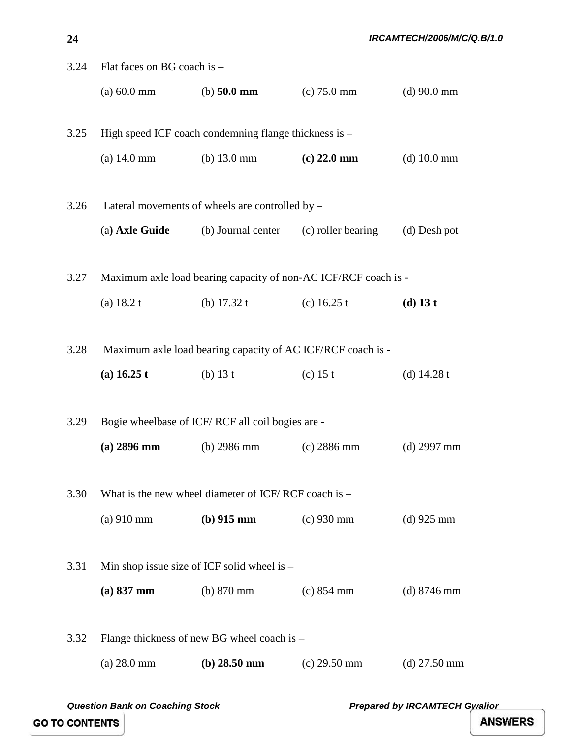| 3.24 | Flat faces on BG coach is - |                                                             |                                                                 |                |
|------|-----------------------------|-------------------------------------------------------------|-----------------------------------------------------------------|----------------|
|      | $(a) 60.0$ mm               | (b) $50.0 \text{ mm}$                                       | $(c)$ 75.0 mm                                                   | $(d)$ 90.0 mm  |
| 3.25 |                             | High speed ICF coach condemning flange thickness is -       |                                                                 |                |
|      |                             |                                                             |                                                                 |                |
|      | $(a)$ 14.0 mm               | (b) $13.0 \text{ mm}$                                       | $(c)$ 22.0 mm                                                   | $(d)$ 10.0 mm  |
| 3.26 |                             | Lateral movements of wheels are controlled by –             |                                                                 |                |
|      | (a) Axle Guide              | (b) Journal center (c) roller bearing                       |                                                                 | (d) Desh pot   |
|      |                             |                                                             |                                                                 |                |
| 3.27 |                             |                                                             | Maximum axle load bearing capacity of non-AC ICF/RCF coach is - |                |
|      | (a) $18.2 t$                | (b) $17.32 t$                                               | (c) $16.25 t$                                                   | $(d)$ 13 t     |
|      |                             |                                                             |                                                                 |                |
| 3.28 |                             | Maximum axle load bearing capacity of AC ICF/RCF coach is - |                                                                 |                |
|      | (a) 16.25 t                 | (b) $13 t$                                                  | $(c)$ 15 t                                                      | (d) $14.28 t$  |
|      |                             |                                                             |                                                                 |                |
| 3.29 |                             | Bogie wheelbase of ICF/RCF all coil bogies are -            |                                                                 |                |
|      | $(a)$ 2896 mm               | $(b)$ 2986 mm                                               | (c) 2886 mm                                                     | $(d)$ 2997 mm  |
|      |                             |                                                             |                                                                 |                |
| 3.30 |                             | What is the new wheel diameter of ICF/RCF coach is $-$      |                                                                 |                |
|      | $(a)$ 910 mm                | (b) $915 \text{ mm}$                                        | $(c)$ 930 mm                                                    | $(d)$ 925 mm   |
|      |                             |                                                             |                                                                 |                |
| 3.31 |                             | Min shop issue size of ICF solid wheel is $-$               |                                                                 |                |
|      | $(a) 837$ mm                | $(b)$ 870 mm                                                | $(c) 854$ mm                                                    | $(d)$ 8746 mm  |
|      |                             |                                                             |                                                                 |                |
| 3.32 |                             | Flange thickness of new BG wheel coach is –                 |                                                                 |                |
|      | $(a) 28.0$ mm               | $(b) 28.50$ mm                                              | $(c)$ 29.50 mm                                                  | $(d)$ 27.50 mm |

**24**

*IRCAMTECH/2006/M/C/Q.B/1.0*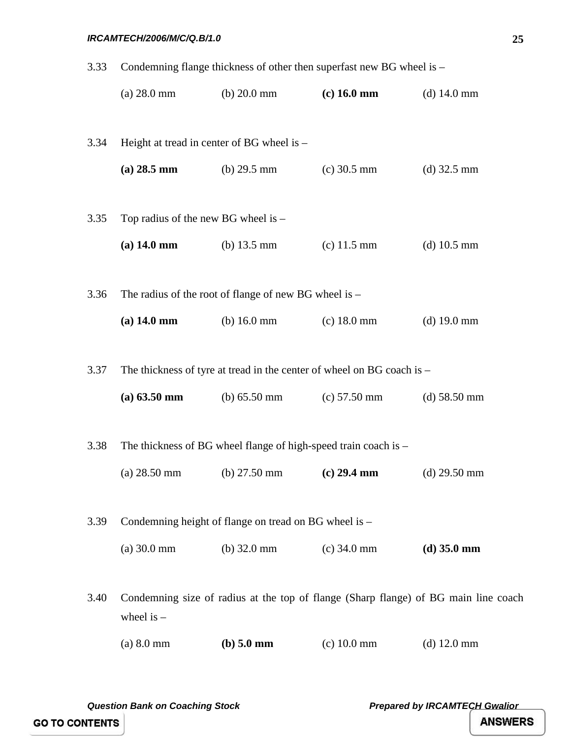| 3.33 | Condemning flange thickness of other then superfast new BG wheel is - |                                                                 |                                                                        |                                                                                     |
|------|-----------------------------------------------------------------------|-----------------------------------------------------------------|------------------------------------------------------------------------|-------------------------------------------------------------------------------------|
|      | $(a) 28.0$ mm                                                         | (b) $20.0 \text{ mm}$                                           | $(c)$ 16.0 mm                                                          | (d) $14.0 \text{ mm}$                                                               |
| 3.34 | Height at tread in center of BG wheel is –                            |                                                                 |                                                                        |                                                                                     |
|      | $(a) 28.5$ mm                                                         | (b) $29.5 \text{ mm}$                                           | $(c)$ 30.5 mm                                                          | $(d)$ 32.5 mm                                                                       |
| 3.35 | Top radius of the new BG wheel is $-$                                 |                                                                 |                                                                        |                                                                                     |
|      |                                                                       | (a) 14.0 mm (b) 13.5 mm (c) 11.5 mm                             |                                                                        | $(d)$ 10.5 mm                                                                       |
| 3.36 |                                                                       | The radius of the root of flange of new BG wheel is $-$         |                                                                        |                                                                                     |
|      |                                                                       | (a) $14.0 \text{ mm}$ (b) $16.0 \text{ mm}$                     | $(c)$ 18.0 mm                                                          | $(d)$ 19.0 mm                                                                       |
| 3.37 |                                                                       |                                                                 | The thickness of tyre at tread in the center of wheel on BG coach is - |                                                                                     |
|      | $(a) 63.50 \text{ mm}$                                                |                                                                 | (b) $65.50 \text{ mm}$ (c) $57.50 \text{ mm}$                          | (d) $58.50 \text{ mm}$                                                              |
| 3.38 |                                                                       | The thickness of BG wheel flange of high-speed train coach is - |                                                                        |                                                                                     |
|      |                                                                       | (a) 28.50 mm (b) 27.50 mm (c) 29.4 mm                           |                                                                        | $(d)$ 29.50 mm                                                                      |
| 3.39 |                                                                       | Condemning height of flange on tread on BG wheel is -           |                                                                        |                                                                                     |
|      | (a) 30.0 mm                                                           | (b) $32.0 \text{ mm}$                                           | $(c)$ 34.0 mm                                                          | $(d)$ 35.0 mm                                                                       |
| 3.40 | wheel is $-$                                                          |                                                                 |                                                                        | Condemning size of radius at the top of flange (Sharp flange) of BG main line coach |
|      | $(a) 8.0$ mm                                                          | $(b)$ 5.0 mm                                                    | $(c)$ 10.0 mm                                                          | $(d)$ 12.0 mm                                                                       |

**25**

**GO TO CONTENTS** 

*Question Bank on Coaching Stock Coaching Stock* **<b>Prepared by IRCAMTECH Gwalior**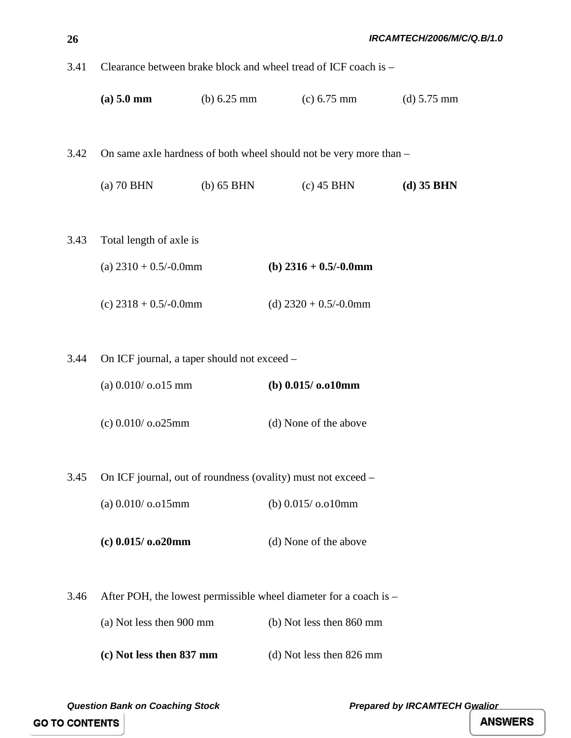| 3.41 | Clearance between brake block and wheel tread of ICF coach is - |                       |                                                                    |                       |
|------|-----------------------------------------------------------------|-----------------------|--------------------------------------------------------------------|-----------------------|
|      | (a) 5.0 mm                                                      | (b) $6.25 \text{ mm}$ | $(c) 6.75$ mm                                                      | (d) $5.75 \text{ mm}$ |
| 3.42 |                                                                 |                       | On same axle hardness of both wheel should not be very more than - |                       |
|      | $(a)$ 70 BHN                                                    | $(b)$ 65 BHN          | $(c)$ 45 BHN                                                       | $(d)$ 35 BHN          |
| 3.43 | Total length of axle is<br>(a) $2310 + 0.5/-0.0$ mm             |                       | (b) $2316 + 0.5/-0.0$ mm                                           |                       |
|      | (c) $2318 + 0.5/-0.0$ mm                                        |                       | (d) $2320 + 0.5/-0.0$ mm                                           |                       |
|      |                                                                 |                       |                                                                    |                       |
| 3.44 | On ICF journal, a taper should not exceed –                     |                       |                                                                    |                       |
|      | (a) $0.010/$ o.o15 mm                                           |                       | (b) $0.015/0.010$ mm                                               |                       |
|      | (c) 0.010/ o.o25mm                                              |                       | (d) None of the above                                              |                       |
| 3.45 |                                                                 |                       | On ICF journal, out of roundness (ovality) must not exceed –       |                       |
|      | (a) $0.010/$ o.o $15$ mm                                        |                       | (b) $0.015/0.010$ mm                                               |                       |
|      | $(c)$ 0.015/ $o.o20mm$                                          |                       | (d) None of the above                                              |                       |
| 3.46 |                                                                 |                       | After POH, the lowest permissible wheel diameter for a coach is –  |                       |
|      | (a) Not less then 900 mm                                        |                       | (b) Not less then 860 mm                                           |                       |
|      | (c) Not less then 837 mm                                        |                       | (d) Not less then 826 mm                                           |                       |

**GO TO CONTENTS** 

*Question Bank on Coaching Stock Coaching Stock* **<b>Prepared by IRCAMTECH Gwalior**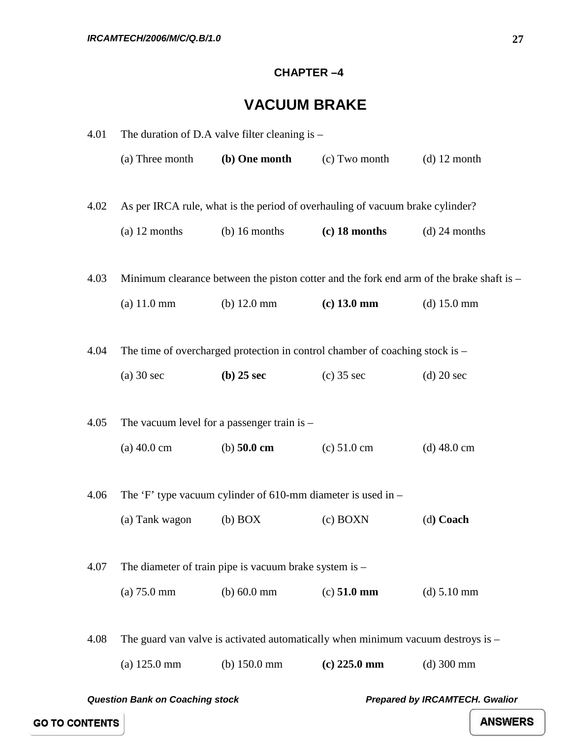#### **CHAPTER –4**

## **VACUUM BRAKE**

<span id="page-31-0"></span>

| 4.01 | The duration of D.A valve filter cleaning is $-$ |                                                                |                                                                                    |                                                                                          |  |
|------|--------------------------------------------------|----------------------------------------------------------------|------------------------------------------------------------------------------------|------------------------------------------------------------------------------------------|--|
|      | (a) Three month                                  | (b) One month                                                  | (c) Two month                                                                      | $(d)$ 12 month                                                                           |  |
|      |                                                  |                                                                |                                                                                    |                                                                                          |  |
| 4.02 |                                                  |                                                                | As per IRCA rule, what is the period of overhauling of vacuum brake cylinder?      |                                                                                          |  |
|      | $(a)$ 12 months                                  | $(b)$ 16 months                                                | $(c)$ 18 months                                                                    | $(d)$ 24 months                                                                          |  |
|      |                                                  |                                                                |                                                                                    |                                                                                          |  |
| 4.03 |                                                  |                                                                |                                                                                    | Minimum clearance between the piston cotter and the fork end arm of the brake shaft is - |  |
|      | (a) 11.0 mm                                      | (b) $12.0 \text{ mm}$                                          | $(c)$ 13.0 mm                                                                      | (d) $15.0 \text{ mm}$                                                                    |  |
|      |                                                  |                                                                |                                                                                    |                                                                                          |  |
| 4.04 |                                                  |                                                                | The time of overcharged protection in control chamber of coaching stock is –       |                                                                                          |  |
|      | $(a)$ 30 sec                                     | $(b)$ 25 sec                                                   | $(c)$ 35 sec                                                                       | $(d)$ 20 sec                                                                             |  |
|      |                                                  |                                                                |                                                                                    |                                                                                          |  |
| 4.05 |                                                  | The vacuum level for a passenger train is $-$                  |                                                                                    |                                                                                          |  |
|      | $(a)$ 40.0 cm                                    | (b) $50.0 \text{ cm}$                                          | (c) 51.0 cm                                                                        | $(d)$ 48.0 cm                                                                            |  |
|      |                                                  |                                                                |                                                                                    |                                                                                          |  |
| 4.06 |                                                  | The 'F' type vacuum cylinder of 610-mm diameter is used in $-$ |                                                                                    |                                                                                          |  |
|      | (a) Tank wagon                                   | $(b)$ BOX                                                      | $(c)$ BOXN                                                                         | (d) Coach                                                                                |  |
|      |                                                  |                                                                |                                                                                    |                                                                                          |  |
| 4.07 |                                                  | The diameter of train pipe is vacuum brake system is $-$       |                                                                                    |                                                                                          |  |
|      | $(a) 75.0$ mm                                    | (b) 60.0 mm                                                    | $(c) 51.0$ mm                                                                      | (d) 5.10 mm                                                                              |  |
|      |                                                  |                                                                |                                                                                    |                                                                                          |  |
| 4.08 |                                                  |                                                                | The guard van valve is activated automatically when minimum vacuum destroys is $-$ |                                                                                          |  |
|      | (a) 125.0 mm                                     | (b) $150.0$ mm                                                 | $(c)$ 225.0 mm                                                                     | $(d)$ 300 mm                                                                             |  |
|      |                                                  |                                                                |                                                                                    |                                                                                          |  |

*Question Bank on Coaching stock Prepared by IRCAMTECH. Gwalior* 

**GO TO CONTENTS**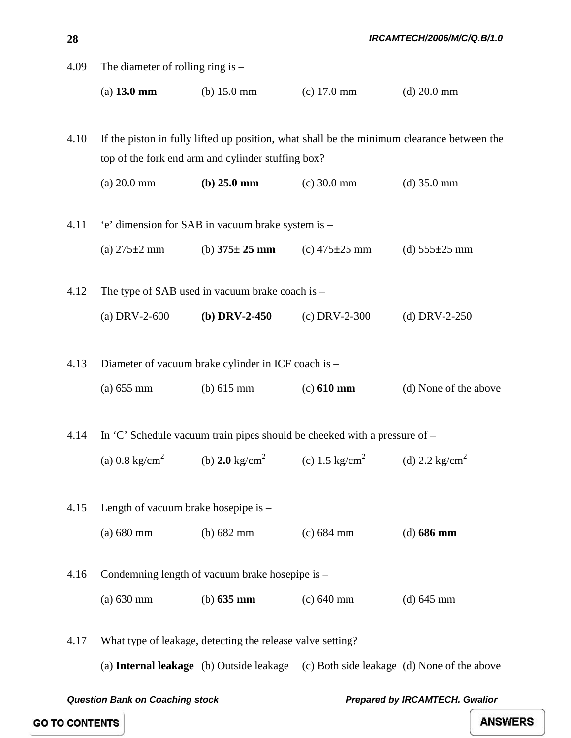| 28   |                                                                                                                                                  |                                                                                                             |                     | IRCAMTECH/2006/M/C/Q.B/1.0 |
|------|--------------------------------------------------------------------------------------------------------------------------------------------------|-------------------------------------------------------------------------------------------------------------|---------------------|----------------------------|
| 4.09 | The diameter of rolling ring is $-$                                                                                                              |                                                                                                             |                     |                            |
|      | $(a)$ 13.0 mm                                                                                                                                    | (b) $15.0 \text{ mm}$                                                                                       | $(c)$ 17.0 mm       | $(d) 20.0$ mm              |
|      |                                                                                                                                                  |                                                                                                             |                     |                            |
| 4.10 | If the piston in fully lifted up position, what shall be the minimum clearance between the<br>top of the fork end arm and cylinder stuffing box? |                                                                                                             |                     |                            |
|      | $(a) 20.0$ mm                                                                                                                                    | $(b) 25.0$ mm                                                                                               | $(c)$ 30.0 mm       | $(d)$ 35.0 mm              |
| 4.11 | 'e' dimension for SAB in vacuum brake system is -                                                                                                |                                                                                                             |                     |                            |
|      | (a) $275 \pm 2$ mm                                                                                                                               | (b) $375 \pm 25$ mm                                                                                         | (c) $475 \pm 25$ mm | (d) $555 \pm 25$ mm        |
| 4.12 | The type of SAB used in vacuum brake coach is $-$                                                                                                |                                                                                                             |                     |                            |
|      | (a) DRV-2-600                                                                                                                                    | (b) DRV-2-450                                                                                               | $(c)$ DRV-2-300     | (d) DRV-2-250              |
| 4.13 | Diameter of vacuum brake cylinder in ICF coach is -                                                                                              |                                                                                                             |                     |                            |
|      | (a) 655 mm                                                                                                                                       | (b) $615 \text{ mm}$                                                                                        | $(c) 610$ mm        | (d) None of the above      |
| 4.14 |                                                                                                                                                  | In 'C' Schedule vacuum train pipes should be cheeked with a pressure of $-$                                 |                     |                            |
|      |                                                                                                                                                  | (a) 0.8 kg/cm <sup>2</sup> (b) 2.0 kg/cm <sup>2</sup> (c) 1.5 kg/cm <sup>2</sup> (d) 2.2 kg/cm <sup>2</sup> |                     |                            |
|      |                                                                                                                                                  |                                                                                                             |                     |                            |
| 4.15 | Length of vacuum brake hosepipe is -                                                                                                             |                                                                                                             |                     |                            |
|      | $(a) 680$ mm                                                                                                                                     | (b) $682$ mm                                                                                                | $(c) 684$ mm        | $(d)$ 686 mm               |
| 4.16 | Condemning length of vacuum brake hosepipe is -                                                                                                  |                                                                                                             |                     |                            |
|      | $(a) 630$ mm                                                                                                                                     | (b) $635 \text{ mm}$                                                                                        | $(c) 640$ mm        | $(d) 645$ mm               |
| 4.17 |                                                                                                                                                  | What type of leakage, detecting the release valve setting?                                                  |                     |                            |

(a) **Internal leakage** (b) Outside leakage (c) Both side leakage (d) None of the above

*Question Bank on Coaching stock Prepared by IRCAMTECH. Gwalior* 

**GO TO CONTENTS**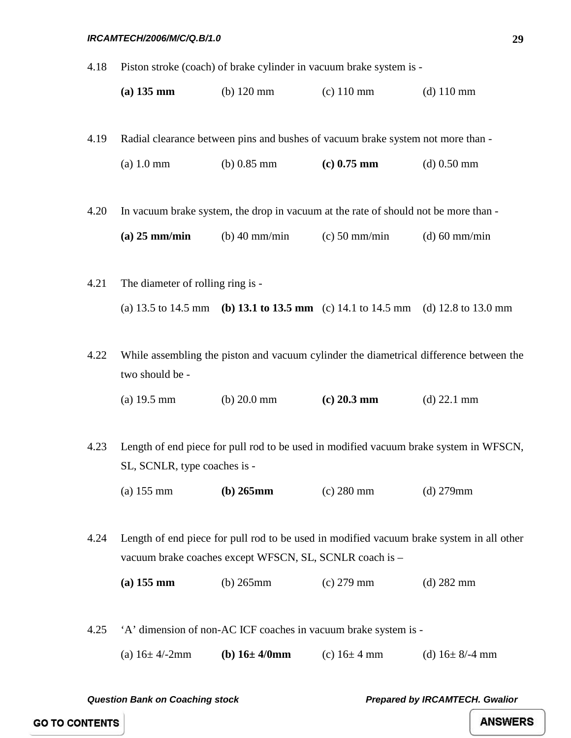4.18 Piston stroke (coach) of brake cylinder in vacuum brake system is -

| $(a)$ 135 mm | $(b)$ 120 mm | $(c)$ 110 mm | (d) $110 \text{ mm}$ |
|--------------|--------------|--------------|----------------------|
|--------------|--------------|--------------|----------------------|

4.19 Radial clearance between pins and bushes of vacuum brake system not more than -

| $(a)$ 1.0 mm | (b) $0.85$ mm | $(c)$ 0.75 mm | $(d)$ 0.50 mm |
|--------------|---------------|---------------|---------------|
|--------------|---------------|---------------|---------------|

4.20 In vacuum brake system, the drop in vacuum at the rate of should not be more than -

| $(a)$ 25 mm/min | (b) $40 \text{ mm/min}$ | $(c)$ 50 mm/min | $(d)$ 60 mm/min |
|-----------------|-------------------------|-----------------|-----------------|
|-----------------|-------------------------|-----------------|-----------------|

4.21 The diameter of rolling ring is - (a) 13.5 to 14.5 mm **(b) 13.1 to 13.5 mm** (c) 14.1 to 14.5 mm (d) 12.8 to 13.0 mm

4.22 While assembling the piston and vacuum cylinder the diametrical difference between the two should be -

(a) 19.5 mm (b) 20.0 mm **(c) 20.3 mm** (d) 22.1 mm

4.23 Length of end piece for pull rod to be used in modified vacuum brake system in WFSCN, SL, SCNLR, type coaches is -

(a) 155 mm **(b) 265mm** (c) 280 mm (d) 279mm

4.24 Length of end piece for pull rod to be used in modified vacuum brake system in all other vacuum brake coaches except WFSCN, SL, SCNLR coach is –

**(a) 155 mm** (b) 265mm (c) 279 mm (d) 282 mm

4.25 'A' dimension of non-AC ICF coaches in vacuum brake system is -

(a) 16± 4/-2mm **(b) 16± 4/0mm** (c) 16± 4 mm (d) 16± 8/-4 mm

*Question Bank on Coaching stock Prepared by IRCAMTECH. Gwalior* 

**29**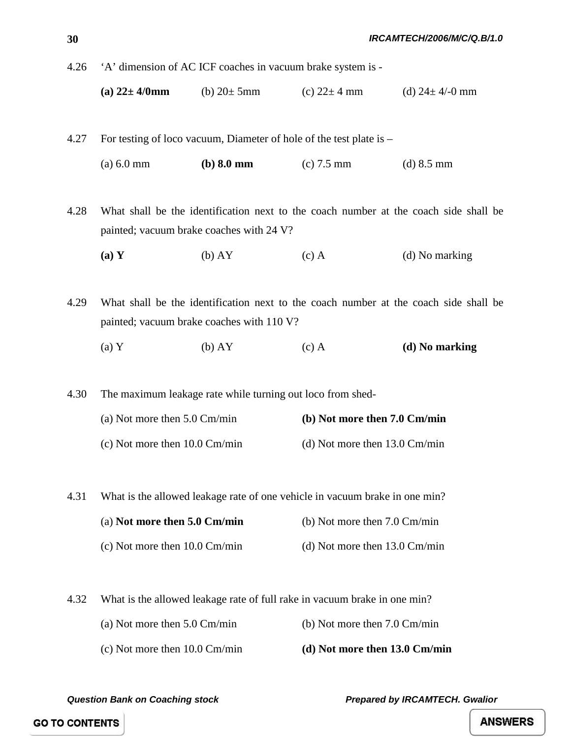4.26 'A' dimension of AC ICF coaches in vacuum brake system is -

**(a)**  $22 \pm 4/0$  **mm** (b)  $20 \pm 5$  mm (c)  $22 \pm 4$  mm (d)  $24 \pm 4/0$  mm

4.27 For testing of loco vacuum, Diameter of hole of the test plate is – (a) 6.0 mm **(b) 8.0 mm** (c) 7.5 mm (d) 8.5 mm

4.28 What shall be the identification next to the coach number at the coach side shall be painted; vacuum brake coaches with 24 V?

**(a) Y** (b) AY (c) A (d) No marking

4.29 What shall be the identification next to the coach number at the coach side shall be painted; vacuum brake coaches with 110 V?

(a) Y (b) AY (c) A **(d) No marking**

4.30 The maximum leakage rate while turning out loco from shed-

| (a) Not more then $5.0 \text{ Cm/min}$  | (b) Not more then 7.0 Cm/min            |
|-----------------------------------------|-----------------------------------------|
| (c) Not more then $10.0 \text{ Cm/min}$ | (d) Not more then $13.0 \text{ Cm/min}$ |

4.31 What is the allowed leakage rate of one vehicle in vacuum brake in one min?

| (a) Not more then $5.0 \text{ Cm/min}$ | (b) Not more then $7.0 \text{ Cm/min}$ |  |
|----------------------------------------|----------------------------------------|--|
|                                        |                                        |  |

(c) Not more then 10.0 Cm/min (d) Not more then 13.0 Cm/min

4.32 What is the allowed leakage rate of full rake in vacuum brake in one min?

- (a) Not more then 5.0 Cm/min (b) Not more then 7.0 Cm/min
- (c) Not more then 10.0 Cm/min **(d) Not more then 13.0 Cm/min**

*Question Bank on Coaching stock Prepared by IRCAMTECH. Gwalior* 

**GO TO CONTENTS**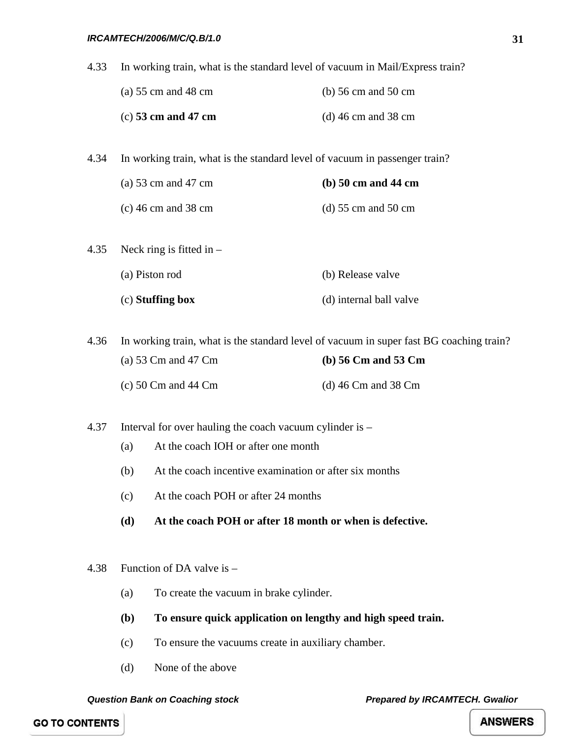4.33 In working train, what is the standard level of vacuum in Mail/Express train?

| (a) $55 \text{ cm}$ and $48 \text{ cm}$ | (b) $56 \text{ cm}$ and $50 \text{ cm}$ |
|-----------------------------------------|-----------------------------------------|
| $(c)$ 53 cm and 47 cm                   | (d) 46 cm and 38 cm                     |

4.34 In working train, what is the standard level of vacuum in passenger train?

| (a) 53 cm and 47 cm   | $(b)$ 50 cm and 44 cm                   |
|-----------------------|-----------------------------------------|
| $(c)$ 46 cm and 38 cm | (d) $55 \text{ cm}$ and $50 \text{ cm}$ |

| (c) Stuffing box                | (d) internal ball valve |
|---------------------------------|-------------------------|
| (a) Piston rod                  | (b) Release valve       |
| 4.35 Neck ring is fitted in $-$ |                         |

4.36 In working train, what is the standard level of vacuum in super fast BG coaching train? (a) 53 Cm and 47 Cm **(b) 56 Cm and 53 Cm** (c) 50 Cm and 44 Cm (d) 46 Cm and 38 Cm

4.37 Interval for over hauling the coach vacuum cylinder is –

- (a) At the coach IOH or after one month
- (b) At the coach incentive examination or after six months
- (c) At the coach POH or after 24 months
- **(d) At the coach POH or after 18 month or when is defective.**
- 4.38 Function of DA valve is
	- (a) To create the vacuum in brake cylinder.
	- **(b) To ensure quick application on lengthy and high speed train.**
	- (c) To ensure the vacuums create in auxiliary chamber.
	- (d) None of the above

*Question Bank on Coaching stock Prepared by IRCAMTECH. Gwalior* 

**GO TO CONTENTS**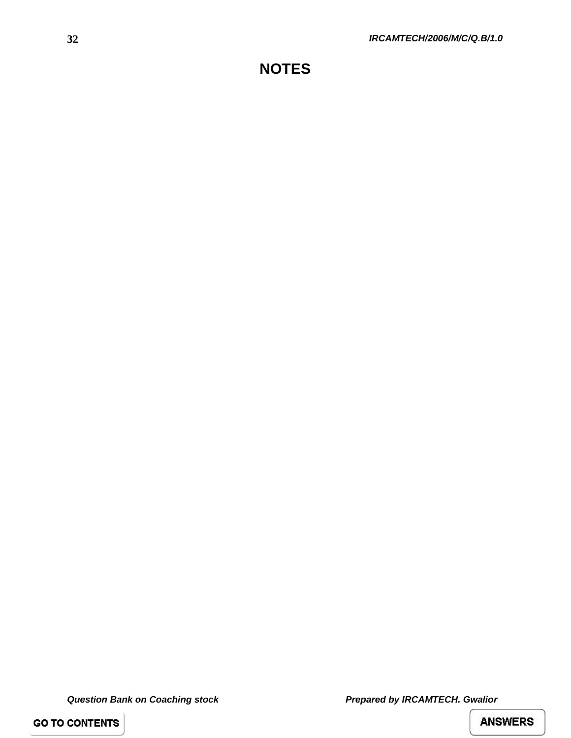**GO TO CONTENTS**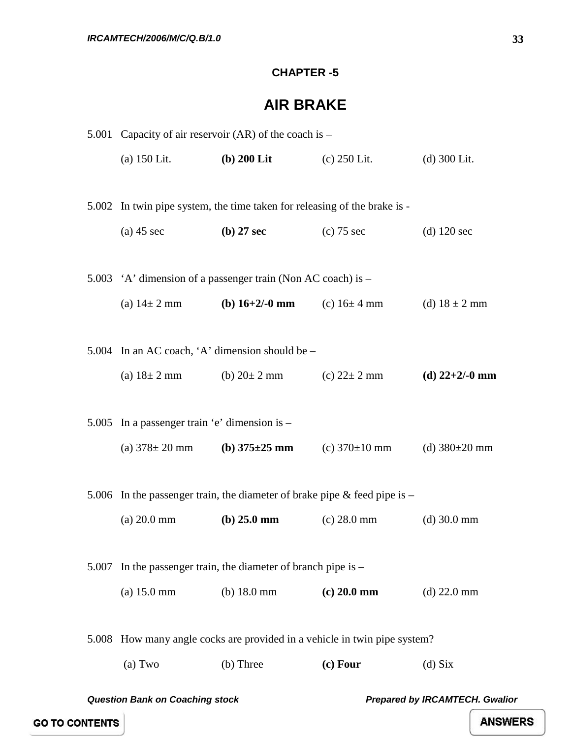### **CHAPTER -5**

### **AIR BRAKE**

|       | 5.001 Capacity of air reservoir $(AR)$ of the coach is – |                                                                           |                                                                           |                                       |
|-------|----------------------------------------------------------|---------------------------------------------------------------------------|---------------------------------------------------------------------------|---------------------------------------|
|       | $(a)$ 150 Lit.                                           | $(b)$ 200 Lit                                                             | (c) $250$ Lit.                                                            | $(d)$ 300 Lit.                        |
|       |                                                          |                                                                           |                                                                           |                                       |
|       |                                                          | 5.002 In twin pipe system, the time taken for releasing of the brake is - |                                                                           |                                       |
|       | $(a)$ 45 sec                                             | $(b)$ 27 sec                                                              | $(c)$ 75 sec                                                              | $(d)$ 120 sec                         |
|       |                                                          |                                                                           |                                                                           |                                       |
|       |                                                          | 5.003 'A' dimension of a passenger train (Non AC coach) is –              |                                                                           |                                       |
|       |                                                          | (a) $14 \pm 2$ mm (b) $16+2/-0$ mm (c) $16 \pm 4$ mm                      |                                                                           | (d) $18 \pm 2$ mm                     |
|       |                                                          |                                                                           |                                                                           |                                       |
|       |                                                          | 5.004 In an AC coach, 'A' dimension should be $-$                         |                                                                           |                                       |
|       |                                                          | (a) $18 \pm 2$ mm (b) $20 \pm 2$ mm (c) $22 \pm 2$ mm                     |                                                                           | (d) $22+2/-0$ mm                      |
|       |                                                          |                                                                           |                                                                           |                                       |
|       | 5.005 In a passenger train 'e' dimension is $-$          |                                                                           |                                                                           |                                       |
|       |                                                          | (a) $378 \pm 20$ mm (b) $375 \pm 25$ mm                                   | (c) $370 \pm 10$ mm                                                       | (d) $380\pm20$ mm                     |
|       |                                                          |                                                                           |                                                                           |                                       |
|       |                                                          | 5.006 In the passenger train, the diameter of brake pipe & feed pipe is - |                                                                           |                                       |
|       | $(a) 20.0$ mm                                            | (b) $25.0 \text{ mm}$                                                     | $(c) 28.0$ mm                                                             | $(d)$ 30.0 mm                         |
|       |                                                          |                                                                           |                                                                           |                                       |
| 5.007 |                                                          | In the passenger train, the diameter of branch pipe is $-$                |                                                                           |                                       |
|       | (a) 15.0 mm                                              | (b) $18.0 \text{ mm}$                                                     | $(c) 20.0$ mm                                                             | $(d)$ 22.0 mm                         |
|       |                                                          |                                                                           |                                                                           |                                       |
|       |                                                          |                                                                           | 5.008 How many angle cocks are provided in a vehicle in twin pipe system? |                                       |
|       | (a) Two                                                  | (b) Three                                                                 | $(c)$ Four                                                                | $(d)$ Six                             |
|       | <b>Question Bank on Coaching stock</b>                   |                                                                           |                                                                           | <b>Prepared by IRCAMTECH. Gwalior</b> |
|       |                                                          |                                                                           |                                                                           |                                       |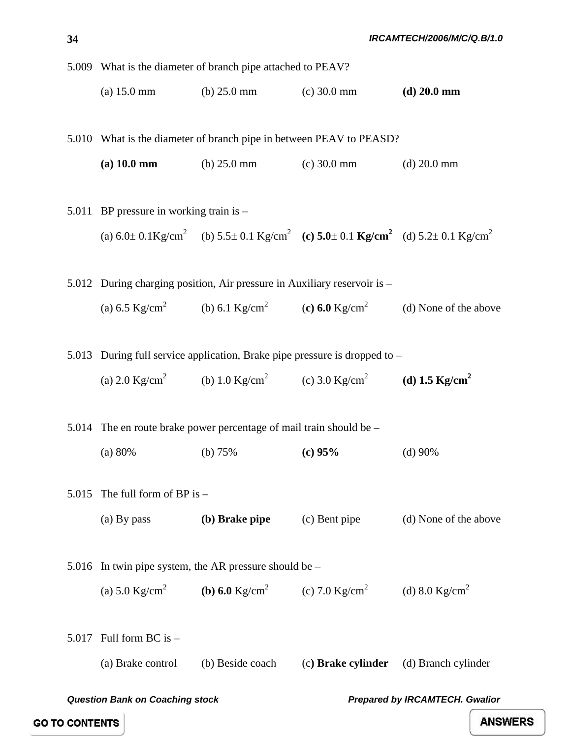5.009 What is the diameter of branch pipe attached to PEAV?

(a) 15.0 mm (b) 25.0 mm (c) 30.0 mm **(d) 20.0 mm**

5.010 What is the diameter of branch pipe in between PEAV to PEASD?

- **(a) 10.0 mm** (b) 25.0 mm (c) 30.0 mm (d) 20.0 mm
- 5.011 BP pressure in working train is (a)  $6.0 \pm 0.1 \text{Kg/cm}^2$  (b)  $5.5 \pm 0.1 \text{Kg/cm}^2$  (c)  $5.0 \pm 0.1 \text{Kg/cm}^2$  (d)  $5.2 \pm 0.1 \text{Kg/cm}^2$ 5.012 During charging position, Air pressure in Auxiliary reservoir is –

(a)  $6.5 \text{ Kg/cm}^2$  (b)  $6.1 \text{ Kg/cm}^2$  (c)  $6.0 \text{ Kg/cm}^2$  (d) None of the above

5.013 During full service application, Brake pipe pressure is dropped to –

(a) 2.0 Kg/cm<sup>2</sup> (b) 1.0 Kg/cm<sup>2</sup> (c) 3.0 Kg/cm<sup>2</sup> (d) 1.5 Kg/cm<sup>2</sup>

5.014 The en route brake power percentage of mail train should be –

(a) 80% (b) 75% **(c) 95%** (d) 90%

5.015 The full form of BP is –

(a) By pass **(b) Brake pipe** (c) Bent pipe (d) None of the above

```
5.016 In twin pipe system, the AR pressure should be –
(a) 5.0 \text{ Kg/cm}^2 (b) 6.0 Kg/cm<sup>2</sup> (c) 7.0 \text{ Kg/cm}^2 (d) 8.0 \text{ Kg/cm}^2
```
5.017 Full form BC is  $-$ (a) Brake control (b) Beside coach (c**) Brake cylinder** (d) Branch cylinder

*Question Bank on Coaching stock Prepared by IRCAMTECH. Gwalior* 

**GO TO CONTENTS**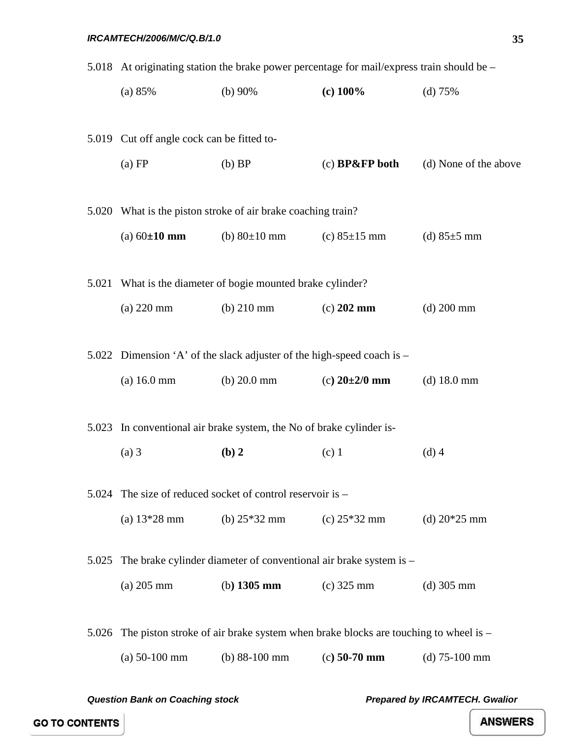|       | 5.018 At originating station the brake power percentage for mail/express train should be – |                                                                        |                                                                                    |                       |  |
|-------|--------------------------------------------------------------------------------------------|------------------------------------------------------------------------|------------------------------------------------------------------------------------|-----------------------|--|
|       | (a) 85%                                                                                    | (b) $90\%$                                                             | $(c)$ 100%                                                                         | (d) 75%               |  |
|       |                                                                                            |                                                                        |                                                                                    |                       |  |
|       | 5.019 Cut off angle cock can be fitted to-                                                 |                                                                        |                                                                                    |                       |  |
|       | (a) FP                                                                                     | $(b)$ BP                                                               | $(c)$ BP&FP both                                                                   | (d) None of the above |  |
|       |                                                                                            |                                                                        |                                                                                    |                       |  |
|       |                                                                                            | 5.020 What is the piston stroke of air brake coaching train?           |                                                                                    |                       |  |
|       | (a) $60 \pm 10$ mm                                                                         | (b) $80 \pm 10$ mm                                                     | (c) $85 \pm 15$ mm                                                                 | (d) $85±5$ mm         |  |
|       |                                                                                            |                                                                        |                                                                                    |                       |  |
|       |                                                                                            | 5.021 What is the diameter of bogie mounted brake cylinder?            |                                                                                    |                       |  |
|       | $(a)$ 220 mm                                                                               | $(b)$ 210 mm                                                           | $(c)$ 202 mm                                                                       | $(d)$ 200 mm          |  |
|       |                                                                                            |                                                                        |                                                                                    |                       |  |
|       |                                                                                            | 5.022 Dimension 'A' of the slack adjuster of the high-speed coach is – |                                                                                    |                       |  |
|       | (a) 16.0 mm                                                                                | $(b) 20.0$ mm                                                          | (c) $20\pm 2/0$ mm                                                                 | $(d)$ 18.0 mm         |  |
|       |                                                                                            |                                                                        |                                                                                    |                       |  |
|       |                                                                                            | 5.023 In conventional air brake system, the No of brake cylinder is-   |                                                                                    |                       |  |
|       | $(a)$ 3                                                                                    | (b) 2                                                                  | $(c)$ 1                                                                            | $(d)$ 4               |  |
| 5.024 |                                                                                            | The size of reduced socket of control reservoir is –                   |                                                                                    |                       |  |
|       | (a) $13*28$ mm                                                                             | (b) $25*32$ mm                                                         | (c) $25*32$ mm                                                                     | (d) $20*25$ mm        |  |
|       |                                                                                            |                                                                        |                                                                                    |                       |  |
| 5.025 |                                                                                            | The brake cylinder diameter of conventional air brake system is -      |                                                                                    |                       |  |
|       | $(a)$ 205 mm                                                                               | (b) $1305$ mm                                                          | $(c)$ 325 mm                                                                       | $(d)$ 305 mm          |  |
|       |                                                                                            |                                                                        |                                                                                    |                       |  |
| 5.026 |                                                                                            |                                                                        | The piston stroke of air brake system when brake blocks are touching to wheel is - |                       |  |
|       | $(a)$ 50-100 mm                                                                            | (b) $88-100$ mm                                                        | $(c)$ 50-70 mm                                                                     | $(d)$ 75-100 mm       |  |

**GO TO CONTENTS**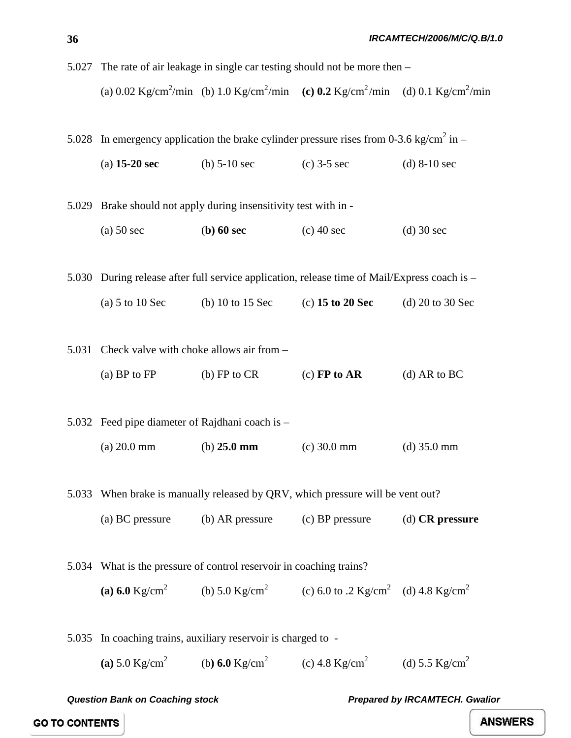|       | 5.027 The rate of air leakage in single car testing should not be more then - |                                                         |                                                                                                                                  |                      |
|-------|-------------------------------------------------------------------------------|---------------------------------------------------------|----------------------------------------------------------------------------------------------------------------------------------|----------------------|
|       |                                                                               |                                                         | (a) 0.02 Kg/cm <sup>2</sup> /min (b) 1.0 Kg/cm <sup>2</sup> /min (c) 0.2 Kg/cm <sup>2</sup> /min (d) 0.1 Kg/cm <sup>2</sup> /min |                      |
|       |                                                                               |                                                         | 5.028 In emergency application the brake cylinder pressure rises from 0-3.6 kg/cm <sup>2</sup> in –                              |                      |
|       | $(a)$ 15-20 sec                                                               | (b) $5-10$ sec                                          | $(c)$ 3-5 sec                                                                                                                    | (d) $8-10$ sec       |
|       | 5.029 Brake should not apply during insensitivity test with in -              |                                                         |                                                                                                                                  |                      |
|       | $(a)$ 50 sec                                                                  | $(b)$ 60 sec                                            | $(c)$ 40 sec                                                                                                                     | $(d)$ 30 sec         |
|       |                                                                               |                                                         | 5.030 During release after full service application, release time of Mail/Express coach is -                                     |                      |
|       | (a) $5$ to $10$ Sec                                                           | (b) $10$ to $15$ Sec                                    | $(c)$ 15 to 20 Sec                                                                                                               | (d) $20$ to $30$ Sec |
|       | 5.031 Check valve with choke allows air from –                                |                                                         |                                                                                                                                  |                      |
|       | (a) BP to $FP$                                                                | $(b)$ FP to CR                                          | $(c)$ FP to AR                                                                                                                   | (d) AR to $BC$       |
|       | 5.032 Feed pipe diameter of Rajdhani coach is -                               |                                                         |                                                                                                                                  |                      |
|       | $(a) 20.0$ mm                                                                 | (b) $25.0 \text{ mm}$                                   | $(c)$ 30.0 mm                                                                                                                    | $(d)$ 35.0 mm        |
|       |                                                                               |                                                         | 5.033 When brake is manually released by QRV, which pressure will be vent out?                                                   |                      |
|       | (a) BC pressure                                                               |                                                         | (b) AR pressure (c) BP pressure                                                                                                  | $(d)$ CR pressure    |
|       | 5.034 What is the pressure of control reservoir in coaching trains?           |                                                         |                                                                                                                                  |                      |
|       |                                                                               |                                                         | (a) 6.0 Kg/cm <sup>2</sup> (b) 5.0 Kg/cm <sup>2</sup> (c) 6.0 to .2 Kg/cm <sup>2</sup> (d) 4.8 Kg/cm <sup>2</sup>                |                      |
| 5.035 |                                                                               | In coaching trains, auxiliary reservoir is charged to - |                                                                                                                                  |                      |
|       |                                                                               |                                                         | (a) 5.0 Kg/cm <sup>2</sup> (b) 6.0 Kg/cm <sup>2</sup> (c) 4.8 Kg/cm <sup>2</sup> (d) 5.5 Kg/cm <sup>2</sup>                      |                      |
|       |                                                                               |                                                         |                                                                                                                                  |                      |

# **36**

**GO TO CONTENTS**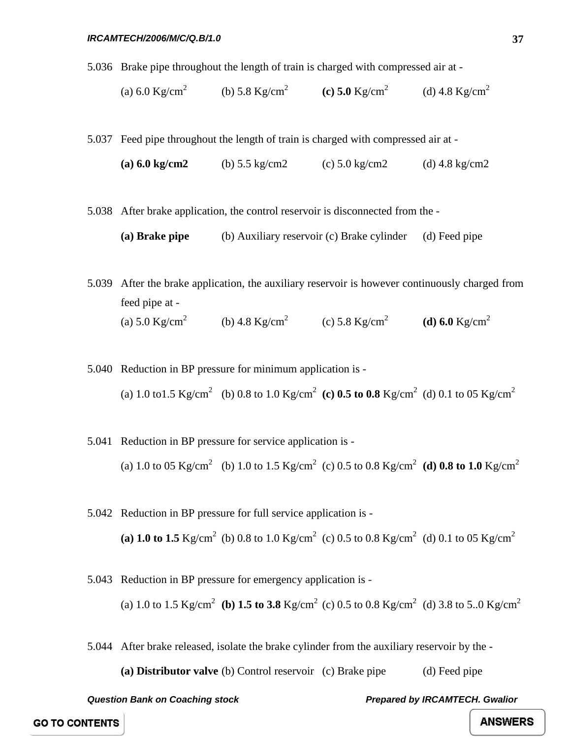### *IRCAMTECH/2006/M/C/Q.B/1.0*

5.036 Brake pipe throughout the length of train is charged with compressed air at -

(a) 6.0 Kg/cm<sup>2</sup> (b) 5.8 Kg/cm<sup>2</sup> **(c) 5.0** Kg/cm<sup>2</sup> (d) 4.8 Kg/cm<sup>2</sup>

5.037 Feed pipe throughout the length of train is charged with compressed air at -

**(a) 6.0 kg/cm2** (b) 5.5 kg/cm2 (c) 5.0 kg/cm2 (d) 4.8 kg/cm2

5.038 After brake application, the control reservoir is disconnected from the -

**(a) Brake pipe** (b) Auxiliary reservoir (c) Brake cylinder (d) Feed pipe

5.039 After the brake application, the auxiliary reservoir is however continuously charged from feed pipe at - (a)  $5.0 \text{ kg/cm}^2$  (b)  $4.8 \text{ kg/cm}^2$  (c)  $5.8 \text{ kg/cm}^2$  (d)  $6.0 \text{ kg/cm}^2$ 

5.040 Reduction in BP pressure for minimum application is - (a) 1.0 to1.5  $\text{Kg/cm}^2$  (b) 0.8 to 1.0  $\text{Kg/cm}^2$  (c) 0.5 to 0.8  $\text{Kg/cm}^2$  (d) 0.1 to 05  $\text{Kg/cm}^2$ 

- 5.041 Reduction in BP pressure for service application is (a) 1.0 to 05 Kg/cm<sup>2</sup> (b) 1.0 to 1.5 Kg/cm<sup>2</sup> (c) 0.5 to 0.8 Kg/cm<sup>2</sup> (d) 0.8 to 1.0 Kg/cm<sup>2</sup>
- 5.042 Reduction in BP pressure for full service application is (a) 1.0 to 1.5 Kg/cm<sup>2</sup> (b) 0.8 to 1.0 Kg/cm<sup>2</sup> (c) 0.5 to 0.8 Kg/cm<sup>2</sup> (d) 0.1 to 05 Kg/cm<sup>2</sup>
- 5.043 Reduction in BP pressure for emergency application is (a) 1.0 to 1.5 Kg/cm<sup>2</sup> **(b) 1.5 to 3.8** Kg/cm<sup>2</sup> (c) 0.5 to 0.8 Kg/cm<sup>2</sup> (d) 3.8 to 5..0 Kg/cm<sup>2</sup>

5.044 After brake released, isolate the brake cylinder from the auxiliary reservoir by the -

**(a) Distributor valve** (b) Control reservoir (c) Brake pipe (d) Feed pipe

*Question Bank on Coaching stock Prepared by IRCAMTECH. Gwalior* 

**GO TO CONTENTS**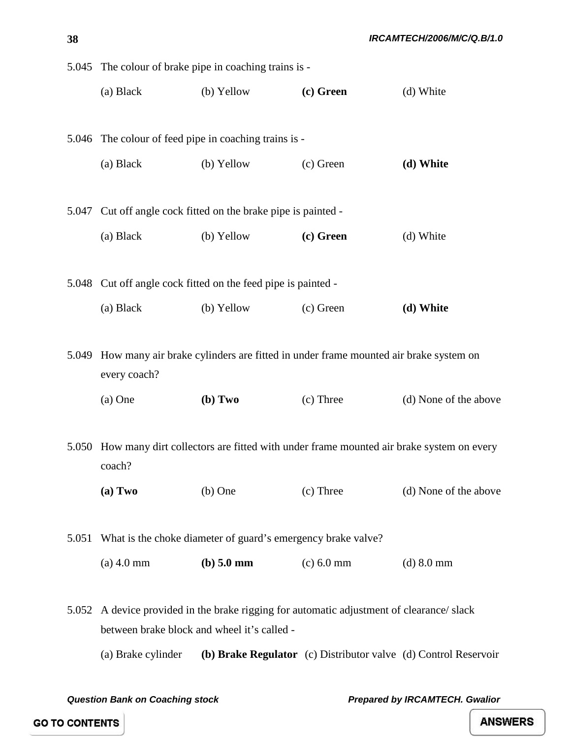|       | 5.045 The colour of brake pipe in coaching trains is - |                                                               |                                                                                          |                                                                                              |
|-------|--------------------------------------------------------|---------------------------------------------------------------|------------------------------------------------------------------------------------------|----------------------------------------------------------------------------------------------|
|       | (a) Black                                              | (b) Yellow                                                    | (c) Green                                                                                | (d) White                                                                                    |
|       |                                                        | 5.046 The colour of feed pipe in coaching trains is -         |                                                                                          |                                                                                              |
|       | (a) Black                                              | (b) Yellow                                                    | (c) Green                                                                                | (d) White                                                                                    |
| 5.047 |                                                        | Cut off angle cock fitted on the brake pipe is painted -      |                                                                                          |                                                                                              |
|       | (a) Black                                              | (b) Yellow                                                    | (c) Green                                                                                | (d) White                                                                                    |
|       |                                                        |                                                               |                                                                                          |                                                                                              |
|       |                                                        | 5.048 Cut off angle cock fitted on the feed pipe is painted - |                                                                                          |                                                                                              |
|       | (a) Black                                              | (b) Yellow                                                    | (c) Green                                                                                | (d) White                                                                                    |
|       | every coach?                                           |                                                               | 5.049 How many air brake cylinders are fitted in under frame mounted air brake system on |                                                                                              |
|       | $(a)$ One                                              | (b) Two                                                       | (c) Three                                                                                | (d) None of the above                                                                        |
|       | coach?                                                 |                                                               |                                                                                          | 5.050 How many dirt collectors are fitted with under frame mounted air brake system on every |
|       | (a) Two                                                | $(b)$ One                                                     | $(c)$ Three                                                                              | (d) None of the above                                                                        |
| 5.051 |                                                        | What is the choke diameter of guard's emergency brake valve?  |                                                                                          |                                                                                              |
|       | $(a)$ 4.0 mm                                           | $(b)$ 5.0 mm                                                  | $(c) 6.0$ mm                                                                             | $(d)$ 8.0 mm                                                                                 |
| 5.052 |                                                        | between brake block and wheel it's called -                   | A device provided in the brake rigging for automatic adjustment of clearance/ slack      |                                                                                              |
|       | (a) Brake cylinder                                     |                                                               |                                                                                          | (b) Brake Regulator (c) Distributor valve (d) Control Reservoir                              |

*Question Bank on Coaching stock Coaching stock**Prepared by IRCAMTECH. Gwalior**Prepared by IRCAMTECH.* **Gwalior** 

**ANSWERS** 

**38**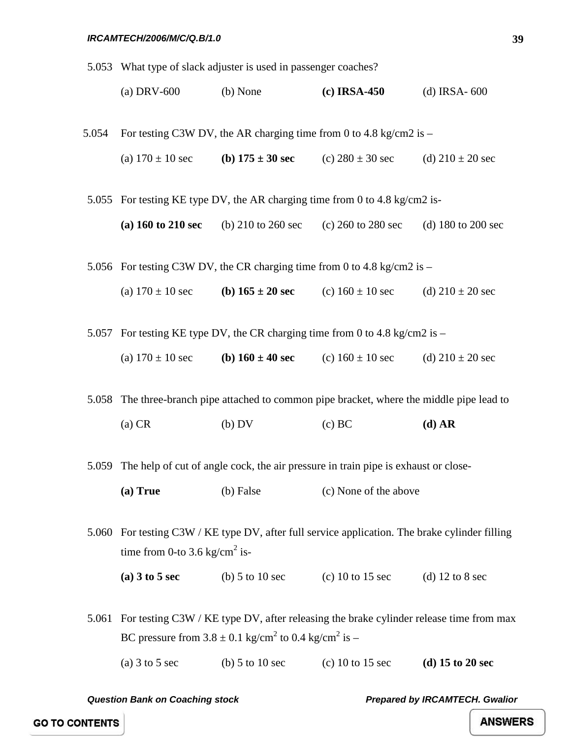5.053 What type of slack adjuster is used in passenger coaches?

| (a) DRV- $600$ | $(b)$ None | $(c)$ IRSA-450 | (d) IRSA- $600$ |
|----------------|------------|----------------|-----------------|
|----------------|------------|----------------|-----------------|

- 5.054 For testing C3W DV, the AR charging time from 0 to 4.8 kg/cm2 is
	- (a)  $170 \pm 10 \text{ sec}$  **(b)**  $175 \pm 30 \text{ sec}$  **(c)**  $280 \pm 30 \text{ sec}$  **(d)**  $210 \pm 20 \text{ sec}$

5.055 For testing KE type DV, the AR charging time from 0 to 4.8 kg/cm2 is-

**(a) 160 to 210 sec** (b) 210 to 260 sec (c) 260 to 280 sec (d) 180 to 200 sec

5.056 For testing C3W DV, the CR charging time from 0 to 4.8 kg/cm2 is –

(a)  $170 \pm 10$  sec **(b)**  $165 \pm 20$  **sec** (c)  $160 \pm 10$  sec (d)  $210 \pm 20$  sec

5.057 For testing KE type DV, the CR charging time from 0 to 4.8 kg/cm2 is –

(a)  $170 \pm 10$  sec **(b)**  $160 \pm 40$  **sec** (c)  $160 \pm 10$  sec **(d)**  $210 \pm 20$  sec

5.058 The three-branch pipe attached to common pipe bracket, where the middle pipe lead to

(a) CR (b) DV (c) BC **(d) AR**

5.059 The help of cut of angle cock, the air pressure in train pipe is exhaust or close-

(a) True (b) False (c) None of the above

5.060 For testing C3W / KE type DV, after full service application. The brake cylinder filling time from 0-to 3.6 kg/cm<sup>2</sup> is-

**(a) 3 to 5 sec** (b) 5 to 10 sec (c) 10 to 15 sec (d) 12 to 8 sec

5.061 For testing C3W / KE type DV, after releasing the brake cylinder release time from max BC pressure from  $3.8 \pm 0.1$  kg/cm<sup>2</sup> to 0.4 kg/cm<sup>2</sup> is –

(a) 3 to 5 sec (b) 5 to 10 sec (c) 10 to 15 sec **(d) 15 to 20 sec**

*Question Bank on Coaching stock Prepared by IRCAMTECH. Gwalior* 

**GO TO CONTENTS**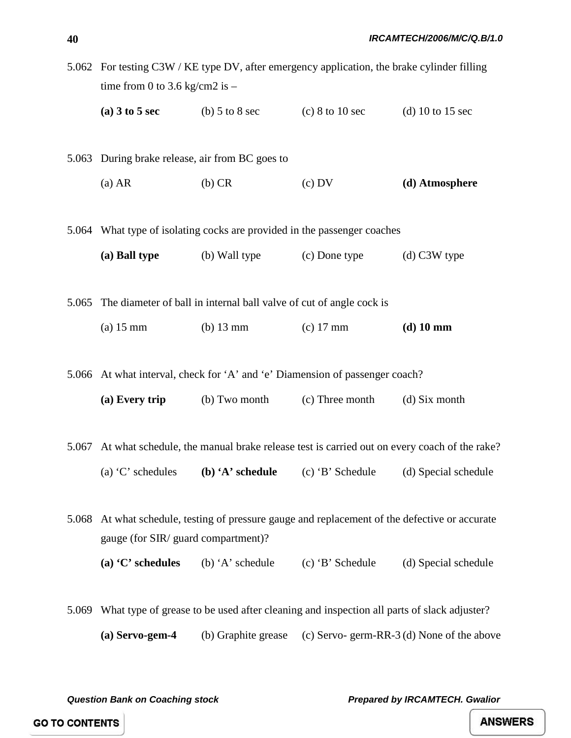|       | 5.062 For testing C3W / KE type DV, after emergency application, the brake cylinder filling<br>time from 0 to 3.6 kg/cm2 is $-$ |                                       |                                                                                           |                                                                                                        |  |
|-------|---------------------------------------------------------------------------------------------------------------------------------|---------------------------------------|-------------------------------------------------------------------------------------------|--------------------------------------------------------------------------------------------------------|--|
|       | (a) $3 \text{ to } 5 \text{ sec}$ (b) $5 \text{ to } 8 \text{ sec}$                                                             |                                       | $(c)$ 8 to 10 sec                                                                         | (d) 10 to 15 sec                                                                                       |  |
|       | 5.063 During brake release, air from BC goes to                                                                                 |                                       |                                                                                           |                                                                                                        |  |
|       | (a) AR                                                                                                                          | $(b)$ CR                              | (c) DV                                                                                    | (d) Atmosphere                                                                                         |  |
|       |                                                                                                                                 |                                       | 5.064 What type of isolating cocks are provided in the passenger coaches                  |                                                                                                        |  |
|       |                                                                                                                                 |                                       | (a) Ball type (b) Wall type (c) Done type                                                 | $(d)$ C3W type                                                                                         |  |
|       | 5.065 The diameter of ball in internal ball valve of cut of angle cock is                                                       |                                       |                                                                                           |                                                                                                        |  |
|       | $(a)$ 15 mm                                                                                                                     | $(b)$ 13 mm                           | $(c)$ 17 mm                                                                               | $(d)$ 10 mm                                                                                            |  |
|       |                                                                                                                                 |                                       | 5.066 At what interval, check for 'A' and 'e' Diamension of passenger coach?              |                                                                                                        |  |
|       |                                                                                                                                 | (a) Every trip $\qquad$ (b) Two month | (c) Three month                                                                           | (d) Six month                                                                                          |  |
|       |                                                                                                                                 |                                       |                                                                                           | 5.067 At what schedule, the manual brake release test is carried out on every coach of the rake?       |  |
|       |                                                                                                                                 |                                       |                                                                                           | (a) $^{\circ}$ C' schedules (b) $^{\circ}$ A' schedule (c) $^{\circ}$ B' Schedule (d) Special schedule |  |
| 5.068 | gauge (for SIR/ guard compartment)?                                                                                             |                                       |                                                                                           | At what schedule, testing of pressure gauge and replacement of the defective or accurate               |  |
|       | (a) $C$ schedules                                                                                                               | (b) $A$ 'schedule                     | (c) 'B' Schedule                                                                          | (d) Special schedule                                                                                   |  |
| 5.069 |                                                                                                                                 |                                       | What type of grease to be used after cleaning and inspection all parts of slack adjuster? |                                                                                                        |  |

**(a) Servo-gem-4** (b) Graphite grease (c) Servo- germ-RR-3 (d) None of the above

*Question Bank on Coaching stock Prepared by IRCAMTECH. Gwalior* 

**GO TO CONTENTS**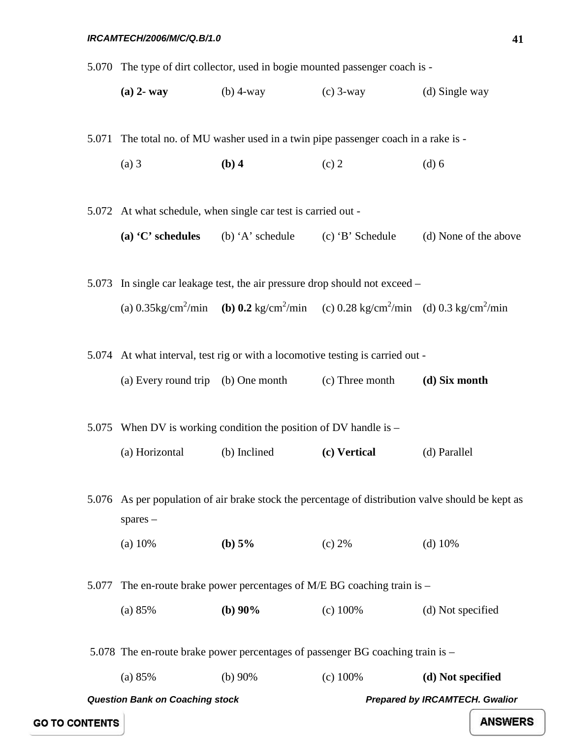5.070 The type of dirt collector, used in bogie mounted passenger coach is -

**(a) 2- way** (b) 4-way (c) 3-way (d) Single way

5.071 The total no. of MU washer used in a twin pipe passenger coach in a rake is -

(a) 3 **(b) 4** (c) 2 (d) 6

5.072 At what schedule, when single car test is carried out -

**(a) 'C' schedules** (b) 'A' schedule (c) 'B' Schedule (d) None of the above

5.073 In single car leakage test, the air pressure drop should not exceed – (a)  $0.35 \text{kg/cm}^2/\text{min}$  **(b)**  $0.2 \text{ kg/cm}^2/\text{min}$  **(c)**  $0.28 \text{ kg/cm}^2/\text{min}$  **(d)**  $0.3 \text{ kg/cm}^2/\text{min}$ 

5.074 At what interval, test rig or with a locomotive testing is carried out -

| (a) Every round trip (b) One month |  | (c) Three month | (d) Six month |
|------------------------------------|--|-----------------|---------------|
|------------------------------------|--|-----------------|---------------|

5.075 When DV is working condition the position of DV handle is –

(a) Horizontal (b) Inclined **(c) Vertical** (d) Parallel

5.076 As per population of air brake stock the percentage of distribution valve should be kept as spares –

(a) 10% **(b) 5%** (c) 2% (d) 10%

5.077 The en-route brake power percentages of M/E BG coaching train is –

(a) 85% **(b) 90%** (c) 100% (d) Not specified

5.078 The en-route brake power percentages of passenger BG coaching train is –

(a) 85% (b) 90% (c) 100% **(d) Not specified** 

*Question Bank on Coaching stock Prepared by IRCAMTECH. Gwalior* 

**GO TO CONTENTS**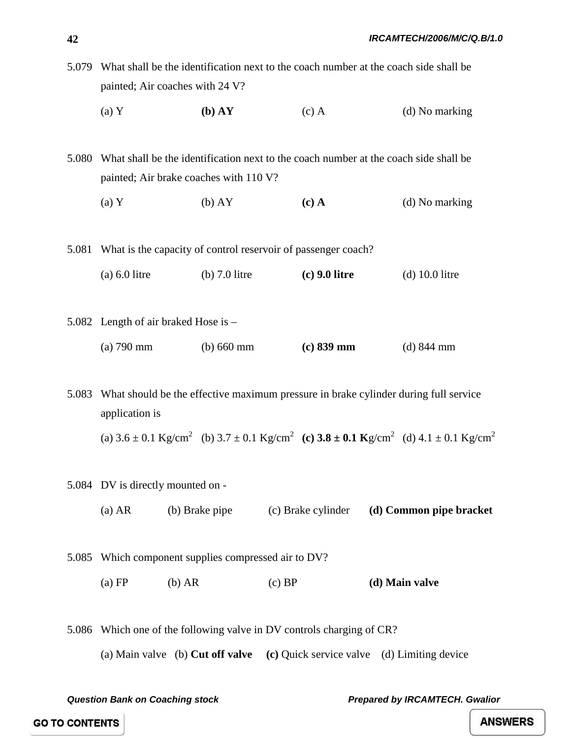| $(a)$ Y                                                                                    | (b) AY | $(c)$ A | (d) No marking |  |
|--------------------------------------------------------------------------------------------|--------|---------|----------------|--|
| painted; Air coaches with 24 V?                                                            |        |         |                |  |
| 5.079 What shall be the identification next to the coach number at the coach side shall be |        |         |                |  |

5.080 What shall be the identification next to the coach number at the coach side shall be painted; Air brake coaches with 110 V?

- (a) Y (b) AY **(c) A** (d) No marking
- 5.081 What is the capacity of control reservoir of passenger coach?
	- (a) 6.0 litre (b) 7.0 litre **(c) 9.0 litre** (d) 10.0 litre
- 5.082 Length of air braked Hose is (a) 790 mm (b) 660 mm **(c) 839 mm** (d) 844 mm

5.083 What should be the effective maximum pressure in brake cylinder during full service application is

(a)  $3.6 \pm 0.1$  Kg/cm<sup>2</sup> (b)  $3.7 \pm 0.1$  Kg/cm<sup>2</sup> (c)  $3.8 \pm 0.1$  Kg/cm<sup>2</sup> (d)  $4.1 \pm 0.1$  Kg/cm<sup>2</sup>

- 5.084 DV is directly mounted on
	- (a) AR (b) Brake pipe (c) Brake cylinder **(d) Common pipe bracket**
- 5.085 Which component supplies compressed air to DV? (a) FP (b) AR (c) BP **(d) Main valve**
- 5.086 Which one of the following valve in DV controls charging of CR? (a) Main valve (b) **Cut off valve (c)** Quick service valve (d) Limiting device

*Question Bank on Coaching stock Prepared by IRCAMTECH. Gwalior* 

**GO TO CONTENTS**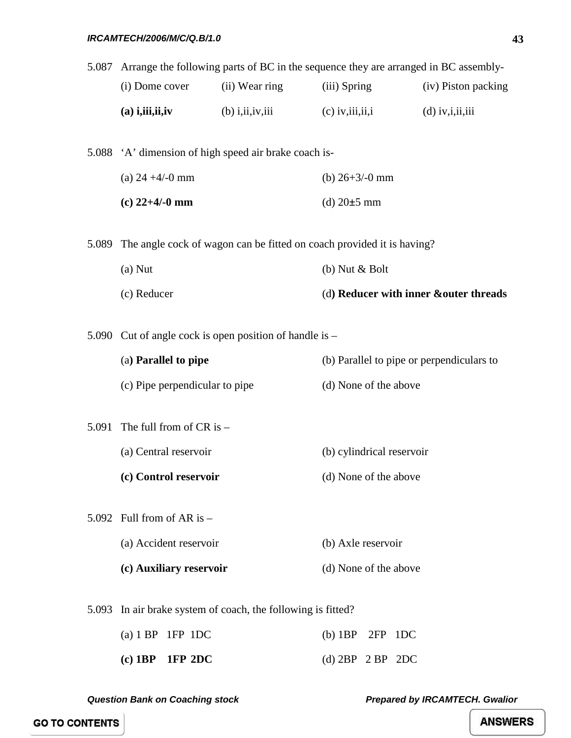| 5.087 | Arrange the following parts of BC in the sequence they are arranged in BC assembly- |                                                         |                                           |                      |  |
|-------|-------------------------------------------------------------------------------------|---------------------------------------------------------|-------------------------------------------|----------------------|--|
|       | (i) Dome cover                                                                      | (ii) Wear ring                                          | (iii) Spring                              | (iv) Piston packing  |  |
|       | $(a)$ i, iii, ii, iv                                                                | $(b)$ i, ii, iv, iii                                    | $(c)$ iv, iii, ii, i                      | $(d)$ iv, i, ii, iii |  |
|       |                                                                                     |                                                         |                                           |                      |  |
|       |                                                                                     | 5.088 'A' dimension of high speed air brake coach is-   |                                           |                      |  |
|       | (a) $24 + 4/-0$ mm                                                                  |                                                         | (b) $26+3/-0$ mm                          |                      |  |
|       | $(c)$ 22+4/-0 mm                                                                    |                                                         | (d) $20±5$ mm                             |                      |  |
|       |                                                                                     |                                                         |                                           |                      |  |
|       | 5.089 The angle cock of wagon can be fitted on coach provided it is having?         |                                                         |                                           |                      |  |
|       | $(a)$ Nut                                                                           |                                                         | $(b)$ Nut $\&$ Bolt                       |                      |  |
|       | (c) Reducer                                                                         |                                                         | (d) Reducer with inner &outer threads     |                      |  |
|       |                                                                                     |                                                         |                                           |                      |  |
|       |                                                                                     | 5.090 Cut of angle cock is open position of handle is – |                                           |                      |  |
|       | (a) Parallel to pipe                                                                |                                                         | (b) Parallel to pipe or perpendiculars to |                      |  |
|       | (c) Pipe perpendicular to pipe                                                      |                                                         | (d) None of the above                     |                      |  |
| 5.091 | The full from of $CR$ is $-$                                                        |                                                         |                                           |                      |  |
|       |                                                                                     |                                                         |                                           |                      |  |
|       | (a) Central reservoir                                                               |                                                         | (b) cylindrical reservoir                 |                      |  |
|       | (c) Control reservoir                                                               |                                                         | (d) None of the above                     |                      |  |
|       | 5.092 Full from of AR is $-$                                                        |                                                         |                                           |                      |  |
|       | (a) Accident reservoir                                                              |                                                         | (b) Axle reservoir                        |                      |  |
|       | (c) Auxiliary reservoir                                                             |                                                         | (d) None of the above                     |                      |  |
|       |                                                                                     |                                                         |                                           |                      |  |
| 5.093 |                                                                                     | In air brake system of coach, the following is fitted?  |                                           |                      |  |
|       | (a) $1 BP$ $1FP$ $1DC$                                                              |                                                         | $(b)$ 1BP<br>2FP 1DC                      |                      |  |

| $(c)$ 1BP 1FP 2DC | (d) $2BP$ 2 BP 2DC |  |
|-------------------|--------------------|--|

**GO TO CONTENTS**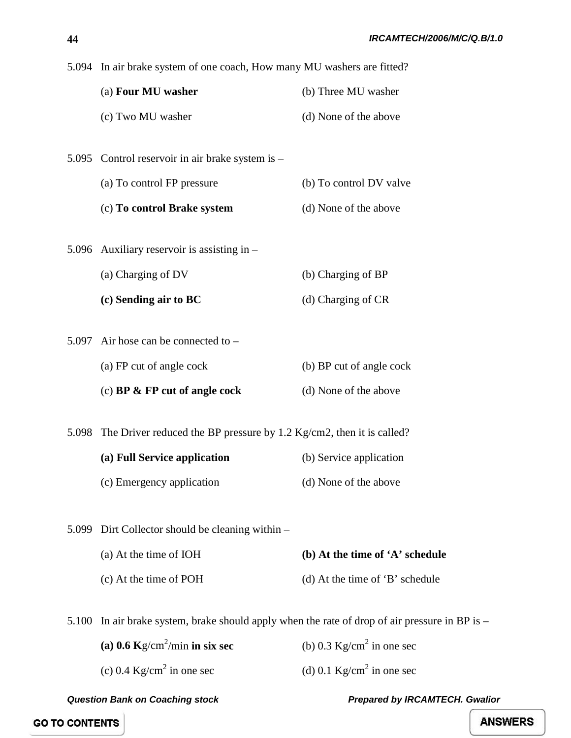|       | 5.094 In air brake system of one coach, How many MU washers are fitted?    |                                 |  |
|-------|----------------------------------------------------------------------------|---------------------------------|--|
|       | (a) Four MU washer                                                         | (b) Three MU washer             |  |
|       | (c) Two MU washer                                                          | (d) None of the above           |  |
|       |                                                                            |                                 |  |
|       | 5.095 Control reservoir in air brake system is -                           |                                 |  |
|       | (a) To control FP pressure                                                 | (b) To control DV valve         |  |
|       | (c) To control Brake system                                                | (d) None of the above           |  |
|       | 5.096 Auxiliary reservoir is assisting in $-$                              |                                 |  |
|       | (a) Charging of DV                                                         | (b) Charging of BP              |  |
|       | (c) Sending air to BC                                                      | (d) Charging of CR              |  |
|       | 5.097 Air hose can be connected to $-$                                     |                                 |  |
|       | (a) FP cut of angle cock                                                   | (b) BP cut of angle cock        |  |
|       | (c) BP $\&$ FP cut of angle cock                                           | (d) None of the above           |  |
|       | 5.098 The Driver reduced the BP pressure by 1.2 Kg/cm2, then it is called? |                                 |  |
|       | (a) Full Service application                                               | (b) Service application         |  |
|       | (c) Emergency application                                                  | (d) None of the above           |  |
|       |                                                                            |                                 |  |
| 5.099 | Dirt Collector should be cleaning within –                                 |                                 |  |
|       | (a) At the time of IOH                                                     | (b) At the time of 'A' schedule |  |
|       | (c) At the time of POH                                                     | (d) At the time of 'B' schedule |  |
|       |                                                                            |                                 |  |
|       |                                                                            |                                 |  |

5.100 In air brake system, brake should apply when the rate of drop of air pressure in BP is –

**(a) 0.6**  $\text{Kg/cm}^2/\text{min}$  in six sec (b)  $0.3$  Kg/cm<sup>2</sup> in one sec (c)  $0.4 \text{ Kg/cm}^2$  in one sec (d)  $0.1 \text{ Kg/cm}^2$  in one sec

*Question Bank on Coaching stock Prepared by IRCAMTECH. Gwalior* 

**GO TO CONTENTS**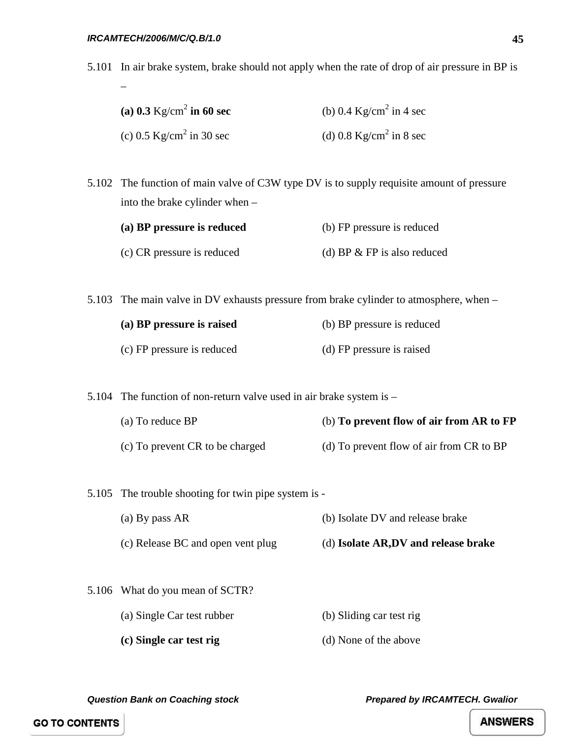–

5.101 In air brake system, brake should not apply when the rate of drop of air pressure in BP is

| (a) 0.3 $\text{Kg/cm}^2$ in 60 sec | (b) 0.4 $\text{Kg/cm}^2$ in 4 sec |
|------------------------------------|-----------------------------------|
| (c) 0.5 $\text{Kg/cm}^2$ in 30 sec | (d) 0.8 $\text{Kg/cm}^2$ in 8 sec |

5.102 The function of main valve of C3W type DV is to supply requisite amount of pressure into the brake cylinder when –

| (a) BP pressure is reduced | (b) FP pressure is reduced    |  |
|----------------------------|-------------------------------|--|
| (c) CR pressure is reduced | (d) BP $&$ FP is also reduced |  |

5.103 The main valve in DV exhausts pressure from brake cylinder to atmosphere, when –

| (a) BP pressure is raised  | (b) BP pressure is reduced |  |
|----------------------------|----------------------------|--|
| (c) FP pressure is reduced | (d) FP pressure is raised  |  |

5.104 The function of non-return valve used in air brake system is –

- (a) To reduce BP (b) **To prevent flow of air from AR to FP** (c) To prevent CR to be charged (d) To prevent flow of air from CR to BP
- 5.105 The trouble shooting for twin pipe system is
	- (a) By pass AR (b) Isolate DV and release brake
	- (c) Release BC and open vent plug (d) **Isolate AR,DV and release brake**
- 5.106 What do you mean of SCTR?
	- (a) Single Car test rubber (b) Sliding car test rig
	- **(c) Single car test rig** (d) None of the above

*Question Bank on Coaching stock Prepared by IRCAMTECH. Gwalior*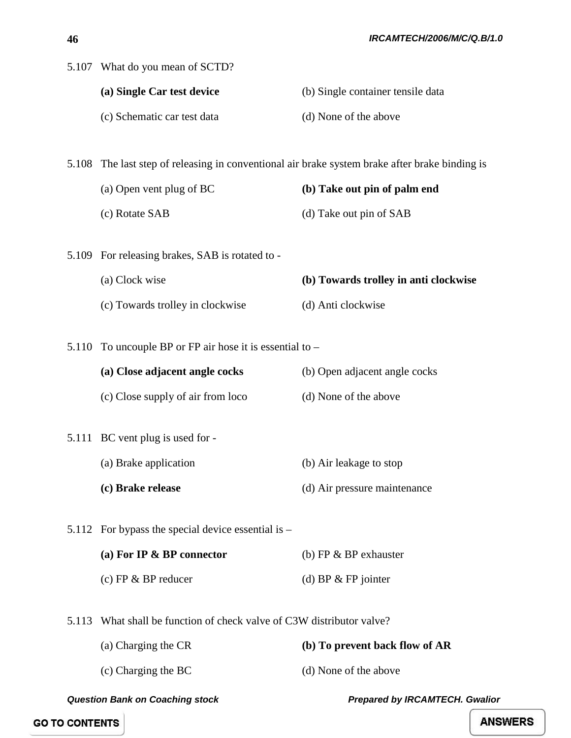|       | 5.107 What do you mean of SCTD?                                                                |                                       |
|-------|------------------------------------------------------------------------------------------------|---------------------------------------|
|       | (a) Single Car test device                                                                     | (b) Single container tensile data     |
|       | (c) Schematic car test data                                                                    | (d) None of the above                 |
|       |                                                                                                |                                       |
|       | 5.108 The last step of releasing in conventional air brake system brake after brake binding is |                                       |
|       | (a) Open vent plug of BC                                                                       | (b) Take out pin of palm end          |
|       | (c) Rotate SAB                                                                                 | (d) Take out pin of SAB               |
|       |                                                                                                |                                       |
| 5.109 | For releasing brakes, SAB is rotated to -                                                      |                                       |
|       | (a) Clock wise                                                                                 | (b) Towards trolley in anti clockwise |
|       | (c) Towards trolley in clockwise                                                               | (d) Anti clockwise                    |
|       | 5.110 To uncouple BP or FP air hose it is essential to $-$                                     |                                       |
|       | (a) Close adjacent angle cocks                                                                 | (b) Open adjacent angle cocks         |
|       | (c) Close supply of air from loco                                                              | (d) None of the above                 |
|       |                                                                                                |                                       |
|       | 5.111 BC vent plug is used for -                                                               |                                       |
|       | (a) Brake application                                                                          | (b) Air leakage to stop               |
|       | (c) Brake release                                                                              | (d) Air pressure maintenance          |
|       | 5.112 For bypass the special device essential is $-$                                           |                                       |
|       | (a) For IP & BP connector                                                                      | (b) FP $&$ BP exhauster               |
|       | (c) FP $&$ BP reducer                                                                          | (d) BP $&$ FP jointer                 |
|       |                                                                                                |                                       |
| 5.113 | What shall be function of check valve of C3W distributor valve?                                |                                       |
|       | (a) Charging the CR                                                                            | (b) To prevent back flow of AR        |
|       | (c) Charging the BC                                                                            | (d) None of the above                 |

**GO TO CONTENTS**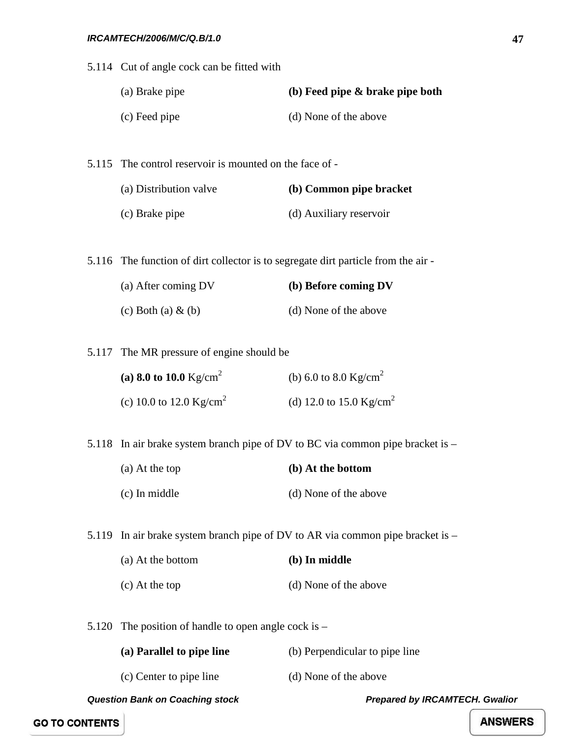*Question Bank on Coaching stock Prepared by IRCAMTECH. Gwalior*  5.114 Cut of angle cock can be fitted with (a) Brake pipe **(b) Feed pipe & brake pipe both** (c) Feed pipe (d) None of the above 5.115 The control reservoir is mounted on the face of - (a) Distribution valve **(b) Common pipe bracket** (c) Brake pipe (d) Auxiliary reservoir 5.116 The function of dirt collector is to segregate dirt particle from the air - (a) After coming DV **(b) Before coming DV** (c) Both (a)  $\&$  (b) (d) None of the above 5.117 The MR pressure of engine should be **(a) 8.0 to 10.0**  $Kg/cm^2$  (b) 6.0 to 8.0  $Kg/cm^2$ (c) 10.0 to 12.0 Kg/cm<sup>2</sup> (d) 12.0 to 15.0 Kg/cm<sup>2</sup> 5.118 In air brake system branch pipe of DV to BC via common pipe bracket is – (a) At the top **(b) At the bottom** (c) In middle (d) None of the above 5.119 In air brake system branch pipe of DV to AR via common pipe bracket is – (a) At the bottom **(b) In middle** (c) At the top (d) None of the above 5.120 The position of handle to open angle cock is – **(a) Parallel to pipe line** (b) Perpendicular to pipe line (c) Center to pipe line (d) None of the above

**GO TO CONTENTS**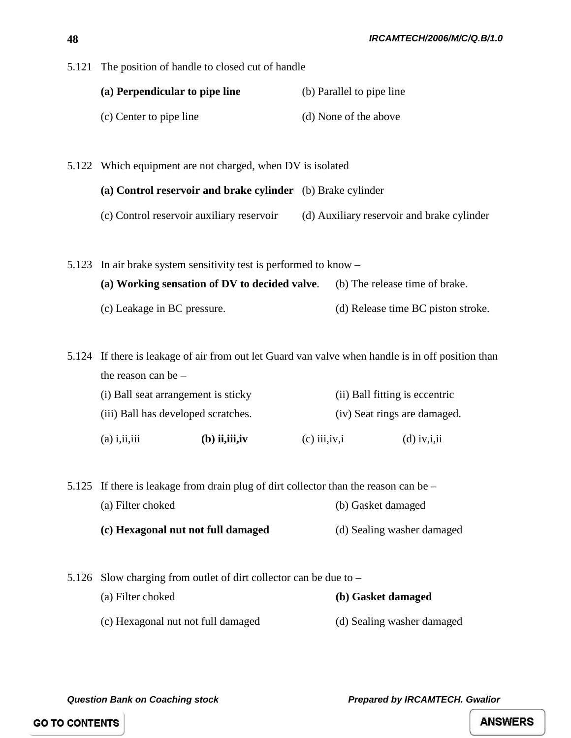5.121 The position of handle to closed cut of handle

| (a) Perpendicular to pipe line | (b) Parallel to pipe line |  |
|--------------------------------|---------------------------|--|
| (c) Center to pipe line        | (d) None of the above     |  |

5.122 Which equipment are not charged, when DV is isolated

### **(a) Control reservoir and brake cylinder** (b) Brake cylinder

(c) Control reservoir auxiliary reservoir (d) Auxiliary reservoir and brake cylinder

5.123 In air brake system sensitivity test is performed to know – **(a) Working sensation of DV to decided valve**. (b) The release time of brake. (c) Leakage in BC pressure. (d) Release time BC piston stroke.

5.124 If there is leakage of air from out let Guard van valve when handle is in off position than the reason can be –

| $(a)$ i, ii, iii                    | $(b)$ ii, iii, iv | $(c)$ iii, $iv$ , i            | $(d)$ iv, i, ii |
|-------------------------------------|-------------------|--------------------------------|-----------------|
| (iii) Ball has developed scratches. |                   | (iv) Seat rings are damaged.   |                 |
| (i) Ball seat arrangement is sticky |                   | (ii) Ball fitting is eccentric |                 |

5.125 If there is leakage from drain plug of dirt collector than the reason can be – (a) Filter choked (b) Gasket damaged **(c) Hexagonal nut not full damaged** (d) Sealing washer damaged

5.126 Slow charging from outlet of dirt collector can be due to – (a) Filter choked **(b) Gasket damaged** (c) Hexagonal nut not full damaged (d) Sealing washer damaged

*Question Bank on Coaching stock Prepared by IRCAMTECH. Gwalior* 

**GO TO CONTENTS**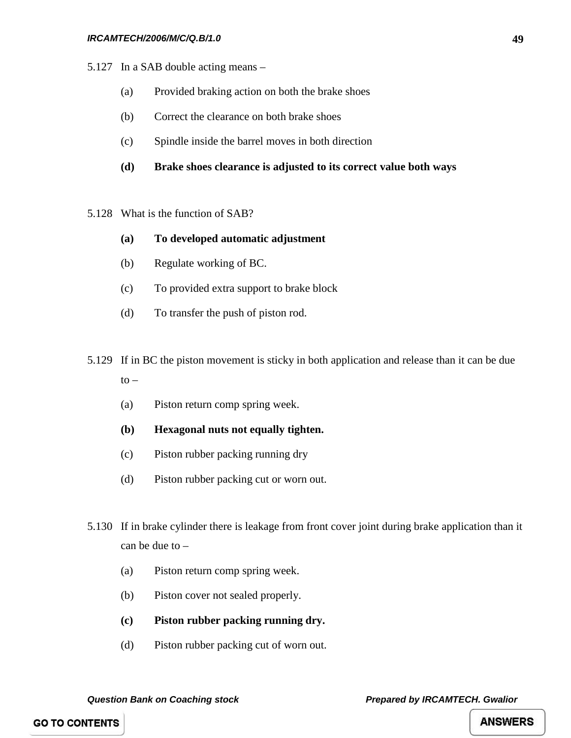- 5.127 In a SAB double acting means
	- (a) Provided braking action on both the brake shoes
	- (b) Correct the clearance on both brake shoes
	- (c) Spindle inside the barrel moves in both direction
	- **(d) Brake shoes clearance is adjusted to its correct value both ways**
- 5.128 What is the function of SAB?
	- **(a) To developed automatic adjustment**
	- (b) Regulate working of BC.
	- (c) To provided extra support to brake block
	- (d) To transfer the push of piston rod.
- 5.129 If in BC the piston movement is sticky in both application and release than it can be due  $to -$ 
	- (a) Piston return comp spring week.
	- **(b) Hexagonal nuts not equally tighten.**
	- (c) Piston rubber packing running dry
	- (d) Piston rubber packing cut or worn out.
- 5.130 If in brake cylinder there is leakage from front cover joint during brake application than it can be due to –
	- (a) Piston return comp spring week.
	- (b) Piston cover not sealed properly.
	- **(c) Piston rubber packing running dry.**
	- (d) Piston rubber packing cut of worn out.

**49**

**GO TO CONTENTS**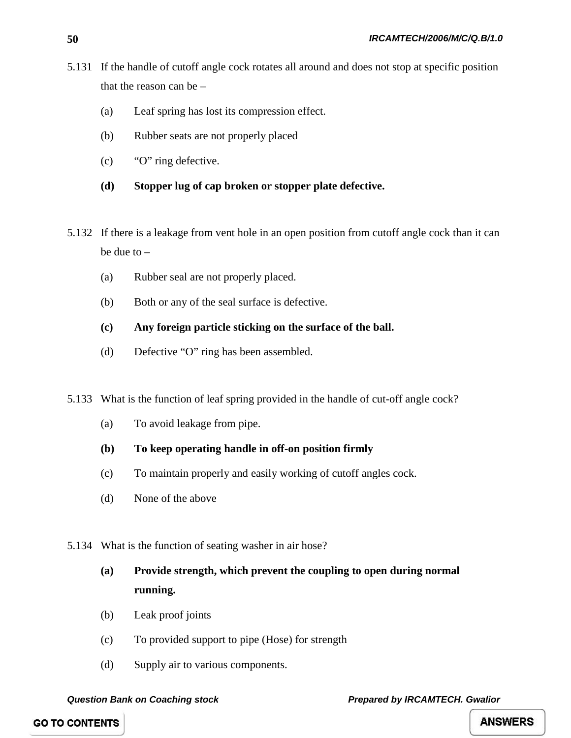- 5.131 If the handle of cutoff angle cock rotates all around and does not stop at specific position that the reason can be –
	- (a) Leaf spring has lost its compression effect.
	- (b) Rubber seats are not properly placed
	- (c) "O" ring defective.
	- **(d) Stopper lug of cap broken or stopper plate defective.**
- 5.132 If there is a leakage from vent hole in an open position from cutoff angle cock than it can be due to –
	- (a) Rubber seal are not properly placed.
	- (b) Both or any of the seal surface is defective.
	- **(c) Any foreign particle sticking on the surface of the ball.**
	- (d) Defective "O" ring has been assembled.
- 5.133 What is the function of leaf spring provided in the handle of cut-off angle cock?
	- (a) To avoid leakage from pipe.
	- **(b) To keep operating handle in off-on position firmly**
	- (c) To maintain properly and easily working of cutoff angles cock.
	- (d) None of the above
- 5.134 What is the function of seating washer in air hose?
	- **(a) Provide strength, which prevent the coupling to open during normal running.**
	- (b) Leak proof joints
	- (c) To provided support to pipe (Hose) for strength
	- (d) Supply air to various components.

**GO TO CONTENTS**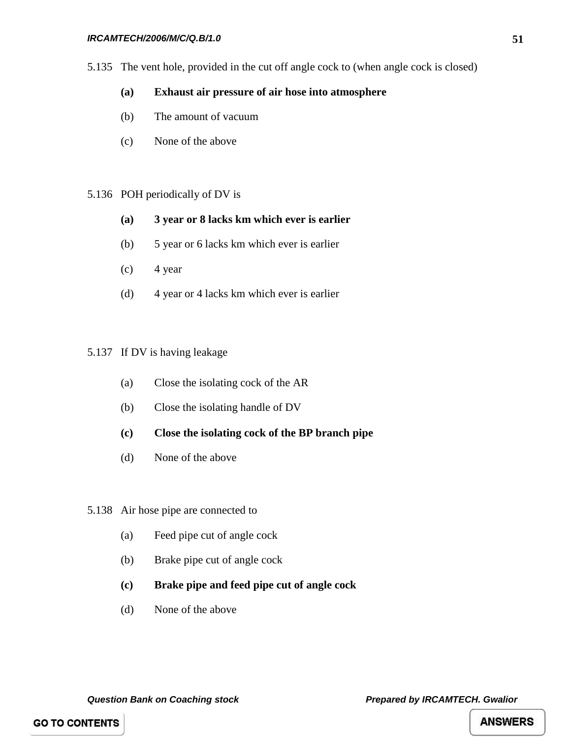### *IRCAMTECH/2006/M/C/Q.B/1.0*

5.135 The vent hole, provided in the cut off angle cock to (when angle cock is closed)

### **(a) Exhaust air pressure of air hose into atmosphere**

- (b) The amount of vacuum
- (c) None of the above

### 5.136 POH periodically of DV is

- **(a) 3 year or 8 lacks km which ever is earlier**
- (b) 5 year or 6 lacks km which ever is earlier
- $(c)$  4 year
- (d) 4 year or 4 lacks km which ever is earlier

### 5.137 If DV is having leakage

- (a) Close the isolating cock of the AR
- (b) Close the isolating handle of DV
- **(c) Close the isolating cock of the BP branch pipe**
- (d) None of the above
- 5.138 Air hose pipe are connected to
	- (a) Feed pipe cut of angle cock
	- (b) Brake pipe cut of angle cock
	- **(c) Brake pipe and feed pipe cut of angle cock**
	- (d) None of the above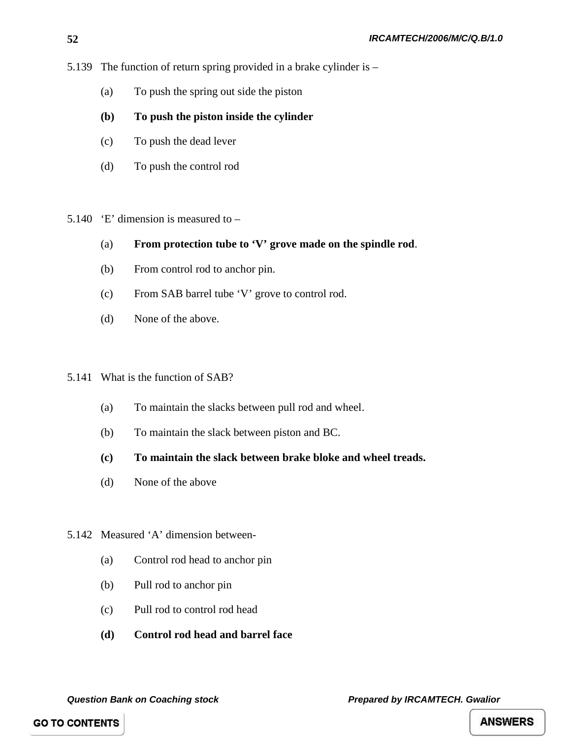- 5.139 The function of return spring provided in a brake cylinder is
	- (a) To push the spring out side the piston
	- **(b) To push the piston inside the cylinder**
	- (c) To push the dead lever
	- (d) To push the control rod
- 5.140  $E'$  dimension is measured to
	- (a) **From protection tube to 'V' grove made on the spindle rod**.
	- (b) From control rod to anchor pin.
	- (c) From SAB barrel tube 'V' grove to control rod.
	- (d) None of the above.

### 5.141 What is the function of SAB?

- (a) To maintain the slacks between pull rod and wheel.
- (b) To maintain the slack between piston and BC.
- **(c) To maintain the slack between brake bloke and wheel treads.**
- (d) None of the above
- 5.142 Measured 'A' dimension between-
	- (a) Control rod head to anchor pin
	- (b) Pull rod to anchor pin
	- (c) Pull rod to control rod head
	- **(d) Control rod head and barrel face**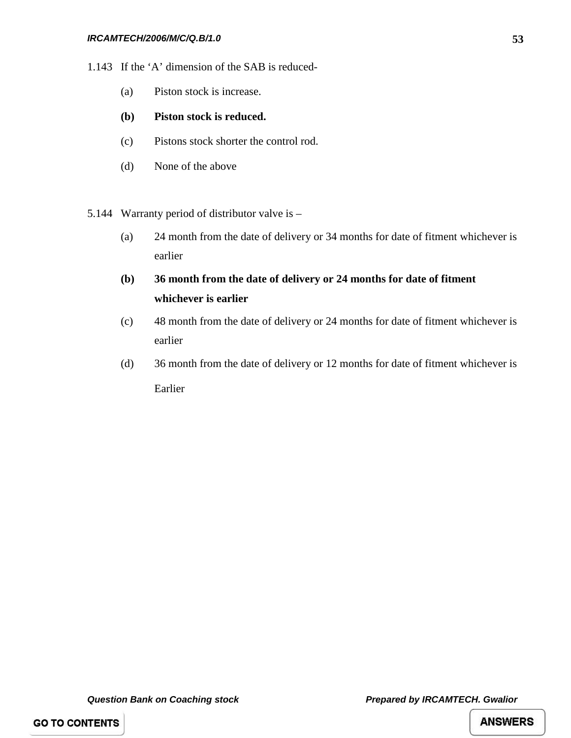- 1.143 If the 'A' dimension of the SAB is reduced-
	- (a) Piston stock is increase.

### **(b) Piston stock is reduced.**

- (c) Pistons stock shorter the control rod.
- (d) None of the above
- 5.144 Warranty period of distributor valve is
	- (a) 24 month from the date of delivery or 34 months for date of fitment whichever is earlier
	- **(b) 36 month from the date of delivery or 24 months for date of fitment whichever is earlier**
	- (c) 48 month from the date of delivery or 24 months for date of fitment whichever is earlier
	- (d) 36 month from the date of delivery or 12 months for date of fitment whichever is Earlier

**GO TO CONTENTS**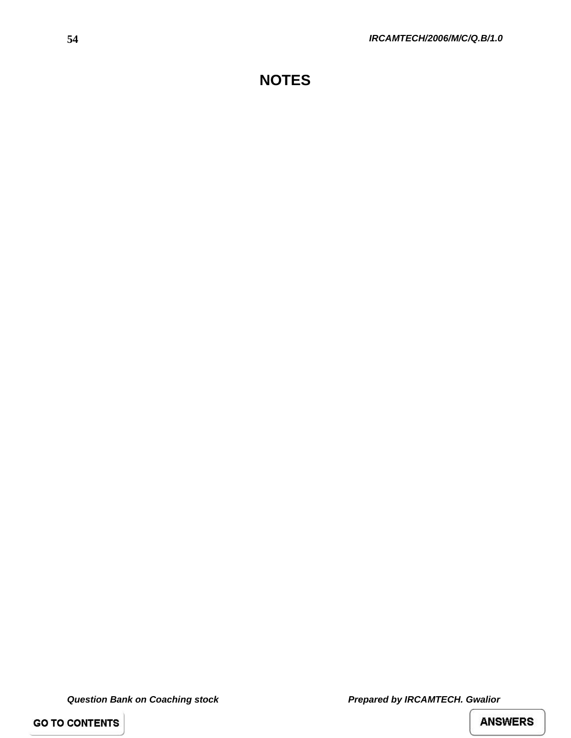# **NOTES**

*Question Bank on Coaching stock Prepared by IRCAMTECH. Gwalior* 

**GO TO CONTENTS**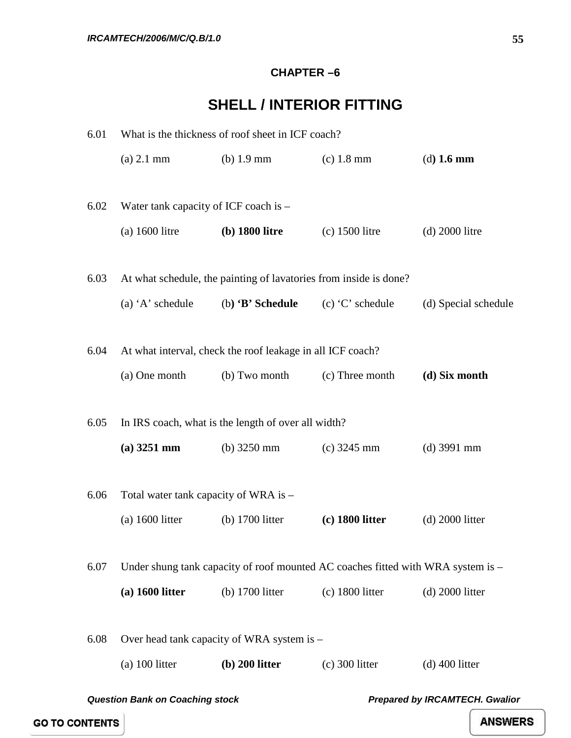### **CHAPTER –6**

# **SHELL / INTERIOR FITTING**

| 6.01 | What is the thickness of roof sheet in ICF coach?                               |                                                                   |                                                                                  |                      |
|------|---------------------------------------------------------------------------------|-------------------------------------------------------------------|----------------------------------------------------------------------------------|----------------------|
|      | $(a)$ 2.1 mm                                                                    | $(b)$ 1.9 mm                                                      | $(c)$ 1.8 mm                                                                     | $(d)$ 1.6 mm         |
|      |                                                                                 |                                                                   |                                                                                  |                      |
| 6.02 | Water tank capacity of ICF coach is -                                           |                                                                   |                                                                                  |                      |
|      | $(a)$ 1600 litre                                                                | (b) 1800 litre                                                    | $(c)$ 1500 litre                                                                 | $(d)$ 2000 litre     |
|      |                                                                                 |                                                                   |                                                                                  |                      |
| 6.03 |                                                                                 | At what schedule, the painting of lavatories from inside is done? |                                                                                  |                      |
|      | (a) $A$ ' schedule                                                              | (b) $\mathbf{B}'$ Schedule                                        | $(c)$ 'C' schedule                                                               | (d) Special schedule |
|      |                                                                                 |                                                                   |                                                                                  |                      |
| 6.04 |                                                                                 | At what interval, check the roof leakage in all ICF coach?        |                                                                                  |                      |
|      | (a) One month                                                                   | (b) Two month                                                     | (c) Three month                                                                  | (d) Six month        |
|      |                                                                                 |                                                                   |                                                                                  |                      |
| 6.05 |                                                                                 | In IRS coach, what is the length of over all width?               |                                                                                  |                      |
|      | $(a)$ 3251 mm                                                                   | (b) $3250 \text{ mm}$                                             | $(c)$ 3245 mm                                                                    | $(d)$ 3991 mm        |
|      |                                                                                 |                                                                   |                                                                                  |                      |
| 6.06 | Total water tank capacity of WRA is -                                           |                                                                   |                                                                                  |                      |
|      | $(a)$ 1600 litter                                                               | (b) 1700 litter                                                   | $(c)$ 1800 litter                                                                | $(d)$ 2000 litter    |
|      |                                                                                 |                                                                   |                                                                                  |                      |
| 6.07 |                                                                                 |                                                                   | Under shung tank capacity of roof mounted AC coaches fitted with WRA system is – |                      |
|      | $(a)$ 1600 litter                                                               | (b) 1700 litter                                                   | $(c)$ 1800 litter                                                                | $(d)$ 2000 litter    |
|      |                                                                                 |                                                                   |                                                                                  |                      |
| 6.08 |                                                                                 | Over head tank capacity of WRA system is -                        |                                                                                  |                      |
|      | $(a)$ 100 litter                                                                | $(b)$ 200 litter                                                  | $(c)$ 300 litter                                                                 | $(d)$ 400 litter     |
|      | <b>Question Bank on Coaching stock</b><br><b>Prepared by IRCAMTECH. Gwalior</b> |                                                                   |                                                                                  |                      |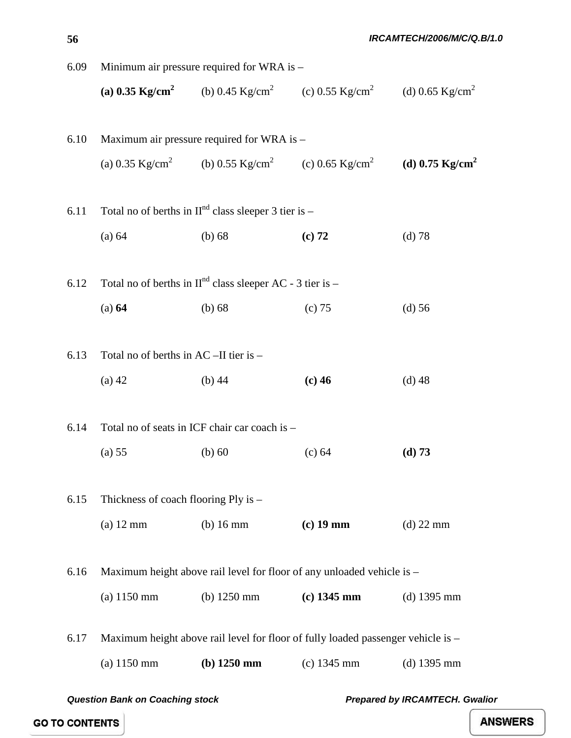| 6.09 |                                        | Minimum air pressure required for WRA is -                  |                                                                                                                 |               |
|------|----------------------------------------|-------------------------------------------------------------|-----------------------------------------------------------------------------------------------------------------|---------------|
|      |                                        |                                                             | (a) 0.35 Kg/cm <sup>2</sup> (b) 0.45 Kg/cm <sup>2</sup> (c) 0.55 Kg/cm <sup>2</sup> (d) 0.65 Kg/cm <sup>2</sup> |               |
| 6.10 |                                        | Maximum air pressure required for WRA is -                  |                                                                                                                 |               |
|      |                                        |                                                             | (a) 0.35 Kg/cm <sup>2</sup> (b) 0.55 Kg/cm <sup>2</sup> (c) 0.65 Kg/cm <sup>2</sup> (d) 0.75 Kg/cm <sup>2</sup> |               |
| 6.11 |                                        | Total no of berths in $IInd$ class sleeper 3 tier is -      |                                                                                                                 |               |
|      | (a) 64                                 | $(b)$ 68                                                    | (c) 72                                                                                                          | (d) 78        |
| 6.12 |                                        | Total no of berths in $IInd$ class sleeper AC - 3 tier is - |                                                                                                                 |               |
|      | (a) 64                                 | $(b)$ 68                                                    | (c) 75                                                                                                          | $(d)$ 56      |
| 6.13 | Total no of berths in AC -II tier is - |                                                             |                                                                                                                 |               |
|      | $(a)$ 42                               | $(b)$ 44                                                    | $(c)$ 46                                                                                                        | $(d)$ 48      |
| 6.14 |                                        | Total no of seats in ICF chair car coach is -               |                                                                                                                 |               |
|      | $(a)$ 55                               | $(b)$ 60                                                    | (c) 64                                                                                                          | (d) 73        |
| 6.15 | Thickness of coach flooring Ply is -   |                                                             |                                                                                                                 |               |
|      | $(a)$ 12 mm                            | $(b)$ 16 mm                                                 | $(c)$ 19 mm                                                                                                     | $(d)$ 22 mm   |
| 6.16 |                                        |                                                             | Maximum height above rail level for floor of any unloaded vehicle is –                                          |               |
|      | $(a) 1150$ mm                          | (b) $1250$ mm                                               | $(c)$ 1345 mm                                                                                                   | $(d)$ 1395 mm |
| 6.17 |                                        |                                                             | Maximum height above rail level for floor of fully loaded passenger vehicle is -                                |               |
|      | $(a) 1150$ mm                          | $(b)$ 1250 mm                                               | $(c)$ 1345 mm                                                                                                   | $(d)$ 1395 mm |

**56**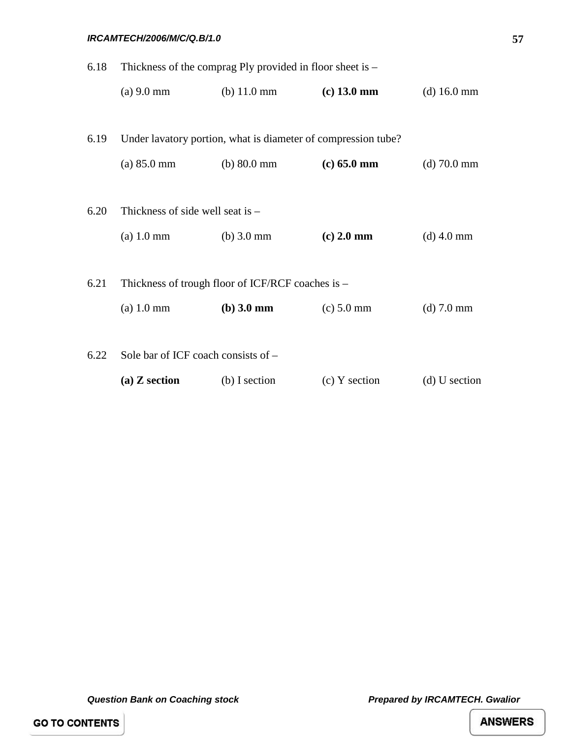### *IRCAMTECH/2006/M/C/Q.B/1.0*

| 6.18 | Thickness of the comprag Ply provided in floor sheet is $-$ |                                                               |                 |                       |
|------|-------------------------------------------------------------|---------------------------------------------------------------|-----------------|-----------------------|
|      | $(a) 9.0$ mm                                                | (b) $11.0 \text{ mm}$                                         | $(c)$ 13.0 mm   | (d) $16.0 \text{ mm}$ |
|      |                                                             |                                                               |                 |                       |
| 6.19 |                                                             | Under lavatory portion, what is diameter of compression tube? |                 |                       |
|      | $(a) 85.0$ mm                                               | (b) $80.0 \text{ mm}$                                         | $(c) 65.0$ mm   | $(d)$ 70.0 mm         |
|      |                                                             |                                                               |                 |                       |
| 6.20 | Thickness of side well seat is $-$                          |                                                               |                 |                       |
|      | $(a) 1.0 \text{ mm}$                                        | $(b)$ 3.0 mm                                                  | $(c)$ 2.0 mm    | $(d)$ 4.0 mm          |
|      |                                                             |                                                               |                 |                       |
| 6.21 |                                                             | Thickness of trough floor of ICF/RCF coaches is -             |                 |                       |
|      | $(a) 1.0$ mm                                                | (b) 3.0 mm                                                    | $(c) 5.0$ mm    | $(d)$ 7.0 mm          |
|      |                                                             |                                                               |                 |                       |
| 6.22 | Sole bar of ICF coach consists of -                         |                                                               |                 |                       |
|      | $(a)$ Z section                                             | (b) I section                                                 | $(c)$ Y section | $(d)$ U section       |

*Question Bank on Coaching stock Prepared by IRCAMTECH. Gwalior* 

**GO TO CONTENTS**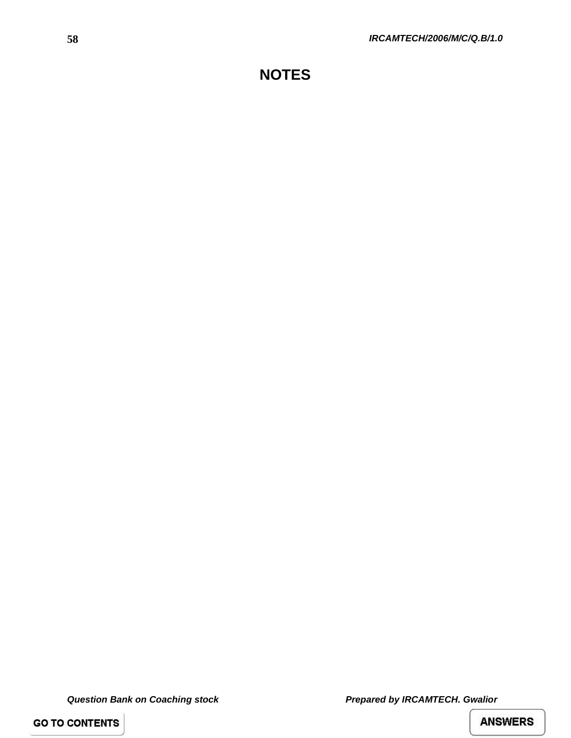# **NOTES**

*Question Bank on Coaching stock Prepared by IRCAMTECH. Gwalior* 

**GO TO CONTENTS**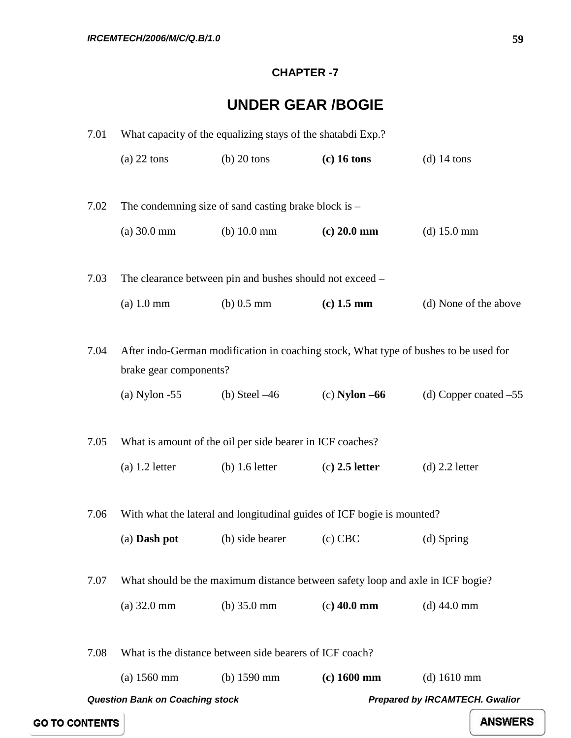### **CHAPTER -7**

# **UNDER GEAR /BOGIE**

| 7.01                  |                                        | What capacity of the equalizing stays of the shatabdi Exp.?                    |                   |                                                                                      |
|-----------------------|----------------------------------------|--------------------------------------------------------------------------------|-------------------|--------------------------------------------------------------------------------------|
|                       | $(a)$ 22 tons                          | $(b)$ 20 tons                                                                  | $(c)$ 16 tons     | $(d)$ 14 tons                                                                        |
|                       |                                        |                                                                                |                   |                                                                                      |
| 7.02                  |                                        | The condemning size of sand casting brake block is $-$                         |                   |                                                                                      |
|                       | (a) 30.0 mm                            | (b) $10.0 \text{ mm}$                                                          | $(c) 20.0$ mm     | $(d)$ 15.0 mm                                                                        |
|                       |                                        |                                                                                |                   |                                                                                      |
| 7.03                  |                                        | The clearance between pin and bushes should not exceed –                       |                   |                                                                                      |
|                       | $(a)$ 1.0 mm                           | (b) $0.5 \text{ mm}$                                                           | $(c)$ 1.5 mm      | (d) None of the above                                                                |
| 7.04                  |                                        |                                                                                |                   | After indo-German modification in coaching stock, What type of bushes to be used for |
|                       | brake gear components?                 |                                                                                |                   |                                                                                      |
|                       | $(a)$ Nylon -55                        | (b) Steel $-46$                                                                | $(c)$ Nylon $-66$ | (d) Copper coated $-55$                                                              |
|                       |                                        |                                                                                |                   |                                                                                      |
| 7.05                  |                                        | What is amount of the oil per side bearer in ICF coaches?                      |                   |                                                                                      |
|                       | $(a)$ 1.2 letter                       | $(b)$ 1.6 letter                                                               | $(c)$ 2.5 letter  | $(d)$ 2.2 letter                                                                     |
| 7.06                  |                                        | With what the lateral and longitudinal guides of ICF bogie is mounted?         |                   |                                                                                      |
|                       |                                        |                                                                                |                   |                                                                                      |
|                       | (a) Dash pot                           | (b) side bearer                                                                | $(c)$ CBC         | (d) Spring                                                                           |
| 7.07                  |                                        | What should be the maximum distance between safety loop and axle in ICF bogie? |                   |                                                                                      |
|                       | $(a)$ 32.0 mm                          | (b) $35.0 \text{ mm}$                                                          | $(c)$ 40.0 mm     | $(d)$ 44.0 mm                                                                        |
|                       |                                        |                                                                                |                   |                                                                                      |
| 7.08                  |                                        | What is the distance between side bearers of ICF coach?                        |                   |                                                                                      |
|                       | $(a) 1560$ mm                          | (b) $1590$ mm                                                                  | $(c)$ 1600 mm     | $(d)$ 1610 mm                                                                        |
|                       | <b>Question Bank on Coaching stock</b> |                                                                                |                   | <b>Prepared by IRCAMTECH. Gwalior</b>                                                |
| <b>GO TO CONTENTS</b> |                                        |                                                                                |                   | <b>ANSWERS</b>                                                                       |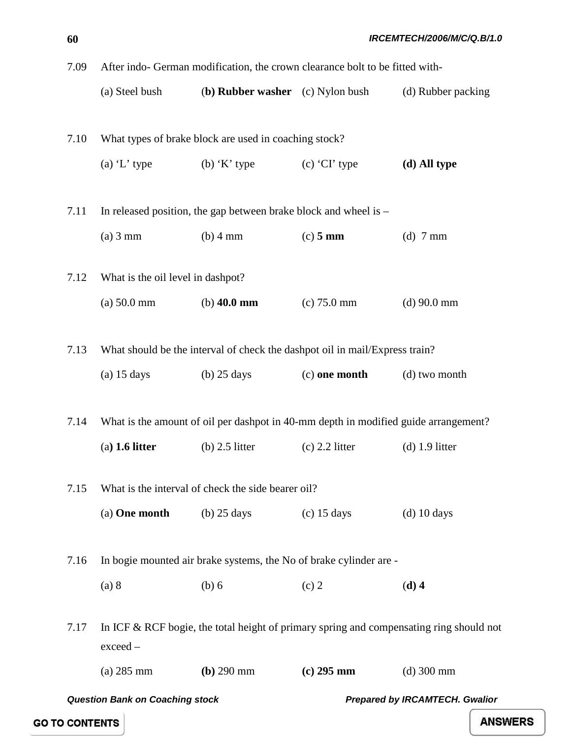7.09 After indo- German modification, the crown clearance bolt to be fitted with- (a) Steel bush (**b) Rubber washer** (c) Nylon bush (d) Rubber packing 7.10 What types of brake block are used in coaching stock? (a) 'L' type  $($ b) 'K' type  $($ c) 'CI' type  $($ **d) All type** 7.11 In released position, the gap between brake block and wheel is  $-$ (a) 3 mm (b) 4 mm (c) **5 mm** (d) 7 mm 7.12 What is the oil level in dashpot? (a) 50.0 mm (b) **40.0 mm** (c) 75.0 mm (d) 90.0 mm 7.13 What should be the interval of check the dashpot oil in mail/Express train? (a) 15 days (b) 25 days (c) **one month** (d) two month 7.14 What is the amount of oil per dashpot in 40-mm depth in modified guide arrangement? (a**) 1.6 litter** (b) 2.5 litter (c) 2.2 litter (d) 1.9 litter 7.15 What is the interval of check the side bearer oil? (a) **One month** (b) 25 days (c) 15 days (d) 10 days 7.16 In bogie mounted air brake systems, the No of brake cylinder are - (a) 8 (b) 6 (c) 2 (d) 4

7.17 In ICF & RCF bogie, the total height of primary spring and compensating ring should not exceed –

(a) 285 mm **(b)** 290 mm **(c) 295 mm** (d) 300 mm

**GO TO CONTENTS** 

*Question Bank on Coaching stock Prepared by IRCAMTECH. Gwalior*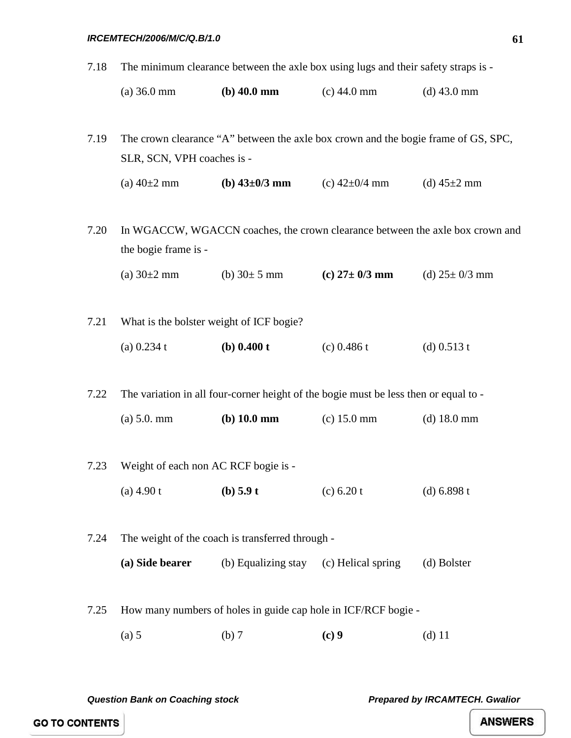#### *IRCEMTECH/2006/M/C/Q.B/1.0*

7.18 The minimum clearance between the axle box using lugs and their safety straps is -

| $(a)$ 36.0 mm | $(b)$ 40.0 mm | $(c)$ 44.0 mm | $(d)$ 43.0 mm |
|---------------|---------------|---------------|---------------|
|---------------|---------------|---------------|---------------|

7.19 The crown clearance "A" between the axle box crown and the bogie frame of GS, SPC, SLR, SCN, VPH coaches is -

(a)  $40\pm2$  mm **(b)**  $43\pm0/3$  **mm** (c)  $42\pm0/4$  mm **(d)**  $45\pm2$  mm

7.20 In WGACCW, WGACCN coaches, the crown clearance between the axle box crown and the bogie frame is -

(a) 30±2 mm (b) 30± 5 mm **(c) 27± 0/3 mm** (d) 25± 0/3 mm

7.21 What is the bolster weight of ICF bogie? (a) 0.234 t **(b) 0.400 t** (c) 0.486 t (d) 0.513 t

7.22 The variation in all four-corner height of the bogie must be less then or equal to -

| $(a) 5.0. \text{mm}$ | $(b)$ 10.0 mm | $(c)$ 15.0 mm | (d) $18.0 \text{ mm}$ |
|----------------------|---------------|---------------|-----------------------|
|----------------------|---------------|---------------|-----------------------|

- 7.23 Weight of each non AC RCF bogie is (a) 4.90 t **(b) 5.9 t** (c) 6.20 t (d) 6.898 t
- 7.24 The weight of the coach is transferred through **(a) Side bearer** (b) Equalizing stay (c) Helical spring (d) Bolster
- 7.25 How many numbers of holes in guide cap hole in ICF/RCF bogie
	- (a) 5 (b) 7 (c) 9 (d) 11

*Question Bank on Coaching stock Prepared by IRCAMTECH. Gwalior* 

**GO TO CONTENTS**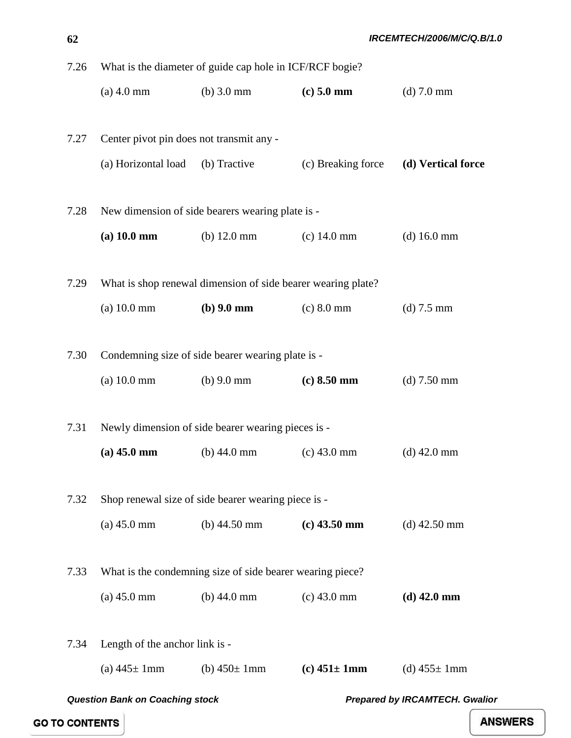| 7.26 | What is the diameter of guide cap hole in ICF/RCF bogie? |                                                              |                    |                                |
|------|----------------------------------------------------------|--------------------------------------------------------------|--------------------|--------------------------------|
|      | $(a)$ 4.0 mm                                             | $(b)$ 3.0 mm                                                 | $(c)$ 5.0 mm       | $(d)$ 7.0 mm                   |
|      |                                                          |                                                              |                    |                                |
| 7.27 | Center pivot pin does not transmit any -                 |                                                              |                    |                                |
|      | (a) Horizontal load                                      | (b) Tractive                                                 | (c) Breaking force | (d) Vertical force             |
|      |                                                          |                                                              |                    |                                |
| 7.28 |                                                          | New dimension of side bearers wearing plate is -             |                    |                                |
|      | (a) 10.0 mm                                              | (b) $12.0 \text{ mm}$                                        | $(c)$ 14.0 mm      | $(d)$ 16.0 mm                  |
|      |                                                          |                                                              |                    |                                |
| 7.29 |                                                          | What is shop renewal dimension of side bearer wearing plate? |                    |                                |
|      | (a) 10.0 mm                                              | $(b) 9.0$ mm                                                 | $(c) 8.0$ mm       | $(d)$ 7.5 mm                   |
|      |                                                          |                                                              |                    |                                |
| 7.30 |                                                          | Condemning size of side bearer wearing plate is -            |                    |                                |
|      | (a) 10.0 mm                                              | (b) $9.0 \text{ mm}$                                         | $(c) 8.50$ mm      | $(d)$ 7.50 mm                  |
|      |                                                          |                                                              |                    |                                |
| 7.31 |                                                          | Newly dimension of side bearer wearing pieces is -           |                    |                                |
|      | $(a)$ 45.0 mm                                            | (b) $44.0 \text{ mm}$                                        | $(c)$ 43.0 mm      | $(d)$ 42.0 mm                  |
| 7.32 |                                                          | Shop renewal size of side bearer wearing piece is -          |                    |                                |
|      |                                                          | (b) $44.50 \text{ mm}$                                       | $(c)$ 43.50 mm     |                                |
|      | $(a)$ 45.0 mm                                            |                                                              |                    | $(d)$ 42.50 mm                 |
| 7.33 |                                                          | What is the condemning size of side bearer wearing piece?    |                    |                                |
|      | $(a)$ 45.0 mm                                            | (b) $44.0 \text{ mm}$                                        | $(c)$ 43.0 mm      | $(d)$ 42.0 mm                  |
|      |                                                          |                                                              |                    |                                |
| 7.34 | Length of the anchor link is -                           |                                                              |                    |                                |
|      | (a) $445 \pm 1$ mm                                       | (b) $450 \pm 1 \text{mm}$                                    | (c) $451 \pm 1$ mm | (d) $455 \pm 1 \text{mm}$      |
|      |                                                          |                                                              |                    |                                |
|      | <b>Question Bank on Coaching stock</b>                   |                                                              |                    | Prepared by IRCAMTECH. Gwalior |

**GO TO CONTENTS**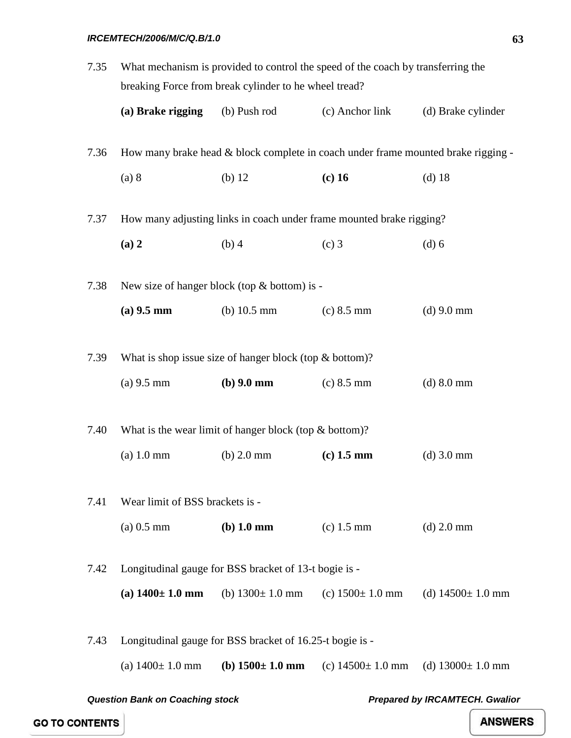### *IRCEMTECH/2006/M/C/Q.B/1.0*

| 7.35                                                                            | What mechanism is provided to control the speed of the coach by transferring the<br>breaking Force from break cylinder to he wheel tread? |                                                       |                        |                        |  |
|---------------------------------------------------------------------------------|-------------------------------------------------------------------------------------------------------------------------------------------|-------------------------------------------------------|------------------------|------------------------|--|
|                                                                                 | (a) Brake rigging                                                                                                                         | (b) Push rod                                          | (c) Anchor link        | (d) Brake cylinder     |  |
| 7.36                                                                            | How many brake head & block complete in coach under frame mounted brake rigging -                                                         |                                                       |                        |                        |  |
|                                                                                 | (a) 8                                                                                                                                     | $(b)$ 12                                              | $(c)$ 16               | $(d)$ 18               |  |
| 7.37                                                                            | How many adjusting links in coach under frame mounted brake rigging?                                                                      |                                                       |                        |                        |  |
|                                                                                 | (a) 2                                                                                                                                     | $(b)$ 4                                               | $(c)$ 3                | $(d)$ 6                |  |
| 7.38                                                                            | New size of hanger block (top & bottom) is -                                                                                              |                                                       |                        |                        |  |
|                                                                                 | $(a)$ 9.5 mm                                                                                                                              | (b) $10.5 \text{ mm}$                                 | $(c) 8.5$ mm           | $(d)$ 9.0 mm           |  |
| 7.39                                                                            | What is shop issue size of hanger block (top $&$ bottom)?                                                                                 |                                                       |                        |                        |  |
|                                                                                 | $(a)$ 9.5 mm                                                                                                                              | $(b)$ 9.0 mm                                          | $(c) 8.5$ mm           | $(d)$ 8.0 mm           |  |
| 7.40                                                                            | What is the wear limit of hanger block (top $&$ bottom)?                                                                                  |                                                       |                        |                        |  |
|                                                                                 | $(a) 1.0$ mm                                                                                                                              | $(b)$ 2.0 mm                                          | $(c)$ 1.5 mm           | $(d)$ 3.0 mm           |  |
| 7.41                                                                            | Wear limit of BSS brackets is -                                                                                                           |                                                       |                        |                        |  |
|                                                                                 | $(a) 0.5$ mm                                                                                                                              | $(b)$ 1.0 mm                                          | $(c)$ 1.5 mm           | $(d)$ 2.0 mm           |  |
| 7.42                                                                            |                                                                                                                                           | Longitudinal gauge for BSS bracket of 13-t bogie is - |                        |                        |  |
|                                                                                 | (a) $1400 \pm 1.0$ mm                                                                                                                     | (b) $1300 \pm 1.0$ mm                                 | (c) $1500 \pm 1.0$ mm  | (d) $14500 \pm 1.0$ mm |  |
| Longitudinal gauge for BSS bracket of 16.25-t bogie is -<br>7.43                |                                                                                                                                           |                                                       |                        |                        |  |
|                                                                                 | (a) $1400 \pm 1.0$ mm                                                                                                                     | (b) $1500 \pm 1.0$ mm                                 | (c) $14500 \pm 1.0$ mm | (d) $13000 \pm 1.0$ mm |  |
| <b>Question Bank on Coaching stock</b><br><b>Prepared by IRCAMTECH. Gwalior</b> |                                                                                                                                           |                                                       |                        |                        |  |

**GO TO CONTENTS**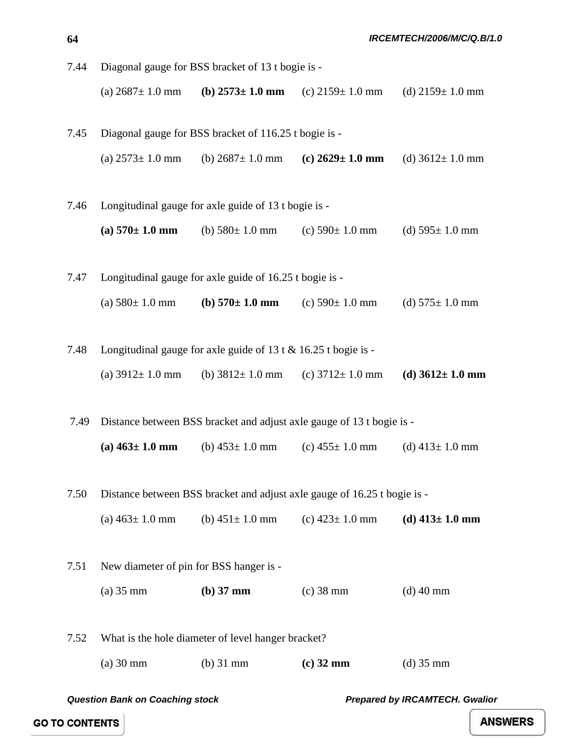- 7.44 Diagonal gauge for BSS bracket of 13 t bogie is (a)  $2687 \pm 1.0$  mm **(b)**  $2573 \pm 1.0$  **mm** (c)  $2159 \pm 1.0$  mm (d)  $2159 \pm 1.0$  mm
- 7.45 Diagonal gauge for BSS bracket of 116.25 t bogie is (a)  $2573 \pm 1.0$  mm (b)  $2687 \pm 1.0$  mm (c)  $2629 \pm 1.0$  mm (d)  $3612 \pm 1.0$  mm
- 7.46 Longitudinal gauge for axle guide of 13 t bogie is **(a)**  $570 \pm 1.0$  **mm** (b)  $580 \pm 1.0$  mm (c)  $590 \pm 1.0$  mm (d)  $595 \pm 1.0$  mm
- 7.47 Longitudinal gauge for axle guide of 16.25 t bogie is (a)  $580 \pm 1.0$  mm **(b)**  $570 \pm 1.0$  **mm** (c)  $590 \pm 1.0$  mm (d)  $575 \pm 1.0$  mm
- 7.48 Longitudinal gauge for axle guide of 13 t & 16.25 t bogie is (a)  $3912 \pm 1.0$  mm (b)  $3812 \pm 1.0$  mm (c)  $3712 \pm 1.0$  mm **(d)**  $3612 \pm 1.0$  **mm**
- 7.49 Distance between BSS bracket and adjust axle gauge of 13 t bogie is (a)  $463 \pm 1.0$  mm (b)  $453 \pm 1.0$  mm (c)  $455 \pm 1.0$  mm (d)  $413 \pm 1.0$  mm
- 7.50 Distance between BSS bracket and adjust axle gauge of 16.25 t bogie is (a)  $463 \pm 1.0$  mm (b)  $451 \pm 1.0$  mm (c)  $423 \pm 1.0$  mm (d)  $413 \pm 1.0$  mm
- 7.51 New diameter of pin for BSS hanger is (a) 35 mm **(b) 37 mm** (c) 38 mm (d) 40 mm 7.52 What is the hole diameter of level hanger bracket?
	- (a) 30 mm (b) 31 mm **(c) 32 mm** (d) 35 mm

**ANSWERS** 

**64**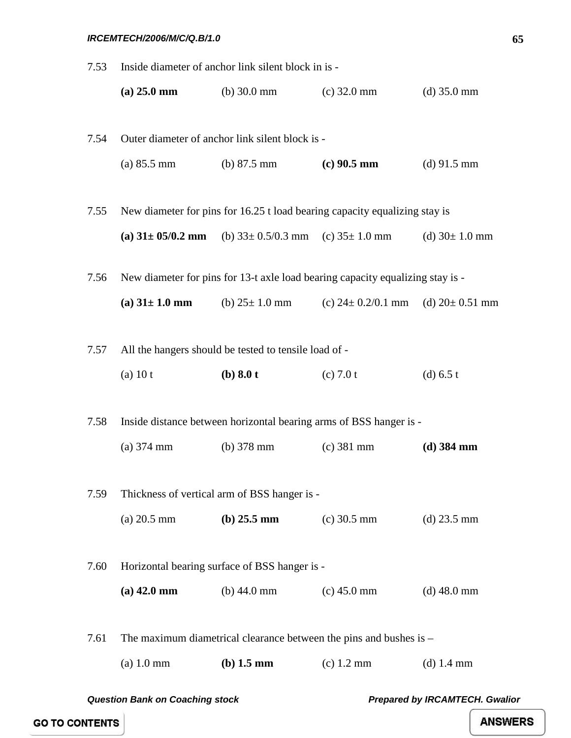### *IRCEMTECH/2006/M/C/Q.B/1.0*

| 7.53 | Inside diameter of anchor link silent block in is -                            |                                                                    |                                                                    |                     |  |  |
|------|--------------------------------------------------------------------------------|--------------------------------------------------------------------|--------------------------------------------------------------------|---------------------|--|--|
|      | $(a) 25.0$ mm                                                                  | (b) $30.0 \text{ mm}$ (c) $32.0 \text{ mm}$                        |                                                                    | $(d)$ 35.0 mm       |  |  |
|      |                                                                                |                                                                    |                                                                    |                     |  |  |
| 7.54 | Outer diameter of anchor link silent block is -                                |                                                                    |                                                                    |                     |  |  |
|      | $(a) 85.5 \text{ mm}$                                                          | (b) $87.5 \text{ mm}$                                              | $(c)$ 90.5 mm                                                      | $(d)$ 91.5 mm       |  |  |
|      |                                                                                |                                                                    |                                                                    |                     |  |  |
| 7.55 | New diameter for pins for 16.25 t load bearing capacity equalizing stay is     |                                                                    |                                                                    |                     |  |  |
|      |                                                                                | (a) $31 \pm 05/0.2$ mm (b) $33 \pm 0.5/0.3$ mm (c) $35 \pm 1.0$ mm |                                                                    | (d) $30 \pm 1.0$ mm |  |  |
| 7.56 | New diameter for pins for 13-t axle load bearing capacity equalizing stay is - |                                                                    |                                                                    |                     |  |  |
|      | (a) $31 \pm 1.0$ mm                                                            |                                                                    | (b) $25 \pm 1.0$ mm (c) $24 \pm 0.2/0.1$ mm (d) $20 \pm 0.51$ mm   |                     |  |  |
|      |                                                                                |                                                                    |                                                                    |                     |  |  |
| 7.57 | All the hangers should be tested to tensile load of -                          |                                                                    |                                                                    |                     |  |  |
|      | $(a)$ 10 t                                                                     | (b) $8.0 t$                                                        | (c) 7.0 t                                                          | (d) $6.5 t$         |  |  |
|      |                                                                                |                                                                    |                                                                    |                     |  |  |
| 7.58 |                                                                                |                                                                    | Inside distance between horizontal bearing arms of BSS hanger is - |                     |  |  |
|      | $(a)$ 374 mm                                                                   | (b) $378 \text{ mm}$                                               | $(c)$ 381 mm                                                       | $(d)$ 384 mm        |  |  |
|      |                                                                                |                                                                    |                                                                    |                     |  |  |
| 7.59 |                                                                                | Thickness of vertical arm of BSS hanger is -                       |                                                                    |                     |  |  |
|      | $(a) 20.5$ mm                                                                  | (b) $25.5 \text{ mm}$                                              | $(c)$ 30.5 mm                                                      | $(d)$ 23.5 mm       |  |  |
|      |                                                                                |                                                                    |                                                                    |                     |  |  |
| 7.60 | Horizontal bearing surface of BSS hanger is -                                  |                                                                    |                                                                    |                     |  |  |
|      | $(a)$ 42.0 mm                                                                  | (b) $44.0 \text{ mm}$                                              | $(c)$ 45.0 mm                                                      | $(d)$ 48.0 mm       |  |  |
| 7.61 | The maximum diametrical clearance between the pins and bushes is $-$           |                                                                    |                                                                    |                     |  |  |
|      |                                                                                |                                                                    |                                                                    |                     |  |  |
|      | $(a)$ 1.0 mm                                                                   | $(b)$ 1.5 mm                                                       | $(c)$ 1.2 mm                                                       | $(d)$ 1.4 mm        |  |  |
|      |                                                                                |                                                                    |                                                                    |                     |  |  |

*Question Bank on Coaching stock Prepared by IRCAMTECH. Gwalior* 

**GO TO CONTENTS**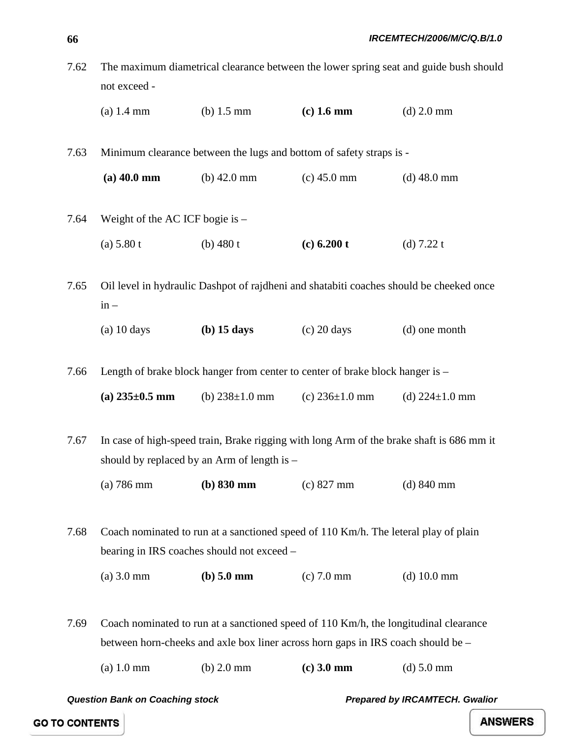| 7.62 | The maximum diametrical clearance between the lower spring seat and guide bush should |                      |              |              |  |
|------|---------------------------------------------------------------------------------------|----------------------|--------------|--------------|--|
|      | not exceed -                                                                          |                      |              |              |  |
|      | $(a)$ 1.4 mm                                                                          | (b) $1.5 \text{ mm}$ | $(c)$ 1.6 mm | $(d)$ 2.0 mm |  |

7.63 Minimum clearance between the lugs and bottom of safety straps is -

**(a) 40.0 mm** (b) 42.0 mm (c) 45.0 mm (d) 48.0 mm

7.64 Weight of the AC ICF bogie is – (a) 5.80 t (b) 480 t **(c) 6.200 t** (d) 7.22 t

7.65 Oil level in hydraulic Dashpot of rajdheni and shatabiti coaches should be cheeked once  $in -$ 

(a) 10 days **(b) 15 days** (c) 20 days (d) one month

7.66 Length of brake block hanger from center to center of brake block hanger is – (a)  $235\pm0.5$  mm (b)  $238\pm1.0$  mm (c)  $236\pm1.0$  mm (d)  $224\pm1.0$  mm

7.67 In case of high-speed train, Brake rigging with long Arm of the brake shaft is 686 mm it should by replaced by an Arm of length is –

(a) 786 mm **(b) 830 mm** (c) 827 mm (d) 840 mm

7.68 Coach nominated to run at a sanctioned speed of 110 Km/h. The leteral play of plain bearing in IRS coaches should not exceed –

(a) 3.0 mm **(b) 5.0 mm** (c) 7.0 mm (d) 10.0 mm

7.69 Coach nominated to run at a sanctioned speed of 110 Km/h, the longitudinal clearance between horn-cheeks and axle box liner across horn gaps in IRS coach should be –

(a) 1.0 mm (b) 2.0 mm **(c) 3.0 mm** (d) 5.0 mm

*Question Bank on Coaching stock Prepared by IRCAMTECH. Gwalior* 

**GO TO CONTENTS**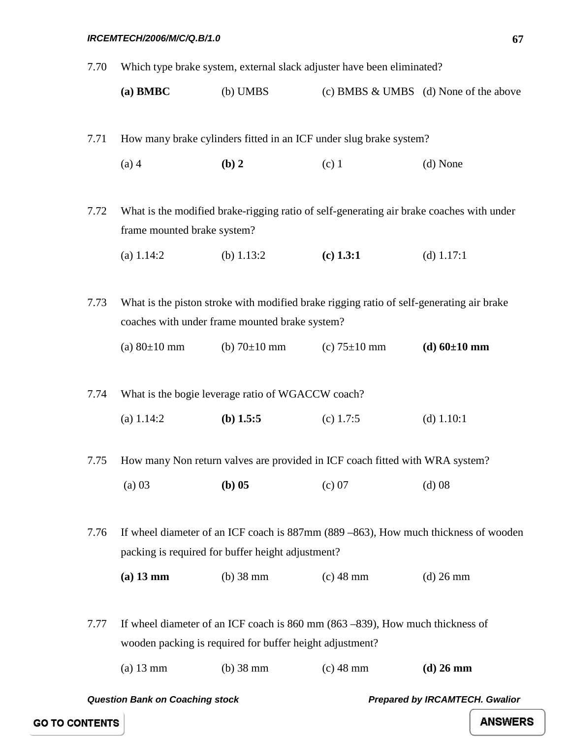7.70 Which type brake system, external slack adjuster have been eliminated?

| $(a)$ BMBC | $(b)$ UMBS |  | (c) BMBS $\&$ UMBS (d) None of the above |
|------------|------------|--|------------------------------------------|
|------------|------------|--|------------------------------------------|

7.71 How many brake cylinders fitted in an ICF under slug brake system?

(a) 4 **(b) 2** (c) 1 (d) None

7.72 What is the modified brake-rigging ratio of self-generating air brake coaches with under frame mounted brake system?

(a) 1.14:2 (b) 1.13:2 **(c) 1.3:1** (d) 1.17:1

7.73 What is the piston stroke with modified brake rigging ratio of self-generating air brake coaches with under frame mounted brake system?

(a)  $80 \pm 10$  mm (b)  $70 \pm 10$  mm (c)  $75 \pm 10$  mm **(d)**  $60 \pm 10$  **mm** 

7.74 What is the bogie leverage ratio of WGACCW coach? (a) 1.14:2 **(b) 1.5:5** (c) 1.7:5 (d) 1.10:1

7.75 How many Non return valves are provided in ICF coach fitted with WRA system?

(a) 03 **(b) 05** (c) 07 (d) 08

7.76 If wheel diameter of an ICF coach is 887mm (889 –863), How much thickness of wooden packing is required for buffer height adjustment?

**(a) 13 mm** (b) 38 mm (c) 48 mm (d) 26 mm

7.77 If wheel diameter of an ICF coach is 860 mm (863 –839), How much thickness of wooden packing is required for buffer height adjustment?

(a) 13 mm (b) 38 mm (c) 48 mm **(d) 26 mm**

*Question Bank on Coaching stock Prepared by IRCAMTECH. Gwalior* 

**67**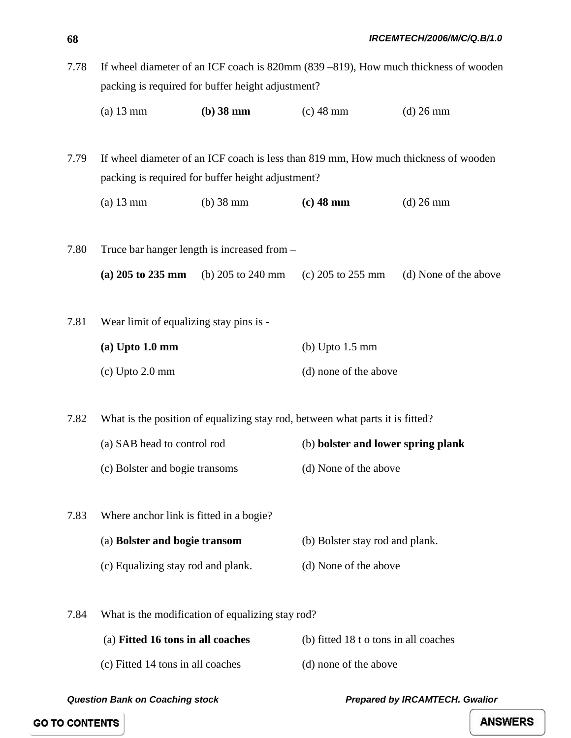7.78 If wheel diameter of an ICF coach is 820mm (839 –819), How much thickness of wooden packing is required for buffer height adjustment?

(a) 13 mm **(b) 38 mm** (c) 48 mm (d) 26 mm

7.79 If wheel diameter of an ICF coach is less than 819 mm, How much thickness of wooden packing is required for buffer height adjustment?

- (a) 13 mm (b) 38 mm **(c) 48 mm** (d) 26 mm
- 7.80 Truce bar hanger length is increased from **(a) 205 to 235 mm** (b) 205 to 240 mm (c) 205 to 255 mm (d) None of the above
- 7.81 Wear limit of equalizing stay pins is -

| $(a)$ Upto 1.0 mm | (b) Upto $1.5 \text{ mm}$ |  |
|-------------------|---------------------------|--|
| $(c)$ Upto 2.0 mm | (d) none of the above     |  |

7.82 What is the position of equalizing stay rod, between what parts it is fitted?

- (a) SAB head to control rod (b) **bolster and lower spring plank**
	- (c) Bolster and bogie transoms (d) None of the above
- 7.83 Where anchor link is fitted in a bogie? (a) **Bolster and bogie transom** (b) Bolster stay rod and plank.
	- (c) Equalizing stay rod and plank. (d) None of the above

7.84 What is the modification of equalizing stay rod?

| (a) Fitted 16 tons in all coaches | (b) fitted 18 t o tons in all coaches |
|-----------------------------------|---------------------------------------|
| (c) Fitted 14 tons in all coaches | (d) none of the above                 |

*Question Bank on Coaching stock Prepared by IRCAMTECH. Gwalior* 

**GO TO CONTENTS**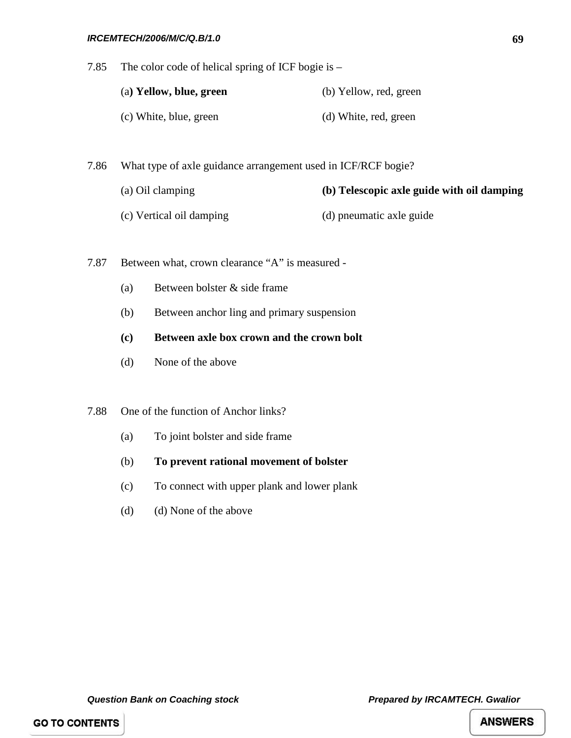#### *IRCEMTECH/2006/M/C/Q.B/1.0*

7.85 The color code of helical spring of ICF bogie is –

| (a) Yellow, blue, green | (b) Yellow, red, green |  |
|-------------------------|------------------------|--|
| (c) White, blue, green  | (d) White, red, green  |  |

7.86 What type of axle guidance arrangement used in ICF/RCF bogie?

- (a) Oil clamping **(b) Telescopic axle guide with oil damping**
- (c) Vertical oil damping (d) pneumatic axle guide
- 7.87 Between what, crown clearance "A" is measured
	- (a) Between bolster & side frame
	- (b) Between anchor ling and primary suspension
	- **(c) Between axle box crown and the crown bolt**
	- (d) None of the above

7.88 One of the function of Anchor links?

- (a) To joint bolster and side frame
- (b) **To prevent rational movement of bolster**
- (c) To connect with upper plank and lower plank
- (d) (d) None of the above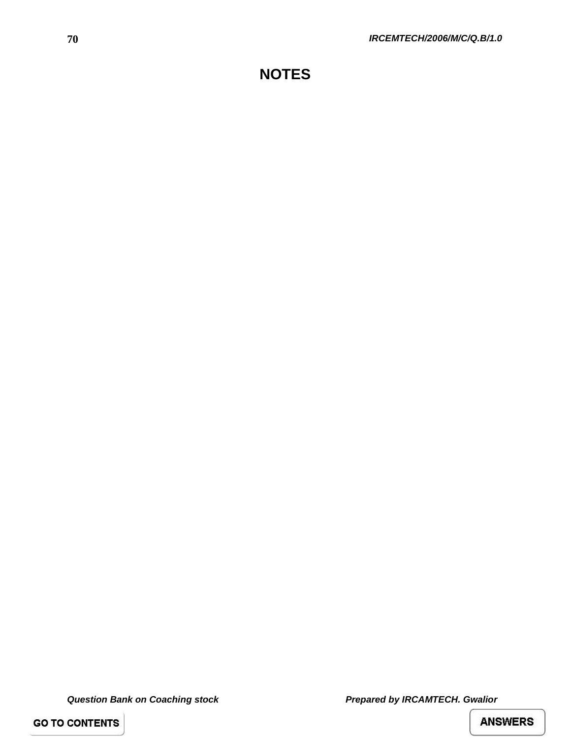# **NOTES**

*Question Bank on Coaching stock Prepared by IRCAMTECH. Gwalior* 

**GO TO CONTENTS**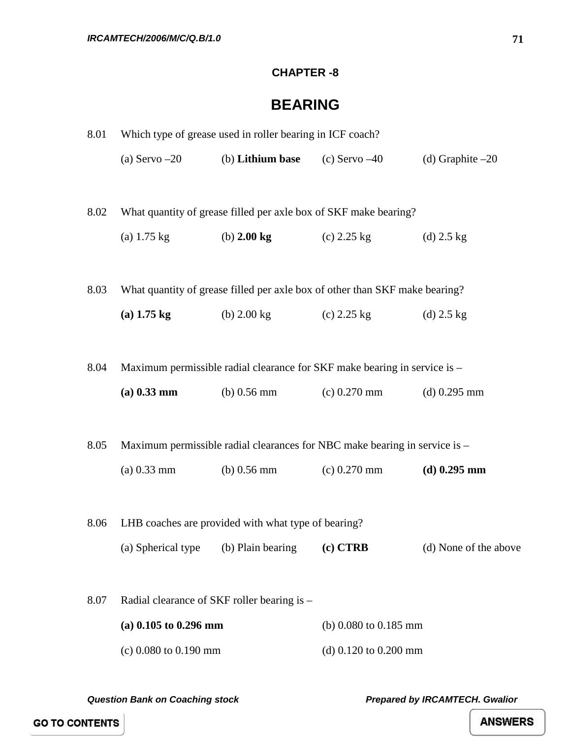#### **CHAPTER -8**

### **BEARING**

| 8.01 | Which type of grease used in roller bearing in ICF coach? |                                                     |                                                                             |                       |
|------|-----------------------------------------------------------|-----------------------------------------------------|-----------------------------------------------------------------------------|-----------------------|
|      | (a) Servo $-20$                                           | (b) Lithium base (c) Servo $-40$                    |                                                                             | (d) Graphite $-20$    |
| 8.02 |                                                           |                                                     | What quantity of grease filled per axle box of SKF make bearing?            |                       |
|      | (a) $1.75 \text{ kg}$                                     | (b) $2.00 \text{ kg}$                               | $(c)$ 2.25 kg                                                               | (d) $2.5 \text{ kg}$  |
| 8.03 |                                                           |                                                     | What quantity of grease filled per axle box of other than SKF make bearing? |                       |
|      | $(a)$ 1.75 kg                                             | (b) 2.00 kg                                         | $(c)$ 2.25 kg                                                               | (d) $2.5 \text{ kg}$  |
|      |                                                           |                                                     |                                                                             |                       |
| 8.04 |                                                           |                                                     | Maximum permissible radial clearance for SKF make bearing in service is -   |                       |
|      | $(a)$ 0.33 mm                                             | $(b)$ 0.56 mm                                       | $(c)$ 0.270 mm                                                              | $(d)$ 0.295 mm        |
|      |                                                           |                                                     |                                                                             |                       |
| 8.05 |                                                           |                                                     | Maximum permissible radial clearances for NBC make bearing in service is –  |                       |
|      | $(a) 0.33$ mm                                             | (b) $0.56$ mm                                       | $(c)$ 0.270 mm                                                              | $(d)$ 0.295 mm        |
|      |                                                           |                                                     |                                                                             |                       |
| 8.06 |                                                           | LHB coaches are provided with what type of bearing? |                                                                             |                       |
|      | (a) Spherical type (b) Plain bearing                      |                                                     | (c) CTRB                                                                    | (d) None of the above |
|      |                                                           |                                                     |                                                                             |                       |
| 8.07 |                                                           | Radial clearance of SKF roller bearing is -         |                                                                             |                       |
|      | (a) $0.105$ to $0.296$ mm                                 |                                                     | (b) $0.080$ to $0.185$ mm                                                   |                       |
|      | $(c)$ 0.080 to 0.190 mm                                   |                                                     | (d) $0.120$ to $0.200$ mm                                                   |                       |
|      |                                                           |                                                     |                                                                             |                       |

*Question Bank on Coaching stock Prepared by IRCAMTECH. Gwalior* 

**GO TO CONTENTS**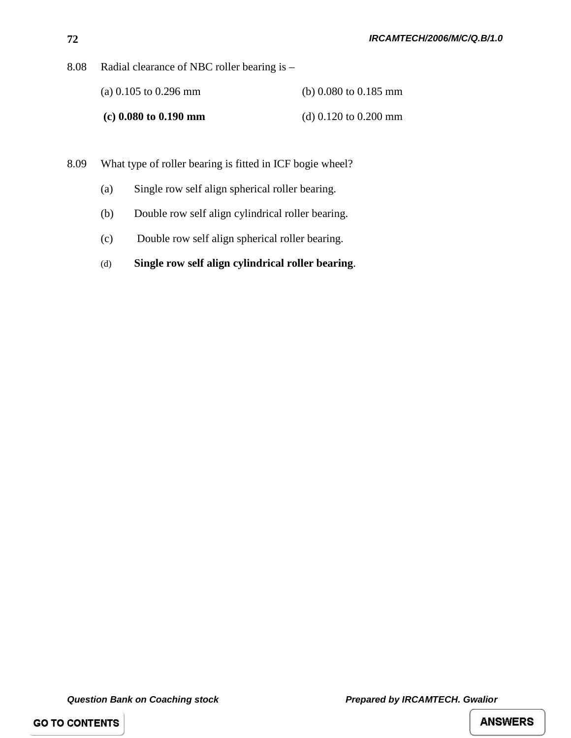8.08 Radial clearance of NBC roller bearing is –

| (a) 0.105 to 0.296 mm   | (b) $0.080$ to $0.185$ mm |
|-------------------------|---------------------------|
| $(c)$ 0.080 to 0.190 mm | (d) $0.120$ to $0.200$ mm |

8.09 What type of roller bearing is fitted in ICF bogie wheel?

- (a) Single row self align spherical roller bearing.
- (b) Double row self align cylindrical roller bearing.
- (c) Double row self align spherical roller bearing.
- (d) **Single row self align cylindrical roller bearing**.

**GO TO CONTENTS**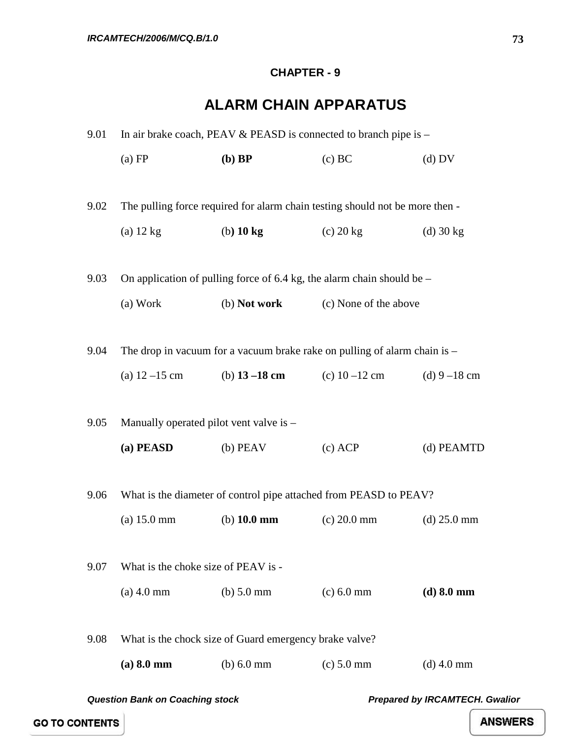#### **CHAPTER - 9**

## **ALARM CHAIN APPARATUS**

| 9.01 | In air brake coach, PEAV $&$ PEASD is connected to branch pipe is $-$ |                       |                                                                              |                                       |  |
|------|-----------------------------------------------------------------------|-----------------------|------------------------------------------------------------------------------|---------------------------------------|--|
|      | (a) FP                                                                | $(b)$ BP              | (c) BC                                                                       | $(d)$ DV                              |  |
|      |                                                                       |                       |                                                                              |                                       |  |
| 9.02 |                                                                       |                       | The pulling force required for alarm chain testing should not be more then - |                                       |  |
|      | $(a)$ 12 kg                                                           | $(b)$ 10 kg           | $(c)$ 20 kg                                                                  | $(d)$ 30 kg                           |  |
|      |                                                                       |                       |                                                                              |                                       |  |
| 9.03 |                                                                       |                       | On application of pulling force of 6.4 kg, the alarm chain should be $-$     |                                       |  |
|      | (a) Work                                                              | (b) Not work          | (c) None of the above                                                        |                                       |  |
|      |                                                                       |                       |                                                                              |                                       |  |
| 9.04 |                                                                       |                       | The drop in vacuum for a vacuum brake rake on pulling of alarm chain is $-$  |                                       |  |
|      |                                                                       |                       | (a) $12-15$ cm (b) $13-18$ cm (c) $10-12$ cm (d) $9-18$ cm                   |                                       |  |
|      |                                                                       |                       |                                                                              |                                       |  |
| 9.05 | Manually operated pilot vent valve is -                               |                       |                                                                              |                                       |  |
|      | (a) PEASD                                                             | $(b)$ PEAV            | $(c)$ ACP                                                                    | (d) PEAMTD                            |  |
|      |                                                                       |                       |                                                                              |                                       |  |
| 9.06 |                                                                       |                       | What is the diameter of control pipe attached from PEASD to PEAV?            |                                       |  |
|      | (a) 15.0 mm                                                           | (b) $10.0 \text{ mm}$ | $(c) 20.0$ mm                                                                | $(d)$ 25.0 mm                         |  |
|      |                                                                       |                       |                                                                              |                                       |  |
| 9.07 | What is the choke size of PEAV is -                                   |                       |                                                                              |                                       |  |
|      | $(a)$ 4.0 mm                                                          | $(b)$ 5.0 mm          | $(c) 6.0$ mm                                                                 | $(d) 8.0$ mm                          |  |
|      |                                                                       |                       |                                                                              |                                       |  |
| 9.08 | What is the chock size of Guard emergency brake valve?                |                       |                                                                              |                                       |  |
|      | $(a) 8.0$ mm                                                          | $(b)$ 6.0 mm          | $(c) 5.0$ mm                                                                 | $(d)$ 4.0 mm                          |  |
|      | <b>Question Bank on Coaching stock</b>                                |                       |                                                                              | <b>Prepared by IRCAMTECH. Gwalior</b> |  |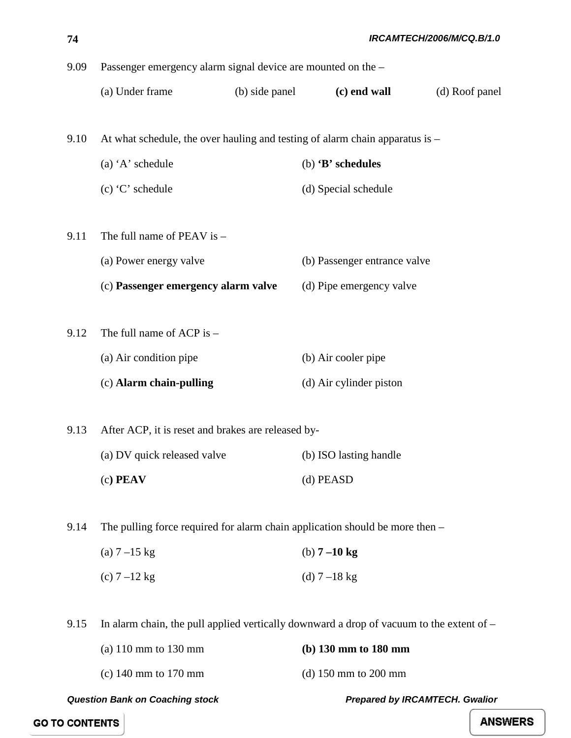| 74   | IRCAMTECH/2006/M/CQ.B/1.0                                                                |                |                              |                |
|------|------------------------------------------------------------------------------------------|----------------|------------------------------|----------------|
| 9.09 | Passenger emergency alarm signal device are mounted on the -                             |                |                              |                |
|      | (a) Under frame                                                                          | (b) side panel | (c) end wall                 | (d) Roof panel |
| 9.10 | At what schedule, the over hauling and testing of alarm chain apparatus is –             |                |                              |                |
|      | (a) 'A' schedule                                                                         |                | (b) 'B' schedules            |                |
|      | $(c)$ 'C' schedule                                                                       |                | (d) Special schedule         |                |
| 9.11 | The full name of PEAV is $-$                                                             |                |                              |                |
|      | (a) Power energy valve                                                                   |                | (b) Passenger entrance valve |                |
|      | (c) Passenger emergency alarm valve                                                      |                | (d) Pipe emergency valve     |                |
| 9.12 | The full name of ACP is -                                                                |                |                              |                |
|      | (a) Air condition pipe                                                                   |                | (b) Air cooler pipe          |                |
|      | (c) Alarm chain-pulling                                                                  |                | (d) Air cylinder piston      |                |
| 9.13 | After ACP, it is reset and brakes are released by-                                       |                |                              |                |
|      | (a) DV quick released valve                                                              |                | (b) ISO lasting handle       |                |
|      | $(c)$ PEAV                                                                               |                | (d) PEASD                    |                |
| 9.14 | The pulling force required for alarm chain application should be more then $-$           |                |                              |                |
|      | (a) $7 - 15$ kg                                                                          |                | (b) $7 - 10$ kg              |                |
|      | (c) $7 - 12$ kg                                                                          |                | (d) $7 - 18$ kg              |                |
| 9.15 | In alarm chain, the pull applied vertically downward a drop of vacuum to the extent of – |                |                              |                |
|      | (a) 110 mm to 130 mm                                                                     |                | (b) 130 mm to 180 mm         |                |
|      | (c) 140 mm to 170 mm                                                                     |                | (d) 150 mm to 200 mm         |                |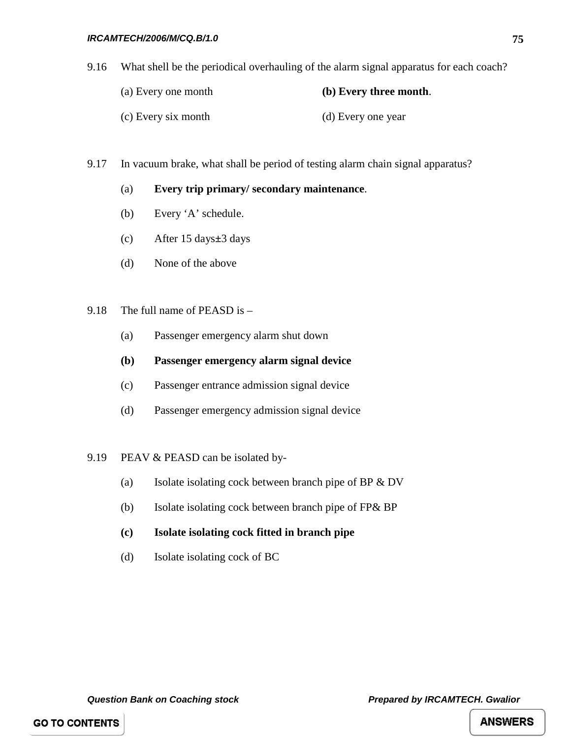9.16 What shell be the periodical overhauling of the alarm signal apparatus for each coach?

| (a) Every one month | (b) Every three month. |
|---------------------|------------------------|
| (c) Every six month | (d) Every one year     |

9.17 In vacuum brake, what shall be period of testing alarm chain signal apparatus?

#### (a) **Every trip primary/ secondary maintenance**.

- (b) Every 'A' schedule.
- (c) After 15 days**±**3 days
- (d) None of the above

#### 9.18 The full name of PEASD is –

- (a) Passenger emergency alarm shut down
- **(b) Passenger emergency alarm signal device**
- (c) Passenger entrance admission signal device
- (d) Passenger emergency admission signal device
- 9.19 PEAV & PEASD can be isolated by-
	- (a) Isolate isolating cock between branch pipe of BP & DV
	- (b) Isolate isolating cock between branch pipe of FP& BP
	- **(c) Isolate isolating cock fitted in branch pipe**
	- (d) Isolate isolating cock of BC

*Question Bank on Coaching stock Prepared by IRCAMTECH. Gwalior*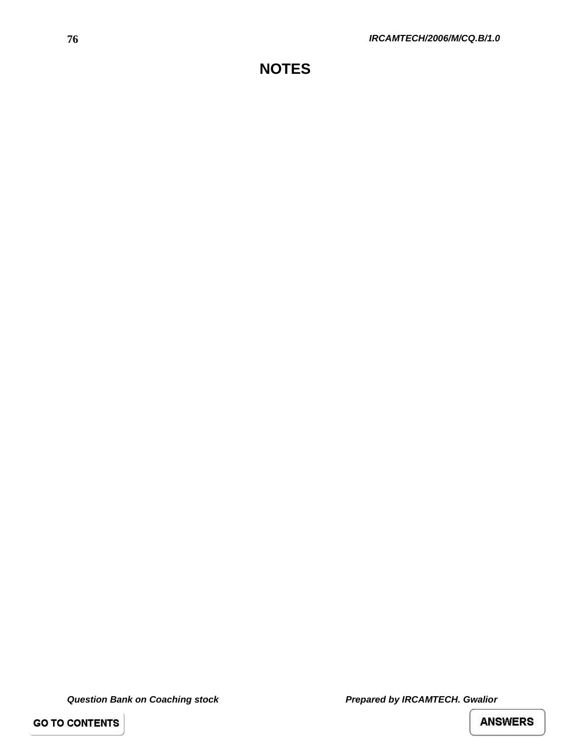**GO TO CONTENTS**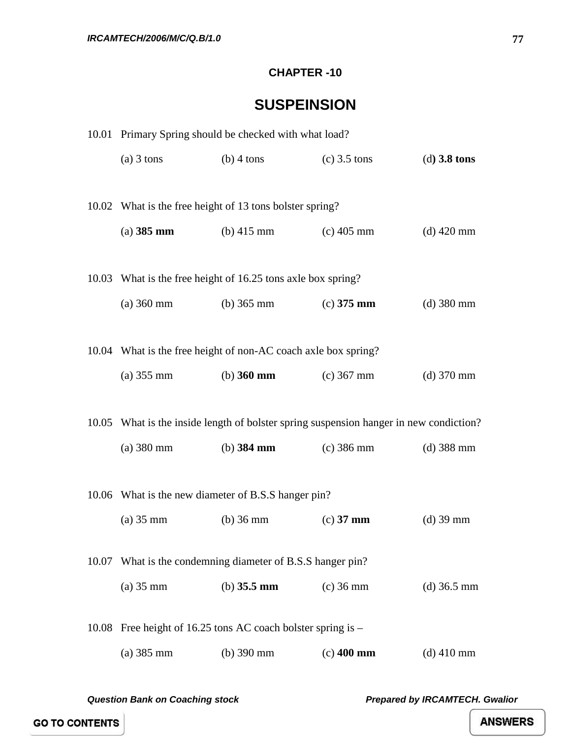#### **CHAPTER -10**

## **SUSPEINSION**

|       | 10.01 Primary Spring should be checked with what load?         |                                                          |                                                                                        |                |
|-------|----------------------------------------------------------------|----------------------------------------------------------|----------------------------------------------------------------------------------------|----------------|
|       | $(a)$ 3 tons                                                   | $(b)$ 4 tons                                             | $(c)$ 3.5 tons                                                                         | (d) $3.8$ tons |
|       |                                                                |                                                          |                                                                                        |                |
|       | 10.02 What is the free height of 13 tons bolster spring?       |                                                          |                                                                                        |                |
|       | $(a)$ 385 mm                                                   | (b) $415 \text{ mm}$                                     | $(c)$ 405 mm                                                                           | $(d)$ 420 mm   |
|       |                                                                |                                                          |                                                                                        |                |
|       | 10.03 What is the free height of 16.25 tons axle box spring?   |                                                          |                                                                                        |                |
|       | $(a)$ 360 mm                                                   | (b) $365 \text{ mm}$                                     | $(c)$ 375 mm                                                                           | $(d)$ 380 mm   |
|       |                                                                |                                                          |                                                                                        |                |
|       | 10.04 What is the free height of non-AC coach axle box spring? |                                                          |                                                                                        |                |
|       | $(a) 355$ mm                                                   | (b) $360 \text{ mm}$                                     | $(c)$ 367 mm                                                                           | $(d)$ 370 mm   |
|       |                                                                |                                                          |                                                                                        |                |
|       |                                                                |                                                          | 10.05 What is the inside length of bolster spring suspension hanger in new condiction? |                |
|       | $(a) 380$ mm                                                   | (b) $384 \text{ mm}$                                     | $(c)$ 386 mm                                                                           | $(d)$ 388 mm   |
|       |                                                                |                                                          |                                                                                        |                |
|       | 10.06 What is the new diameter of B.S.S hanger pin?            |                                                          |                                                                                        |                |
|       | $(a)$ 35 mm                                                    | $(b)$ 36 mm                                              | $(c)$ 37 mm                                                                            | $(d)$ 39 mm    |
| 10.07 |                                                                | What is the condemning diameter of B.S.S hanger pin?     |                                                                                        |                |
|       | $(a)$ 35 mm                                                    | (b) $35.5 \text{ mm}$                                    | $(c)$ 36 mm                                                                            | $(d)$ 36.5 mm  |
|       |                                                                |                                                          |                                                                                        |                |
| 10.08 |                                                                | Free height of 16.25 tons AC coach bolster spring is $-$ |                                                                                        |                |
|       | $(a)$ 385 mm                                                   | $(b)$ 390 mm                                             | $(c)$ 400 mm                                                                           | $(d)$ 410 mm   |
|       |                                                                |                                                          |                                                                                        |                |

*Question Bank on Coaching stock Prepared by IRCAMTECH. Gwalior*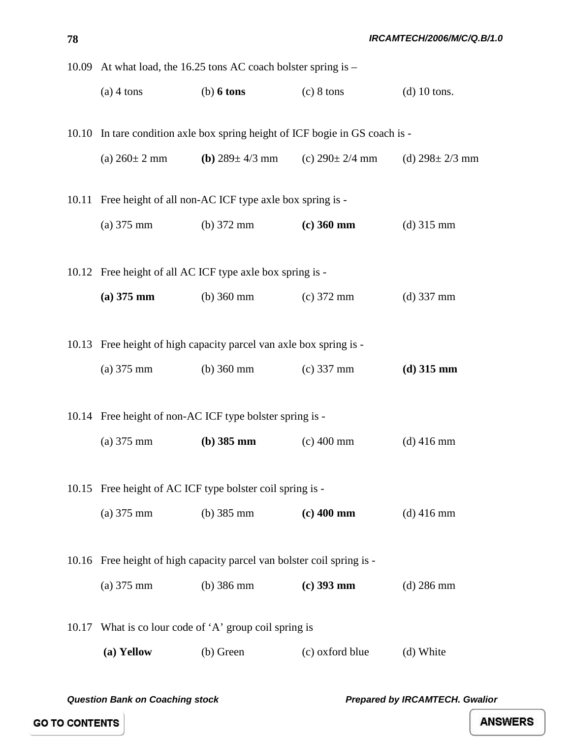|       | 10.09 At what load, the 16.25 tons AC coach bolster spring is - |                                                                                   |                      |                      |
|-------|-----------------------------------------------------------------|-----------------------------------------------------------------------------------|----------------------|----------------------|
|       | $(a)$ 4 tons                                                    | $(b)$ 6 tons                                                                      | $(c) 8 \text{ tons}$ | $(d)$ 10 tons.       |
|       |                                                                 |                                                                                   |                      |                      |
|       |                                                                 | 10.10 In tare condition axle box spring height of ICF bogie in GS coach is -      |                      |                      |
|       |                                                                 | (a) $260 \pm 2$ mm (b) $289 \pm 4/3$ mm (c) $290 \pm 2/4$ mm (d) $298 \pm 2/3$ mm |                      |                      |
|       |                                                                 | 10.11 Free height of all non-AC ICF type axle box spring is -                     |                      |                      |
|       |                                                                 |                                                                                   |                      |                      |
|       |                                                                 | (a) $375 \text{ mm}$ (b) $372 \text{ mm}$                                         | $(c)$ 360 mm         | (d) $315 \text{ mm}$ |
|       |                                                                 | 10.12 Free height of all AC ICF type axle box spring is -                         |                      |                      |
|       |                                                                 |                                                                                   |                      |                      |
|       |                                                                 | (a) 375 mm (b) 360 mm (c) 372 mm                                                  |                      | $(d)$ 337 mm         |
|       |                                                                 |                                                                                   |                      |                      |
|       |                                                                 | 10.13 Free height of high capacity parcel van axle box spring is -                |                      |                      |
|       | $(a) 375$ mm                                                    | (b) 360 mm (c) 337 mm                                                             |                      | $(d)$ 315 mm         |
|       |                                                                 |                                                                                   |                      |                      |
|       |                                                                 | 10.14 Free height of non-AC ICF type bolster spring is -                          |                      |                      |
|       | $(a) 375$ mm                                                    | (b) $385 \text{ mm}$                                                              | $(c)$ 400 mm         | $(d)$ 416 mm         |
|       |                                                                 |                                                                                   |                      |                      |
|       |                                                                 | 10.15 Free height of AC ICF type bolster coil spring is -                         |                      |                      |
|       | $(a) 375$ mm                                                    | (b) $385 \text{ mm}$                                                              | $(c)$ 400 mm         | $(d)$ 416 mm         |
|       |                                                                 |                                                                                   |                      |                      |
|       |                                                                 | 10.16 Free height of high capacity parcel van bolster coil spring is -            |                      |                      |
|       | $(a) 375$ mm                                                    | $(b)$ 386 mm                                                                      | $(c)$ 393 mm         | $(d)$ 286 mm         |
|       |                                                                 |                                                                                   |                      |                      |
| 10.17 |                                                                 | What is co lour code of 'A' group coil spring is                                  |                      |                      |
|       | (a) Yellow                                                      | (b) Green                                                                         | (c) oxford blue      | (d) White            |

**78**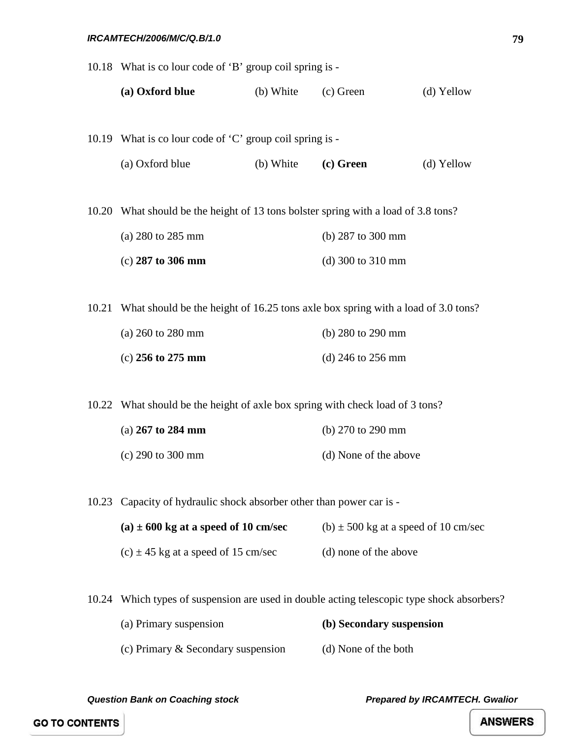#### *IRCAMTECH/2006/M/C/Q.B/1.0*

|       | 10.18 What is colour code of 'B' group coil spring is -                                |           |                                          |            |
|-------|----------------------------------------------------------------------------------------|-----------|------------------------------------------|------------|
|       | (a) Oxford blue                                                                        | (b) White | $(c)$ Green                              | (d) Yellow |
|       |                                                                                        |           |                                          |            |
|       | 10.19 What is colour code of 'C' group coil spring is -                                |           |                                          |            |
|       | (a) Oxford blue                                                                        | (b) White | (c) Green                                | (d) Yellow |
|       | 10.20 What should be the height of 13 tons bolster spring with a load of 3.8 tons?     |           |                                          |            |
|       | (a) 280 to 285 mm                                                                      |           | (b) 287 to 300 mm                        |            |
|       | $(c)$ 287 to 306 mm                                                                    |           | (d) 300 to 310 mm                        |            |
|       |                                                                                        |           |                                          |            |
|       | 10.21 What should be the height of 16.25 tons axle box spring with a load of 3.0 tons? |           |                                          |            |
|       | (a) 260 to 280 mm                                                                      |           | (b) 280 to 290 mm                        |            |
|       | (c) $256$ to $275$ mm                                                                  |           | (d) $246$ to $256$ mm                    |            |
|       |                                                                                        |           |                                          |            |
|       | 10.22 What should be the height of axle box spring with check load of 3 tons?          |           |                                          |            |
|       | (a) 267 to 284 mm                                                                      |           | (b) 270 to 290 mm                        |            |
|       | $(c)$ 290 to 300 mm                                                                    |           | (d) None of the above                    |            |
|       |                                                                                        |           |                                          |            |
|       | 10.23 Capacity of hydraulic shock absorber other than power car is -                   |           |                                          |            |
|       | (a) $\pm$ 600 kg at a speed of 10 cm/sec                                               |           | (b) $\pm$ 500 kg at a speed of 10 cm/sec |            |
|       | (c) $\pm$ 45 kg at a speed of 15 cm/sec                                                |           | (d) none of the above                    |            |
|       |                                                                                        |           |                                          |            |
| 10.24 | Which types of suspension are used in double acting telescopic type shock absorbers?   |           |                                          |            |
|       | (a) Primary suspension                                                                 |           | (b) Secondary suspension                 |            |

(c) Primary & Secondary suspension (d) None of the both

*Question Bank on Coaching stock Prepared by IRCAMTECH. Gwalior* 

**GO TO CONTENTS**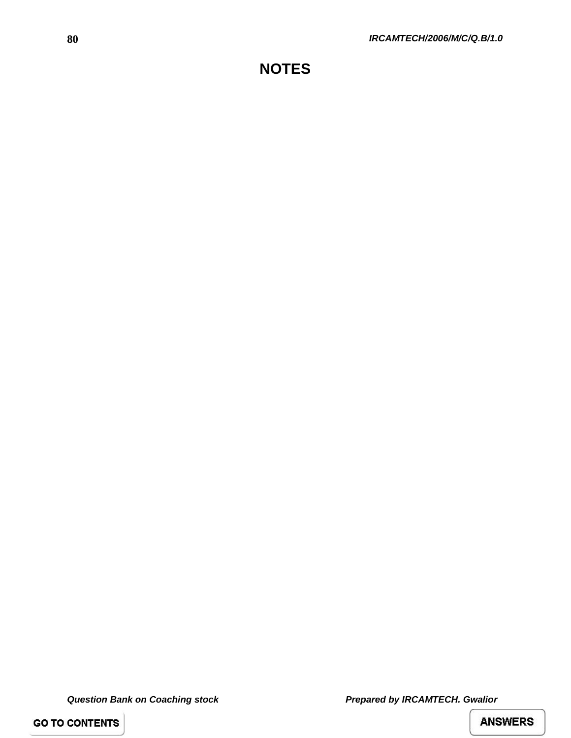**GO TO CONTENTS**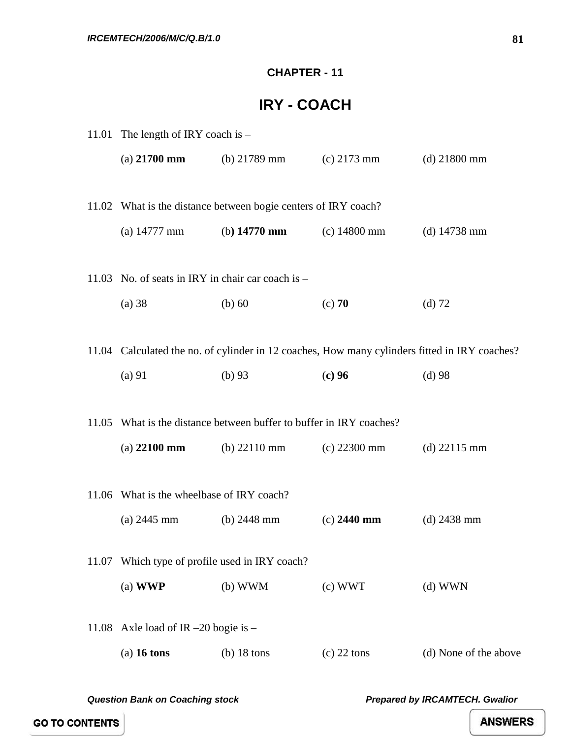#### **CHAPTER - 11**

## **IRY - COACH**

|       | 11.01 The length of IRY coach is $-$              |                                                                      |                |                                                                                               |
|-------|---------------------------------------------------|----------------------------------------------------------------------|----------------|-----------------------------------------------------------------------------------------------|
|       | (a) $21700$ mm                                    | (b) $21789$ mm                                                       | $(c)$ 2173 mm  | $(d)$ 21800 mm                                                                                |
|       |                                                   | 11.02 What is the distance between bogie centers of IRY coach?       |                |                                                                                               |
|       |                                                   | (a) $14777 \text{ mm}$ (b) $14770 \text{ mm}$ (c) $14800 \text{ mm}$ |                | (d) $14738$ mm                                                                                |
|       | 11.03 No. of seats in IRY in chair car coach is - |                                                                      |                |                                                                                               |
|       | $(a)$ 38                                          | $(b)$ 60                                                             | $(c)$ 70       | $(d)$ 72                                                                                      |
|       |                                                   |                                                                      |                | 11.04 Calculated the no. of cylinder in 12 coaches, How many cylinders fitted in IRY coaches? |
|       | (a) 91                                            | $(b)$ 93                                                             | $(c)$ 96       | $(d)$ 98                                                                                      |
|       |                                                   | 11.05 What is the distance between buffer to buffer in IRY coaches?  |                |                                                                                               |
|       | $(a)$ 22100 mm                                    | (b) $22110 \text{ mm}$                                               | $(c)$ 22300 mm | (d) $22115 \text{ mm}$                                                                        |
|       | 11.06 What is the wheelbase of IRY coach?         |                                                                      |                |                                                                                               |
|       | (a) $2445 \text{ mm}$                             | (b) $2448$ mm                                                        | $(c)$ 2440 mm  | $(d)$ 2438 mm                                                                                 |
| 11.07 | Which type of profile used in IRY coach?          |                                                                      |                |                                                                                               |
|       | $(a)$ WWP                                         | $(b)$ WWM                                                            | $(c)$ WWT      | $(d)$ WWN                                                                                     |
| 11.08 | Axle load of IR $-20$ bogie is $-$                |                                                                      |                |                                                                                               |
|       | $(a)$ 16 tons                                     | $(b)$ 18 tons                                                        | $(c)$ 22 tons  | (d) None of the above                                                                         |
|       |                                                   |                                                                      |                |                                                                                               |

*Question Bank on Coaching stock Prepared by IRCAMTECH. Gwalior*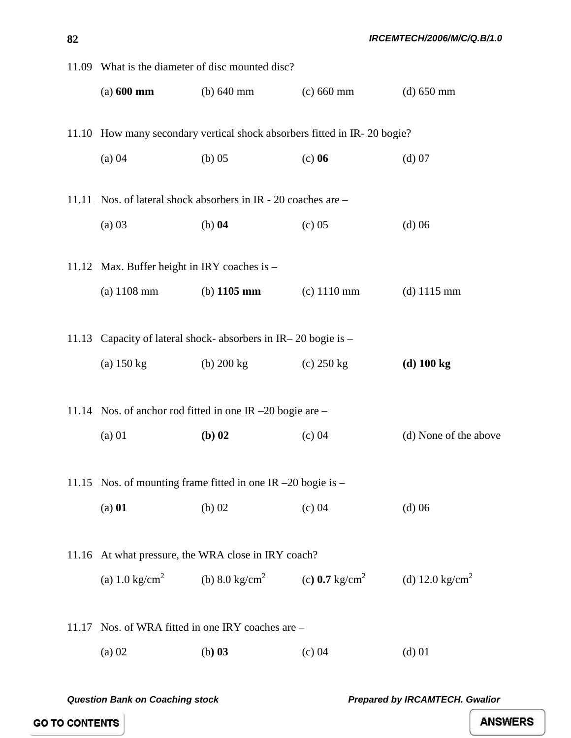|       | 11.09 What is the diameter of disc mounted disc?                 |                                                          |                                                                                  |                           |  |
|-------|------------------------------------------------------------------|----------------------------------------------------------|----------------------------------------------------------------------------------|---------------------------|--|
|       | $(a) 600$ mm                                                     | (b) $640 \text{ mm}$                                     | $(c) 660$ mm                                                                     | $(d) 650$ mm              |  |
|       |                                                                  |                                                          | 11.10 How many secondary vertical shock absorbers fitted in IR-20 bogie?         |                           |  |
|       | $(a)$ 04                                                         | $(b)$ 05                                                 | $(c)$ 06                                                                         | (d) 07                    |  |
|       | 11.11 Nos. of lateral shock absorbers in IR - 20 coaches are -   |                                                          |                                                                                  |                           |  |
|       | $(a)$ 03                                                         | $(b)$ 04                                                 | (c) 05                                                                           | $(d)$ 06                  |  |
|       | 11.12 Max. Buffer height in IRY coaches is -                     |                                                          |                                                                                  |                           |  |
|       | $(a)$ 1108 mm                                                    | (b) $1105 \text{ mm}$ (c) $1110 \text{ mm}$              |                                                                                  | $(d)$ 1115 mm             |  |
| 11.13 |                                                                  | Capacity of lateral shock- absorbers in IR-20 bogie is - |                                                                                  |                           |  |
|       | (a) $150 \text{ kg}$                                             | (b) 200 kg                                               | (c) $250 \text{ kg}$                                                             | $(d)$ 100 kg              |  |
|       | 11.14 Nos. of anchor rod fitted in one IR $-20$ bogie are $-$    |                                                          |                                                                                  |                           |  |
|       | $(a)$ 01                                                         | $(b)$ 02                                                 | $(c)$ 04                                                                         | (d) None of the above     |  |
|       | 11.15 Nos. of mounting frame fitted in one IR $-20$ bogie is $-$ |                                                          |                                                                                  |                           |  |
|       | (a) 01                                                           | $(b)$ 02                                                 | (c) 04                                                                           | $(d)$ 06                  |  |
|       | 11.16 At what pressure, the WRA close in IRY coach?              |                                                          |                                                                                  |                           |  |
|       |                                                                  |                                                          | (a) 1.0 kg/cm <sup>2</sup> (b) 8.0 kg/cm <sup>2</sup> (c) 0.7 kg/cm <sup>2</sup> | (d) 12.0 $\text{kg/cm}^2$ |  |
| 11.17 |                                                                  | Nos. of WRA fitted in one IRY coaches are -              |                                                                                  |                           |  |
|       | $(a)$ 02                                                         | $(b)$ 03                                                 | (c) 04                                                                           | (d) 01                    |  |
|       |                                                                  |                                                          |                                                                                  |                           |  |

*Question Bank on Coaching stock Prepared by IRCAMTECH. Gwalior* 

**ANSWERS** 

**82**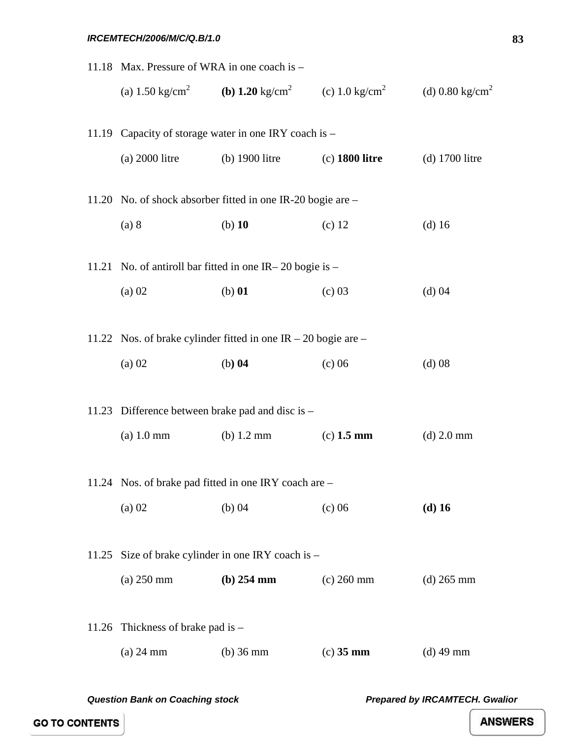#### *IRCEMTECH/2006/M/C/Q.B/1.0*

|       | 11.18 Max. Pressure of WRA in one coach is - |                                                                |                                                                                    |                             |
|-------|----------------------------------------------|----------------------------------------------------------------|------------------------------------------------------------------------------------|-----------------------------|
|       |                                              |                                                                | (a) 1.50 kg/cm <sup>2</sup> (b) 1.20 kg/cm <sup>2</sup> (c) 1.0 kg/cm <sup>2</sup> | (d) 0.80 kg/cm <sup>2</sup> |
|       |                                              | 11.19 Capacity of storage water in one IRY coach is -          |                                                                                    |                             |
|       | $(a)$ 2000 litre                             | $(b)$ 1900 litre                                               | $(c)$ 1800 litre                                                                   | $(d)$ 1700 litre            |
|       |                                              | 11.20 No. of shock absorber fitted in one IR-20 bogie are -    |                                                                                    |                             |
|       | (a) 8                                        | $(b)$ 10                                                       | $(c)$ 12                                                                           | $(d)$ 16                    |
|       |                                              | 11.21 No. of antiroll bar fitted in one IR – 20 bogie is –     |                                                                                    |                             |
|       | $(a)$ 02                                     | $(b)$ 01                                                       | (c) 03                                                                             | (d) 04                      |
|       |                                              | 11.22 Nos. of brake cylinder fitted in one IR – 20 bogie are – |                                                                                    |                             |
|       | $(a)$ 02                                     | $(b)$ 04                                                       | $(c)$ 06                                                                           | $(d)$ 08                    |
| 11.23 |                                              | Difference between brake pad and disc is –                     |                                                                                    |                             |
|       | $(a) 1.0$ mm                                 | (b) $1.2 \text{ mm}$                                           | $(c)$ 1.5 mm                                                                       | $(d)$ 2.0 mm                |
|       |                                              | 11.24 Nos. of brake pad fitted in one IRY coach are -          |                                                                                    |                             |
|       | $(a)$ 02                                     | $(b)$ 04                                                       | $(c)$ 06                                                                           | $(d)$ 16                    |
|       |                                              |                                                                |                                                                                    |                             |
| 11.25 |                                              | Size of brake cylinder in one IRY coach is -                   |                                                                                    |                             |
|       | $(a)$ 250 mm                                 | $(b)$ 254 mm                                                   | $(c)$ 260 mm                                                                       | $(d)$ 265 mm                |
|       | 11.26 Thickness of brake pad is $-$          |                                                                |                                                                                    |                             |
|       | $(a)$ 24 mm                                  | $(b)$ 36 mm                                                    | $(c)$ 35 mm                                                                        | $(d)$ 49 mm                 |
|       |                                              |                                                                |                                                                                    |                             |

*Question Bank on Coaching stock Prepared by IRCAMTECH. Gwalior* 

**GO TO CONTENTS**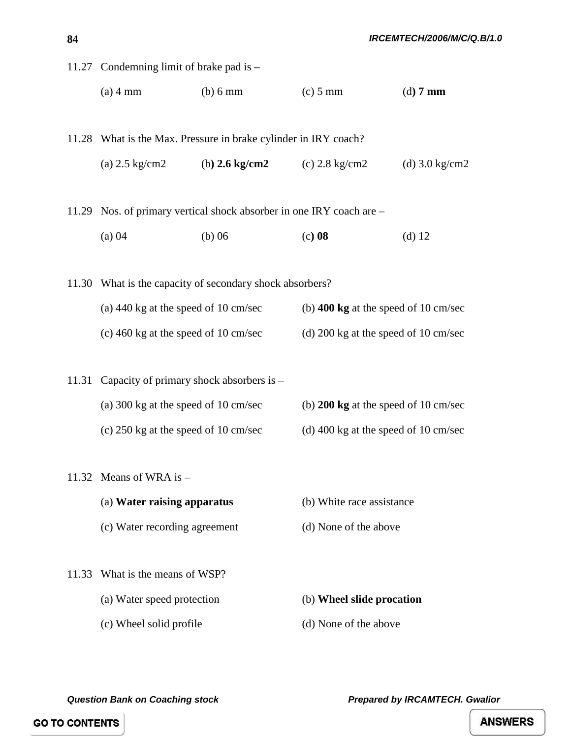|       | 11.27 Condemning limit of brake pad is -                 |                                                                                                  |                                                |                          |  |
|-------|----------------------------------------------------------|--------------------------------------------------------------------------------------------------|------------------------------------------------|--------------------------|--|
|       | $(a)$ 4 mm                                               | (b) 6 mm                                                                                         | $(c)$ 5 mm                                     | $(d)$ 7 mm               |  |
|       |                                                          |                                                                                                  |                                                |                          |  |
|       |                                                          | 11.28 What is the Max. Pressure in brake cylinder in IRY coach?                                  |                                                |                          |  |
|       | (a) $2.5 \text{ kg/cm2}$                                 | (b) $2.6 \text{ kg/cm2}$                                                                         | (c) $2.8 \text{ kg/cm2}$                       | (d) $3.0 \text{ kg/cm2}$ |  |
|       |                                                          | 11.29 Nos. of primary vertical shock absorber in one IRY coach are –                             |                                                |                          |  |
|       | (a) 04                                                   | $(b)$ 06                                                                                         | $(c)$ 08                                       | $(d)$ 12                 |  |
|       |                                                          |                                                                                                  |                                                |                          |  |
|       | 11.30 What is the capacity of secondary shock absorbers? |                                                                                                  |                                                |                          |  |
|       |                                                          | (a) $440 \text{ kg}$ at the speed of 10 cm/sec<br>(b) $400 \text{ kg}$ at the speed of 10 cm/sec |                                                |                          |  |
|       | (c) 460 kg at the speed of 10 cm/sec                     |                                                                                                  | (d) $200 \text{ kg}$ at the speed of 10 cm/sec |                          |  |
|       |                                                          |                                                                                                  |                                                |                          |  |
| 11.31 | Capacity of primary shock absorbers is -                 |                                                                                                  |                                                |                          |  |
|       | (a) 300 kg at the speed of 10 cm/sec                     |                                                                                                  | (b) $200 \text{ kg}$ at the speed of 10 cm/sec |                          |  |
|       | (c) $250 \text{ kg}$ at the speed of 10 cm/sec           |                                                                                                  | (d) 400 kg at the speed of 10 cm/sec           |                          |  |
| 11.32 | Means of WRA is $-$                                      |                                                                                                  |                                                |                          |  |
|       |                                                          |                                                                                                  |                                                |                          |  |
|       | (a) Water raising apparatus                              |                                                                                                  | (b) White race assistance                      |                          |  |
|       | (c) Water recording agreement                            |                                                                                                  | (d) None of the above                          |                          |  |
| 11.33 | What is the means of WSP?                                |                                                                                                  |                                                |                          |  |
|       | (a) Water speed protection                               |                                                                                                  | (b) Wheel slide procation                      |                          |  |
|       | (c) Wheel solid profile                                  |                                                                                                  | (d) None of the above                          |                          |  |

**84**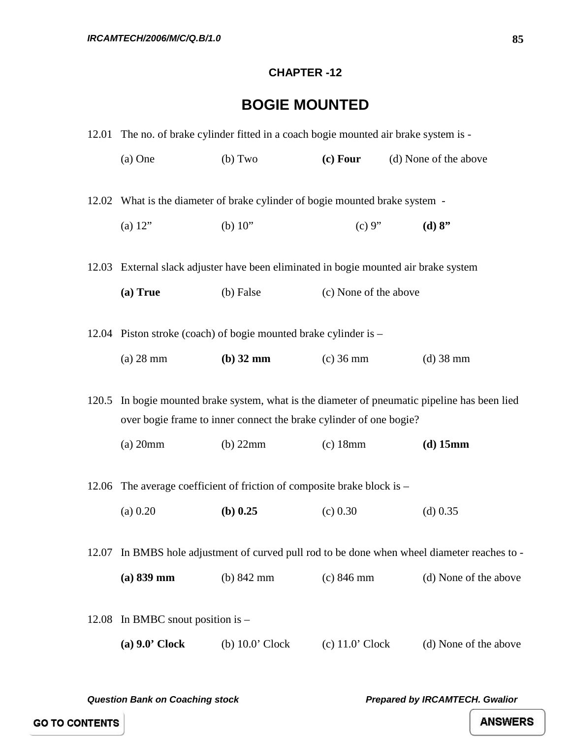#### **CHAPTER -12**

# **BOGIE MOUNTED**

|       |                               | 12.01 The no. of brake cylinder fitted in a coach bogie mounted air brake system is - |                       |                                                                                              |
|-------|-------------------------------|---------------------------------------------------------------------------------------|-----------------------|----------------------------------------------------------------------------------------------|
|       | $(a)$ One                     | (b) Two                                                                               | $(c)$ Four            | (d) None of the above                                                                        |
|       |                               |                                                                                       |                       |                                                                                              |
|       |                               | 12.02 What is the diameter of brake cylinder of bogie mounted brake system -          |                       |                                                                                              |
|       | (a) $12"$                     | (b) $10"$                                                                             | (c) 9"                | (d) 8"                                                                                       |
|       |                               | 12.03 External slack adjuster have been eliminated in bogie mounted air brake system  |                       |                                                                                              |
|       | (a) True                      | (b) False                                                                             | (c) None of the above |                                                                                              |
|       |                               | 12.04 Piston stroke (coach) of bogie mounted brake cylinder is –                      |                       |                                                                                              |
|       | $(a)$ 28 mm                   | $(b)$ 32 mm                                                                           | $(c)$ 36 mm           | $(d)$ 38 mm                                                                                  |
| 120.5 |                               | over bogie frame to inner connect the brake cylinder of one bogie?                    |                       | In bogie mounted brake system, what is the diameter of pneumatic pipeline has been lied      |
|       | $(a)$ 20mm                    | $(b)$ 22mm                                                                            | $(c)$ 18mm            | $(d)$ 15mm                                                                                   |
|       |                               | 12.06 The average coefficient of friction of composite brake block is –               |                       |                                                                                              |
|       | (a) 0.20                      | $(b)$ 0.25                                                                            | (c) 0.30              | $(d)$ 0.35                                                                                   |
|       |                               |                                                                                       |                       | 12.07 In BMBS hole adjustment of curved pull rod to be done when wheel diameter reaches to - |
|       | $(a) 839$ mm                  | (b) 842 mm                                                                            | $(c) 846$ mm          | (d) None of the above                                                                        |
| 12.08 | In BMBC snout position is $-$ |                                                                                       |                       |                                                                                              |
|       | $(a)$ 9.0' Clock              | $(b)$ 10.0' Clock                                                                     | $(c)$ 11.0' Clock     | (d) None of the above                                                                        |
|       |                               |                                                                                       |                       |                                                                                              |

*Question Bank on Coaching stock Prepared by IRCAMTECH. Gwalior*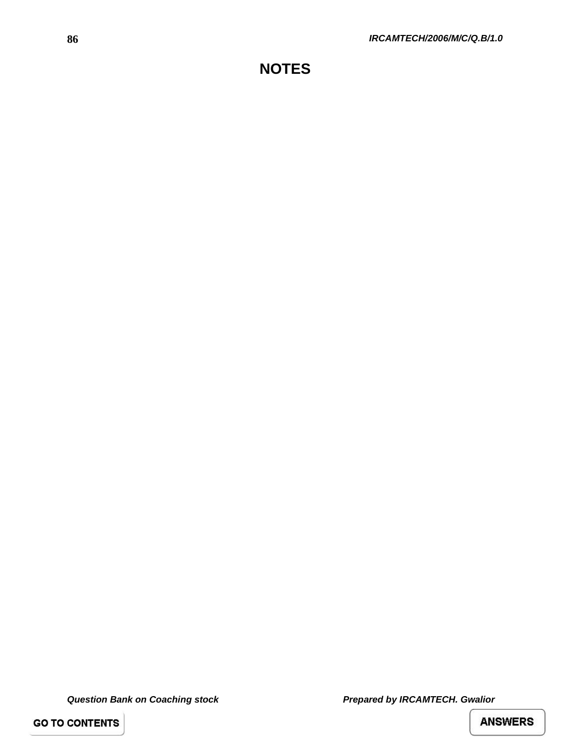**GO TO CONTENTS**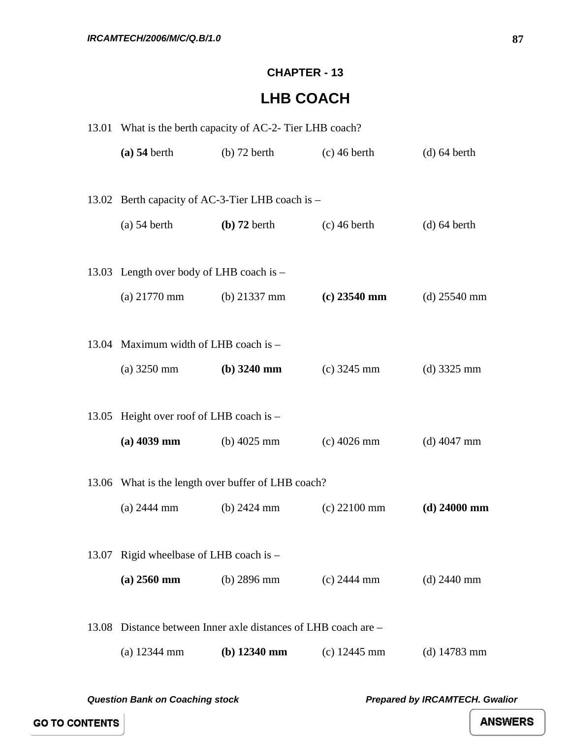#### **CHAPTER - 13**

## **LHB COACH**

|       | 13.01 What is the berth capacity of AC-2- Tier LHB coach? |                                                          |                |                |  |
|-------|-----------------------------------------------------------|----------------------------------------------------------|----------------|----------------|--|
|       | $(a)$ 54 berth                                            | $(b)$ 72 berth                                           | $(c)$ 46 berth | $(d)$ 64 berth |  |
|       |                                                           | 13.02 Berth capacity of AC-3-Tier LHB coach is -         |                |                |  |
|       | $(a)$ 54 berth                                            | $(b)$ 72 berth                                           | $(c)$ 46 berth | $(d)$ 64 berth |  |
|       | 13.03 Length over body of LHB coach is -                  |                                                          |                |                |  |
|       | (a) $21770 \text{ mm}$ (b) $21337 \text{ mm}$             |                                                          | $(c)$ 23540 mm | (d) $25540$ mm |  |
|       | 13.04 Maximum width of LHB coach is -                     |                                                          |                |                |  |
|       | (a) $3250 \text{ mm}$ (b) $3240 \text{ mm}$               |                                                          | $(c)$ 3245 mm  | $(d)$ 3325 mm  |  |
|       | 13.05 Height over roof of LHB coach is -                  |                                                          |                |                |  |
|       | $(a)$ 4039 mm                                             | (b) $4025 \text{ mm}$                                    | $(c)$ 4026 mm  | $(d)$ 4047 mm  |  |
|       |                                                           | 13.06 What is the length over buffer of LHB coach?       |                |                |  |
|       | $(a)$ 2444 mm                                             | (b) $2424 \text{ mm}$                                    | $(c)$ 22100 mm | $(d)$ 24000 mm |  |
|       | 13.07 Rigid wheelbase of LHB coach is -                   |                                                          |                |                |  |
|       | $(a) 2560$ mm                                             | (b) $2896 \text{ mm}$                                    | $(c)$ 2444 mm  | $(d)$ 2440 mm  |  |
| 13.08 |                                                           | Distance between Inner axle distances of LHB coach are – |                |                |  |
|       | $(a)$ 12344 mm                                            | $(b)$ 12340 mm                                           | $(c)$ 12445 mm | (d) $14783$ mm |  |

*Question Bank on Coaching stock Prepared by IRCAMTECH. Gwalior*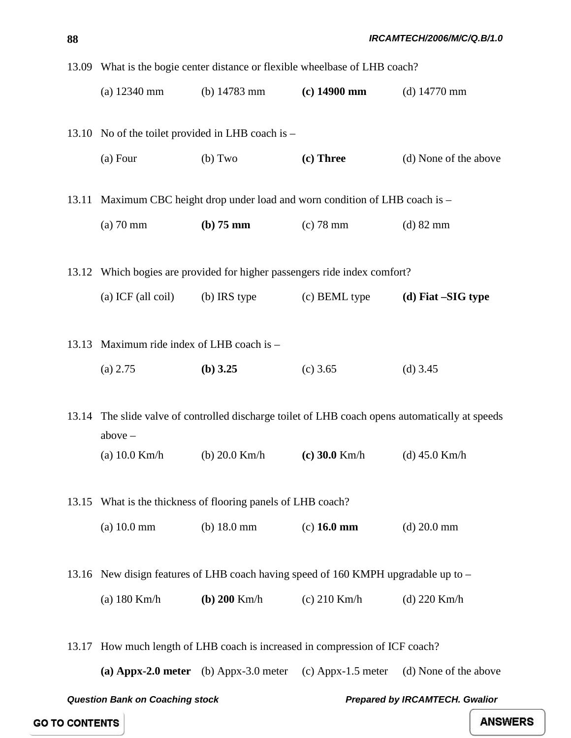|       | 13.09 What is the bogie center distance or flexible wheelbase of LHB coach? |                                                        |                                                                                    |                                                                                                 |  |
|-------|-----------------------------------------------------------------------------|--------------------------------------------------------|------------------------------------------------------------------------------------|-------------------------------------------------------------------------------------------------|--|
|       | $(a)$ 12340 mm                                                              |                                                        | (b) $14783 \text{ mm}$ (c) $14900 \text{ mm}$ (d) $14770 \text{ mm}$               |                                                                                                 |  |
|       |                                                                             |                                                        |                                                                                    |                                                                                                 |  |
|       |                                                                             | 13.10 No of the toilet provided in LHB coach is -      |                                                                                    |                                                                                                 |  |
|       | (a) Four                                                                    | (b) Two                                                | (c) Three                                                                          | (d) None of the above                                                                           |  |
|       |                                                                             |                                                        |                                                                                    |                                                                                                 |  |
|       |                                                                             |                                                        | 13.11 Maximum CBC height drop under load and worn condition of LHB coach is -      |                                                                                                 |  |
|       | $(a)$ 70 mm                                                                 | $(b)$ 75 mm                                            | $(c)$ 78 mm                                                                        | $(d)$ 82 mm                                                                                     |  |
|       |                                                                             |                                                        |                                                                                    |                                                                                                 |  |
|       |                                                                             |                                                        | 13.12 Which bogies are provided for higher passengers ride index comfort?          |                                                                                                 |  |
|       | (a) ICF (all coil)                                                          | (b) IRS type                                           | (c) BEML type                                                                      | (d) Fiat $-SIG$ type                                                                            |  |
|       |                                                                             |                                                        |                                                                                    |                                                                                                 |  |
|       | 13.13 Maximum ride index of LHB coach is -                                  |                                                        |                                                                                    |                                                                                                 |  |
|       | (a) 2.75                                                                    | (b) $3.25$                                             | $(c)$ 3.65                                                                         | (d) $3.45$                                                                                      |  |
|       |                                                                             |                                                        |                                                                                    |                                                                                                 |  |
|       |                                                                             |                                                        |                                                                                    | 13.14 The slide valve of controlled discharge toilet of LHB coach opens automatically at speeds |  |
|       | $above -$                                                                   |                                                        |                                                                                    |                                                                                                 |  |
|       | (a) $10.0$ Km/h                                                             | (b) $20.0$ Km/h                                        | $(c)$ 30.0 Km/h                                                                    | $(d)$ 45.0 Km/h                                                                                 |  |
|       |                                                                             |                                                        |                                                                                    |                                                                                                 |  |
| 13.15 |                                                                             | What is the thickness of flooring panels of LHB coach? |                                                                                    |                                                                                                 |  |
|       | (a) 10.0 mm                                                                 | (b) $18.0 \text{ mm}$                                  | $(c)$ 16.0 mm                                                                      | $(d)$ 20.0 mm                                                                                   |  |
|       |                                                                             |                                                        |                                                                                    |                                                                                                 |  |
|       |                                                                             |                                                        | 13.16 New disign features of LHB coach having speed of 160 KMPH upgradable up to – |                                                                                                 |  |
|       | $(a)$ 180 Km/h                                                              | ( <b>b</b> ) $200 \text{ Km/h}$                        | $(c)$ 210 Km/h                                                                     | (d) $220$ Km/h                                                                                  |  |
|       |                                                                             |                                                        |                                                                                    |                                                                                                 |  |
|       |                                                                             |                                                        | 13.17 How much length of LHB coach is increased in compression of ICF coach?       |                                                                                                 |  |
|       |                                                                             | (a) Appx-2.0 meter (b) Appx-3.0 meter                  | $(c)$ Appx-1.5 meter                                                               | (d) None of the above                                                                           |  |

*Question Bank on Coaching stock Prepared by IRCAMTECH. Gwalior*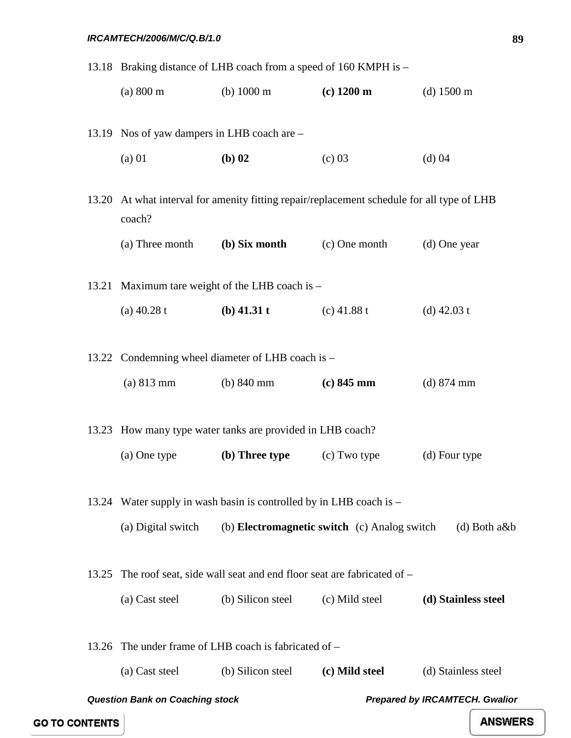|       |                                             | 13.18 Braking distance of LHB coach from a speed of 160 KMPH is -    |                                                                                            |                                       |
|-------|---------------------------------------------|----------------------------------------------------------------------|--------------------------------------------------------------------------------------------|---------------------------------------|
|       | (a) 800 m                                   | (b) $1000 \text{ m}$                                                 | $(c)$ 1200 m                                                                               | $(d)$ 1500 m                          |
|       | 13.19 Nos of yaw dampers in LHB coach are - |                                                                      |                                                                                            |                                       |
|       | $(a)$ 01                                    | $(b)$ 02                                                             | (c) 03                                                                                     | (d) 04                                |
|       | coach?                                      |                                                                      | 13.20 At what interval for amenity fitting repair/replacement schedule for all type of LHB |                                       |
|       | (a) Three month                             | (b) Six month                                                        | (c) One month                                                                              | (d) One year                          |
|       |                                             | 13.21 Maximum tare weight of the LHB coach is -                      |                                                                                            |                                       |
|       | (a) $40.28 t$                               | $(b)$ 41.31 t                                                        | (c) $41.88 t$                                                                              | (d) $42.03 t$                         |
|       |                                             | 13.22 Condemning wheel diameter of LHB coach is -                    |                                                                                            |                                       |
|       | (a) 813 mm                                  | (b) $840 \text{ mm}$                                                 | $(c) 845$ mm                                                                               | $(d)$ 874 mm                          |
|       |                                             | 13.23 How many type water tanks are provided in LHB coach?           |                                                                                            |                                       |
|       | (a) One type                                | (b) Three type                                                       | (c) Two type                                                                               | (d) Four type                         |
|       |                                             | 13.24 Water supply in wash basin is controlled by in LHB coach is –  |                                                                                            |                                       |
|       | (a) Digital switch                          |                                                                      | (b) <b>Electromagnetic switch</b> (c) Analog switch                                        | $(d)$ Both a&b                        |
| 13.25 |                                             | The roof seat, side wall seat and end floor seat are fabricated of – |                                                                                            |                                       |
|       | (a) Cast steel                              | (b) Silicon steel                                                    | (c) Mild steel                                                                             | (d) Stainless steel                   |
| 13.26 |                                             | The under frame of LHB coach is fabricated of –                      |                                                                                            |                                       |
|       | (a) Cast steel                              | (b) Silicon steel                                                    | (c) Mild steel                                                                             | (d) Stainless steel                   |
|       | <b>Question Bank on Coaching stock</b>      |                                                                      |                                                                                            | <b>Prepared by IRCAMTECH. Gwalior</b> |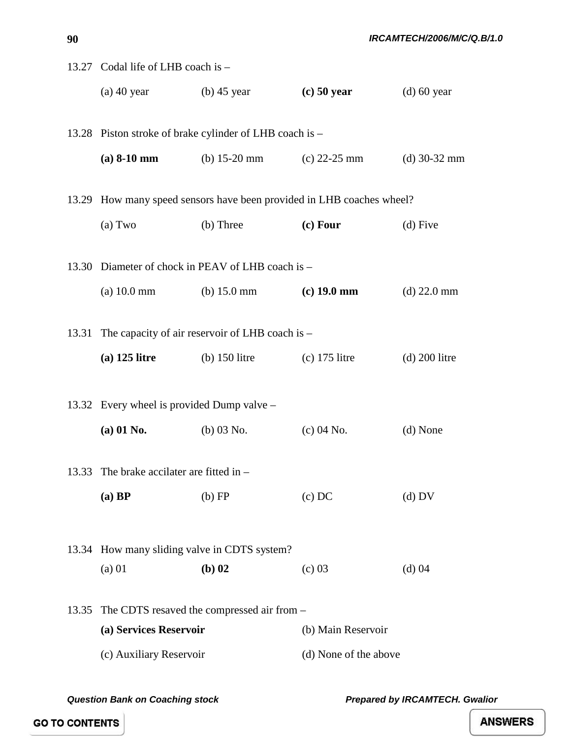|       | 13.27 Codal life of LHB coach is -           |                                                         |                                                                       |                 |  |
|-------|----------------------------------------------|---------------------------------------------------------|-----------------------------------------------------------------------|-----------------|--|
|       | (a) $40 \text{ year}$ (b) $45 \text{ year}$  |                                                         | $(c)$ 50 year                                                         | $(d)$ 60 year   |  |
|       |                                              |                                                         |                                                                       |                 |  |
|       |                                              | 13.28 Piston stroke of brake cylinder of LHB coach is - |                                                                       |                 |  |
|       |                                              | (a) $8-10$ mm (b) $15-20$ mm (c) $22-25$ mm             |                                                                       | (d) $30-32$ mm  |  |
|       |                                              |                                                         |                                                                       |                 |  |
|       |                                              |                                                         | 13.29 How many speed sensors have been provided in LHB coaches wheel? |                 |  |
|       | (a) Two                                      | (b) Three                                               | $(c)$ Four                                                            | $(d)$ Five      |  |
|       |                                              | 13.30 Diameter of chock in PEAV of LHB coach is -       |                                                                       |                 |  |
|       |                                              | (a) 10.0 mm (b) 15.0 mm (c) 19.0 mm                     |                                                                       | $(d)$ 22.0 mm   |  |
|       |                                              |                                                         |                                                                       |                 |  |
|       |                                              | 13.31 The capacity of air reservoir of LHB coach is -   |                                                                       |                 |  |
|       | $(a)$ 125 litre                              | $(b)$ 150 litre                                         | $(c)$ 175 litre                                                       | $(d)$ 200 litre |  |
|       |                                              |                                                         |                                                                       |                 |  |
|       | 13.32 Every wheel is provided Dump valve –   |                                                         |                                                                       |                 |  |
|       | $(a) 01$ No.                                 | $(b)$ 03 No.                                            | $(c) 04$ No.                                                          | (d) None        |  |
|       |                                              |                                                         |                                                                       |                 |  |
|       | 13.33 The brake accilater are fitted in $-$  |                                                         |                                                                       |                 |  |
|       | $(a)$ BP                                     | $(b)$ FP                                                | $(c)$ DC                                                              | $(d)$ DV        |  |
|       |                                              |                                                         |                                                                       |                 |  |
|       | 13.34 How many sliding valve in CDTS system? |                                                         |                                                                       |                 |  |
|       | $(a)$ 01                                     | $(b)$ 02                                                | (c) 03                                                                | $(d)$ 04        |  |
|       |                                              |                                                         |                                                                       |                 |  |
| 13.35 |                                              | The CDTS resaved the compressed air from –              |                                                                       |                 |  |
|       | (a) Services Reservoir                       |                                                         | (b) Main Reservoir                                                    |                 |  |
|       | (c) Auxiliary Reservoir                      |                                                         | (d) None of the above                                                 |                 |  |

*Question Bank on Coaching stock Prepared by IRCAMTECH. Gwalior* 

**ANSWERS** 

**90**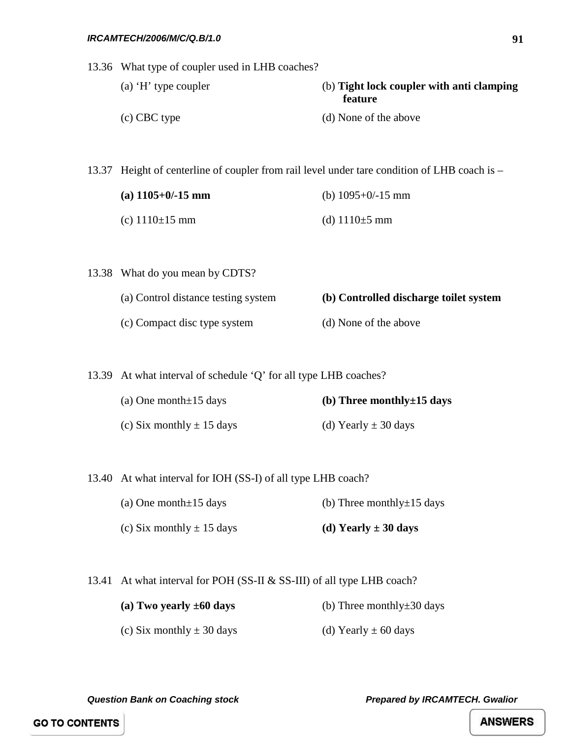13.36 What type of coupler used in LHB coaches?

- (a) 'H' type coupler (b) **Tight lock coupler with anti clamping feature** (c) CBC type (d) None of the above
	-

13.37 Height of centerline of coupler from rail level under tare condition of LHB coach is –

| (a) $1105+0/-15$ mm  | (b) $1095+0/-15$ mm |
|----------------------|---------------------|
| (c) $1110 \pm 15$ mm | (d) $1110\pm 5$ mm  |

13.38 What do you mean by CDTS?

- (a) Control distance testing system **(b) Controlled discharge toilet system** (c) Compact disc type system (d) None of the above
- 13.39 At what interval of schedule 'Q' for all type LHB coaches?
	- (a) One month±15 days **(b) Three monthly±15 days**  (c) Six monthly  $\pm$  15 days (d) Yearly  $\pm$  30 days

13.40 At what interval for IOH (SS-I) of all type LHB coach?

- (a) One month $\pm 15$  days (b) Three monthly $\pm 15$  days
- (c) Six monthly  $\pm$  15 days **(d) Yearly**  $\pm$  **30 days**

13.41 At what interval for POH (SS-II & SS-III) of all type LHB coach?

- **(a) Two yearly ±60 days** (b) Three monthly±30 days
- (c) Six monthly  $\pm 30$  days (d) Yearly  $\pm 60$  days

*Question Bank on Coaching stock Prepared by IRCAMTECH. Gwalior*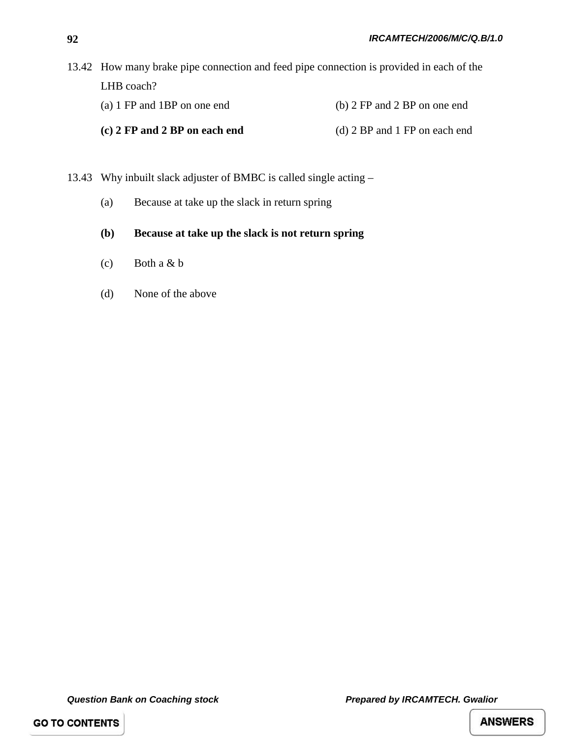| 13.42 How many brake pipe connection and feed pipe connection is provided in each of the |                                  |  |  |  |
|------------------------------------------------------------------------------------------|----------------------------------|--|--|--|
| LHB coach?                                                                               |                                  |  |  |  |
| (a) 1 FP and 1BP on one end                                                              | (b) $2$ FP and $2$ BP on one end |  |  |  |
| (c) 2 FP and 2 BP on each end                                                            | (d) 2 BP and 1 FP on each end    |  |  |  |

- 13.43 Why inbuilt slack adjuster of BMBC is called single acting
	- (a) Because at take up the slack in return spring
	- **(b) Because at take up the slack is not return spring**
	- (c) Both a & b
	- (d) None of the above

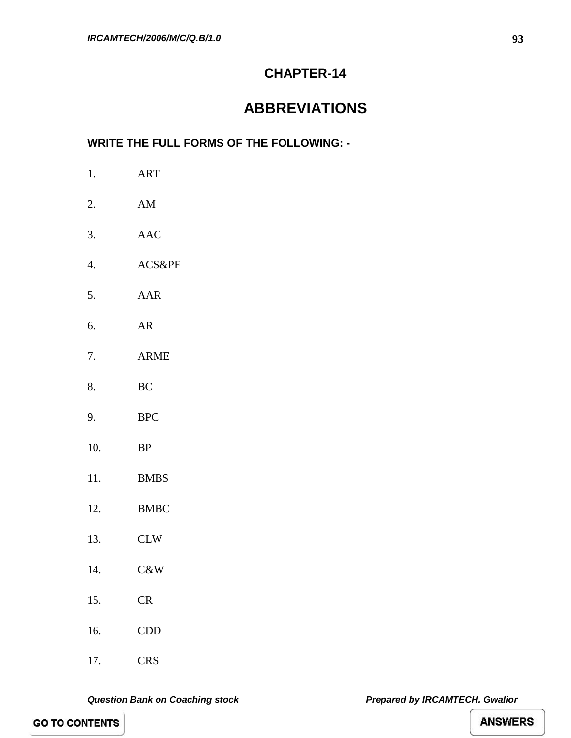### **CHAPTER-14**

## **ABBREVIATIONS**

### **WRITE THE FULL FORMS OF THE FOLLOWING: -**

| 1.  | <b>ART</b>             |
|-----|------------------------|
| 2.  | $\mathbf{A}\mathbf{M}$ |
| 3.  | <b>AAC</b>             |
| 4.  | ACS&PF                 |
| 5.  | AAR                    |
| 6.  | AR                     |
| 7.  | <b>ARME</b>            |
| 8.  | BC                     |
| 9.  | <b>BPC</b>             |
| 10. | <b>BP</b>              |
| 11. | <b>BMBS</b>            |
| 12. | <b>BMBC</b>            |
| 13. | <b>CLW</b>             |
| 14. | C&W                    |
| 15. | CR                     |
| 16. | CDD                    |
| 17. | <b>CRS</b>             |

*Question Bank on Coaching stock Prepared by IRCAMTECH. Gwalior*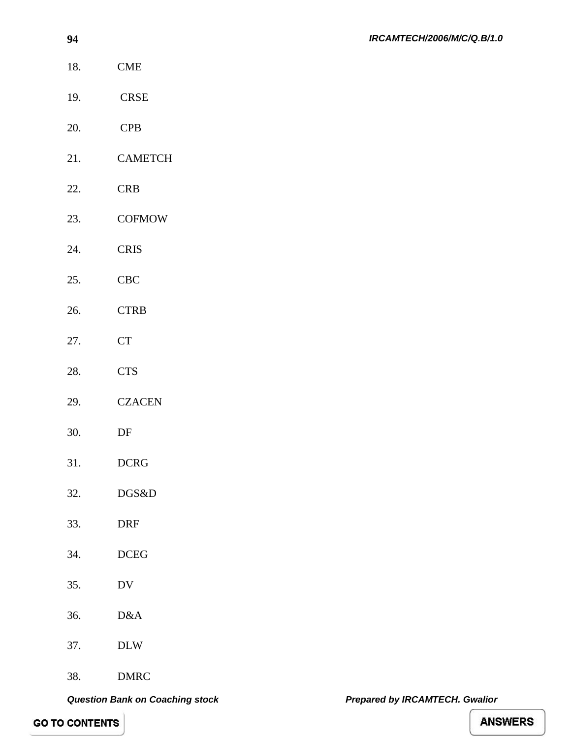- 18. CME
- 19. CRSE
- 20. CPB
- 21. CAMETCH
- 22. CRB
- 23. COFMOW
- 24. CRIS
- 25. CBC
- 26. CTRB
- 27. CT
- 28. CTS
- 29. CZACEN
- 30. DF
- 31. DCRG
- 32. DGS&D
- 33. DRF
- 34. DCEG
- 35. DV
- 36. D&A
- 37. DLW
- 38. DMRC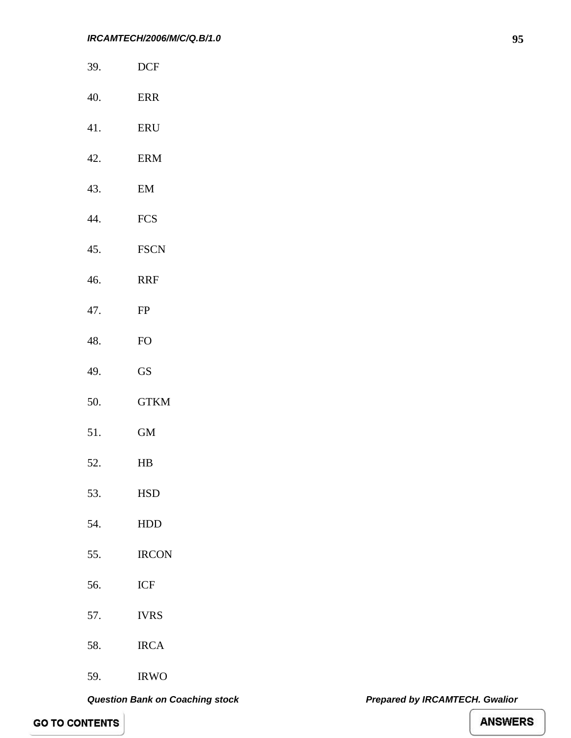- 39. DCF
- 40. ERR
- 41. ERU
- 42. ERM
- 43. EM
- 44. FCS
- 45. FSCN
- 46. RRF
- 47. FP
- 48. FO
- 49. GS
- 50. GTKM
- 51. GM
- 52. HB
- 53. HSD
- 54. HDD
- 55. IRCON
- 56. ICF
- 57. IVRS
- 58. IRCA
- 59. IRWO

**95**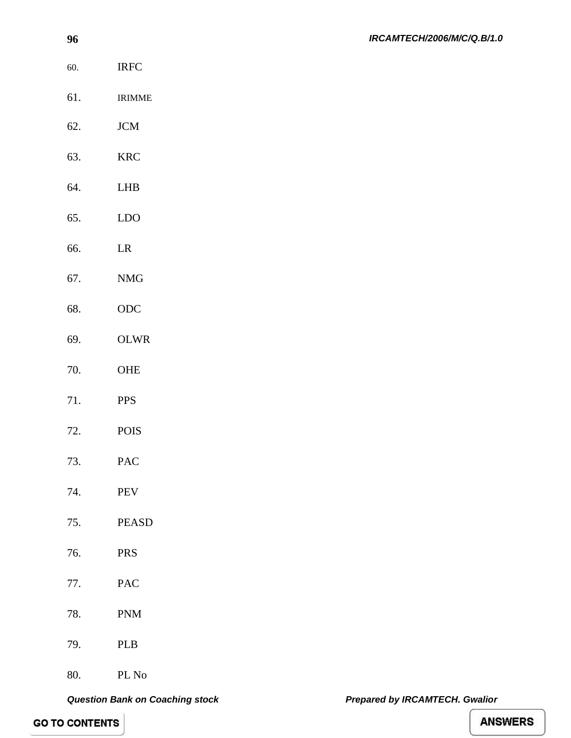- 60. IRFC
- 61. IRIMME
- 62. JCM
- 63. KRC
- 64. LHB
- 65. LDO
- 66. LR
- 67. NMG
- 68. ODC
- 69. OLWR
- 70. OHE
- 71. PPS
- 72. POIS
- 73. PAC
- 74. PEV
- 75. PEASD
- 76. PRS
- 77. PAC
- 78. PNM
- 79. PLB
- 80. PL No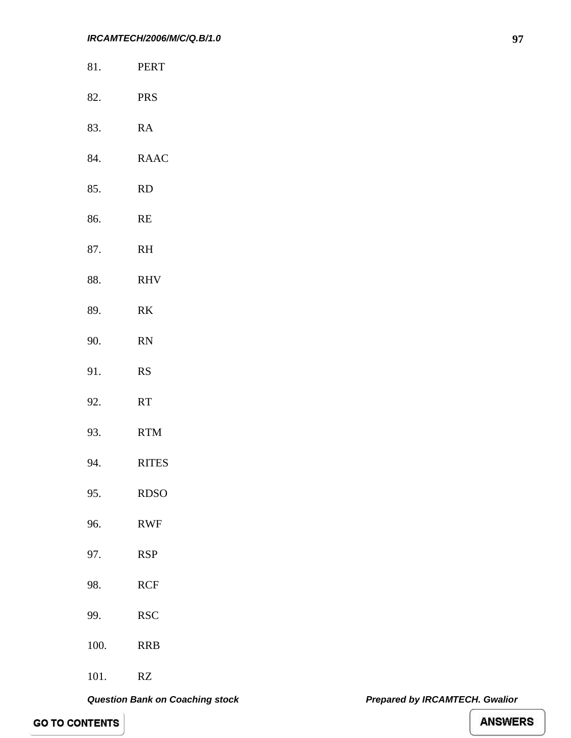- 81. PERT
- 82. PRS
- 83. RA
- 84. RAAC
- 85. RD
- 86. RE
- 87. RH
- 88. RHV
- 89. RK
- 90. RN
- 91. RS
- 92. RT
- 93. RTM
- 94. RITES
- 95. RDSO
- 96. RWF
- 97. RSP
- 
- 98. RCF
- 99. RSC
- 100. RRB
- 101. RZ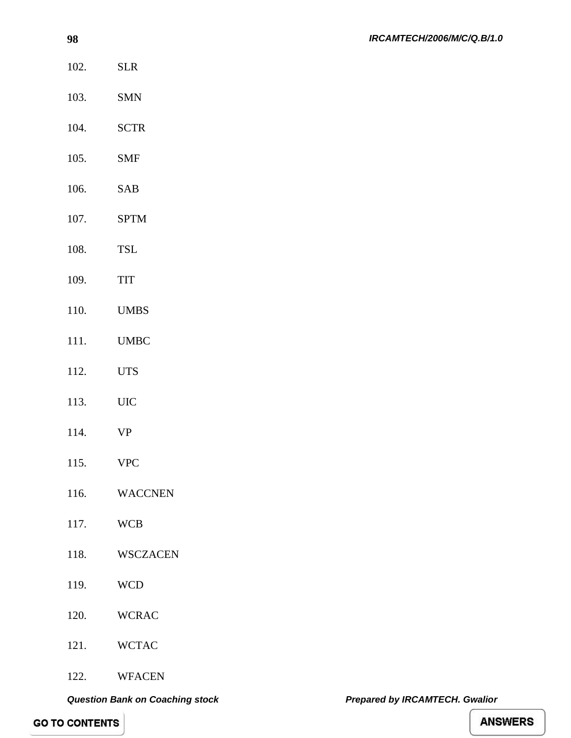- **98** 102. SLR 103. SMN 104. SCTR 105. SMF 106. SAB 107. SPTM 108. TSL 109. TIT 110. UMBS 111. UMBC 112. UTS 113. UIC 114. VP 115. VPC
- 116. WACCNEN
- 117. WCB
- 118. WSCZACEN
- 119. WCD
- 120. WCRAC
- 121. WCTAC
- 122. WFACEN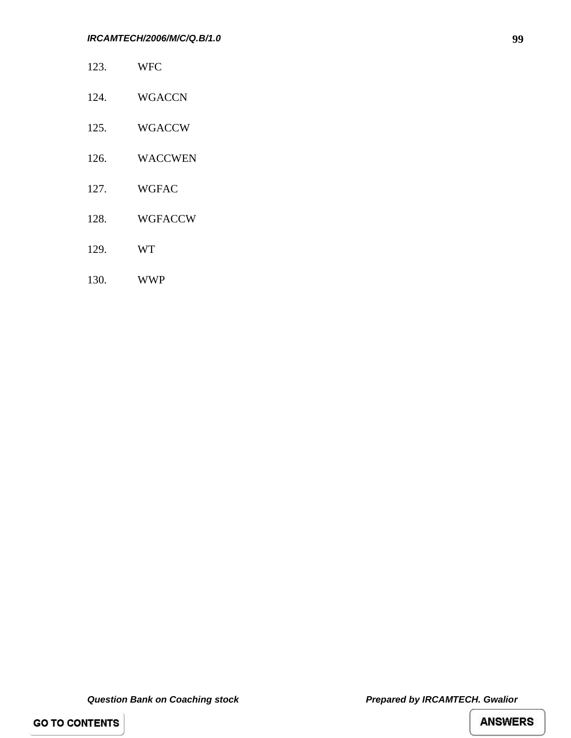- 123. WFC
- 124. WGACCN
- 125. WGACCW
- 126. WACCWEN
- 127. WGFAC
- 128. WGFACCW
- 129. WT
- 130. WWP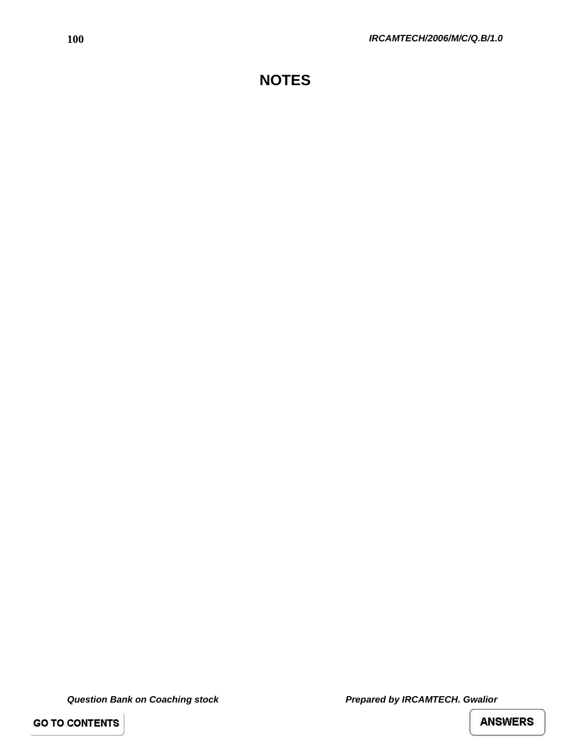**GO TO CONTENTS**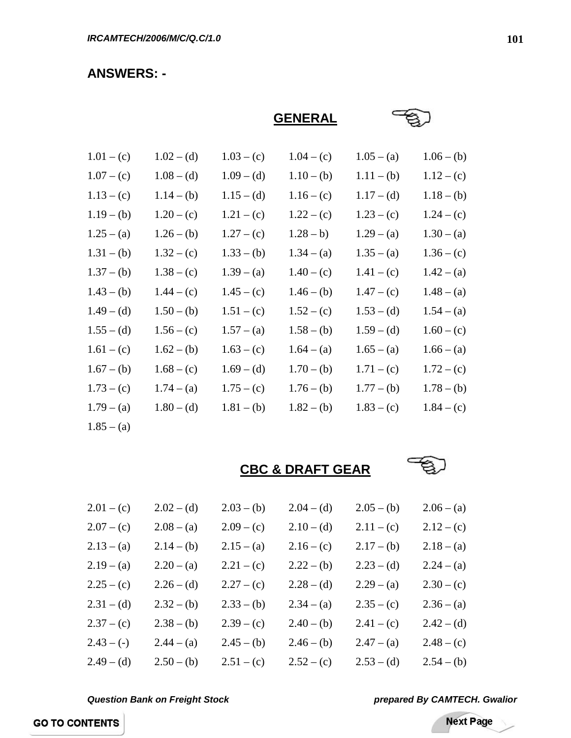### **ANSWERS: -**

**GENERAL**

| $1.01 - (c)$ | $1.02 - (d)$ | $1.03 - (c)$ | $1.04 - (c)$ | $1.05 - (a)$ | $1.06 - (b)$ |
|--------------|--------------|--------------|--------------|--------------|--------------|
| $1.07 - (c)$ | $1.08 - (d)$ | $1.09 - (d)$ | $1.10 - (b)$ | $1.11 - (b)$ | $1.12 - (c)$ |
| $1.13 - (c)$ | $1.14 - (b)$ | $1.15 - (d)$ | $1.16 - (c)$ | $1.17 - (d)$ | $1.18 - (b)$ |
| $1.19 - (b)$ | $1.20 - (c)$ | $1.21 - (c)$ | $1.22 - (c)$ | $1.23 - (c)$ | $1.24 - (c)$ |
| $1.25 - (a)$ | $1.26 - (b)$ | $1.27 - (c)$ | $1.28 - b)$  | $1.29 - (a)$ | $1.30 - (a)$ |
| $1.31 - (b)$ | $1.32 - (c)$ | $1.33 - (b)$ | $1.34 - (a)$ | $1.35 - (a)$ | $1.36 - (c)$ |
| $1.37 - (b)$ | $1.38 - (c)$ | $1.39 - (a)$ | $1.40 - (c)$ | $1.41 - (c)$ | $1.42 - (a)$ |
| $1.43 - (b)$ | $1.44 - (c)$ | $1.45 - (c)$ | $1.46 - (b)$ | $1.47 - (c)$ | $1.48 - (a)$ |
| $1.49 - (d)$ | $1.50 - (b)$ | $1.51 - (c)$ | $1.52 - (c)$ | $1.53 - (d)$ | $1.54 - (a)$ |
| $1.55 - (d)$ | $1.56 - (c)$ | $1.57 - (a)$ | $1.58 - (b)$ | $1.59 - (d)$ | $1.60 - (c)$ |
| $1.61 - (c)$ | $1.62 - (b)$ | $1.63 - (c)$ | $1.64 - (a)$ | $1.65 - (a)$ | $1.66 - (a)$ |
| $1.67 - (b)$ | $1.68 - (c)$ | $1.69 - (d)$ | $1.70 - (b)$ | $1.71 - (c)$ | $1.72 - (c)$ |
| $1.73 - (c)$ | $1.74 - (a)$ | $1.75 - (c)$ | $1.76 - (b)$ | $1.77 - (b)$ | $1.78 - (b)$ |
| $1.79 - (a)$ | $1.80 - (d)$ | $1.81 - (b)$ | $1.82 - (b)$ | $1.83 - (c)$ | $1.84 - (c)$ |
| $1.85 - (a)$ |              |              |              |              |              |

**CBC & DRAFT GEAR**



| $2.01 - (c)$ | $2.02 - (d)$ | $2.03 - (b)$ | $2.04 - (d)$ | $2.05 - (b)$ | $2.06 - (a)$ |
|--------------|--------------|--------------|--------------|--------------|--------------|
| $2.07 - (c)$ | $2.08 - (a)$ | $2.09 - (c)$ | $2.10 - (d)$ | $2.11 - (c)$ | $2.12 - (c)$ |
| $2.13 - (a)$ | $2.14 - (b)$ | $2.15 - (a)$ | $2.16 - (c)$ | $2.17 - (b)$ | $2.18 - (a)$ |
| $2.19 - (a)$ | $2.20 - (a)$ | $2.21 - (c)$ | $2.22 - (b)$ | $2.23 - (d)$ | $2.24 - (a)$ |
| $2.25 - (c)$ | $2.26 - (d)$ | $2.27 - (c)$ | $2.28 - (d)$ | $2.29 - (a)$ | $2.30 - (c)$ |
| $2.31 - (d)$ | $2.32 - (b)$ | $2.33 - (b)$ | $2.34 - (a)$ | $2.35 - (c)$ | $2.36 - (a)$ |
| $2.37 - (c)$ | $2.38 - (b)$ | $2.39 - (c)$ | $2.40 - (b)$ | $2.41 - (c)$ | $2.42 - (d)$ |
| $2.43 - (-)$ | $2.44 - (a)$ | $2.45 - (b)$ | $2.46 - (b)$ | $2.47 - (a)$ | $2.48 - (c)$ |
| $2.49 - (d)$ | $2.50 - (b)$ | $2.51 - (c)$ | $2.52 - (c)$ | $2.53 - (d)$ | $2.54 - (b)$ |

*Question Bank on Freight Stock prepared By CAMTECH. Gwalior*

Next Page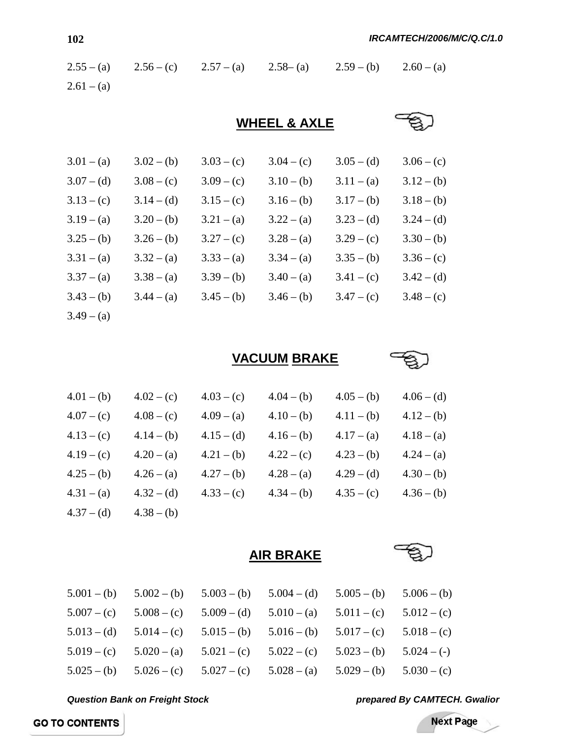| $2.55 - (a)$ | $2.56 - (c)$ | $2.57 - (a)$ | $2.58 - (a)$            | $2.59 - (b)$ | $2.60 - (a)$ |
|--------------|--------------|--------------|-------------------------|--------------|--------------|
| $2.61 - (a)$ |              |              |                         |              |              |
|              |              |              | <b>WHEEL &amp; AXLE</b> |              |              |
| $3.01 - (a)$ | $3.02 - (b)$ | $3.03 - (c)$ | $3.04 - (c)$            | $3.05 - (d)$ | $3.06 - (c)$ |
| $3.07 - (d)$ | $3.08 - (c)$ | $3.09 - (c)$ | $3.10 - (b)$            | $3.11 - (a)$ | $3.12 - (b)$ |
| $3.13 - (c)$ | $3.14 - (d)$ | $3.15 - (c)$ | $3.16 - (b)$            | $3.17 - (b)$ | $3.18 - (b)$ |
| $3.19 - (a)$ | $3.20 - (b)$ | $3.21 - (a)$ | $3.22 - (a)$            | $3.23 - (d)$ | $3.24 - (d)$ |
| $3.25 - (b)$ | $3.26 - (b)$ | $3.27 - (c)$ | $3.28 - (a)$            | $3.29 - (c)$ | $3.30 - (b)$ |
| $3.31 - (a)$ | $3.32 - (a)$ | $3.33 - (a)$ | $3.34 - (a)$            | $3.35 - (b)$ | $3.36 - (c)$ |
| $3.37 - (a)$ | $3.38 - (a)$ | $3.39 - (b)$ | $3.40 - (a)$            | $3.41 - (c)$ | $3.42 - (d)$ |
| $3.43 - (b)$ | $3.44 - (a)$ | $3.45 - (b)$ | $3.46 - (b)$            | $3.47 - (c)$ | $3.48 - (c)$ |
| $3.49 - (a)$ |              |              |                         |              |              |

**VACUUM BRAKE**



| $4.01 - (b)$ | $4.02 - (c)$ | $4.03 - (c)$ | $4.04 - (b)$ | $4.05 - (b)$ | $4.06 - (d)$ |
|--------------|--------------|--------------|--------------|--------------|--------------|
| $4.07 - (c)$ | $4.08 - (c)$ | $4.09 - (a)$ | $4.10 - (b)$ | $4.11 - (b)$ | $4.12 - (b)$ |
| $4.13 - (c)$ | $4.14 - (b)$ | $4.15 - (d)$ | $4.16 - (b)$ | $4.17 - (a)$ | $4.18 - (a)$ |
| $4.19 - (c)$ | $4.20 - (a)$ | $4.21 - (b)$ | $4.22 - (c)$ | $4.23 - (b)$ | $4.24 - (a)$ |
| $4.25 - (b)$ | $4.26 - (a)$ | $4.27 - (b)$ | $4.28 - (a)$ | $4.29 - (d)$ | $4.30 - (b)$ |
| $4.31 - (a)$ | $4.32 - (d)$ | $4.33 - (c)$ | $4.34 - (b)$ | $4.35 - (c)$ | $4.36 - (b)$ |
| $4.37 - (d)$ | $4.38 - (b)$ |              |              |              |              |

**AIR BRAKE**



| $5.007 - (c)$ $5.008 - (c)$ $5.009 - (d)$ $5.010 - (a)$ $5.011 - (c)$ $5.012 - (c)$<br>$5.013 - (d)$ $5.014 - (c)$ $5.015 - (b)$ $5.016 - (b)$ $5.017 - (c)$ $5.018 - (c)$ | $5.001 - (b)$ $5.002 - (b)$ $5.003 - (b)$ $5.004 - (d)$ $5.005 - (b)$ $5.006 - (b)$ |
|----------------------------------------------------------------------------------------------------------------------------------------------------------------------------|-------------------------------------------------------------------------------------|
|                                                                                                                                                                            |                                                                                     |
|                                                                                                                                                                            |                                                                                     |
| $5.019 - (c)$ $5.020 - (a)$ $5.021 - (c)$ $5.022 - (c)$ $5.023 - (b)$ $5.024 - (-)$                                                                                        |                                                                                     |
| $5.025 - (b)$ $5.026 - (c)$ $5.027 - (c)$ $5.028 - (a)$ $5.029 - (b)$ $5.030 - (c)$                                                                                        |                                                                                     |

*Question Bank on Freight Stock prepared By CAMTECH. Gwalior*

Next Page

ż

**GO TO CONTENTS**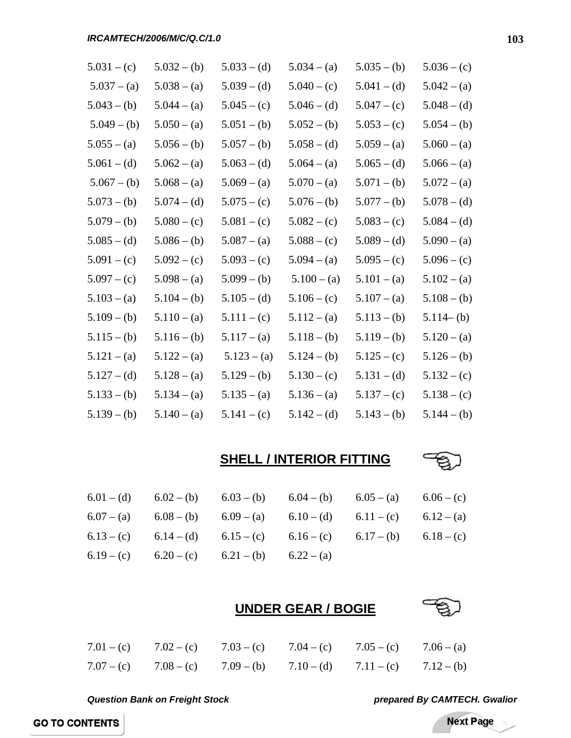| $5.031 - (c)$ | $5.032 - (b)$ | $5.033 - (d)$ | $5.034 - (a)$ | $5.035 - (b)$ | $5.036 - (c)$ |
|---------------|---------------|---------------|---------------|---------------|---------------|
| $5.037 - (a)$ | $5.038 - (a)$ | $5.039 - (d)$ | $5.040 - (c)$ | $5.041 - (d)$ | $5.042 - (a)$ |
| $5.043 - (b)$ | $5.044 - (a)$ | $5.045 - (c)$ | $5.046 - (d)$ | $5.047 - (c)$ | $5.048 - (d)$ |
| $5.049 - (b)$ | $5.050 - (a)$ | $5.051 - (b)$ | $5.052 - (b)$ | $5.053 - (c)$ | $5.054 - (b)$ |
| $5.055 - (a)$ | $5.056 - (b)$ | $5.057 - (b)$ | $5.058 - (d)$ | $5.059 - (a)$ | $5.060 - (a)$ |
| $5.061 - (d)$ | $5.062 - (a)$ | $5.063 - (d)$ | $5.064 - (a)$ | $5.065 - (d)$ | $5.066 - (a)$ |
| $5.067 - (b)$ | $5.068 - (a)$ | $5.069 - (a)$ | $5.070 - (a)$ | $5.071 - (b)$ | $5.072 - (a)$ |
| $5.073 - (b)$ | $5.074 - (d)$ | $5.075 - (c)$ | $5.076 - (b)$ | $5.077 - (b)$ | $5.078 - (d)$ |
| $5.079 - (b)$ | $5.080 - (c)$ | $5.081 - (c)$ | $5.082 - (c)$ | $5.083 - (c)$ | $5.084 - (d)$ |
| $5.085 - (d)$ | $5.086 - (b)$ | $5.087 - (a)$ | $5.088 - (c)$ | $5.089 - (d)$ | $5.090 - (a)$ |
| $5.091 - (c)$ | $5.092 - (c)$ | $5.093 - (c)$ | $5.094 - (a)$ | $5.095 - (c)$ | $5.096 - (c)$ |
| $5.097 - (c)$ | $5.098 - (a)$ | $5.099 - (b)$ | $5.100 - (a)$ | $5.101 - (a)$ | $5.102 - (a)$ |
| $5.103 - (a)$ | $5.104 - (b)$ | $5.105 - (d)$ | $5.106 - (c)$ | $5.107 - (a)$ | $5.108 - (b)$ |
| $5.109 - (b)$ | $5.110 - (a)$ | $5.111 - (c)$ | $5.112 - (a)$ | $5.113 - (b)$ | $5.114 - (b)$ |
| $5.115 - (b)$ | $5.116 - (b)$ | $5.117 - (a)$ | $5.118 - (b)$ | $5.119 - (b)$ | $5.120 - (a)$ |
| $5.121 - (a)$ | $5.122 - (a)$ | $5.123 - (a)$ | $5.124 - (b)$ | $5.125 - (c)$ | $5.126 - (b)$ |
| $5.127 - (d)$ | $5.128 - (a)$ | $5.129 - (b)$ | $5.130 - (c)$ | $5.131 - (d)$ | $5.132 - (c)$ |
| $5.133 - (b)$ | $5.134 - (a)$ | $5.135 - (a)$ | $5.136 - (a)$ | $5.137 - (c)$ | $5.138 - (c)$ |
| $5.139 - (b)$ | $5.140 - (a)$ | $5.141 - (c)$ | $5.142 - (d)$ | $5.143 - (b)$ | $5.144 - (b)$ |

### **SHELL / INTERIOR FITTING**



|  | 6.01 – (d) 6.02 – (b) 6.03 – (b) 6.04 – (b) 6.05 – (a) 6.06 – (c)           |  |  |
|--|-----------------------------------------------------------------------------|--|--|
|  | 6.07 - (a) $6.08 - (b)$ $6.09 - (a)$ $6.10 - (d)$ $6.11 - (c)$ $6.12 - (a)$ |  |  |
|  | 6.13 – (c) 6.14 – (d) 6.15 – (c) 6.16 – (c) 6.17 – (b) 6.18 – (c)           |  |  |
|  | 6.19 - (c) 6.20 - (c) 6.21 - (b) 6.22 - (a)                                 |  |  |

### **UNDER GEAR / BOGIE**



# 7.01 – (c) 7.02 – (c) 7.03 – (c) 7.04 – (c) 7.05 – (c) 7.06 – (a) 7.07 – (c) 7.08 – (c) 7.09 – (b) 7.10 – (d) 7.11 – (c) 7.12 – (b)

*Question Bank on Freight Stock prepared By CAMTECH. Gwalior*

Next Page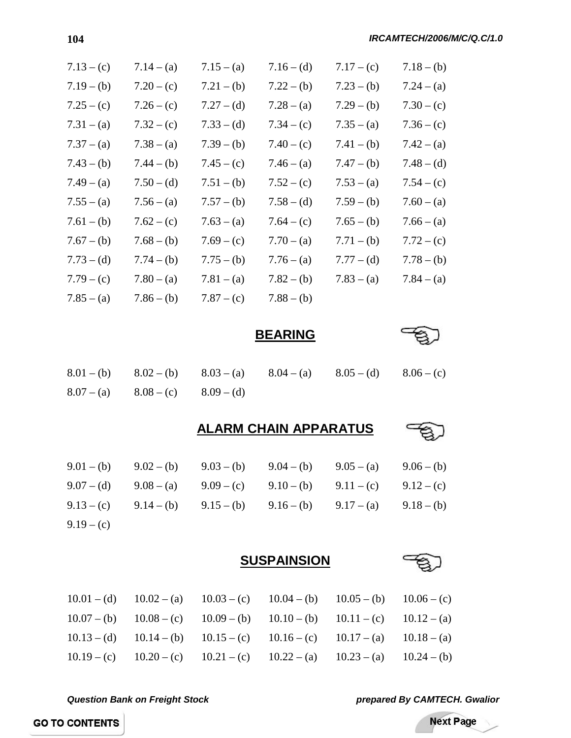| $7.13 - (c)$ | $7.14 - (a)$ | $7.15 - (a)$ | $7.16 - (d)$ | $7.17 - (c)$ | $7.18 - (b)$ |
|--------------|--------------|--------------|--------------|--------------|--------------|
| $7.19 - (b)$ | $7.20 - (c)$ | $7.21 - (b)$ | $7.22 - (b)$ | $7.23 - (b)$ | $7.24 - (a)$ |
| $7.25 - (c)$ | $7.26 - (c)$ | $7.27 - (d)$ | $7.28 - (a)$ | $7.29 - (b)$ | $7.30 - (c)$ |
| $7.31 - (a)$ | $7.32 - (c)$ | $7.33 - (d)$ | $7.34 - (c)$ | $7.35 - (a)$ | $7.36 - (c)$ |
| $7.37 - (a)$ | $7.38 - (a)$ | $7.39 - (b)$ | $7.40 - (c)$ | $7.41 - (b)$ | $7.42 - (a)$ |
| $7.43 - (b)$ | $7.44 - (b)$ | $7.45 - (c)$ | $7.46 - (a)$ | $7.47 - (b)$ | $7.48 - (d)$ |
| $7.49 - (a)$ | $7.50 - (d)$ | $7.51 - (b)$ | $7.52 - (c)$ | $7.53 - (a)$ | $7.54 - (c)$ |
| $7.55 - (a)$ | $7.56 - (a)$ | $7.57 - (b)$ | $7.58 - (d)$ | $7.59 - (b)$ | $7.60 - (a)$ |
| $7.61 - (b)$ | $7.62 - (c)$ | $7.63 - (a)$ | $7.64 - (c)$ | $7.65 - (b)$ | $7.66 - (a)$ |
| $7.67 - (b)$ | $7.68 - (b)$ | $7.69 - (c)$ | $7.70 - (a)$ | $7.71 - (b)$ | $7.72 - (c)$ |
| $7.73 - (d)$ | $7.74 - (b)$ | $7.75 - (b)$ | $7.76 - (a)$ | $7.77 - (d)$ | $7.78 - (b)$ |
| $7.79 - (c)$ | $7.80 - (a)$ | $7.81 - (a)$ | $7.82 - (b)$ | $7.83 - (a)$ | $7.84 - (a)$ |
| $7.85 - (a)$ | $7.86 - (b)$ | $7.87 - (c)$ | $7.88 - (b)$ |              |              |
|              |              |              |              |              |              |

**BEARING**

|  |                                        |  | 8.01 - (b) 8.02 - (b) 8.03 - (a) 8.04 - (a) 8.05 - (d) 8.06 - (c) |  |
|--|----------------------------------------|--|-------------------------------------------------------------------|--|
|  | $8.07 - (a)$ $8.08 - (c)$ $8.09 - (d)$ |  |                                                                   |  |

**ALARM CHAIN APPARATUS**



|              |  | $9.01 - (b)$ $9.02 - (b)$ $9.03 - (b)$ $9.04 - (b)$ $9.05 - (a)$ $9.06 - (b)$ |  |
|--------------|--|-------------------------------------------------------------------------------|--|
|              |  | $9.07 - (d)$ $9.08 - (a)$ $9.09 - (c)$ $9.10 - (b)$ $9.11 - (c)$ $9.12 - (c)$ |  |
|              |  | 9.13 – (c) 9.14 – (b) 9.15 – (b) 9.16 – (b) 9.17 – (a) 9.18 – (b)             |  |
| $9.19 - (c)$ |  |                                                                               |  |

**SUSPAINSION**





*Question Bank on Freight Stock prepared By CAMTECH. Gwalior*

**Next Page**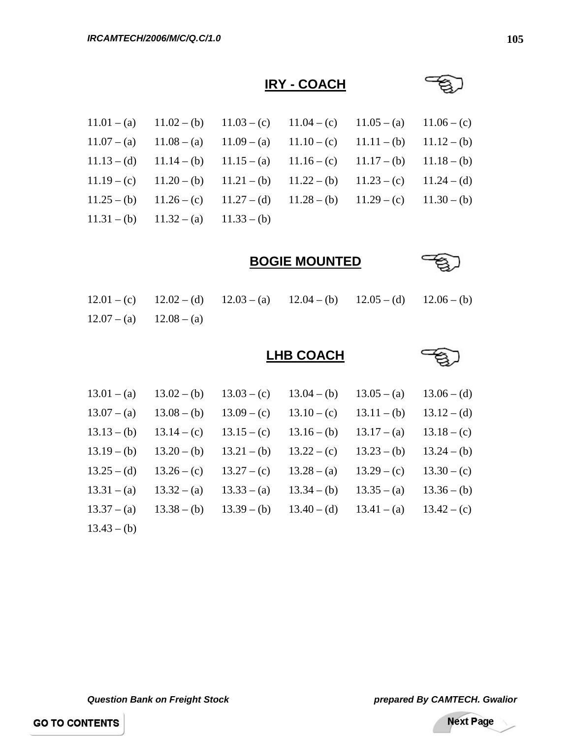# **IRY - COACH**



**BOGIE MOUNTED**



|                             |  | $12.01 - (c)$ $12.02 - (d)$ $12.03 - (a)$ $12.04 - (b)$ $12.05 - (d)$ $12.06 - (b)$ |  |
|-----------------------------|--|-------------------------------------------------------------------------------------|--|
| $12.07 - (a)$ $12.08 - (a)$ |  |                                                                                     |  |

## **LHB COACH**



| $13.01 - (a)$ | $13.02 - (b)$ | $13.03 - (c)$ | $13.04 - (b)$ | $13.05 - (a)$ | $13.06 - (d)$ |
|---------------|---------------|---------------|---------------|---------------|---------------|
| $13.07 - (a)$ | $13.08 - (b)$ | $13.09 - (c)$ | $13.10 - (c)$ | $13.11 - (b)$ | $13.12 - (d)$ |
| $13.13 - (b)$ | $13.14 - (c)$ | $13.15 - (c)$ | $13.16 - (b)$ | $13.17 - (a)$ | $13.18 - (c)$ |
| $13.19 - (b)$ | $13.20 - (b)$ | $13.21 - (b)$ | $13.22 - (c)$ | $13.23 - (b)$ | $13.24 - (b)$ |
| $13.25 - (d)$ | $13.26 - (c)$ | $13.27 - (c)$ | $13.28 - (a)$ | $13.29 - (c)$ | $13.30 - (c)$ |
| $13.31 - (a)$ | $13.32 - (a)$ | $13.33 - (a)$ | $13.34 - (b)$ | $13.35 - (a)$ | $13.36 - (b)$ |
| $13.37 - (a)$ | $13.38 - (b)$ | $13.39 - (b)$ | $13.40 - (d)$ | $13.41 - (a)$ | $13.42 - (c)$ |
| $13.43 - (b)$ |               |               |               |               |               |

**Next Page**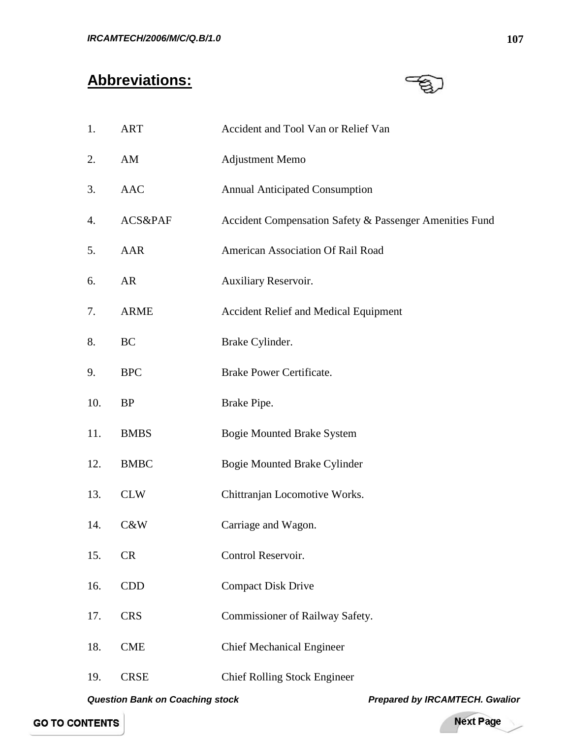# **Abbreviations:**



| 1.  | <b>ART</b>  | Accident and Tool Van or Relief Van                     |
|-----|-------------|---------------------------------------------------------|
| 2.  | AM          | <b>Adjustment Memo</b>                                  |
| 3.  | <b>AAC</b>  | <b>Annual Anticipated Consumption</b>                   |
| 4.  | ACS&PAF     | Accident Compensation Safety & Passenger Amenities Fund |
| 5.  | AAR         | American Association Of Rail Road                       |
| 6.  | AR          | Auxiliary Reservoir.                                    |
| 7.  | <b>ARME</b> | <b>Accident Relief and Medical Equipment</b>            |
| 8.  | BC          | Brake Cylinder.                                         |
| 9.  | <b>BPC</b>  | <b>Brake Power Certificate.</b>                         |
| 10. | <b>BP</b>   | Brake Pipe.                                             |
| 11. | <b>BMBS</b> | <b>Bogie Mounted Brake System</b>                       |
| 12. | <b>BMBC</b> | <b>Bogie Mounted Brake Cylinder</b>                     |
| 13. | <b>CLW</b>  | Chittranjan Locomotive Works.                           |
| 14. | C&W         | Carriage and Wagon.                                     |
| 15. | <b>CR</b>   | Control Reservoir.                                      |
| 16. | <b>CDD</b>  | <b>Compact Disk Drive</b>                               |
| 17. | <b>CRS</b>  | Commissioner of Railway Safety.                         |
| 18. | <b>CME</b>  | <b>Chief Mechanical Engineer</b>                        |
| 19. | <b>CRSE</b> | <b>Chief Rolling Stock Engineer</b>                     |

*Question Bank on Coaching stock Prepared by IRCAMTECH. Gwalior* 

Next Page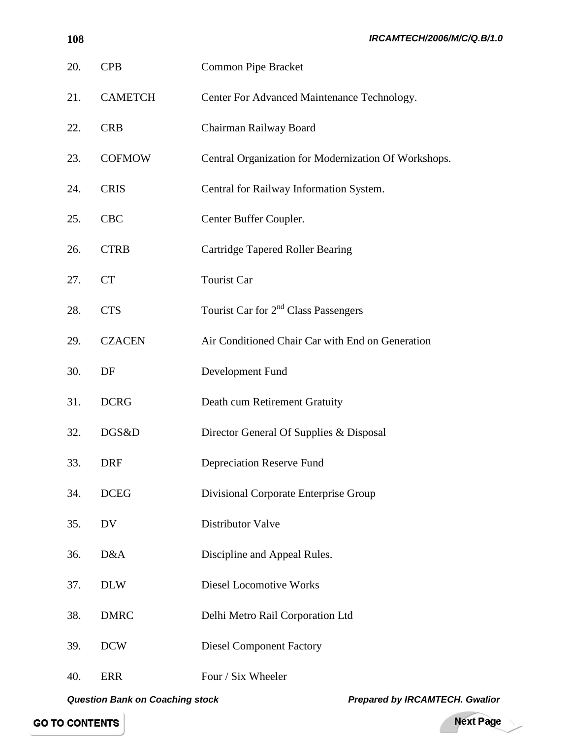| 20. | <b>CPB</b>     | <b>Common Pipe Bracket</b>                           |
|-----|----------------|------------------------------------------------------|
| 21. | <b>CAMETCH</b> | Center For Advanced Maintenance Technology.          |
| 22. | <b>CRB</b>     | Chairman Railway Board                               |
| 23. | <b>COFMOW</b>  | Central Organization for Modernization Of Workshops. |
| 24. | <b>CRIS</b>    | Central for Railway Information System.              |
| 25. | <b>CBC</b>     | Center Buffer Coupler.                               |
| 26. | <b>CTRB</b>    | <b>Cartridge Tapered Roller Bearing</b>              |
| 27. | <b>CT</b>      | <b>Tourist Car</b>                                   |
| 28. | <b>CTS</b>     | Tourist Car for 2 <sup>nd</sup> Class Passengers     |
| 29. | <b>CZACEN</b>  | Air Conditioned Chair Car with End on Generation     |
| 30. | DF             | Development Fund                                     |
| 31. | <b>DCRG</b>    | Death cum Retirement Gratuity                        |
| 32. | DGS&D          | Director General Of Supplies & Disposal              |
| 33. | <b>DRF</b>     | <b>Depreciation Reserve Fund</b>                     |
| 34. | <b>DCEG</b>    | Divisional Corporate Enterprise Group                |
| 35. | DV             | Distributor Valve                                    |
| 36. | D&A            | Discipline and Appeal Rules.                         |
| 37. | <b>DLW</b>     | <b>Diesel Locomotive Works</b>                       |
| 38. | <b>DMRC</b>    | Delhi Metro Rail Corporation Ltd                     |
| 39. | <b>DCW</b>     | <b>Diesel Component Factory</b>                      |
| 40. | <b>ERR</b>     | Four / Six Wheeler                                   |

*Question Bank on Coaching stock Prepared by IRCAMTECH. Gwalior* 

Next Page

 $\overline{\phantom{a}}$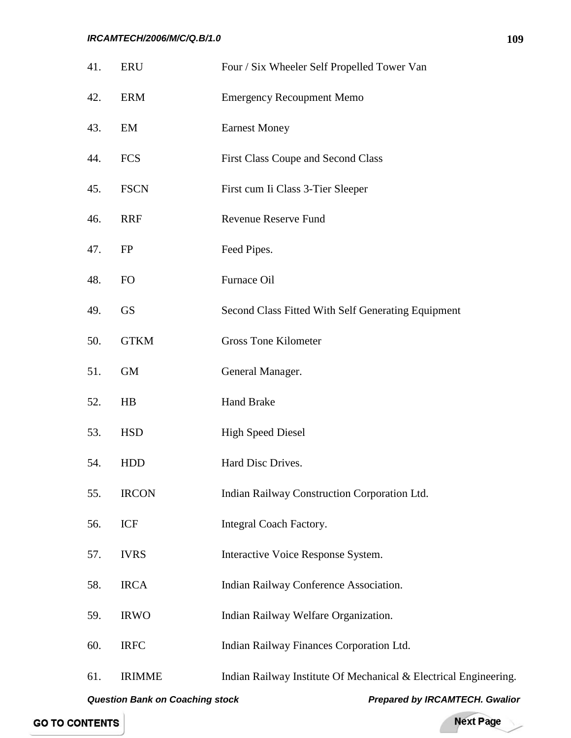| 41.                                                                             | <b>ERU</b>    | Four / Six Wheeler Self Propelled Tower Van                      |  |  |
|---------------------------------------------------------------------------------|---------------|------------------------------------------------------------------|--|--|
| 42.                                                                             | <b>ERM</b>    | <b>Emergency Recoupment Memo</b>                                 |  |  |
| 43.                                                                             | EM            | <b>Earnest Money</b>                                             |  |  |
| 44.                                                                             | <b>FCS</b>    | <b>First Class Coupe and Second Class</b>                        |  |  |
| 45.                                                                             | <b>FSCN</b>   | First cum Ii Class 3-Tier Sleeper                                |  |  |
| 46.                                                                             | <b>RRF</b>    | <b>Revenue Reserve Fund</b>                                      |  |  |
| 47.                                                                             | FP            | Feed Pipes.                                                      |  |  |
| 48.                                                                             | FO            | Furnace Oil                                                      |  |  |
| 49.                                                                             | <b>GS</b>     | Second Class Fitted With Self Generating Equipment               |  |  |
| 50.                                                                             | <b>GTKM</b>   | <b>Gross Tone Kilometer</b>                                      |  |  |
| 51.                                                                             | <b>GM</b>     | General Manager.                                                 |  |  |
| 52.                                                                             | HB            | <b>Hand Brake</b>                                                |  |  |
| 53.                                                                             | <b>HSD</b>    | <b>High Speed Diesel</b>                                         |  |  |
| 54.                                                                             | <b>HDD</b>    | Hard Disc Drives.                                                |  |  |
| 55.                                                                             | <b>IRCON</b>  | Indian Railway Construction Corporation Ltd.                     |  |  |
| 56.                                                                             | ICF           | Integral Coach Factory.                                          |  |  |
| 57.                                                                             | <b>IVRS</b>   | Interactive Voice Response System.                               |  |  |
| 58.                                                                             | <b>IRCA</b>   | Indian Railway Conference Association.                           |  |  |
| 59.                                                                             | <b>IRWO</b>   | Indian Railway Welfare Organization.                             |  |  |
| 60.                                                                             | <b>IRFC</b>   | Indian Railway Finances Corporation Ltd.                         |  |  |
| 61.                                                                             | <b>IRIMME</b> | Indian Railway Institute Of Mechanical & Electrical Engineering. |  |  |
| <b>Question Bank on Coaching stock</b><br><b>Prepared by IRCAMTECH. Gwalior</b> |               |                                                                  |  |  |

Next Page

-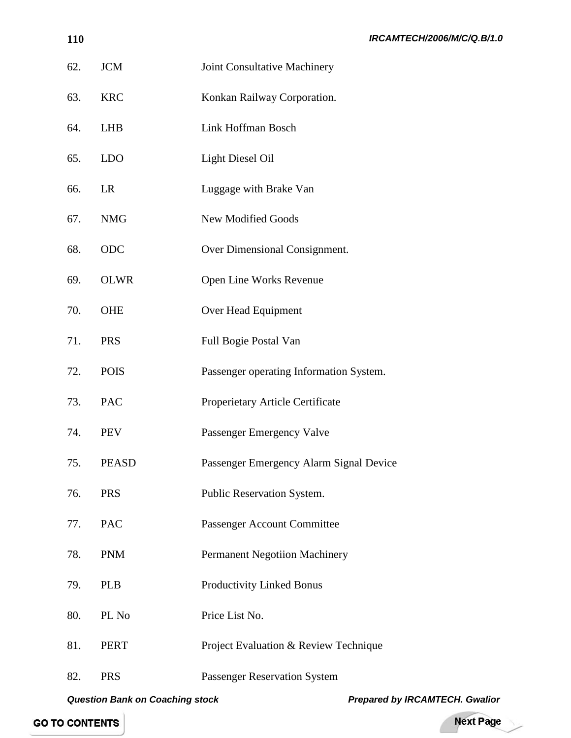| IRCAMTECH/2006/M/C/Q.B/1.0 |  |
|----------------------------|--|
|----------------------------|--|

| 62. | <b>JCM</b>   | Joint Consultative Machinery            |
|-----|--------------|-----------------------------------------|
| 63. | <b>KRC</b>   | Konkan Railway Corporation.             |
| 64. | <b>LHB</b>   | Link Hoffman Bosch                      |
| 65. | <b>LDO</b>   | <b>Light Diesel Oil</b>                 |
| 66. | LR           | Luggage with Brake Van                  |
| 67. | <b>NMG</b>   | New Modified Goods                      |
| 68. | ODC          | Over Dimensional Consignment.           |
| 69. | <b>OLWR</b>  | Open Line Works Revenue                 |
| 70. | <b>OHE</b>   | Over Head Equipment                     |
| 71. | <b>PRS</b>   | Full Bogie Postal Van                   |
| 72. | <b>POIS</b>  | Passenger operating Information System. |
| 73. | PAC          | Properietary Article Certificate        |
| 74. | <b>PEV</b>   | Passenger Emergency Valve               |
| 75. | <b>PEASD</b> | Passenger Emergency Alarm Signal Device |
| 76. | <b>PRS</b>   | Public Reservation System.              |
| 77. | <b>PAC</b>   | Passenger Account Committee             |
| 78. | <b>PNM</b>   | <b>Permanent Negotiion Machinery</b>    |
| 79. | <b>PLB</b>   | Productivity Linked Bonus               |
| 80. | PL No        | Price List No.                          |
| 81. | <b>PERT</b>  | Project Evaluation & Review Technique   |
| 82. | <b>PRS</b>   | <b>Passenger Reservation System</b>     |

*Question Bank on Coaching stock Prepared by IRCAMTECH. Gwalior* 

## **GO TO CONTENTS**

Next Page

-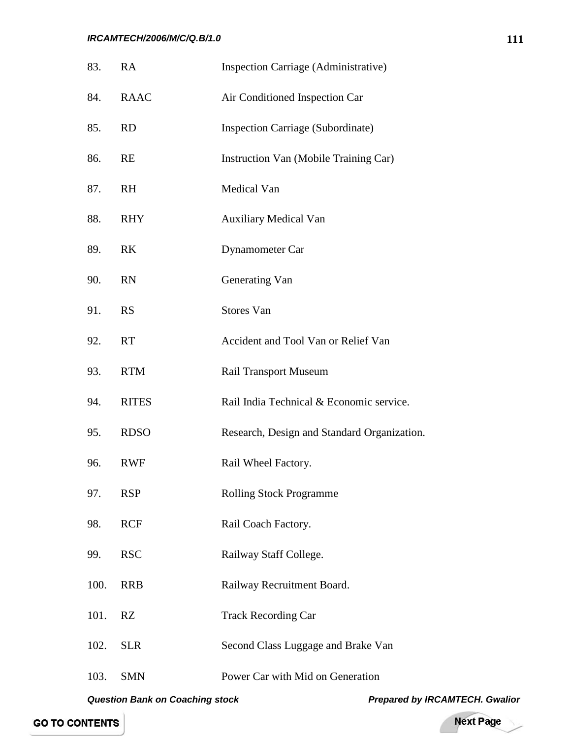#### *IRCAMTECH/2006/M/C/Q.B/1.0*

| 83.  | RA           | Inspection Carriage (Administrative)        |
|------|--------------|---------------------------------------------|
| 84.  | <b>RAAC</b>  | Air Conditioned Inspection Car              |
| 85.  | <b>RD</b>    | <b>Inspection Carriage (Subordinate)</b>    |
| 86.  | RE           | Instruction Van (Mobile Training Car)       |
| 87.  | RH           | Medical Van                                 |
| 88.  | <b>RHY</b>   | <b>Auxiliary Medical Van</b>                |
| 89.  | <b>RK</b>    | Dynamometer Car                             |
| 90.  | RN           | Generating Van                              |
| 91.  | <b>RS</b>    | Stores Van                                  |
| 92.  | <b>RT</b>    | Accident and Tool Van or Relief Van         |
| 93.  | <b>RTM</b>   | <b>Rail Transport Museum</b>                |
| 94.  | <b>RITES</b> | Rail India Technical & Economic service.    |
| 95.  | <b>RDSO</b>  | Research, Design and Standard Organization. |
| 96.  | <b>RWF</b>   | Rail Wheel Factory.                         |
| 97.  | <b>RSP</b>   | <b>Rolling Stock Programme</b>              |
| 98.  | <b>RCF</b>   | Rail Coach Factory.                         |
| 99.  | <b>RSC</b>   | Railway Staff College.                      |
| 100. | <b>RRB</b>   | Railway Recruitment Board.                  |
| 101. | RZ           | <b>Track Recording Car</b>                  |
| 102. | <b>SLR</b>   | Second Class Luggage and Brake Van          |
| 103. | <b>SMN</b>   | Power Car with Mid on Generation            |
|      |              |                                             |

Next Page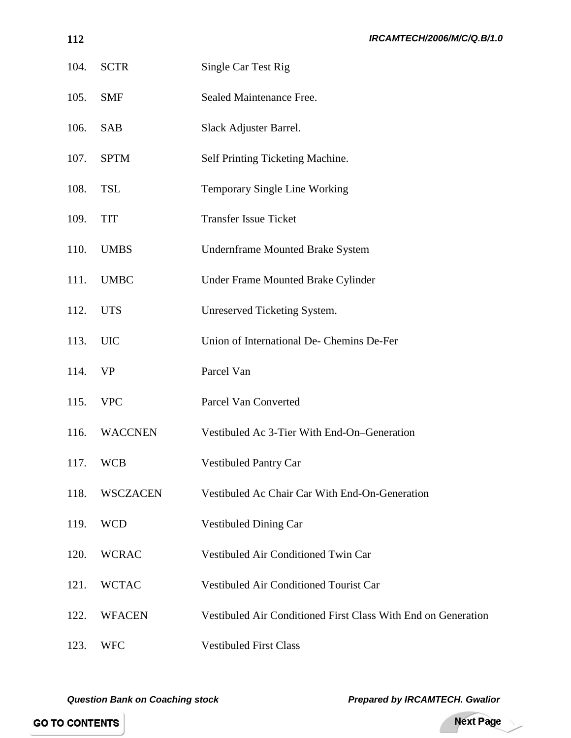| 104. | <b>SCTR</b>     | Single Car Test Rig                                           |
|------|-----------------|---------------------------------------------------------------|
| 105. | <b>SMF</b>      | Sealed Maintenance Free.                                      |
| 106. | <b>SAB</b>      | Slack Adjuster Barrel.                                        |
| 107. | <b>SPTM</b>     | Self Printing Ticketing Machine.                              |
| 108. | <b>TSL</b>      | Temporary Single Line Working                                 |
| 109. | <b>TIT</b>      | <b>Transfer Issue Ticket</b>                                  |
| 110. | <b>UMBS</b>     | <b>Undernframe Mounted Brake System</b>                       |
| 111. | <b>UMBC</b>     | Under Frame Mounted Brake Cylinder                            |
| 112. | <b>UTS</b>      | Unreserved Ticketing System.                                  |
| 113. | <b>UIC</b>      | Union of International De- Chemins De-Fer                     |
| 114. | <b>VP</b>       | Parcel Van                                                    |
| 115. | <b>VPC</b>      | Parcel Van Converted                                          |
| 116. | <b>WACCNEN</b>  | Vestibuled Ac 3-Tier With End-On-Generation                   |
| 117. | <b>WCB</b>      | <b>Vestibuled Pantry Car</b>                                  |
| 118. | <b>WSCZACEN</b> | Vestibuled Ac Chair Car With End-On-Generation                |
| 119. | <b>WCD</b>      | <b>Vestibuled Dining Car</b>                                  |
| 120. | <b>WCRAC</b>    | Vestibuled Air Conditioned Twin Car                           |
| 121. | <b>WCTAC</b>    | Vestibuled Air Conditioned Tourist Car                        |
| 122. | <b>WFACEN</b>   | Vestibuled Air Conditioned First Class With End on Generation |
| 123. | <b>WFC</b>      | <b>Vestibuled First Class</b>                                 |

*Question Bank on Coaching stock Prepared by IRCAMTECH. Gwalior Prepared by IRCAMTECH. Gwalior* 

Next Page

╱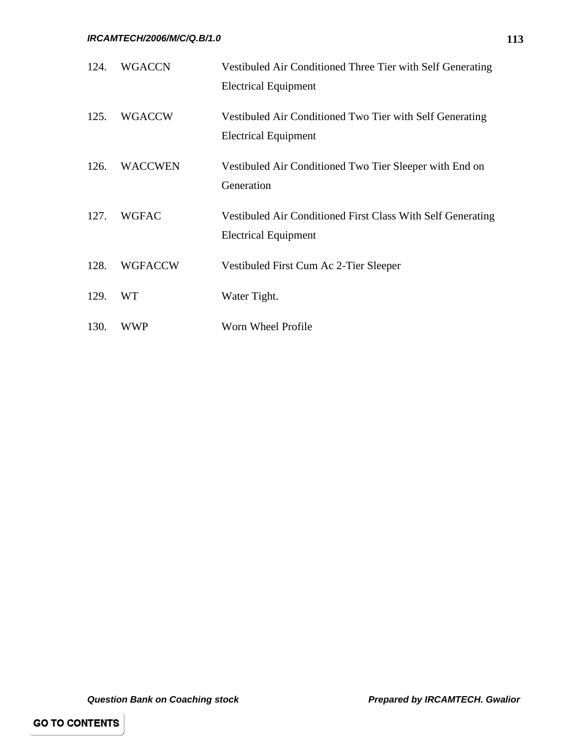| 124. | <b>WGACCN</b>  | Vestibuled Air Conditioned Three Tier with Self Generating<br><b>Electrical Equipment</b>  |
|------|----------------|--------------------------------------------------------------------------------------------|
| 125. | <b>WGACCW</b>  | Vestibuled Air Conditioned Two Tier with Self Generating<br><b>Electrical Equipment</b>    |
| 126. | <b>WACCWEN</b> | Vestibuled Air Conditioned Two Tier Sleeper with End on<br>Generation                      |
| 127. | <b>WGFAC</b>   | Vestibuled Air Conditioned First Class With Self Generating<br><b>Electrical Equipment</b> |
| 128. | <b>WGFACCW</b> | Vestibuled First Cum Ac 2-Tier Sleeper                                                     |
| 129. | WT             | Water Tight.                                                                               |
| 130. | WWP            | Worn Wheel Profile                                                                         |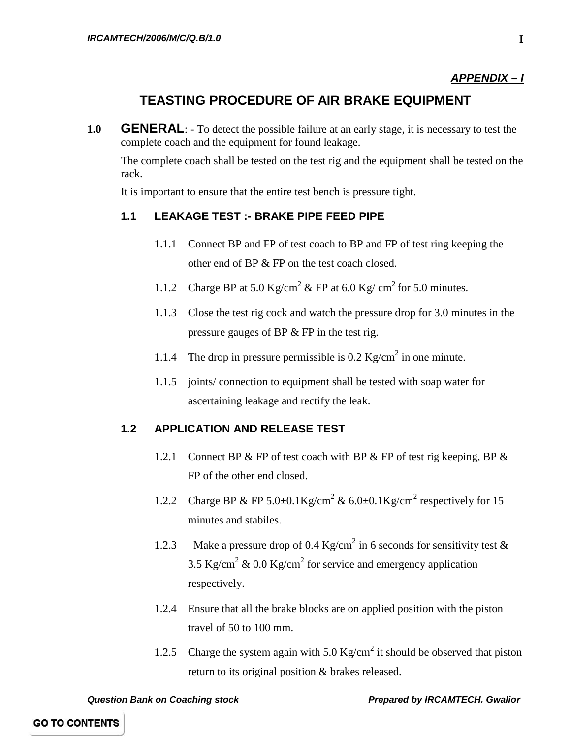#### *APPENDIX – I*

# **TEASTING PROCEDURE OF AIR BRAKE EQUIPMENT**

**1.0 GENERAL**: - To detect the possible failure at an early stage, it is necessary to test the complete coach and the equipment for found leakage.

The complete coach shall be tested on the test rig and the equipment shall be tested on the rack.

It is important to ensure that the entire test bench is pressure tight.

#### **1.1 LEAKAGE TEST :- BRAKE PIPE FEED PIPE**

- 1.1.1 Connect BP and FP of test coach to BP and FP of test ring keeping the other end of BP & FP on the test coach closed.
- 1.1.2 Charge BP at 5.0 Kg/cm<sup>2</sup> & FP at 6.0 Kg/ cm<sup>2</sup> for 5.0 minutes.
- 1.1.3 Close the test rig cock and watch the pressure drop for 3.0 minutes in the pressure gauges of BP & FP in the test rig.
- 1.1.4 The drop in pressure permissible is  $0.2 \text{ Kg/cm}^2$  in one minute.
- 1.1.5 joints/ connection to equipment shall be tested with soap water for ascertaining leakage and rectify the leak.

#### **1.2 APPLICATION AND RELEASE TEST**

- 1.2.1 Connect BP & FP of test coach with BP & FP of test rig keeping, BP & FP of the other end closed.
- 1.2.2 Charge BP & FP 5.0 $\pm$ 0.1Kg/cm<sup>2</sup> & 6.0 $\pm$ 0.1Kg/cm<sup>2</sup> respectively for 15 minutes and stabiles.
- 1.2.3 Make a pressure drop of 0.4 Kg/cm<sup>2</sup> in 6 seconds for sensitivity test & 3.5 Kg/cm<sup>2</sup> & 0.0 Kg/cm<sup>2</sup> for service and emergency application respectively.
- 1.2.4 Ensure that all the brake blocks are on applied position with the piston travel of 50 to 100 mm.
- 1.2.5 Charge the system again with  $5.0 \text{ Kg/cm}^2$  it should be observed that piston return to its original position & brakes released.

*Question Bank on Coaching stock Prepared by IRCAMTECH. Gwalior*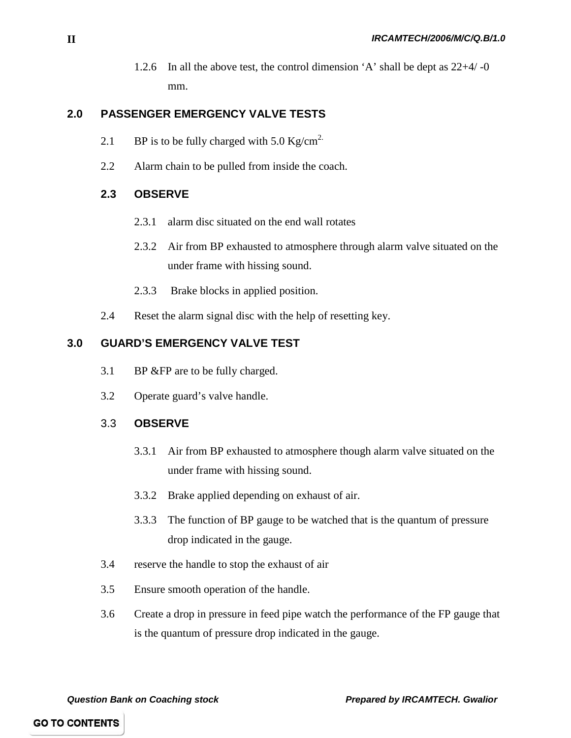1.2.6 In all the above test, the control dimension 'A' shall be dept as 22+4/ -0 mm.

### **2.0 PASSENGER EMERGENCY VALVE TESTS**

- 2.1 BP is to be fully charged with 5.0  $\text{Kg/cm}^2$ .
- 2.2 Alarm chain to be pulled from inside the coach.

#### **2.3 OBSERVE**

- 2.3.1 alarm disc situated on the end wall rotates
- 2.3.2 Air from BP exhausted to atmosphere through alarm valve situated on the under frame with hissing sound.
- 2.3.3 Brake blocks in applied position.
- 2.4 Reset the alarm signal disc with the help of resetting key.

#### **3.0 GUARD'S EMERGENCY VALVE TEST**

- 3.1 BP &FP are to be fully charged.
- 3.2 Operate guard's valve handle.

#### 3.3 **OBSERVE**

- 3.3.1 Air from BP exhausted to atmosphere though alarm valve situated on the under frame with hissing sound.
- 3.3.2 Brake applied depending on exhaust of air.
- 3.3.3 The function of BP gauge to be watched that is the quantum of pressure drop indicated in the gauge.
- 3.4 reserve the handle to stop the exhaust of air
- 3.5 Ensure smooth operation of the handle.
- 3.6 Create a drop in pressure in feed pipe watch the performance of the FP gauge that is the quantum of pressure drop indicated in the gauge.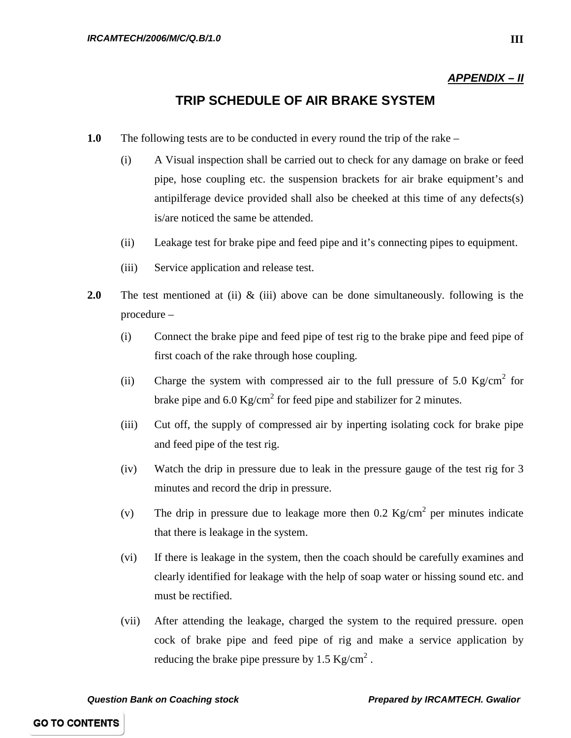#### *APPENDIX – II*

## **TRIP SCHEDULE OF AIR BRAKE SYSTEM**

- **1.0** The following tests are to be conducted in every round the trip of the rake
	- (i) A Visual inspection shall be carried out to check for any damage on brake or feed pipe, hose coupling etc. the suspension brackets for air brake equipment's and antipilferage device provided shall also be cheeked at this time of any defects(s) is/are noticed the same be attended.
	- (ii) Leakage test for brake pipe and feed pipe and it's connecting pipes to equipment.
	- (iii) Service application and release test.
- **2.0** The test mentioned at (ii) & (iii) above can be done simultaneously. following is the procedure –
	- (i) Connect the brake pipe and feed pipe of test rig to the brake pipe and feed pipe of first coach of the rake through hose coupling.
	- (ii) Charge the system with compressed air to the full pressure of 5.0  $\text{Kg/cm}^2$  for brake pipe and  $6.0 \text{ Kg/cm}^2$  for feed pipe and stabilizer for 2 minutes.
	- (iii) Cut off, the supply of compressed air by inperting isolating cock for brake pipe and feed pipe of the test rig.
	- (iv) Watch the drip in pressure due to leak in the pressure gauge of the test rig for 3 minutes and record the drip in pressure.
	- (v) The drip in pressure due to leakage more then  $0.2 \text{ Kg/cm}^2$  per minutes indicate that there is leakage in the system.
	- (vi) If there is leakage in the system, then the coach should be carefully examines and clearly identified for leakage with the help of soap water or hissing sound etc. and must be rectified.
	- (vii) After attending the leakage, charged the system to the required pressure. open cock of brake pipe and feed pipe of rig and make a service application by reducing the brake pipe pressure by 1.5  $\text{Kg/cm}^2$ .

*Question Bank on Coaching stock Prepared by IRCAMTECH. Gwalior*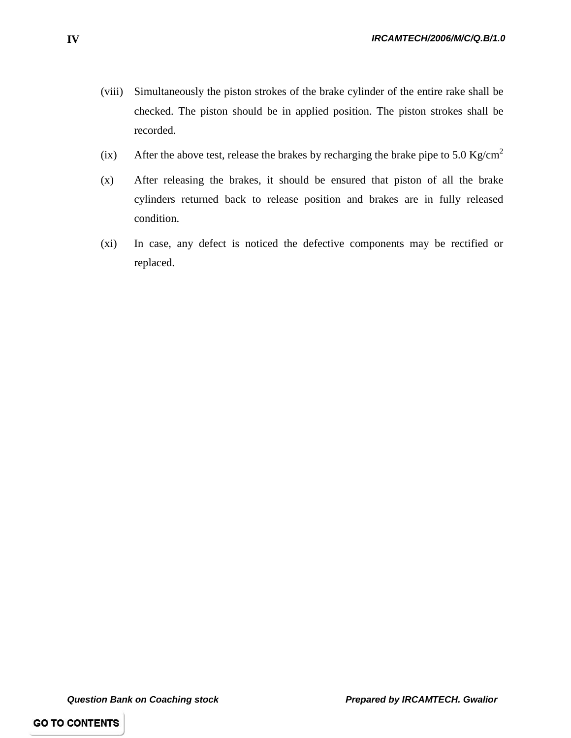- (viii) Simultaneously the piston strokes of the brake cylinder of the entire rake shall be checked. The piston should be in applied position. The piston strokes shall be recorded.
- (ix) After the above test, release the brakes by recharging the brake pipe to 5.0 Kg/cm<sup>2</sup>
- (x) After releasing the brakes, it should be ensured that piston of all the brake cylinders returned back to release position and brakes are in fully released condition.
- (xi) In case, any defect is noticed the defective components may be rectified or replaced.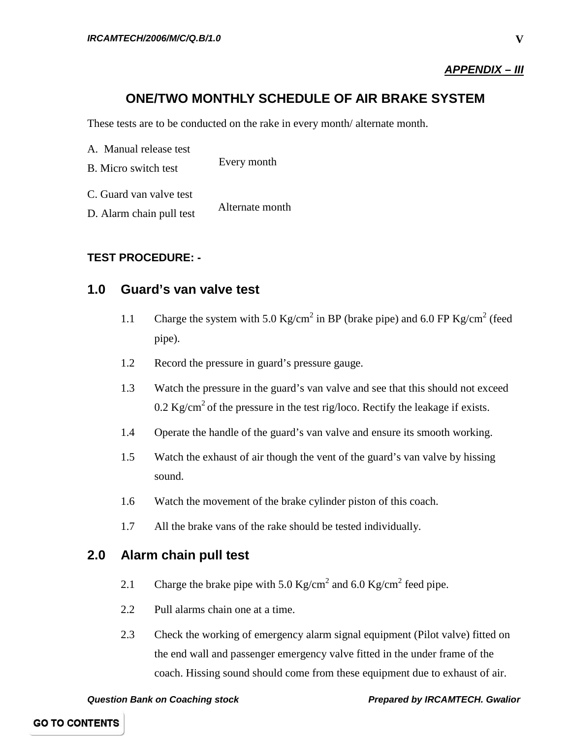#### *APPENDIX – III*

# **ONE/TWO MONTHLY SCHEDULE OF AIR BRAKE SYSTEM**

These tests are to be conducted on the rake in every month/ alternate month.

| A. Manual release test      |                 |
|-----------------------------|-----------------|
| <b>B.</b> Micro switch test | Every month     |
| C. Guard van valve test     |                 |
| D. Alarm chain pull test    | Alternate month |

#### **TEST PROCEDURE: -**

#### **1.0 Guard's van valve test**

- 1.1 Charge the system with 5.0 Kg/cm<sup>2</sup> in BP (brake pipe) and 6.0 FP Kg/cm<sup>2</sup> (feed pipe).
- 1.2 Record the pressure in guard's pressure gauge.
- 1.3 Watch the pressure in the guard's van valve and see that this should not exceed 0.2 Kg/cm<sup>2</sup> of the pressure in the test rig/loco. Rectify the leakage if exists.
- 1.4 Operate the handle of the guard's van valve and ensure its smooth working.
- 1.5 Watch the exhaust of air though the vent of the guard's van valve by hissing sound.
- 1.6 Watch the movement of the brake cylinder piston of this coach.
- 1.7 All the brake vans of the rake should be tested individually.

## **2.0 Alarm chain pull test**

- 2.1 Charge the brake pipe with 5.0  $\text{Kg/cm}^2$  and 6.0  $\text{Kg/cm}^2$  feed pipe.
- 2.2 Pull alarms chain one at a time.
- 2.3 Check the working of emergency alarm signal equipment (Pilot valve) fitted on the end wall and passenger emergency valve fitted in the under frame of the coach. Hissing sound should come from these equipment due to exhaust of air.

*Question Bank on Coaching stock Prepared by IRCAMTECH. Gwalior*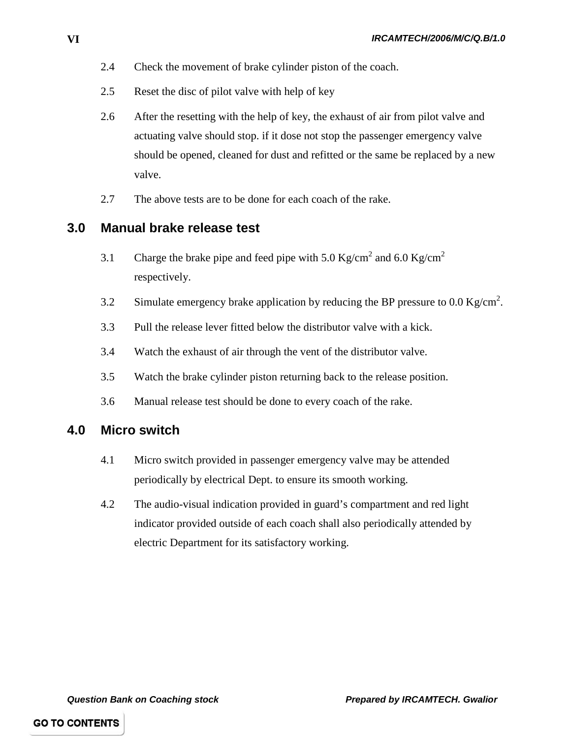- 2.4 Check the movement of brake cylinder piston of the coach.
- 2.5 Reset the disc of pilot valve with help of key
- 2.6 After the resetting with the help of key, the exhaust of air from pilot valve and actuating valve should stop. if it dose not stop the passenger emergency valve should be opened, cleaned for dust and refitted or the same be replaced by a new valve.
- 2.7 The above tests are to be done for each coach of the rake.

## **3.0 Manual brake release test**

- 3.1 Charge the brake pipe and feed pipe with 5.0 Kg/cm<sup>2</sup> and 6.0 Kg/cm<sup>2</sup> respectively.
- 3.2 Simulate emergency brake application by reducing the BP pressure to 0.0 Kg/cm<sup>2</sup>.
- 3.3 Pull the release lever fitted below the distributor valve with a kick.
- 3.4 Watch the exhaust of air through the vent of the distributor valve.
- 3.5 Watch the brake cylinder piston returning back to the release position.
- 3.6 Manual release test should be done to every coach of the rake.

#### **4.0 Micro switch**

- 4.1 Micro switch provided in passenger emergency valve may be attended periodically by electrical Dept. to ensure its smooth working.
- 4.2 The audio-visual indication provided in guard's compartment and red light indicator provided outside of each coach shall also periodically attended by electric Department for its satisfactory working.

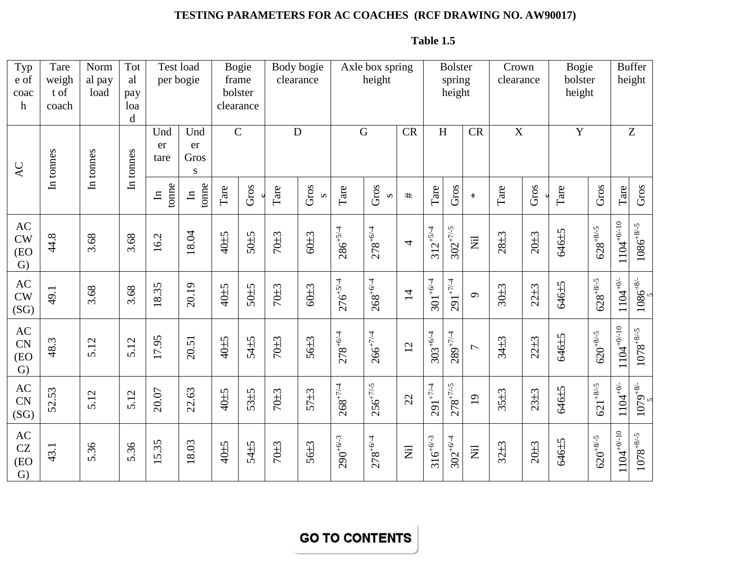# **TESTING PARAMETERS FOR AC COACHES (RCF DRAWING NO. AW90017)**

| Typ<br>e of<br>coac<br>$\mathbf h$                         | Tare<br>weigh<br>t of<br>coach | Norm<br>al pay<br>load | Tot<br>al<br>pay<br>loa<br>d | Test load<br>per bogie |                        | <b>Bogie</b><br>frame<br>bolster<br>clearance |          | clearance   | Body bogie       |               | Axle box spring<br>height |                                   |                       | <b>Bolster</b><br>spring<br>height |                                   | Crown<br>clearance      |                  | <b>Bogie</b><br>bolster<br>height |               |                                          | <b>Buffer</b><br>height                 |
|------------------------------------------------------------|--------------------------------|------------------------|------------------------------|------------------------|------------------------|-----------------------------------------------|----------|-------------|------------------|---------------|---------------------------|-----------------------------------|-----------------------|------------------------------------|-----------------------------------|-------------------------|------------------|-----------------------------------|---------------|------------------------------------------|-----------------------------------------|
| AC                                                         | In tonnes                      | In tonnes              | In tonnes                    | Und<br>er<br>tare      | Und<br>er<br>Gros<br>S | $\mathsf{C}$                                  |          | $\mathbf D$ |                  |               | $\mathbf G$               | CR                                |                       | H                                  | CR                                | $\overline{\mathbf{X}}$ |                  | $\overline{Y}$                    |               |                                          | Z                                       |
|                                                            |                                |                        |                              | tonne<br>$\mathbf{H}$  | tonne<br>$\mathbf{H}$  | Tare                                          | Gros     | Tare        | Gros<br>$\infty$ | Tare          | Gros<br>$\Omega$          | #                                 | $\operatorname{Tare}$ | Gros                               | $\ast$                            | $\operatorname{Tare}$   | Gros             | Tare                              | Gros          | $\operatorname{Tare}$                    | Gros                                    |
| $\mathbf{A}\mathbf{C}$<br>CW<br>(EO<br>$\mathrm{G}$        | 44.8                           | 3.68                   | 3.68                         | 16.2                   | 18.04                  | 40±5                                          | $50\pm5$ | 70±3        | $60\pm3$         | $286^{+5/4}$  | $278^{+6/4}$              | 4                                 | $312^{+5/4}$          | $302^{+7/-5}$                      | $\overleftrightarrow{\mathbf{z}}$ | $28 + 3$                | 20 <sub>±3</sub> | 646±5                             | $628^{+8/-5}$ | $1104^{+0/-10}$                          | $1086^{\mathrm {+8/-5}}$                |
| $\mathbf{A}\mathbf{C}$<br>CW<br>(SG)                       | 49.1                           | 3.68                   | 3.68                         | 18.35                  | 20.19                  | 40 <sup>+5</sup>                              | 50±5     | $70\pm3$    | $60\pm3$         | $276^{+5/4}$  | $268^{+6/4}$              | $\overline{1}$                    | $301^{+6/4}$          | $291^{+7/4}$                       | $\sigma$                          | $30\pm3$                | $22 + 3$         | 646±5                             | $628^{+8/-5}$ | $1104^{+0/-}$                            | $1086^{+8/-}$                           |
| $\mathbf{A}\mathbf{C}$<br><b>CN</b><br>(EO<br>$\mathrm{G}$ | 48.3                           | 5.12                   | 5.12                         | 17.95                  | 20.51                  | 40±5                                          | 54±5     | $70\pm3$    | 56±3             | $278^{+6/4}$  | $266^{+7/4}$              | 12                                | $303^{+6/4}$          | $289^{+7/4}$                       | $\overline{ }$                    | $34 + 3$                | $22 + 3$         | 646±5                             | $620^{+8/-5}$ | $1104^{+0/-10}$                          | $1078^{\mathrm {+8/ \mathrm {\cdot}5}}$ |
| $\mathbf{A}\mathbf{C}$<br><b>CN</b><br>(SG)                | 52.53                          | 5.12                   | 5.12                         | 20.07                  | 22.63                  | 40±5                                          | $53\pm5$ | 70±3        | 57±3             | $268^{+7/4}$  | $256^{+7/-5}$             | 22                                | $291^{+7/4}$          | $278^{+7/-5}$                      | $\overline{19}$                   | $35\pm3$                | $23 + 3$         | 646±5                             | $621^{+8/-5}$ | $1104^{+0/-}$                            | $1079^{+8/-}$                           |
| AC<br>CZ<br>(EO<br>$\mathrm{G}$                            | 43.1                           | 5.36                   | 5.36                         | 5.35                   | 18.03                  | 40±5                                          | 54±5     | 70±3        | $56\pm3$         | $290^{+6/-3}$ | $278^{+6/4}$              | $\overleftrightarrow{\mathbf{z}}$ | $316^{+6/-3}$         | $302^{+6/4}$                       | $\overline{z}$                    | $32 + 3$                | 20 <sub>±3</sub> | 646±5                             | $620^{+8/-5}$ | $\underline{110}4^{+0^\prime\text{-}10}$ | $1078^{+8/-5}$                          |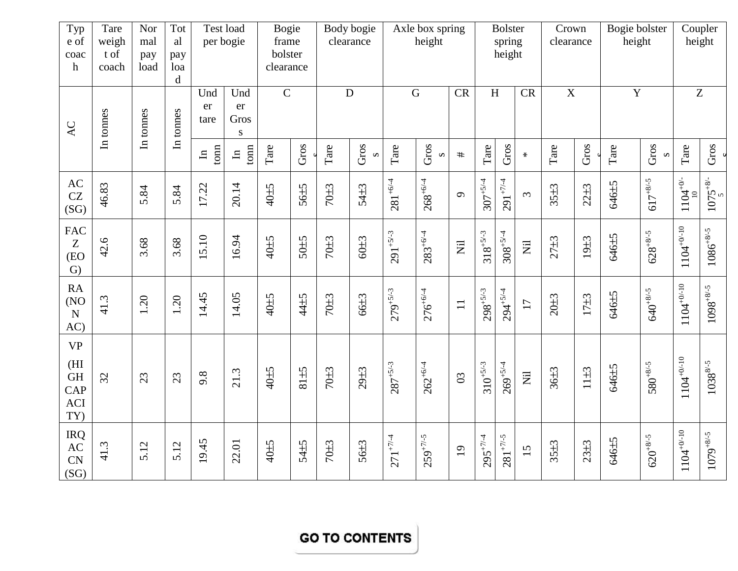| Typ<br>e of<br>coac<br>$\boldsymbol{\mathrm{h}}$   | Tare<br>weigh<br>t of<br>coach | Nor<br>mal<br>pay<br>load | Tot<br>al<br>pay<br>loa<br>$\mathbf d$ |                               | Test load<br>per bogie         | <b>Bogie</b><br>frame<br>bolster<br>clearance |          |                  | Body bogie<br>clearance |               | Axle box spring<br>height |                                   |               | <b>Bolster</b><br>spring<br>height |                                   | Crown<br>clearance |                  | Bogie bolster<br>height |                     |                                      | Coupler<br>height         |
|----------------------------------------------------|--------------------------------|---------------------------|----------------------------------------|-------------------------------|--------------------------------|-----------------------------------------------|----------|------------------|-------------------------|---------------|---------------------------|-----------------------------------|---------------|------------------------------------|-----------------------------------|--------------------|------------------|-------------------------|---------------------|--------------------------------------|---------------------------|
| $\mathsf{AC}$                                      | In tonnes                      | In tonnes                 | In tonnes                              | Und<br>er<br>tare             | Und<br>er<br>Gros<br>${\bf S}$ | $\overline{C}$                                |          |                  | ${\bf D}$               |               | $\overline{G}$            | <b>CR</b>                         |               | H                                  | <b>CR</b>                         | $\overline{X}$     |                  | $\overline{Y}$          |                     |                                      | $\overline{Z}$            |
|                                                    |                                |                           |                                        | $\frac{1}{2}$<br>$\mathbf{u}$ | tonn<br>$\mathbf{H}$           | Tare                                          | Gros     | Tare             | Gros                    | Tare          | Gros<br>$\infty$          | $\#$                              | Tare          | Gros                               | $\star$                           | Tare               | Gros             | Tare                    | Gros<br>$\mathbf 2$ | Tare                                 | Gros                      |
| AC<br>CZ<br>(SG)                                   | 46.83                          | 5.84                      | 5.84                                   | 17.22                         | 20.14                          | 40±5                                          | $56\pm5$ | $70\pm3$         | 54±3                    | $281^{+6/4}$  | $268^{+6/4}$              | $\sigma$                          | $307 + 5/4$   | $291^{+7/4}$                       | $\tilde{\epsilon}$                | $35 + 3$           | $22 + 3$         | 646±5                   | $617^{+8/-5}$       | $1104^{+0/-}$                        | $\frac{1075^{+8/-}}{5}$   |
| <b>FAC</b><br>Z<br>(EO<br>$\mathcal{G}$            | 42.6                           | 3.68                      | 3.68                                   | 15.10                         | 16.94                          | 40±5                                          | 50±5     | $70\pm3$         | $60\pm3$                | $291^{+5/-3}$ | $283^{+6/4}$              | $\overleftrightarrow{\mathbf{Z}}$ | $318^{+5/-3}$ | $308^{+5/4}$                       | $\overleftrightarrow{\mathbf{Z}}$ | $27 + 3$           | 19 <sub>±3</sub> | 646±5                   | $628^{+8/-5}$       | $1104^{\mathrm{+0\prime\text{-}10}}$ | $1086^{\mathrm {+8/-5}}$  |
| <b>RA</b><br>(NO<br>$\mathbf N$<br>AC)             | 41.3                           | 1.20                      | 1.20                                   | 14.45                         | 14.05                          | 40±5                                          | 44±5     | $70\pm3$         | 66±3                    | $279^{+5/-3}$ | $276^{+6/4}$              | $\Box$                            | $298^{+5/-3}$ | $294^{+5/4}$                       | 17                                | $20\pm3$           | $17+3$           | 646±5                   | $640^{+8/-5}$       | $1104^{+0/-10}$                      | $1098^{+8/-5}$            |
| <b>VP</b><br>(HI<br><b>GH</b><br>CAP<br>ACI<br>TY) | 32                             | 23                        | 23                                     | 9.8                           | 21.3                           | 40±5                                          | 81±5     | $70\pm3$         | $29 + 3$                | $287^{+5/-3}$ | $262^{+6/4}$              | $\mathfrak{S}$                    | $310^{+5/-3}$ | $269^{+5/4}$                       | $\overleftrightarrow{\mathbf{Z}}$ | $36\pm3$           | $11\pm3$         | 646±5                   | $580^{+8/-5}$       | $1104^{\mathrm{+0/-10}}$             | $1038^{8\prime\text{-}5}$ |
| <b>IRQ</b><br>AC<br>CN<br>(SG)                     | 41.3                           | 5.12                      | 5.12                                   | 19.45                         | 22.01                          | 40±5                                          | 54±5     | 70 <sub>±3</sub> | 56±3                    | $271^{+7/4}$  | $259^{+7/-5}$             | 19                                | $295^{+7/4}$  | $281^{+7/-5}$                      | 15                                | $35 + 3$           | $23 + 3$         | 646±5                   | $620^{+8/-5}$       | $1104^{\mathrm{+0\prime\text{-}10}}$ | $1079^{+8/-5}$            |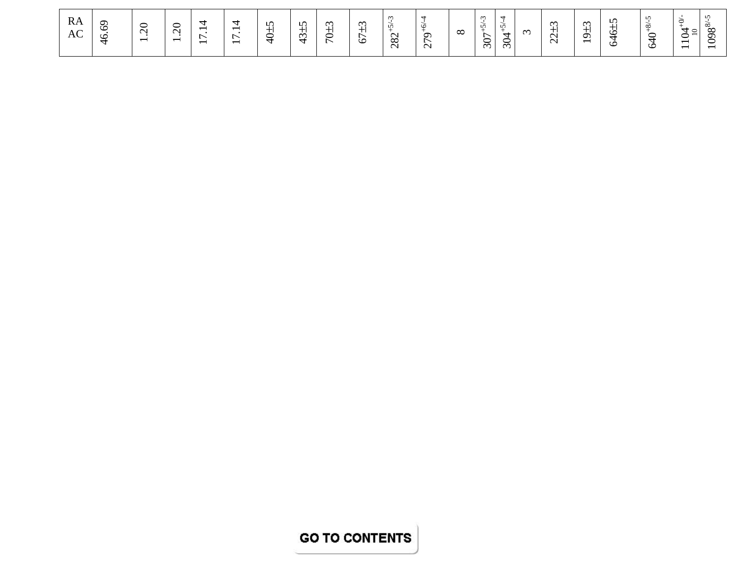| RA<br>AC | ◡<br>$\circ$<br><b>In</b><br>╼ | ∽<br>$\check{ }$<br>$\sim$<br>$\overline{\phantom{0}}$ | ∽<br>$\check{ }$<br>$\sim$<br>$\overline{\phantom{0}}$ | $\overline{\phantom{0}}$<br>$\overline{\phantom{0}}$ | -<br>$\overline{\phantom{0}}$<br>$\overline{\phantom{0}}$ | $\mathbf{r}$<br>-<br>-<br>∽<br>- | $\Omega$<br>$\sim$<br>. . | $\sim$<br>-<br>∽ | $\infty$<br><b>11</b><br>۱Ò | $\sim$<br>$\infty$<br>$\sim$ | თ<br>∼<br>$\sim$ | $\infty$ | v<br>∼<br>⌒<br>$\approx$ | n,<br><b>Selection</b><br>$\,$<br>∽<br>$\breve{\sigma}$ | $\sim$ | $\sim$<br>$\sim$<br>$\sim$ | $\sim$<br>ᡡ<br>$\overline{\phantom{0}}$ | $\sqrt{ }$<br>≌<br>$\circ$ | $\sqrt{2}$<br>∞<br>∽<br>$\check{ }$<br>$\overline{\phantom{0}}$<br>╰ | $\Delta$<br>$\check{ }$<br>$\overline{\phantom{0}}$<br>$\overline{\phantom{0}}$ | $\sim$<br>w<br>$\infty$<br>െ<br>∽<br>∽<br>$\overline{\phantom{0}}$ |
|----------|--------------------------------|--------------------------------------------------------|--------------------------------------------------------|------------------------------------------------------|-----------------------------------------------------------|----------------------------------|---------------------------|------------------|-----------------------------|------------------------------|------------------|----------|--------------------------|---------------------------------------------------------|--------|----------------------------|-----------------------------------------|----------------------------|----------------------------------------------------------------------|---------------------------------------------------------------------------------|--------------------------------------------------------------------|
|----------|--------------------------------|--------------------------------------------------------|--------------------------------------------------------|------------------------------------------------------|-----------------------------------------------------------|----------------------------------|---------------------------|------------------|-----------------------------|------------------------------|------------------|----------|--------------------------|---------------------------------------------------------|--------|----------------------------|-----------------------------------------|----------------------------|----------------------------------------------------------------------|---------------------------------------------------------------------------------|--------------------------------------------------------------------|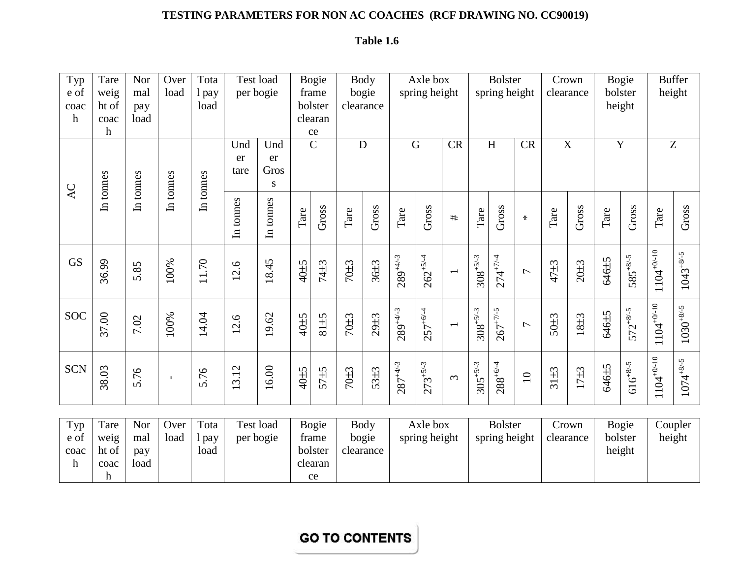# **TESTING PARAMETERS FOR NON AC COACHES (RCF DRAWING NO. CC90019)**

# **Table 1.6**

| Typ             | Tare          | Nor        | Over      | Tota          |                                   | Test load                |      | <b>Bogie</b>     |                  | <b>Body</b> |               | Axle box      |                          |               | <b>Bolster</b> |                 | Crown    |                  |       | Bogie             |                 | <b>Buffer</b>  |
|-----------------|---------------|------------|-----------|---------------|-----------------------------------|--------------------------|------|------------------|------------------|-------------|---------------|---------------|--------------------------|---------------|----------------|-----------------|----------|------------------|-------|-------------------|-----------------|----------------|
| e of<br>coac    | weig<br>ht of | mal<br>pay | load      | 1 pay<br>load |                                   | per bogie                |      | frame<br>bolster | bogie            | clearance   |               | spring height |                          |               | spring height  |                 |          | clearance        |       | bolster<br>height |                 | height         |
| $\mathbf h$     | coac          | load       |           |               |                                   |                          |      | clearan          |                  |             |               |               |                          |               |                |                 |          |                  |       |                   |                 |                |
|                 | h             |            |           |               |                                   |                          |      | ce               |                  |             |               |               |                          |               |                |                 |          |                  |       |                   |                 |                |
|                 |               |            |           |               | Und                               | Und                      |      | $\mathsf{C}$     | D                |             |               | G             | CR                       |               | H              | <b>CR</b>       |          | X                |       | $\mathbf Y$       | Z               |                |
|                 |               |            |           |               | er<br>tare                        | er<br>Gros               |      |                  |                  |             |               |               |                          |               |                |                 |          |                  |       |                   |                 |                |
|                 | In tonnes     | In tonnes  | In tonnes | In tonnes     |                                   | S                        |      |                  |                  |             |               |               |                          |               |                |                 |          |                  |       |                   |                 |                |
| $\overline{AC}$ |               |            |           |               |                                   |                          |      |                  |                  |             |               |               |                          |               |                |                 |          |                  |       |                   |                 |                |
|                 |               |            |           |               | In tonnes                         | In tonnes                | Tare | Gross            | Tare             | Gross       | Tare          | Gross         | $\#$                     | Tare          | Gross          | $\star$         | Tare     | Gross            | Tare  | Gross             | Tare            | Gross          |
|                 |               |            |           |               |                                   |                          |      |                  |                  |             |               |               |                          |               |                |                 |          |                  |       |                   |                 |                |
| <b>GS</b>       |               |            |           |               |                                   |                          |      |                  |                  |             |               |               |                          |               |                |                 |          |                  |       |                   |                 |                |
|                 | 36.99         | 5.85       | 100%      | 11.70         | 12.6                              | 8.45                     | 40±5 | 74±3             | $70\pm3$         | $36\pm3$    | $289^{+4/-3}$ | $262^{+5/4}$  | $\overline{\phantom{0}}$ | $308^{+5/-3}$ | $274^{+7/4}$   | $\overline{ }$  | 47±3     | 20 <sub>±3</sub> | 646±5 | $585^{+8/-5}$     | $1104^{+0/-10}$ | $1043^{+8/-5}$ |
|                 |               |            |           |               |                                   | $\overline{\phantom{0}}$ |      |                  |                  |             |               |               |                          |               |                |                 |          |                  |       |                   |                 |                |
|                 |               |            |           |               |                                   |                          |      |                  |                  |             |               |               |                          |               |                |                 |          |                  |       |                   |                 |                |
| SOC             | 37.00         | 7.02       | 100%      | 14.04         | 12.6                              | 19.62                    | 40±5 | 81±5             | 70±3             | $29 + 3$    | $289^{+4/-3}$ | $257^{+6/-4}$ | $\overline{\phantom{0}}$ | $308^{+5/-3}$ | $267^{+7/-5}$  | $\overline{ }$  | $50\pm3$ | 18 <sub>±3</sub> | 646±5 | $572^{+8/-5}$     | $1104^{+0/-10}$ | $1030^{+8/-5}$ |
|                 |               |            |           |               |                                   |                          |      |                  |                  |             |               |               |                          |               |                |                 |          |                  |       |                   |                 |                |
|                 |               |            |           |               |                                   |                          |      |                  |                  |             |               |               |                          |               |                |                 |          |                  |       |                   |                 |                |
| <b>SCN</b>      | 38.03         | 5.76       |           | 5.76          | $\overline{12}$<br>$\mathfrak{c}$ | 16.00                    | 40±5 | 57±5             | 70 <sup>+3</sup> | 53±3        | $287^{+4/-3}$ | $273^{+5/-3}$ | $\tilde{\mathcal{E}}$    | $305^{+5/-3}$ | $288^{+6/4}$   | $\overline{10}$ | $31\pm3$ | $17+3$           | 646±5 | $616^{+8/-5}$     | $1104^{+0/-10}$ | $1074^{+8/-5}$ |
|                 |               |            |           |               | $\overline{\phantom{0}}$          |                          |      |                  |                  |             |               |               |                          |               |                |                 |          |                  |       |                   |                 |                |

| Typ  | Tare  | Nor  | Over | Tota | Test load | Bogie   | Body      | Axle box      | <b>Bolster</b> | rown      | Bogie   | Coupler |
|------|-------|------|------|------|-----------|---------|-----------|---------------|----------------|-----------|---------|---------|
| e of | weig  | mal  | load | pay  | per bogie | trame   | bogie     | spring height | spring height  | clearance | bolster | height  |
| coac | ht of | pay  |      | load |           | bolster | clearance |               |                |           | height  |         |
|      | coac  | load |      |      |           | clearan |           |               |                |           |         |         |
|      |       |      |      |      |           | ce      |           |               |                |           |         |         |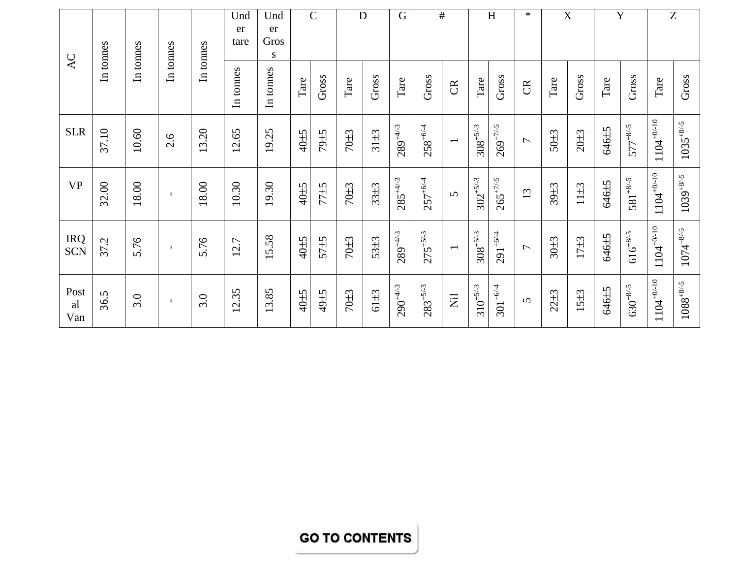|                          |           |           |              |           | Und<br>er | Und<br>er |      | $\mathbf C$ | D        |          | G             |               | $\#$                      |               | $\boldsymbol{\mathrm{H}}$ | $\ast$                   |                  | $\mathbf X$ |                       | Y             |                 | Z                        |
|--------------------------|-----------|-----------|--------------|-----------|-----------|-----------|------|-------------|----------|----------|---------------|---------------|---------------------------|---------------|---------------------------|--------------------------|------------------|-------------|-----------------------|---------------|-----------------|--------------------------|
| AC                       | In tonnes | In tonnes | In tonnes    | In tonnes | tare      | Gros<br>S |      |             |          |          |               |               |                           |               |                           |                          |                  |             |                       |               |                 |                          |
|                          |           |           |              |           | In tonnes | In tonnes | Tare | Gross       | Tare     | Gross    | Tare          | Gross         | $\mathfrak{B}$            | Tare          | Gross                     | $\mathfrak{B}$           | Tare             | Gross       | $\operatorname{Tare}$ | Gross         | Tare            | Gross                    |
| <b>SLR</b>               | 37.10     | 10.60     | 2.6          | 13.20     | 12.65     | 19.25     | 40±5 | 79±5        | $70\pm3$ | $31\pm3$ | $289^{+4/-3}$ | $258^{+6/4}$  | $\overline{\phantom{0}}$  | $308^{+5/-3}$ | $269^{+7/-5}$             | $\overline{ }$           | $50\pm3$         | $20\pm3$    | 646±5                 | $577^{+8/-5}$ | $1104^{+0/-10}$ | $1035^{+8/-5}$           |
| <b>VP</b>                | 32.00     | 18.00     | $\mathbf{I}$ | 18.00     | 10.30     | 19.30     | 40±5 | 77±5        | $70\pm3$ | $33\pm3$ | $285^{+4/-3}$ | $257^{+6/4}$  | $\Omega$                  | $302^{+5/-3}$ | $265^{+7/-5}$             | 13                       | 39 <sub>±3</sub> | $11\pm3$    | 646±5                 | $581^{+8/-5}$ | $104^{+0/-10}$  | $1039^{+8/-5}$           |
| <b>IRQ</b><br><b>SCN</b> | 37.2      | 5.76      | $\mathbf{I}$ | 5.76      | 12.7      | 15.58     | 40±5 | $57\pm5$    | 70±3     | $53 + 3$ | $289^{+4/-3}$ | $275^{+5/-3}$ | $\overline{\phantom{0}}$  | $308^{+5/-3}$ | $291^{+6/4}$              | $\overline{\phantom{0}}$ | 30 <sub>±3</sub> | $17+3$      | 646±5                 | $616^{+8/-5}$ | $1104^{+0/-10}$ | $1074^{+8/-5}$           |
| Post<br>al<br>Van        | 36.5      | 3.0       | $\mathbf{L}$ | 3.0       | 12.35     | 13.85     | 40±5 | 49±5        | $70\pm3$ | 61±3     | $290^{+4/-3}$ | $283^{+5/-3}$ | $\overline{\overline{z}}$ | $310^{+5/-3}$ | $301^{+6/4}$              | $\Omega$                 | $22 + 3$         | $15\pm3$    | 646±5                 | $630^{+8/-5}$ | $1104^{+0/-10}$ | $1088^{\mathrm {+8/-5}}$ |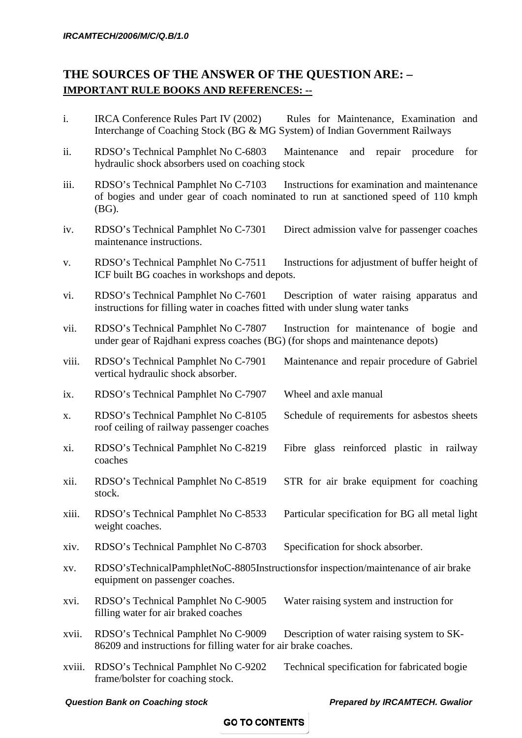# **THE SOURCES OF THE ANSWER OF THE QUESTION ARE: – IMPORTANT RULE BOOKS AND REFERENCES: --**

- i. IRCA Conference Rules Part IV (2002) Rules for Maintenance, Examination and Interchange of Coaching Stock (BG & MG System) of Indian Government Railways
- ii. RDSO's Technical Pamphlet No C-6803 Maintenance and repair procedure for hydraulic shock absorbers used on coaching stock
- iii. RDSO's Technical Pamphlet No C-7103 Instructions for examination and maintenance of bogies and under gear of coach nominated to run at sanctioned speed of 110 kmph (BG).
- iv. RDSO's Technical Pamphlet No C-7301 Direct admission valve for passenger coaches maintenance instructions.
- v. RDSO's Technical Pamphlet No C-7511 Instructions for adjustment of buffer height of ICF built BG coaches in workshops and depots.
- vi. RDSO's Technical Pamphlet No C-7601 Description of water raising apparatus and instructions for filling water in coaches fitted with under slung water tanks
- vii. RDSO's Technical Pamphlet No C-7807 Instruction for maintenance of bogie and under gear of Rajdhani express coaches (BG) (for shops and maintenance depots)
- viii. RDSO's Technical Pamphlet No C-7901 Maintenance and repair procedure of Gabriel vertical hydraulic shock absorber.
- ix. RDSO's Technical Pamphlet No C-7907 Wheel and axle manual
- x. RDSO's Technical Pamphlet No C-8105 Schedule of requirements for asbestos sheets roof ceiling of railway passenger coaches
- xi. RDSO's Technical Pamphlet No C-8219 Fibre glass reinforced plastic in railway coaches
- xii. RDSO's Technical Pamphlet No C-8519 STR for air brake equipment for coaching stock.
- xiii. RDSO's Technical Pamphlet No C-8533 Particular specification for BG all metal light weight coaches.
- xiv. RDSO's Technical Pamphlet No C-8703 Specification for shock absorber.
- xv. RDSO'sTechnicalPamphletNoC-8805Instructionsfor inspection/maintenance of air brake equipment on passenger coaches.
- xvi. RDSO's Technical Pamphlet No C-9005 Water raising system and instruction for filling water for air braked coaches
- xvii. RDSO's Technical Pamphlet No C-9009 Description of water raising system to SK-86209 and instructions for filling water for air brake coaches.
- xviii. RDSO's Technical Pamphlet No C-9202 Technical specification for fabricated bogie frame/bolster for coaching stock.

#### *Question Bank on Coaching stock Prepared by IRCAMTECH. Gwalior*